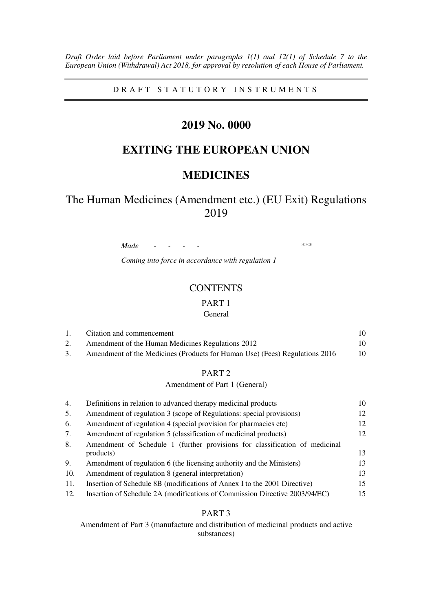*Draft Order laid before Parliament under paragraphs 1(1) and 12(1) of Schedule 7 to the European Union (Withdrawal) Act 2018, for approval by resolution of each House of Parliament.* 

D R A F T S T A T U T O R Y I N S T R U M E N T S

# **2019 No. 0000**

# **EXITING THE EUROPEAN UNION**

# **MEDICINES**

# The Human Medicines (Amendment etc.) (EU Exit) Regulations 2019

*Made - - - - \*\*\** 

*Coming into force in accordance with regulation 1* 

# **CONTENTS**

#### PART 1

#### General

| Citation and commencement                                                   |    |
|-----------------------------------------------------------------------------|----|
| Amendment of the Human Medicines Regulations 2012                           | 10 |
| Amendment of the Medicines (Products for Human Use) (Fees) Regulations 2016 | 10 |

#### PART 2

Amendment of Part 1 (General)

| 4.  | Definitions in relation to advanced therapy medicinal products              | 10 |
|-----|-----------------------------------------------------------------------------|----|
| 5.  | Amendment of regulation 3 (scope of Regulations: special provisions)        | 12 |
| 6.  | Amendment of regulation 4 (special provision for pharmacies etc)            | 12 |
| 7.  | Amendment of regulation 5 (classification of medicinal products)            | 12 |
| 8.  | Amendment of Schedule 1 (further provisions for classification of medicinal |    |
|     | products)                                                                   | 13 |
| 9.  | Amendment of regulation 6 (the licensing authority and the Ministers)       | 13 |
| 10. | Amendment of regulation 8 (general interpretation)                          | 13 |
| 11. | Insertion of Schedule 8B (modifications of Annex I to the 2001 Directive)   | 15 |
| 12. | Insertion of Schedule 2A (modifications of Commission Directive 2003/94/EC) | 15 |

### PART 3

Amendment of Part 3 (manufacture and distribution of medicinal products and active substances)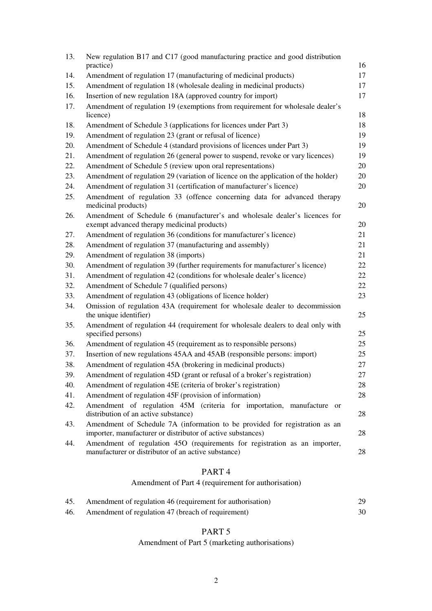| 13. | New regulation B17 and C17 (good manufacturing practice and good distribution<br>practice)                                                 | 16 |
|-----|--------------------------------------------------------------------------------------------------------------------------------------------|----|
| 14. | Amendment of regulation 17 (manufacturing of medicinal products)                                                                           | 17 |
| 15. | Amendment of regulation 18 (wholesale dealing in medicinal products)                                                                       | 17 |
| 16. | Insertion of new regulation 18A (approved country for import)                                                                              | 17 |
| 17. | Amendment of regulation 19 (exemptions from requirement for wholesale dealer's<br>licence)                                                 | 18 |
| 18. | Amendment of Schedule 3 (applications for licences under Part 3)                                                                           | 18 |
| 19. | Amendment of regulation 23 (grant or refusal of licence)                                                                                   | 19 |
| 20. | Amendment of Schedule 4 (standard provisions of licences under Part 3)                                                                     | 19 |
| 21. | Amendment of regulation 26 (general power to suspend, revoke or vary licences)                                                             | 19 |
| 22. | Amendment of Schedule 5 (review upon oral representations)                                                                                 | 20 |
| 23. | Amendment of regulation 29 (variation of licence on the application of the holder)                                                         | 20 |
| 24. | Amendment of regulation 31 (certification of manufacturer's licence)                                                                       | 20 |
| 25. | Amendment of regulation 33 (offence concerning data for advanced therapy<br>medicinal products)                                            | 20 |
| 26. | Amendment of Schedule 6 (manufacturer's and wholesale dealer's licences for<br>exempt advanced therapy medicinal products)                 | 20 |
| 27. | Amendment of regulation 36 (conditions for manufacturer's licence)                                                                         | 21 |
| 28. | Amendment of regulation 37 (manufacturing and assembly)                                                                                    | 21 |
| 29. | Amendment of regulation 38 (imports)                                                                                                       | 21 |
| 30. | Amendment of regulation 39 (further requirements for manufacturer's licence)                                                               | 22 |
| 31. | Amendment of regulation 42 (conditions for wholesale dealer's licence)                                                                     | 22 |
| 32. | Amendment of Schedule 7 (qualified persons)                                                                                                | 22 |
| 33. | Amendment of regulation 43 (obligations of licence holder)                                                                                 | 23 |
| 34. | Omission of regulation 43A (requirement for wholesale dealer to decommission<br>the unique identifier)                                     | 25 |
| 35. | Amendment of regulation 44 (requirement for wholesale dealers to deal only with<br>specified persons)                                      | 25 |
| 36. | Amendment of regulation 45 (requirement as to responsible persons)                                                                         | 25 |
| 37. | Insertion of new regulations 45AA and 45AB (responsible persons: import)                                                                   | 25 |
| 38. | Amendment of regulation 45A (brokering in medicinal products)                                                                              | 27 |
| 39. | Amendment of regulation 45D (grant or refusal of a broker's registration)                                                                  | 27 |
| 40. | Amendment of regulation 45E (criteria of broker's registration)                                                                            | 28 |
| 41. | Amendment of regulation 45F (provision of information)                                                                                     | 28 |
| 42. | Amendment of regulation 45M (criteria for importation, manufacture<br><sub>or</sub><br>distribution of an active substance)                | 28 |
| 43. | Amendment of Schedule 7A (information to be provided for registration as an<br>importer, manufacturer or distributor of active substances) | 28 |
| 44. | Amendment of regulation 450 (requirements for registration as an importer,<br>manufacturer or distributor of an active substance)          | 28 |

# Amendment of Part 4 (requirement for authorisation)

| 45. | Amendment of regulation 46 (requirement for authorisation) | 29. |
|-----|------------------------------------------------------------|-----|
| 46. | Amendment of regulation 47 (breach of requirement)         |     |

# PART 5

# Amendment of Part 5 (marketing authorisations)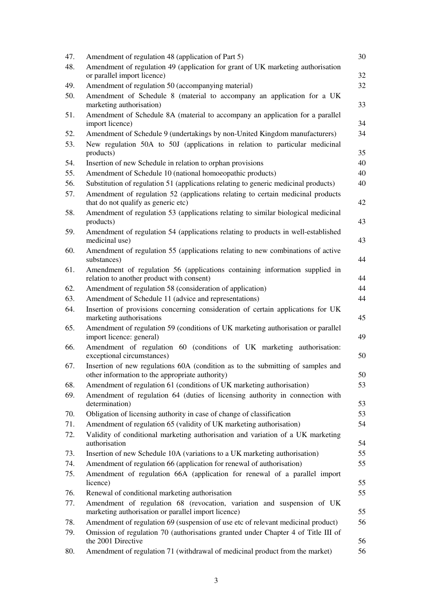| 47. | Amendment of regulation 48 (application of Part 5)                                                                            | 30 |
|-----|-------------------------------------------------------------------------------------------------------------------------------|----|
| 48. | Amendment of regulation 49 (application for grant of UK marketing authorisation<br>or parallel import licence)                | 32 |
| 49. | Amendment of regulation 50 (accompanying material)                                                                            | 32 |
| 50. | Amendment of Schedule 8 (material to accompany an application for a UK<br>marketing authorisation)                            | 33 |
| 51. | Amendment of Schedule 8A (material to accompany an application for a parallel<br>import licence)                              | 34 |
| 52. | Amendment of Schedule 9 (undertakings by non-United Kingdom manufacturers)                                                    | 34 |
| 53. | New regulation 50A to 50J (applications in relation to particular medicinal<br>products)                                      | 35 |
| 54. | Insertion of new Schedule in relation to orphan provisions                                                                    | 40 |
| 55. | Amendment of Schedule 10 (national homoeopathic products)                                                                     | 40 |
| 56. | Substitution of regulation 51 (applications relating to generic medicinal products)                                           | 40 |
| 57. | Amendment of regulation 52 (applications relating to certain medicinal products<br>that do not qualify as generic etc)        | 42 |
| 58. | Amendment of regulation 53 (applications relating to similar biological medicinal<br>products)                                | 43 |
| 59. | Amendment of regulation 54 (applications relating to products in well-established<br>medicinal use)                           | 43 |
| 60. | Amendment of regulation 55 (applications relating to new combinations of active<br>substances)                                | 44 |
| 61. | Amendment of regulation 56 (applications containing information supplied in<br>relation to another product with consent)      | 44 |
| 62. | Amendment of regulation 58 (consideration of application)                                                                     | 44 |
| 63. | Amendment of Schedule 11 (advice and representations)                                                                         | 44 |
| 64. | Insertion of provisions concerning consideration of certain applications for UK<br>marketing authorisations                   | 45 |
| 65. | Amendment of regulation 59 (conditions of UK marketing authorisation or parallel<br>import licence: general)                  | 49 |
| 66. | Amendment of regulation 60 (conditions of UK marketing authorisation:<br>exceptional circumstances)                           | 50 |
| 67. | Insertion of new regulations 60A (condition as to the submitting of samples and                                               |    |
|     | other information to the appropriate authority)                                                                               | 50 |
| 68. | Amendment of regulation 61 (conditions of UK marketing authorisation)                                                         | 53 |
| 69. | Amendment of regulation 64 (duties of licensing authority in connection with<br>determination)                                | 53 |
| 70. | Obligation of licensing authority in case of change of classification                                                         | 53 |
| 71. | Amendment of regulation 65 (validity of UK marketing authorisation)                                                           | 54 |
| 72. | Validity of conditional marketing authorisation and variation of a UK marketing<br>authorisation                              | 54 |
| 73. | Insertion of new Schedule 10A (variations to a UK marketing authorisation)                                                    | 55 |
| 74. | Amendment of regulation 66 (application for renewal of authorisation)                                                         | 55 |
| 75. | Amendment of regulation 66A (application for renewal of a parallel import<br>licence)                                         | 55 |
| 76. | Renewal of conditional marketing authorisation                                                                                | 55 |
| 77. | Amendment of regulation 68 (revocation, variation and suspension of UK<br>marketing authorisation or parallel import licence) | 55 |
| 78. | Amendment of regulation 69 (suspension of use etc of relevant medicinal product)                                              | 56 |
| 79. | Omission of regulation 70 (authorisations granted under Chapter 4 of Title III of<br>the 2001 Directive                       | 56 |
| 80. | Amendment of regulation 71 (withdrawal of medicinal product from the market)                                                  | 56 |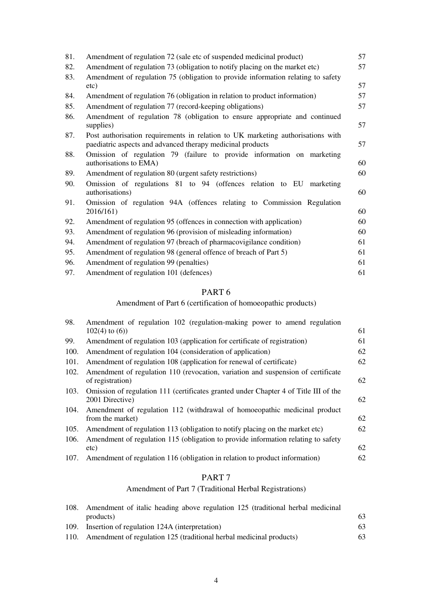| 81. | Amendment of regulation 72 (sale etc of suspended medicinal product)                    | 57 |
|-----|-----------------------------------------------------------------------------------------|----|
| 82. | Amendment of regulation 73 (obligation to notify placing on the market etc)             | 57 |
| 83. | Amendment of regulation 75 (obligation to provide information relating to safety        |    |
|     | etc)                                                                                    | 57 |
| 84. | Amendment of regulation 76 (obligation in relation to product information)              | 57 |
| 85. | Amendment of regulation 77 (record-keeping obligations)                                 | 57 |
| 86. | Amendment of regulation 78 (obligation to ensure appropriate and continued<br>supplies) | 57 |
| 87. | Post authorisation requirements in relation to UK marketing authorisations with         |    |
|     | paediatric aspects and advanced therapy medicinal products                              | 57 |
| 88. | Omission of regulation 79 (failure to provide information on marketing                  |    |
|     | authorisations to EMA)                                                                  | 60 |
| 89. | Amendment of regulation 80 (urgent safety restrictions)                                 | 60 |
| 90. | Omission of regulations 81 to 94 (offences relation to EU marketing<br>authorisations)  | 60 |
| 91. | Omission of regulation 94A (offences relating to Commission Regulation                  |    |
|     | 2016/161)                                                                               | 60 |
| 92. | Amendment of regulation 95 (offences in connection with application)                    | 60 |
| 93. | Amendment of regulation 96 (provision of misleading information)                        | 60 |
| 94. | Amendment of regulation 97 (breach of pharmacovigilance condition)                      | 61 |
| 95. | Amendment of regulation 98 (general offence of breach of Part 5)                        | 61 |
| 96. | Amendment of regulation 99 (penalties)                                                  | 61 |
| 97. | Amendment of regulation 101 (defences)                                                  | 61 |

# Amendment of Part 6 (certification of homoeopathic products)

| 98.  | Amendment of regulation 102 (regulation-making power to amend regulation                                |    |
|------|---------------------------------------------------------------------------------------------------------|----|
|      | $102(4)$ to $(6)$ )                                                                                     | 61 |
| 99.  | Amendment of regulation 103 (application for certificate of registration)                               | 61 |
| 100. | Amendment of regulation 104 (consideration of application)                                              | 62 |
| 101. | Amendment of regulation 108 (application for renewal of certificate)                                    | 62 |
| 102. | Amendment of regulation 110 (revocation, variation and suspension of certificate<br>of registration)    | 62 |
| 103. | Omission of regulation 111 (certificates granted under Chapter 4 of Title III of the<br>2001 Directive) | 62 |
| 104. | Amendment of regulation 112 (withdrawal of homoeopathic medicinal product<br>from the market)           | 62 |
| 105. | Amendment of regulation 113 (obligation to notify placing on the market etc)                            | 62 |
| 106. | Amendment of regulation 115 (obligation to provide information relating to safety                       |    |
|      | etc)                                                                                                    | 62 |
| 107. | Amendment of regulation 116 (obligation in relation to product information)                             | 62 |

# PART 7

# Amendment of Part 7 (Traditional Herbal Registrations)

|      | 108. Amendment of italic heading above regulation 125 (traditional herbal medicinal |    |
|------|-------------------------------------------------------------------------------------|----|
|      | products)                                                                           | 63 |
| 109. | Insertion of regulation 124A (interpretation)                                       | 63 |
|      | 110. Amendment of regulation 125 (traditional herbal medicinal products)            | 63 |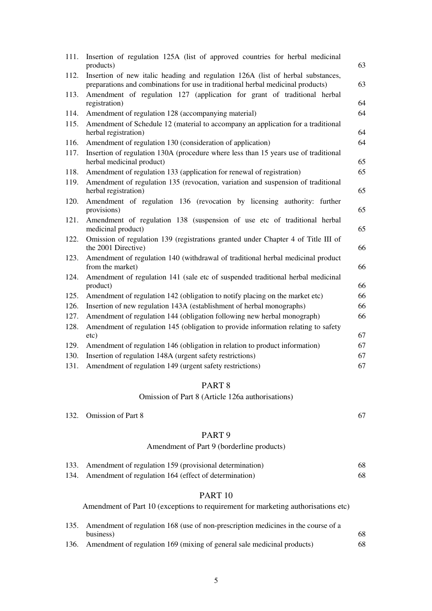| 111. | Insertion of regulation 125A (list of approved countries for herbal medicinal<br>products)                                                                         | 63 |
|------|--------------------------------------------------------------------------------------------------------------------------------------------------------------------|----|
| 112. | Insertion of new italic heading and regulation 126A (list of herbal substances,<br>preparations and combinations for use in traditional herbal medicinal products) | 63 |
| 113. | Amendment of regulation 127 (application for grant of traditional herbal<br>registration)                                                                          | 64 |
| 114. | Amendment of regulation 128 (accompanying material)                                                                                                                | 64 |
| 115. | Amendment of Schedule 12 (material to accompany an application for a traditional<br>herbal registration)                                                           | 64 |
| 116. | Amendment of regulation 130 (consideration of application)                                                                                                         | 64 |
| 117. | Insertion of regulation 130A (procedure where less than 15 years use of traditional<br>herbal medicinal product)                                                   | 65 |
| 118. | Amendment of regulation 133 (application for renewal of registration)                                                                                              | 65 |
| 119. | Amendment of regulation 135 (revocation, variation and suspension of traditional<br>herbal registration)                                                           | 65 |
| 120. | Amendment of regulation 136 (revocation by licensing authority: further<br>provisions)                                                                             | 65 |
| 121. | Amendment of regulation 138 (suspension of use etc of traditional herbal<br>medicinal product)                                                                     | 65 |
| 122. | Omission of regulation 139 (registrations granted under Chapter 4 of Title III of<br>the 2001 Directive)                                                           | 66 |
| 123. | Amendment of regulation 140 (withdrawal of traditional herbal medicinal product<br>from the market)                                                                | 66 |
| 124. | Amendment of regulation 141 (sale etc of suspended traditional herbal medicinal                                                                                    |    |
|      | product)                                                                                                                                                           | 66 |
| 125. | Amendment of regulation 142 (obligation to notify placing on the market etc)                                                                                       | 66 |
| 126. | Insertion of new regulation 143A (establishment of herbal monographs)                                                                                              | 66 |
| 127. | Amendment of regulation 144 (obligation following new herbal monograph)                                                                                            | 66 |
| 128. | Amendment of regulation 145 (obligation to provide information relating to safety<br>etc)                                                                          | 67 |
| 129. | Amendment of regulation 146 (obligation in relation to product information)                                                                                        | 67 |
| 130. | Insertion of regulation 148A (urgent safety restrictions)                                                                                                          | 67 |
| 131. | Amendment of regulation 149 (urgent safety restrictions)                                                                                                           | 67 |

# Omission of Part 8 (Article 126a authorisations)

| 132. Omission of Part 8 | 67 |  |
|-------------------------|----|--|
|                         |    |  |

## PART 9

# Amendment of Part 9 (borderline products)

| 133. Amendment of regulation 159 (provisional determination) | 68 |
|--------------------------------------------------------------|----|
| 134. Amendment of regulation 164 (effect of determination)   | 68 |

# PART 10

Amendment of Part 10 (exceptions to requirement for marketing authorisations etc)

| 135. | Amendment of regulation 168 (use of non-prescription medicines in the course of a |    |
|------|-----------------------------------------------------------------------------------|----|
|      | business)                                                                         | 68 |
| 136. | Amendment of regulation 169 (mixing of general sale medicinal products)           | 68 |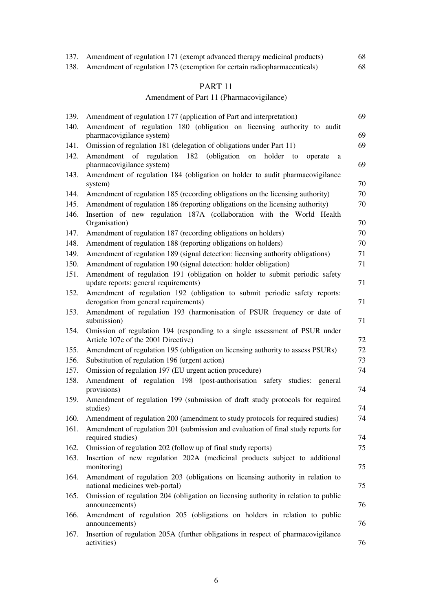| 137. Amendment of regulation 171 (exempt advanced therapy medicinal products) | 68 |
|-------------------------------------------------------------------------------|----|
| 138. Amendment of regulation 173 (exemption for certain radiopharmaceuticals) | 68 |

# Amendment of Part 11 (Pharmacovigilance)

| Amendment of regulation 177 (application of Part and interpretation)                                                 | 69                                                                                                   |
|----------------------------------------------------------------------------------------------------------------------|------------------------------------------------------------------------------------------------------|
| Amendment of regulation 180 (obligation on licensing authority to audit                                              |                                                                                                      |
| pharmacovigilance system)                                                                                            | 69                                                                                                   |
| Omission of regulation 181 (delegation of obligations under Part 11)                                                 | 69                                                                                                   |
| Amendment of regulation<br>182<br>(obligation)<br>on<br>holder<br>operate<br>to<br>a<br>pharmacovigilance system)    | 69                                                                                                   |
| Amendment of regulation 184 (obligation on holder to audit pharmacovigilance<br>system)                              | 70                                                                                                   |
| Amendment of regulation 185 (recording obligations on the licensing authority)                                       | 70                                                                                                   |
| Amendment of regulation 186 (reporting obligations on the licensing authority)                                       | 70                                                                                                   |
| Insertion of new regulation 187A (collaboration with the World Health<br>Organisation)                               | 70                                                                                                   |
| Amendment of regulation 187 (recording obligations on holders)                                                       | 70                                                                                                   |
| Amendment of regulation 188 (reporting obligations on holders)                                                       | 70                                                                                                   |
| Amendment of regulation 189 (signal detection: licensing authority obligations)                                      | 71                                                                                                   |
| Amendment of regulation 190 (signal detection: holder obligation)                                                    | 71                                                                                                   |
| Amendment of regulation 191 (obligation on holder to submit periodic safety<br>update reports: general requirements) | 71                                                                                                   |
| Amendment of regulation 192 (obligation to submit periodic safety reports:<br>derogation from general requirements)  | 71                                                                                                   |
| Amendment of regulation 193 (harmonisation of PSUR frequency or date of<br>submission)                               | 71                                                                                                   |
| Omission of regulation 194 (responding to a single assessment of PSUR under<br>Article 107e of the 2001 Directive)   | 72                                                                                                   |
| Amendment of regulation 195 (obligation on licensing authority to assess PSURs)                                      | 72                                                                                                   |
| Substitution of regulation 196 (urgent action)                                                                       | 73                                                                                                   |
| Omission of regulation 197 (EU urgent action procedure)                                                              | 74                                                                                                   |
| Amendment of regulation 198 (post-authorisation safety studies: general<br>provisions)                               | 74                                                                                                   |
| Amendment of regulation 199 (submission of draft study protocols for required<br>studies)                            | 74                                                                                                   |
| Amendment of regulation 200 (amendment to study protocols for required studies)                                      | 74                                                                                                   |
| Amendment of regulation 201 (submission and evaluation of final study reports for                                    | 74                                                                                                   |
|                                                                                                                      | 75                                                                                                   |
| Insertion of new regulation 202A (medicinal products subject to additional<br>monitoring)                            | 75                                                                                                   |
| Amendment of regulation 203 (obligations on licensing authority in relation to<br>national medicines web-portal)     | 75                                                                                                   |
| Omission of regulation 204 (obligation on licensing authority in relation to public<br>announcements)                | 76                                                                                                   |
| Amendment of regulation 205 (obligations on holders in relation to public                                            | 76                                                                                                   |
| Insertion of regulation 205A (further obligations in respect of pharmacovigilance<br>activities)                     | 76                                                                                                   |
|                                                                                                                      | required studies)<br>Omission of regulation 202 (follow up of final study reports)<br>announcements) |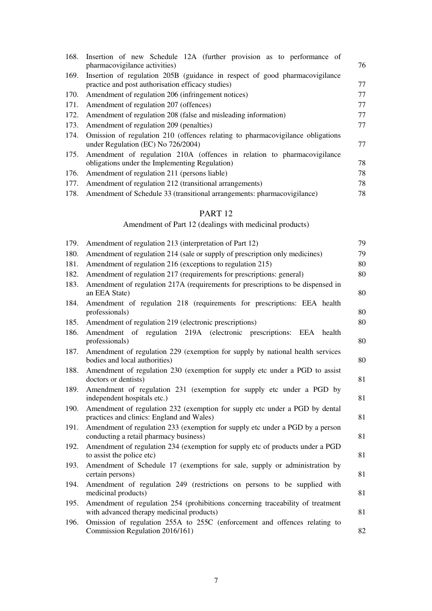| 168. | Insertion of new Schedule 12A (further provision as to performance of          |    |
|------|--------------------------------------------------------------------------------|----|
|      | pharmacovigilance activities)                                                  | 76 |
| 169. | Insertion of regulation 205B (guidance in respect of good pharmacovigilance    |    |
|      | practice and post authorisation efficacy studies)                              | 77 |
| 170. | Amendment of regulation 206 (infringement notices)                             | 77 |
| 171. | Amendment of regulation 207 (offences)                                         | 77 |
| 172. | Amendment of regulation 208 (false and misleading information)                 | 77 |
| 173. | Amendment of regulation 209 (penalties)                                        | 77 |
| 174. | Omission of regulation 210 (offences relating to pharmacovigilance obligations |    |
|      | under Regulation (EC) No 726/2004)                                             | 77 |
| 175. | Amendment of regulation 210A (offences in relation to pharmacovigilance        |    |
|      | obligations under the Implementing Regulation)                                 | 78 |
| 176. | Amendment of regulation 211 (persons liable)                                   | 78 |
| 177. | Amendment of regulation 212 (transitional arrangements)                        | 78 |
| 178. | Amendment of Schedule 33 (transitional arrangements: pharmacovigilance)        | 78 |
|      |                                                                                |    |

Amendment of Part 12 (dealings with medicinal products)

| 179. | Amendment of regulation 213 (interpretation of Part 12)                                                                     | 79 |
|------|-----------------------------------------------------------------------------------------------------------------------------|----|
| 180. | Amendment of regulation 214 (sale or supply of prescription only medicines)                                                 | 79 |
| 181. | Amendment of regulation 216 (exceptions to regulation 215)                                                                  | 80 |
| 182. | Amendment of regulation 217 (requirements for prescriptions: general)                                                       | 80 |
| 183. | Amendment of regulation 217A (requirements for prescriptions to be dispensed in<br>an EEA State)                            | 80 |
| 184. | Amendment of regulation 218 (requirements for prescriptions: EEA health<br>professionals)                                   | 80 |
| 185. | Amendment of regulation 219 (electronic prescriptions)                                                                      | 80 |
| 186. | Amendment of regulation 219A (electronic prescriptions:<br>EEA<br>health<br>professionals)                                  | 80 |
| 187. | Amendment of regulation 229 (exemption for supply by national health services<br>bodies and local authorities)              | 80 |
| 188. | Amendment of regulation 230 (exemption for supply etc under a PGD to assist<br>doctors or dentists)                         | 81 |
| 189. | Amendment of regulation 231 (exemption for supply etc under a PGD by<br>independent hospitals etc.)                         | 81 |
| 190. | Amendment of regulation 232 (exemption for supply etc under a PGD by dental<br>practices and clinics: England and Wales)    | 81 |
| 191. | Amendment of regulation 233 (exemption for supply etc under a PGD by a person<br>conducting a retail pharmacy business)     | 81 |
| 192. | Amendment of regulation 234 (exemption for supply etc of products under a PGD<br>to assist the police etc)                  | 81 |
| 193. | Amendment of Schedule 17 (exemptions for sale, supply or administration by<br>certain persons)                              | 81 |
| 194. | Amendment of regulation 249 (restrictions on persons to be supplied with<br>medicinal products)                             | 81 |
| 195. | Amendment of regulation 254 (prohibitions concerning traceability of treatment<br>with advanced therapy medicinal products) | 81 |
| 196. | Omission of regulation 255A to 255C (enforcement and offences relating to<br>Commission Regulation 2016/161)                | 82 |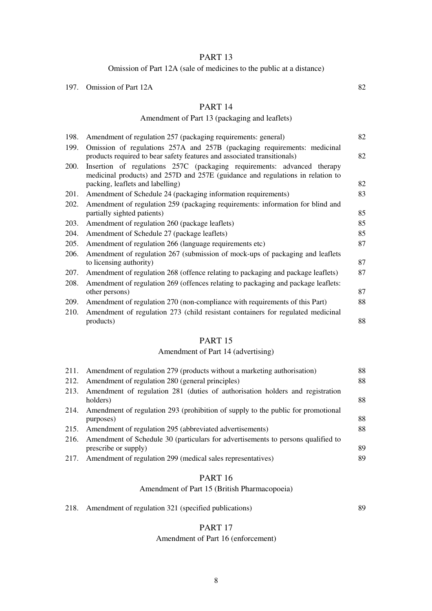### Omission of Part 12A (sale of medicines to the public at a distance)

### 197. Omission of Part 12A 82

### PART 14

# Amendment of Part 13 (packaging and leaflets)

| 198.        | Amendment of regulation 257 (packaging requirements: general)                                                                                                                                 | 82 |
|-------------|-----------------------------------------------------------------------------------------------------------------------------------------------------------------------------------------------|----|
| 199.        | Omission of regulations 257A and 257B (packaging requirements: medicinal<br>products required to bear safety features and associated transitionals)                                           | 82 |
| <b>200.</b> | Insertion of regulations 257C (packaging requirements: advanced therapy<br>medicinal products) and 257D and 257E (guidance and regulations in relation to<br>packing, leaflets and labelling) | 82 |
| 201.        |                                                                                                                                                                                               | 83 |
|             | Amendment of Schedule 24 (packaging information requirements)                                                                                                                                 |    |
| 202.        | Amendment of regulation 259 (packaging requirements: information for blind and<br>partially sighted patients)                                                                                 | 85 |
| 203.        | Amendment of regulation 260 (package leaflets)                                                                                                                                                | 85 |
| 204.        | Amendment of Schedule 27 (package leaflets)                                                                                                                                                   | 85 |
| 205.        | Amendment of regulation 266 (language requirements etc)                                                                                                                                       | 87 |
| 206.        | Amendment of regulation 267 (submission of mock-ups of packaging and leaflets                                                                                                                 |    |
|             | to licensing authority)                                                                                                                                                                       | 87 |
| 207.        | Amendment of regulation 268 (offence relating to packaging and package leaflets)                                                                                                              | 87 |
| 208.        | Amendment of regulation 269 (offences relating to packaging and package leaflets:                                                                                                             |    |
|             | other persons)                                                                                                                                                                                | 87 |
| <b>209.</b> | Amendment of regulation 270 (non-compliance with requirements of this Part)                                                                                                                   | 88 |
| 210.        | Amendment of regulation 273 (child resistant containers for regulated medicinal                                                                                                               |    |
|             | products)                                                                                                                                                                                     | 88 |

### PART 15

# Amendment of Part 14 (advertising)

| Amendment of regulation 279 (products without a marketing authorisation)                           | 88 |
|----------------------------------------------------------------------------------------------------|----|
| Amendment of regulation 280 (general principles)                                                   | 88 |
| Amendment of regulation 281 (duties of authorisation holders and registration<br>holders)          | 88 |
| 214. Amendment of regulation 293 (prohibition of supply to the public for promotional<br>purposes) | 88 |
| 215. Amendment of regulation 295 (abbreviated advertisements)                                      | 88 |
| Amendment of Schedule 30 (particulars for advertisements to persons qualified to                   |    |
| prescribe or supply)                                                                               | 89 |
| 217. Amendment of regulation 299 (medical sales representatives)                                   | 89 |
|                                                                                                    |    |

### PART 16

### Amendment of Part 15 (British Pharmacopoeia)

|  | 218. Amendment of regulation 321 (specified publications) |  | 89 |
|--|-----------------------------------------------------------|--|----|
|--|-----------------------------------------------------------|--|----|

# PART 17

# Amendment of Part 16 (enforcement)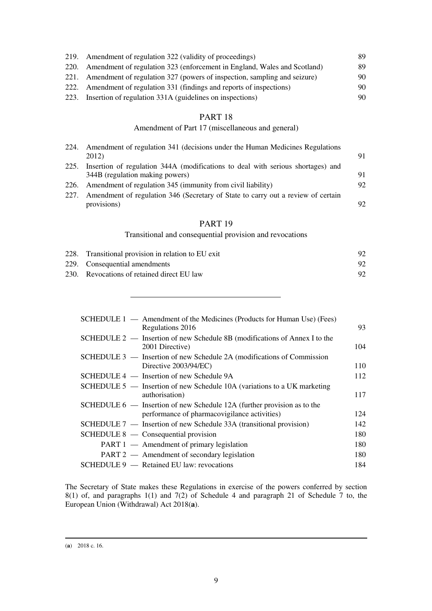| 219. | Amendment of regulation 322 (validity of proceedings)                               | 89. |
|------|-------------------------------------------------------------------------------------|-----|
| 220. | Amendment of regulation 323 (enforcement in England, Wales and Scotland)            | 89  |
| 221. | Amendment of regulation 327 (powers of inspection, sampling and seizure)            | 90. |
| 222. | Amendment of regulation 331 (findings and reports of inspections)                   | 90. |
|      | $222$ Transition of receptable $221$ A. (and $1.1$ in case the results of $\lambda$ | ΩΩ. |

223. Insertion of regulation 331A (guidelines on inspections) 90

# PART 18

# Amendment of Part 17 (miscellaneous and general)

| 224. | Amendment of regulation 341 (decisions under the Human Medicines Regulations<br>2012)                              | 91 |
|------|--------------------------------------------------------------------------------------------------------------------|----|
| 225. | Insertion of regulation 344A (modifications to deal with serious shortages) and<br>344B (regulation making powers) | 91 |
| 226. | Amendment of regulation 345 (immunity from civil liability)                                                        | 92 |
| 227. | Amendment of regulation 346 (Secretary of State to carry out a review of certain<br>provisions)                    | 92 |

# PART 19

# Transitional and consequential provision and revocations

| 228. Transitional provision in relation to EU exit | 92 |
|----------------------------------------------------|----|
| 229. Consequential amendments                      | 92 |
| 230. Revocations of retained direct EU law         |    |

|  | SCHEDULE 1 — Amendment of the Medicines (Products for Human Use) (Fees)<br>Regulations 2016                               | 93  |
|--|---------------------------------------------------------------------------------------------------------------------------|-----|
|  | SCHEDULE 2 — Insertion of new Schedule 8B (modifications of Annex I to the<br>2001 Directive)                             | 104 |
|  | SCHEDULE 3 — Insertion of new Schedule 2A (modifications of Commission<br>Directive 2003/94/EC)                           | 110 |
|  | SCHEDULE 4 — Insertion of new Schedule 9A                                                                                 | 112 |
|  | SCHEDULE 5 — Insertion of new Schedule 10A (variations to a UK marketing<br>authorisation)                                | 117 |
|  | SCHEDULE $6$ — Insertion of new Schedule 12A (further provision as to the<br>performance of pharmacovigilance activities) | 124 |
|  | SCHEDULE 7 — Insertion of new Schedule 33A (transitional provision)                                                       | 142 |
|  | $SCHEDULE 8$ — Consequential provision                                                                                    | 180 |
|  | PART 1 — Amendment of primary legislation                                                                                 | 180 |
|  | PART 2 — Amendment of secondary legislation                                                                               | 180 |
|  | $SCHEDULE 9$ — Retained EU law: revocations                                                                               | 184 |
|  |                                                                                                                           |     |

The Secretary of State makes these Regulations in exercise of the powers conferred by section  $8(1)$  of, and paragraphs  $1(1)$  and  $7(2)$  of Schedule 4 and paragraph 21 of Schedule 7 to, the European Union (Withdrawal) Act 2018(**a**).

<sup>-</sup>(**a**) 2018 c. 16.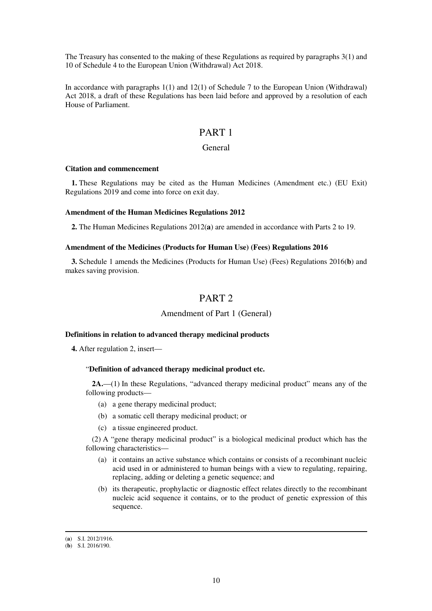The Treasury has consented to the making of these Regulations as required by paragraphs 3(1) and 10 of Schedule 4 to the European Union (Withdrawal) Act 2018.

In accordance with paragraphs 1(1) and 12(1) of Schedule 7 to the European Union (Withdrawal) Act 2018, a draft of these Regulations has been laid before and approved by a resolution of each House of Parliament.

# PART 1

### General

#### **Citation and commencement**

**1.** These Regulations may be cited as the Human Medicines (Amendment etc.) (EU Exit) Regulations 2019 and come into force on exit day.

#### **Amendment of the Human Medicines Regulations 2012**

**2.** The Human Medicines Regulations 2012(**a**) are amended in accordance with Parts 2 to 19.

#### **Amendment of the Medicines (Products for Human Use) (Fees) Regulations 2016**

**3.** Schedule 1 amends the Medicines (Products for Human Use) (Fees) Regulations 2016(**b**) and makes saving provision.

# PART 2

#### Amendment of Part 1 (General)

#### **Definitions in relation to advanced therapy medicinal products**

**4.** After regulation 2, insert—

### "**Definition of advanced therapy medicinal product etc.**

**2A.**—(1) In these Regulations, "advanced therapy medicinal product" means any of the following products—

- (a) a gene therapy medicinal product;
- (b) a somatic cell therapy medicinal product; or
- (c) a tissue engineered product.

(2) A "gene therapy medicinal product" is a biological medicinal product which has the following characteristics—

- (a) it contains an active substance which contains or consists of a recombinant nucleic acid used in or administered to human beings with a view to regulating, repairing, replacing, adding or deleting a genetic sequence; and
- (b) its therapeutic, prophylactic or diagnostic effect relates directly to the recombinant nucleic acid sequence it contains, or to the product of genetic expression of this sequence.

<sup>(</sup>**a**) S.I. 2012/1916.

<sup>(</sup>**b**) S.I. 2016/190.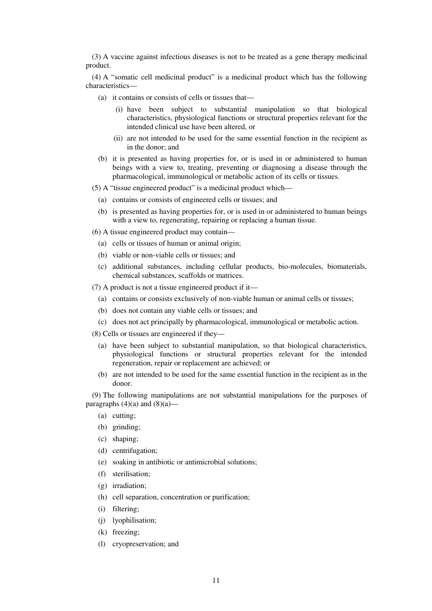(3) A vaccine against infectious diseases is not to be treated as a gene therapy medicinal product.

(4) A "somatic cell medicinal product" is a medicinal product which has the following characteristics—

- (a) it contains or consists of cells or tissues that—
	- (i) have been subject to substantial manipulation so that biological characteristics, physiological functions or structural properties relevant for the intended clinical use have been altered, or
	- (ii) are not intended to be used for the same essential function in the recipient as in the donor; and
- (b) it is presented as having properties for, or is used in or administered to human beings with a view to, treating, preventing or diagnosing a disease through the pharmacological, immunological or metabolic action of its cells or tissues.
- (5) A "tissue engineered product" is a medicinal product which—
	- (a) contains or consists of engineered cells or tissues; and
	- (b) is presented as having properties for, or is used in or administered to human beings with a view to, regenerating, repairing or replacing a human tissue.

(6) A tissue engineered product may contain—

- (a) cells or tissues of human or animal origin;
- (b) viable or non-viable cells or tissues; and
- (c) additional substances, including cellular products, bio-molecules, biomaterials, chemical substances, scaffolds or matrices.
- (7) A product is not a tissue engineered product if it—
	- (a) contains or consists exclusively of non-viable human or animal cells or tissues;
	- (b) does not contain any viable cells or tissues; and
	- (c) does not act principally by pharmacological, immunological or metabolic action.

(8) Cells or tissues are engineered if they—

- (a) have been subject to substantial manipulation, so that biological characteristics, physiological functions or structural properties relevant for the intended regeneration, repair or replacement are achieved; or
- (b) are not intended to be used for the same essential function in the recipient as in the donor.

(9) The following manipulations are not substantial manipulations for the purposes of paragraphs  $(4)(a)$  and  $(8)(a)$ —

- (a) cutting;
- (b) grinding;
- (c) shaping;
- (d) centrifugation;
- (e) soaking in antibiotic or antimicrobial solutions;
- (f) sterilisation;
- (g) irradiation;
- (h) cell separation, concentration or purification;
- (i) filtering;
- (j) lyophilisation;
- (k) freezing;
- (l) cryopreservation; and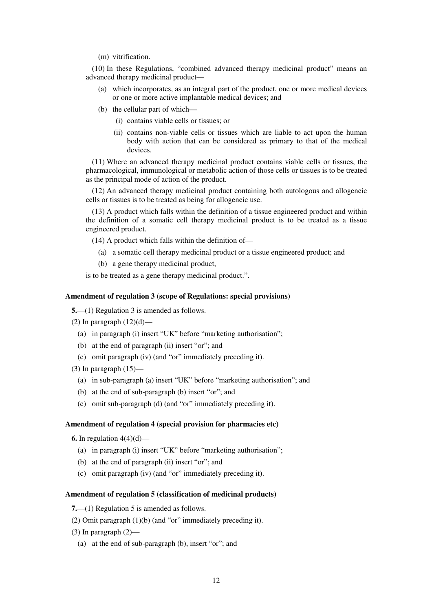(m) vitrification.

(10) In these Regulations, "combined advanced therapy medicinal product" means an advanced therapy medicinal product—

- (a) which incorporates, as an integral part of the product, one or more medical devices or one or more active implantable medical devices; and
- (b) the cellular part of which—
	- (i) contains viable cells or tissues; or
	- (ii) contains non-viable cells or tissues which are liable to act upon the human body with action that can be considered as primary to that of the medical devices.

(11) Where an advanced therapy medicinal product contains viable cells or tissues, the pharmacological, immunological or metabolic action of those cells or tissues is to be treated as the principal mode of action of the product.

(12) An advanced therapy medicinal product containing both autologous and allogeneic cells or tissues is to be treated as being for allogeneic use.

(13) A product which falls within the definition of a tissue engineered product and within the definition of a somatic cell therapy medicinal product is to be treated as a tissue engineered product.

(14) A product which falls within the definition of—

- (a) a somatic cell therapy medicinal product or a tissue engineered product; and
- (b) a gene therapy medicinal product,

is to be treated as a gene therapy medicinal product.".

#### **Amendment of regulation 3 (scope of Regulations: special provisions)**

**5.**—(1) Regulation 3 is amended as follows.

(2) In paragraph  $(12)(d)$ —

- (a) in paragraph (i) insert "UK" before "marketing authorisation";
- (b) at the end of paragraph (ii) insert "or"; and
- (c) omit paragraph (iv) (and "or" immediately preceding it).

(3) In paragraph  $(15)$ —

- (a) in sub-paragraph (a) insert "UK" before "marketing authorisation"; and
- (b) at the end of sub-paragraph (b) insert "or"; and
- (c) omit sub-paragraph (d) (and "or" immediately preceding it).

### **Amendment of regulation 4 (special provision for pharmacies etc)**

**6.** In regulation  $4(4)(d)$ —

- (a) in paragraph (i) insert "UK" before "marketing authorisation";
- (b) at the end of paragraph (ii) insert "or"; and
- (c) omit paragraph (iv) (and "or" immediately preceding it).

#### **Amendment of regulation 5 (classification of medicinal products)**

**7.**—(1) Regulation 5 is amended as follows.

- (2) Omit paragraph (1)(b) (and "or" immediately preceding it).
- (3) In paragraph  $(2)$ 
	- (a) at the end of sub-paragraph (b), insert "or"; and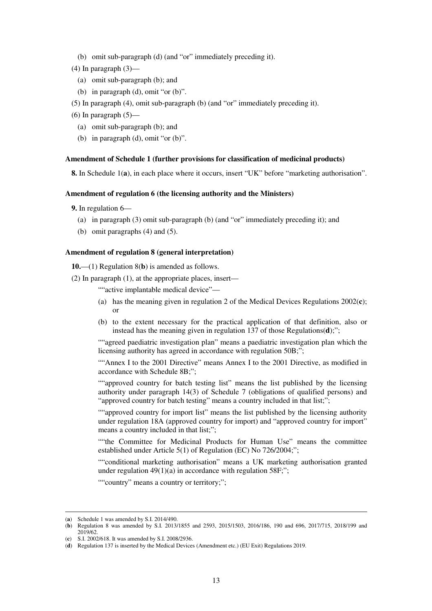- (b) omit sub-paragraph (d) (and "or" immediately preceding it).
- $(4)$  In paragraph  $(3)$ 
	- (a) omit sub-paragraph (b); and
	- (b) in paragraph (d), omit "or (b)".
- (5) In paragraph (4), omit sub-paragraph (b) (and "or" immediately preceding it).
- (6) In paragraph  $(5)$ 
	- (a) omit sub-paragraph (b); and
	- (b) in paragraph (d), omit "or (b)".

#### **Amendment of Schedule 1 (further provisions for classification of medicinal products)**

**8.** In Schedule 1(**a**), in each place where it occurs, insert "UK" before "marketing authorisation".

#### **Amendment of regulation 6 (the licensing authority and the Ministers)**

**9.** In regulation 6—

- (a) in paragraph (3) omit sub-paragraph (b) (and "or" immediately preceding it); and
- (b) omit paragraphs (4) and (5).

#### **Amendment of regulation 8 (general interpretation)**

**10.**—(1) Regulation 8(**b**) is amended as follows.

(2) In paragraph (1), at the appropriate places, insert—

""active implantable medical device"-

- (a) has the meaning given in regulation 2 of the Medical Devices Regulations 2002(**c**); or
- (b) to the extent necessary for the practical application of that definition, also or instead has the meaning given in regulation 137 of those Regulations(**d**);";

""agreed paediatric investigation plan" means a paediatric investigation plan which the licensing authority has agreed in accordance with regulation 50B;";

""Annex I to the 2001 Directive" means Annex I to the 2001 Directive, as modified in accordance with Schedule 8B;";

""approved country for batch testing list" means the list published by the licensing authority under paragraph 14(3) of Schedule 7 (obligations of qualified persons) and "approved country for batch testing" means a country included in that list;";

""approved country for import list" means the list published by the licensing authority under regulation 18A (approved country for import) and "approved country for import" means a country included in that list;";

""the Committee for Medicinal Products for Human Use" means the committee established under Article 5(1) of Regulation (EC) No 726/2004;";

""conditional marketing authorisation" means a UK marketing authorisation granted under regulation  $49(1)(a)$  in accordance with regulation 58F;";

"" country" means a country or territory;";

<sup>(</sup>**a**) Schedule 1 was amended by S.I. 2014/490.

<sup>(</sup>**b**) Regulation 8 was amended by S.I. 2013/1855 and 2593, 2015/1503, 2016/186, 190 and 696, 2017/715, 2018/199 and 2019/62.

<sup>(</sup>**c**) S.I. 2002/618. It was amended by S.I. 2008/2936.

<sup>(</sup>**d**) Regulation 137 is inserted by the Medical Devices (Amendment etc.) (EU Exit) Regulations 2019.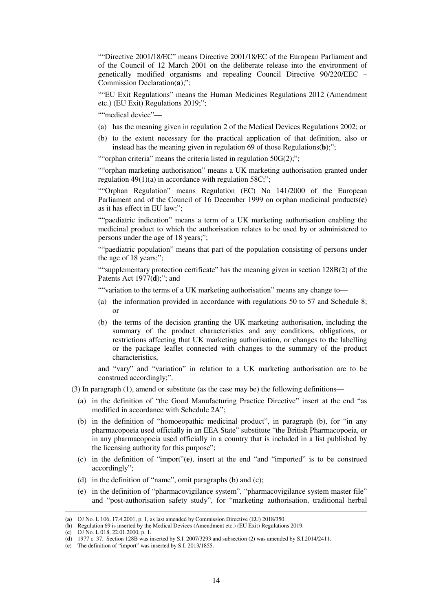""Directive 2001/18/EC" means Directive 2001/18/EC of the European Parliament and of the Council of 12 March 2001 on the deliberate release into the environment of genetically modified organisms and repealing Council Directive 90/220/EEC – Commission Declaration(**a**);";

""EU Exit Regulations" means the Human Medicines Regulations 2012 (Amendment etc.) (EU Exit) Regulations 2019;";

""medical device"-

- (a) has the meaning given in regulation 2 of the Medical Devices Regulations 2002; or
- (b) to the extent necessary for the practical application of that definition, also or instead has the meaning given in regulation 69 of those Regulations(**b**);";

""orphan criteria" means the criteria listed in regulation  $50G(2)$ ;";

""orphan marketing authorisation" means a UK marketing authorisation granted under regulation  $49(1)(a)$  in accordance with regulation  $58C$ ;";

""Orphan Regulation" means Regulation (EC) No 141/2000 of the European Parliament and of the Council of 16 December 1999 on orphan medicinal products(**c**) as it has effect in EU law;";

""paediatric indication" means a term of a UK marketing authorisation enabling the medicinal product to which the authorisation relates to be used by or administered to persons under the age of 18 years;";

""paediatric population" means that part of the population consisting of persons under the age of 18 years;";

""supplementary protection certificate" has the meaning given in section 128B(2) of the Patents Act 1977(**d**);"; and

""variation to the terms of a UK marketing authorisation" means any change to—

- (a) the information provided in accordance with regulations 50 to 57 and Schedule 8; or
- (b) the terms of the decision granting the UK marketing authorisation, including the summary of the product characteristics and any conditions, obligations, or restrictions affecting that UK marketing authorisation, or changes to the labelling or the package leaflet connected with changes to the summary of the product characteristics,

and "vary" and "variation" in relation to a UK marketing authorisation are to be construed accordingly;".

- (3) In paragraph (1), amend or substitute (as the case may be) the following definitions—
	- (a) in the definition of "the Good Manufacturing Practice Directive" insert at the end "as modified in accordance with Schedule 2A";
	- (b) in the definition of "homoeopathic medicinal product", in paragraph (b), for "in any pharmacopoeia used officially in an EEA State" substitute "the British Pharmacopoeia, or in any pharmacopoeia used officially in a country that is included in a list published by the licensing authority for this purpose";
	- (c) in the definition of "import"(**e**), insert at the end "and "imported" is to be construed accordingly";
	- (d) in the definition of "name", omit paragraphs (b) and (c);
	- (e) in the definition of "pharmacovigilance system", "pharmacovigilance system master file" and "post-authorisation safety study", for "marketing authorisation, traditional herbal

<sup>(</sup>**a**) OJ No. L 106, 17.4.2001, p. 1, as last amended by Commission Directive (EU) 2018/350.

<sup>(</sup>**b**) Regulation 69 is inserted by the Medical Devices (Amendment etc.) (EU Exit) Regulations 2019.

<sup>(</sup>**c**) OJ No. L 018, 22.01.2000, p. 1.

<sup>(</sup>**d**) 1977 c. 37. Section 128B was inserted by S.I. 2007/3293 and subsection (2) was amended by S.I.2014/2411.

<sup>(</sup>**e**) The definition of "import" was inserted by S.I. 2013/1855.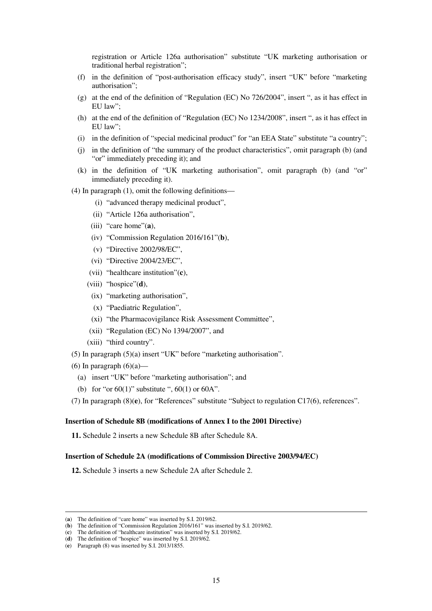registration or Article 126a authorisation" substitute "UK marketing authorisation or traditional herbal registration";

- (f) in the definition of "post-authorisation efficacy study", insert "UK" before "marketing authorisation";
- (g) at the end of the definition of "Regulation (EC) No 726/2004", insert ", as it has effect in EU law";
- (h) at the end of the definition of "Regulation (EC) No 1234/2008", insert ", as it has effect in EU law";
- (i) in the definition of "special medicinal product" for "an EEA State" substitute "a country";
- (j) in the definition of "the summary of the product characteristics", omit paragraph (b) (and "or" immediately preceding it); and
- (k) in the definition of "UK marketing authorisation", omit paragraph (b) (and "or" immediately preceding it).
- (4) In paragraph (1), omit the following definitions—
	- (i) "advanced therapy medicinal product",
	- (ii) "Article 126a authorisation",
	- (iii) "care home"(**a**),
	- (iv) "Commission Regulation 2016/161"(**b**),
	- (v) "Directive 2002/98/EC",
	- (vi) "Directive 2004/23/EC",
	- (vii) "healthcare institution"(**c**),
	- (viii) "hospice"(**d**),
		- (ix) "marketing authorisation",
		- (x) "Paediatric Regulation",
	- (xi) "the Pharmacovigilance Risk Assessment Committee",
	- (xii) "Regulation (EC) No 1394/2007", and
	- (xiii) "third country".
- (5) In paragraph (5)(a) insert "UK" before "marketing authorisation".
- (6) In paragraph  $(6)(a)$ 
	- (a) insert "UK" before "marketing authorisation"; and
	- (b) for "or  $60(1)$ " substitute ",  $60(1)$  or  $60A$ ".

(7) In paragraph (8)(**e**), for "References" substitute "Subject to regulation C17(6), references".

#### **Insertion of Schedule 8B (modifications of Annex I to the 2001 Directive)**

**11.** Schedule 2 inserts a new Schedule 8B after Schedule 8A.

#### **Insertion of Schedule 2A (modifications of Commission Directive 2003/94/EC)**

**12.** Schedule 3 inserts a new Schedule 2A after Schedule 2.

<sup>(</sup>**a**) The definition of "care home" was inserted by S.I. 2019/62.

<sup>(</sup>**b**) The definition of "Commission Regulation 2016/161" was inserted by S.I. 2019/62.

<sup>(</sup>**c**) The definition of "healthcare institution" was inserted by S.I. 2019/62.

<sup>(</sup>**d**) The definition of "hospice" was inserted by S.I. 2019/62.

<sup>(</sup>**e**) Paragraph (8) was inserted by S.I. 2013/1855.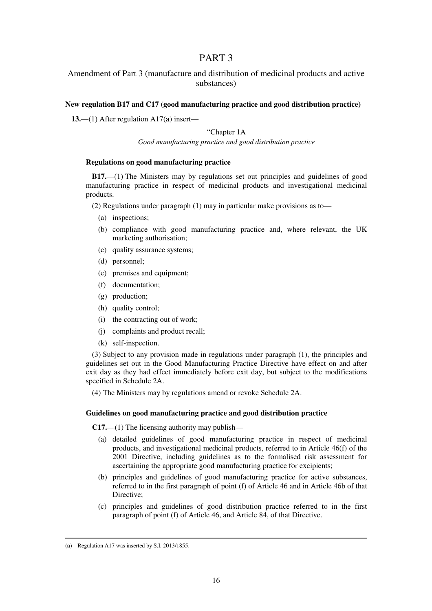## Amendment of Part 3 (manufacture and distribution of medicinal products and active substances)

#### **New regulation B17 and C17 (good manufacturing practice and good distribution practice)**

**13.**—(1) After regulation A17(**a**) insert—

### "Chapter 1A

*Good manufacturing practice and good distribution practice* 

#### **Regulations on good manufacturing practice**

**B17.**—(1) The Ministers may by regulations set out principles and guidelines of good manufacturing practice in respect of medicinal products and investigational medicinal products.

(2) Regulations under paragraph (1) may in particular make provisions as to—

- (a) inspections;
- (b) compliance with good manufacturing practice and, where relevant, the UK marketing authorisation;
- (c) quality assurance systems;
- (d) personnel;
- (e) premises and equipment;
- (f) documentation;
- (g) production;
- (h) quality control;
- (i) the contracting out of work;
- (j) complaints and product recall;
- (k) self-inspection.

(3) Subject to any provision made in regulations under paragraph (1), the principles and guidelines set out in the Good Manufacturing Practice Directive have effect on and after exit day as they had effect immediately before exit day, but subject to the modifications specified in Schedule 2A.

(4) The Ministers may by regulations amend or revoke Schedule 2A.

#### **Guidelines on good manufacturing practice and good distribution practice**

**C17.**—(1) The licensing authority may publish—

- (a) detailed guidelines of good manufacturing practice in respect of medicinal products, and investigational medicinal products, referred to in Article 46(f) of the 2001 Directive, including guidelines as to the formalised risk assessment for ascertaining the appropriate good manufacturing practice for excipients;
- (b) principles and guidelines of good manufacturing practice for active substances, referred to in the first paragraph of point (f) of Article 46 and in Article 46b of that Directive;
- (c) principles and guidelines of good distribution practice referred to in the first paragraph of point (f) of Article 46, and Article 84, of that Directive.

<sup>(</sup>**a**) Regulation A17 was inserted by S.I. 2013/1855.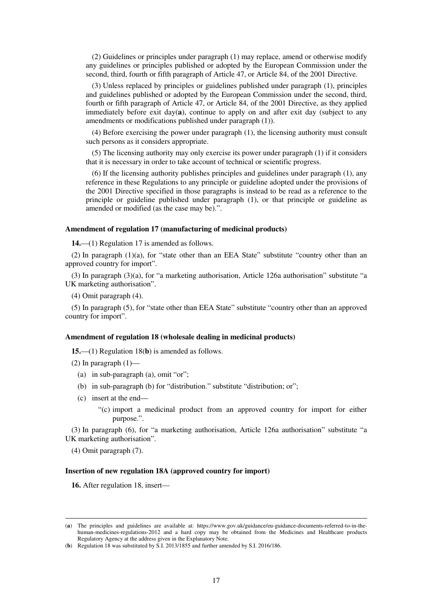(2) Guidelines or principles under paragraph (1) may replace, amend or otherwise modify any guidelines or principles published or adopted by the European Commission under the second, third, fourth or fifth paragraph of Article 47, or Article 84, of the 2001 Directive.

(3) Unless replaced by principles or guidelines published under paragraph (1), principles and guidelines published or adopted by the European Commission under the second, third, fourth or fifth paragraph of Article 47, or Article 84, of the 2001 Directive, as they applied immediately before exit day( $\bf{a}$ ), continue to apply on and after exit day (subject to any amendments or modifications published under paragraph (1)).

(4) Before exercising the power under paragraph (1), the licensing authority must consult such persons as it considers appropriate.

(5) The licensing authority may only exercise its power under paragraph (1) if it considers that it is necessary in order to take account of technical or scientific progress.

(6) If the licensing authority publishes principles and guidelines under paragraph (1), any reference in these Regulations to any principle or guideline adopted under the provisions of the 2001 Directive specified in those paragraphs is instead to be read as a reference to the principle or guideline published under paragraph (1), or that principle or guideline as amended or modified (as the case may be).".

#### **Amendment of regulation 17 (manufacturing of medicinal products)**

**14.**—(1) Regulation 17 is amended as follows.

(2) In paragraph  $(1)(a)$ , for "state other than an EEA State" substitute "country other than an approved country for import".

(3) In paragraph (3)(a), for "a marketing authorisation, Article 126a authorisation" substitute "a UK marketing authorisation".

(4) Omit paragraph (4).

(5) In paragraph (5), for "state other than EEA State" substitute "country other than an approved country for import".

#### **Amendment of regulation 18 (wholesale dealing in medicinal products)**

**15.**—(1) Regulation 18(**b**) is amended as follows.

(2) In paragraph  $(1)$ —

- (a) in sub-paragraph (a), omit "or";
- (b) in sub-paragraph (b) for "distribution." substitute "distribution; or";
- (c) insert at the end—
	- "(c) import a medicinal product from an approved country for import for either purpose.".

(3) In paragraph (6), for "a marketing authorisation, Article 126a authorisation" substitute "a UK marketing authorisation".

(4) Omit paragraph (7).

-

#### **Insertion of new regulation 18A (approved country for import)**

**16.** After regulation 18, insert—

<sup>(</sup>**a**) The principles and guidelines are available at: https://www.gov.uk/guidance/eu-guidance-documents-referred-to-in-thehuman-medicines-regulations-2012 and a hard copy may be obtained from the Medicines and Healthcare products Regulatory Agency at the address given in the Explanatory Note.

<sup>(</sup>**b**) Regulation 18 was substituted by S.I. 2013/1855 and further amended by S.I. 2016/186.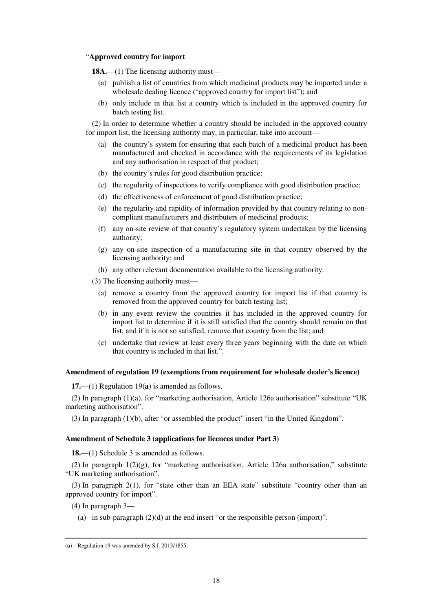#### "**Approved country for import**

**18A.—(1)** The licensing authority must—

- (a) publish a list of countries from which medicinal products may be imported under a wholesale dealing licence ("approved country for import list"); and
- (b) only include in that list a country which is included in the approved country for batch testing list.

(2) In order to determine whether a country should be included in the approved country for import list, the licensing authority may, in particular, take into account—

- (a) the country's system for ensuring that each batch of a medicinal product has been manufactured and checked in accordance with the requirements of its legislation and any authorisation in respect of that product;
- (b) the country's rules for good distribution practice;
- (c) the regularity of inspections to verify compliance with good distribution practice;
- (d) the effectiveness of enforcement of good distribution practice;
- (e) the regularity and rapidity of information provided by that country relating to noncompliant manufacturers and distributers of medicinal products;
- (f) any on-site review of that country's regulatory system undertaken by the licensing authority;
- (g) any on-site inspection of a manufacturing site in that country observed by the licensing authority; and
- (h) any other relevant documentation available to the licensing authority.

(3) The licensing authority must—

- (a) remove a country from the approved country for import list if that country is removed from the approved country for batch testing list;
- (b) in any event review the countries it has included in the approved country for import list to determine if it is still satisfied that the country should remain on that list, and if it is not so satisfied, remove that country from the list; and
- (c) undertake that review at least every three years beginning with the date on which that country is included in that list.".

#### **Amendment of regulation 19 (exemptions from requirement for wholesale dealer's licence)**

**17.**—(1) Regulation 19(**a**) is amended as follows.

(2) In paragraph (1)(a), for "marketing authorisation, Article 126a authorisation" substitute "UK marketing authorisation".

(3) In paragraph (1)(b), after "or assembled the product" insert "in the United Kingdom".

#### **Amendment of Schedule 3 (applications for licences under Part 3)**

**18.**—(1) Schedule 3 is amended as follows.

(2) In paragraph  $1(2)(g)$ , for "marketing authorisation, Article 126a authorisation," substitute "UK marketing authorisation".

(3) In paragraph 2(1), for "state other than an EEA state" substitute "country other than an approved country for import".

(4) In paragraph 3—

(a) in sub-paragraph (2)(d) at the end insert "or the responsible person (import)".

<sup>-</sup>(**a**) Regulation 19 was amended by S.I. 2013/1855.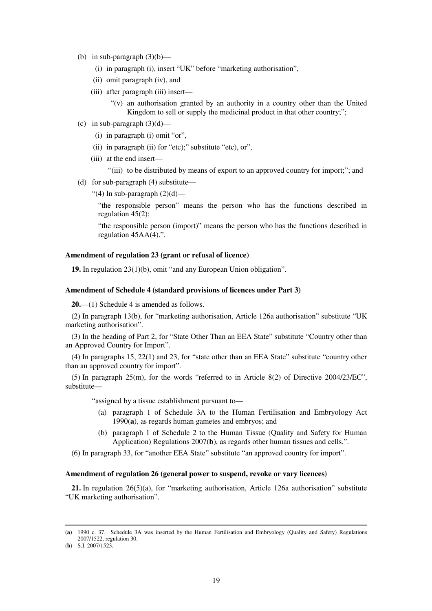- (b) in sub-paragraph  $(3)(b)$ 
	- (i) in paragraph (i), insert "UK" before "marketing authorisation",
	- (ii) omit paragraph (iv), and
	- (iii) after paragraph (iii) insert—
		- "(v) an authorisation granted by an authority in a country other than the United Kingdom to sell or supply the medicinal product in that other country;";
- (c) in sub-paragraph  $(3)(d)$ 
	- (i) in paragraph (i) omit "or",
	- (ii) in paragraph (ii) for "etc);" substitute "etc), or",
	- (iii) at the end insert—

"(iii) to be distributed by means of export to an approved country for import;"; and

(d) for sub-paragraph (4) substitute—

"(4) In sub-paragraph (2)(d)—

"the responsible person" means the person who has the functions described in regulation 45(2);

"the responsible person (import)" means the person who has the functions described in regulation 45AA(4).".

#### **Amendment of regulation 23 (grant or refusal of licence)**

**19.** In regulation 23(1)(b), omit "and any European Union obligation".

#### **Amendment of Schedule 4 (standard provisions of licences under Part 3)**

**20.**—(1) Schedule 4 is amended as follows.

(2) In paragraph 13(b), for "marketing authorisation, Article 126a authorisation" substitute "UK marketing authorisation".

(3) In the heading of Part 2, for "State Other Than an EEA State" substitute "Country other than an Approved Country for Import".

(4) In paragraphs 15, 22(1) and 23, for "state other than an EEA State" substitute "country other than an approved country for import".

(5) In paragraph 25(m), for the words "referred to in Article 8(2) of Directive 2004/23/EC", substitute—

"assigned by a tissue establishment pursuant to—

- (a) paragraph 1 of Schedule 3A to the Human Fertilisation and Embryology Act 1990(**a**), as regards human gametes and embryos; and
- (b) paragraph 1 of Schedule 2 to the Human Tissue (Quality and Safety for Human Application) Regulations 2007(**b**), as regards other human tissues and cells.".

(6) In paragraph 33, for "another EEA State" substitute "an approved country for import".

#### **Amendment of regulation 26 (general power to suspend, revoke or vary licences)**

**21.** In regulation 26(5)(a), for "marketing authorisation, Article 126a authorisation" substitute "UK marketing authorisation".

<sup>(</sup>**a**) 1990 c. 37. Schedule 3A was inserted by the Human Fertilisation and Embryology (Quality and Safety) Regulations 2007/1522, regulation 30.

<sup>(</sup>**b**) S.I. 2007/1523.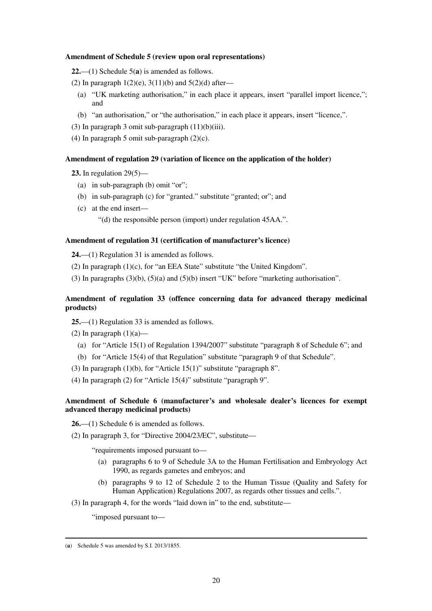#### **Amendment of Schedule 5 (review upon oral representations)**

**22.**—(1) Schedule 5(**a**) is amended as follows.

- (2) In paragraph  $1(2)(e)$ ,  $3(11)(b)$  and  $5(2)(d)$  after—
	- (a) "UK marketing authorisation," in each place it appears, insert "parallel import licence,"; and
	- (b) "an authorisation," or "the authorisation," in each place it appears, insert "licence,".
- (3) In paragraph 3 omit sub-paragraph (11)(b)(iii).
- (4) In paragraph 5 omit sub-paragraph (2)(c).

#### **Amendment of regulation 29 (variation of licence on the application of the holder)**

**23.** In regulation 29(5)—

- (a) in sub-paragraph (b) omit "or";
- (b) in sub-paragraph (c) for "granted." substitute "granted; or"; and
- (c) at the end insert—

"(d) the responsible person (import) under regulation 45AA.".

#### **Amendment of regulation 31 (certification of manufacturer's licence)**

**24.**—(1) Regulation 31 is amended as follows.

- (2) In paragraph (1)(c), for "an EEA State" substitute "the United Kingdom".
- (3) In paragraphs (3)(b), (5)(a) and (5)(b) insert "UK" before "marketing authorisation".

### **Amendment of regulation 33 (offence concerning data for advanced therapy medicinal products)**

**25.**—(1) Regulation 33 is amended as follows.

- (2) In paragraph  $(1)(a)$ 
	- (a) for "Article 15(1) of Regulation 1394/2007" substitute "paragraph 8 of Schedule 6"; and
	- (b) for "Article 15(4) of that Regulation" substitute "paragraph 9 of that Schedule".
- (3) In paragraph (1)(b), for "Article 15(1)" substitute "paragraph 8".
- (4) In paragraph (2) for "Article 15(4)" substitute "paragraph 9".

### **Amendment of Schedule 6 (manufacturer's and wholesale dealer's licences for exempt advanced therapy medicinal products)**

**26.**—(1) Schedule 6 is amended as follows.

(2) In paragraph 3, for "Directive 2004/23/EC", substitute—

"requirements imposed pursuant to—

- (a) paragraphs 6 to 9 of Schedule 3A to the Human Fertilisation and Embryology Act 1990, as regards gametes and embryos; and
- (b) paragraphs 9 to 12 of Schedule 2 to the Human Tissue (Quality and Safety for Human Application) Regulations 2007, as regards other tissues and cells.".
- (3) In paragraph 4, for the words "laid down in" to the end, substitute—

"imposed pursuant to—

<sup>-</sup>(**a**) Schedule 5 was amended by S.I. 2013/1855.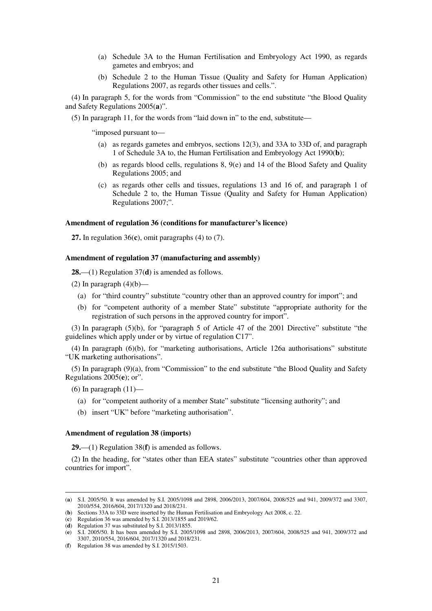- (a) Schedule 3A to the Human Fertilisation and Embryology Act 1990, as regards gametes and embryos; and
- (b) Schedule 2 to the Human Tissue (Quality and Safety for Human Application) Regulations 2007, as regards other tissues and cells.".

(4) In paragraph 5, for the words from "Commission" to the end substitute "the Blood Quality and Safety Regulations 2005(**a**)".

(5) In paragraph 11, for the words from "laid down in" to the end, substitute—

"imposed pursuant to—

- (a) as regards gametes and embryos, sections 12(3), and 33A to 33D of, and paragraph 1 of Schedule 3A to, the Human Fertilisation and Embryology Act 1990(**b**);
- (b) as regards blood cells, regulations 8, 9(e) and 14 of the Blood Safety and Quality Regulations 2005; and
- (c) as regards other cells and tissues, regulations 13 and 16 of, and paragraph 1 of Schedule 2 to, the Human Tissue (Quality and Safety for Human Application) Regulations 2007;".

#### **Amendment of regulation 36 (conditions for manufacturer's licence)**

**27.** In regulation 36(**c**), omit paragraphs (4) to (7).

#### **Amendment of regulation 37 (manufacturing and assembly)**

**28.**—(1) Regulation 37(**d**) is amended as follows.

- (2) In paragraph  $(4)(b)$ 
	- (a) for "third country" substitute "country other than an approved country for import"; and
	- (b) for "competent authority of a member State" substitute "appropriate authority for the registration of such persons in the approved country for import".

(3) In paragraph (5)(b), for "paragraph 5 of Article 47 of the 2001 Directive" substitute "the guidelines which apply under or by virtue of regulation C17".

(4) In paragraph (6)(b), for "marketing authorisations, Article 126a authorisations" substitute "UK marketing authorisations".

(5) In paragraph (9)(a), from "Commission" to the end substitute "the Blood Quality and Safety Regulations 2005(**e**); or".

(6) In paragraph  $(11)$ —

-

- (a) for "competent authority of a member State" substitute "licensing authority"; and
- (b) insert "UK" before "marketing authorisation".

### **Amendment of regulation 38 (imports)**

**29.**—(1) Regulation 38(**f**) is amended as follows.

(2) In the heading, for "states other than EEA states" substitute "countries other than approved countries for import".

<sup>(</sup>**a**) S.I. 2005/50. It was amended by S.I. 2005/1098 and 2898, 2006/2013, 2007/604, 2008/525 and 941, 2009/372 and 3307, 2010/554, 2016/604, 2017/1320 and 2018/231.

<sup>(</sup>**b**) Sections 33A to 33D were inserted by the Human Fertilisation and Embryology Act 2008, c. 22.

<sup>(</sup>**c**) Regulation 36 was amended by S.I. 2013/1855 and 2019/62.

<sup>(</sup>**d**) Regulation 37 was substituted by S.I. 2013/1855.

<sup>(</sup>**e**) S.I. 2005/50. It has been amended by S.I. 2005/1098 and 2898, 2006/2013, 2007/604, 2008/525 and 941, 2009/372 and 3307, 2010/554, 2016/604, 2017/1320 and 2018/231.

<sup>(</sup>**f**) Regulation 38 was amended by S.I. 2015/1503.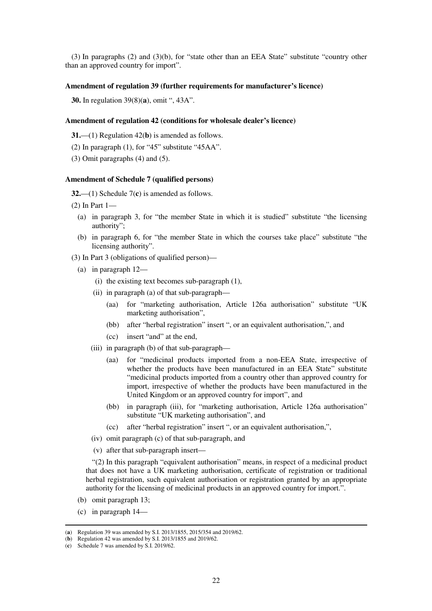(3) In paragraphs (2) and (3)(b), for "state other than an EEA State" substitute "country other than an approved country for import".

#### **Amendment of regulation 39 (further requirements for manufacturer's licence)**

**30.** In regulation 39(8)(**a**), omit ", 43A".

#### **Amendment of regulation 42 (conditions for wholesale dealer's licence)**

**31.**—(1) Regulation 42(**b**) is amended as follows.

(2) In paragraph (1), for "45" substitute "45AA".

(3) Omit paragraphs (4) and (5).

#### **Amendment of Schedule 7 (qualified persons)**

**32.**—(1) Schedule 7(**c**) is amended as follows.

(2) In Part 1—

- (a) in paragraph 3, for "the member State in which it is studied" substitute "the licensing authority";
- (b) in paragraph 6, for "the member State in which the courses take place" substitute "the licensing authority".
- (3) In Part 3 (obligations of qualified person)—
	- (a) in paragraph 12—
		- (i) the existing text becomes sub-paragraph (1),
		- (ii) in paragraph (a) of that sub-paragraph—
			- (aa) for "marketing authorisation, Article 126a authorisation" substitute "UK marketing authorisation",
			- (bb) after "herbal registration" insert ", or an equivalent authorisation,", and
			- (cc) insert "and" at the end,
		- (iii) in paragraph (b) of that sub-paragraph—
			- (aa) for "medicinal products imported from a non-EEA State, irrespective of whether the products have been manufactured in an EEA State" substitute "medicinal products imported from a country other than approved country for import, irrespective of whether the products have been manufactured in the United Kingdom or an approved country for import", and
			- (bb) in paragraph (iii), for "marketing authorisation, Article 126a authorisation" substitute "UK marketing authorisation", and
			- (cc) after "herbal registration" insert ", or an equivalent authorisation,",
		- (iv) omit paragraph (c) of that sub-paragraph, and
		- (v) after that sub-paragraph insert—

"(2) In this paragraph "equivalent authorisation" means, in respect of a medicinal product that does not have a UK marketing authorisation, certificate of registration or traditional herbal registration, such equivalent authorisation or registration granted by an appropriate authority for the licensing of medicinal products in an approved country for import.".

- (b) omit paragraph 13;
- (c) in paragraph 14—

<sup>(</sup>**a**) Regulation 39 was amended by S.I. 2013/1855, 2015/354 and 2019/62.

<sup>(</sup>**b**) Regulation 42 was amended by S.I. 2013/1855 and 2019/62.

<sup>(</sup>**c**) Schedule 7 was amended by S.I. 2019/62.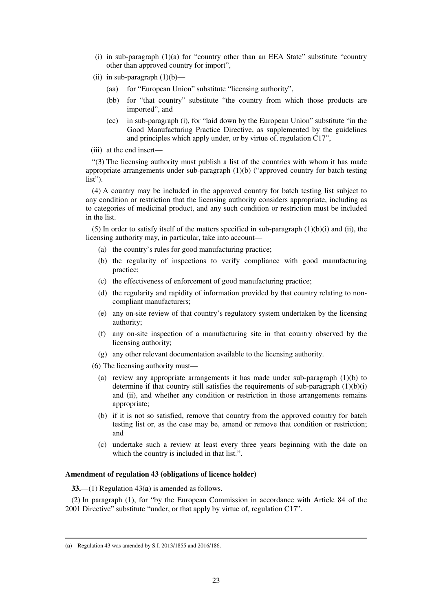- (i) in sub-paragraph (1)(a) for "country other than an EEA State" substitute "country other than approved country for import",
- (ii) in sub-paragraph  $(1)(b)$ 
	- (aa) for "European Union" substitute "licensing authority",
	- (bb) for "that country" substitute "the country from which those products are imported", and
	- (cc) in sub-paragraph (i), for "laid down by the European Union" substitute "in the Good Manufacturing Practice Directive, as supplemented by the guidelines and principles which apply under, or by virtue of, regulation C17",
- (iii) at the end insert—

"(3) The licensing authority must publish a list of the countries with whom it has made appropriate arrangements under sub-paragraph  $(1)(b)$  ("approved country for batch testing list").

(4) A country may be included in the approved country for batch testing list subject to any condition or restriction that the licensing authority considers appropriate, including as to categories of medicinal product, and any such condition or restriction must be included in the list.

(5) In order to satisfy itself of the matters specified in sub-paragraph  $(1)(b)(i)$  and  $(ii)$ , the licensing authority may, in particular, take into account—

- (a) the country's rules for good manufacturing practice;
- (b) the regularity of inspections to verify compliance with good manufacturing practice;
- (c) the effectiveness of enforcement of good manufacturing practice;
- (d) the regularity and rapidity of information provided by that country relating to noncompliant manufacturers;
- (e) any on-site review of that country's regulatory system undertaken by the licensing authority;
- (f) any on-site inspection of a manufacturing site in that country observed by the licensing authority;
- (g) any other relevant documentation available to the licensing authority.

(6) The licensing authority must—

- (a) review any appropriate arrangements it has made under sub-paragraph (1)(b) to determine if that country still satisfies the requirements of sub-paragraph  $(1)(b)(i)$ and (ii), and whether any condition or restriction in those arrangements remains appropriate;
- (b) if it is not so satisfied, remove that country from the approved country for batch testing list or, as the case may be, amend or remove that condition or restriction; and
- (c) undertake such a review at least every three years beginning with the date on which the country is included in that list.".

#### **Amendment of regulation 43 (obligations of licence holder)**

**33.**—(1) Regulation 43(**a**) is amended as follows.

(2) In paragraph (1), for "by the European Commission in accordance with Article 84 of the 2001 Directive" substitute "under, or that apply by virtue of, regulation C17".

<sup>(</sup>**a**) Regulation 43 was amended by S.I. 2013/1855 and 2016/186.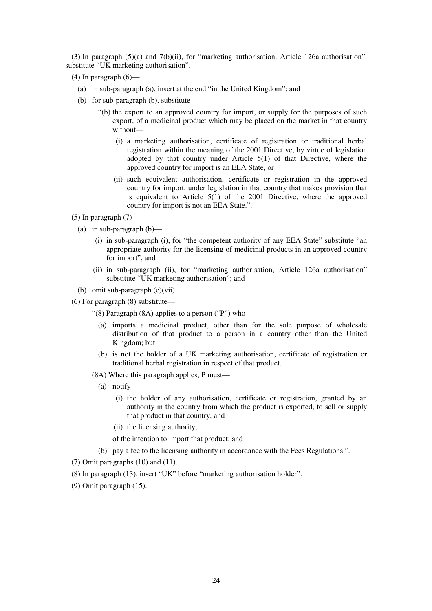(3) In paragraph (5)(a) and 7(b)(ii), for "marketing authorisation, Article 126a authorisation", substitute "UK marketing authorisation".

- (4) In paragraph  $(6)$ 
	- (a) in sub-paragraph (a), insert at the end "in the United Kingdom"; and
	- (b) for sub-paragraph (b), substitute—
		- "(b) the export to an approved country for import, or supply for the purposes of such export, of a medicinal product which may be placed on the market in that country without—
			- (i) a marketing authorisation, certificate of registration or traditional herbal registration within the meaning of the 2001 Directive, by virtue of legislation adopted by that country under Article 5(1) of that Directive, where the approved country for import is an EEA State, or
			- (ii) such equivalent authorisation, certificate or registration in the approved country for import, under legislation in that country that makes provision that is equivalent to Article 5(1) of the 2001 Directive, where the approved country for import is not an EEA State.".
- (5) In paragraph  $(7)$ 
	- (a) in sub-paragraph (b)—
		- (i) in sub-paragraph (i), for "the competent authority of any EEA State" substitute "an appropriate authority for the licensing of medicinal products in an approved country for import", and
		- (ii) in sub-paragraph (ii), for "marketing authorisation, Article 126a authorisation" substitute "UK marketing authorisation"; and
	- (b) omit sub-paragraph (c)(vii).
- (6) For paragraph (8) substitute—
	- "(8) Paragraph (8A) applies to a person ("P") who—
		- (a) imports a medicinal product, other than for the sole purpose of wholesale distribution of that product to a person in a country other than the United Kingdom; but
		- (b) is not the holder of a UK marketing authorisation, certificate of registration or traditional herbal registration in respect of that product.
	- (8A) Where this paragraph applies, P must—
		- (a) notify—
			- (i) the holder of any authorisation, certificate or registration, granted by an authority in the country from which the product is exported, to sell or supply that product in that country, and
			- (ii) the licensing authority,

of the intention to import that product; and

(b) pay a fee to the licensing authority in accordance with the Fees Regulations.".

(7) Omit paragraphs (10) and (11).

- (8) In paragraph (13), insert "UK" before "marketing authorisation holder".
- (9) Omit paragraph (15).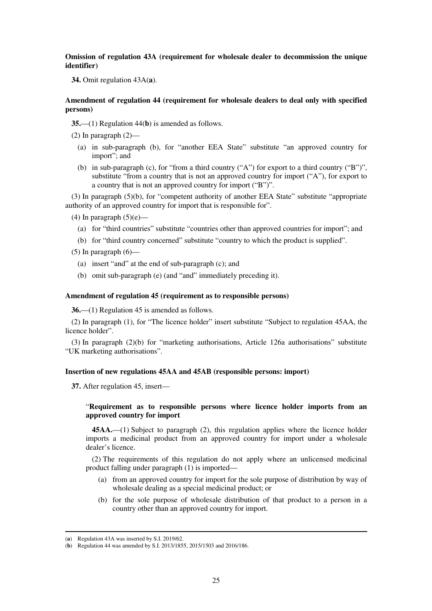**Omission of regulation 43A (requirement for wholesale dealer to decommission the unique identifier)** 

**34.** Omit regulation 43A(**a**).

### **Amendment of regulation 44 (requirement for wholesale dealers to deal only with specified persons)**

**35.**—(1) Regulation 44(**b**) is amended as follows.

 $(2)$  In paragraph  $(2)$ —

- (a) in sub-paragraph (b), for "another EEA State" substitute "an approved country for import"; and
- (b) in sub-paragraph (c), for "from a third country ("A") for export to a third country ("B")", substitute "from a country that is not an approved country for import ("A"), for export to a country that is not an approved country for import ("B")".

(3) In paragraph (5)(b), for "competent authority of another EEA State" substitute "appropriate authority of an approved country for import that is responsible for".

(4) In paragraph  $(5)(e)$ —

- (a) for "third countries" substitute "countries other than approved countries for import"; and
- (b) for "third country concerned" substitute "country to which the product is supplied".
- $(5)$  In paragraph  $(6)$ 
	- (a) insert "and" at the end of sub-paragraph (c); and
	- (b) omit sub-paragraph (e) (and "and" immediately preceding it).

#### **Amendment of regulation 45 (requirement as to responsible persons)**

**36.**—(1) Regulation 45 is amended as follows.

(2) In paragraph (1), for "The licence holder" insert substitute "Subject to regulation 45AA, the licence holder".

(3) In paragraph (2)(b) for "marketing authorisations, Article 126a authorisations" substitute "UK marketing authorisations".

#### **Insertion of new regulations 45AA and 45AB (responsible persons: import)**

**37.** After regulation 45, insert—

#### "**Requirement as to responsible persons where licence holder imports from an approved country for import**

**45AA.**—(1) Subject to paragraph (2), this regulation applies where the licence holder imports a medicinal product from an approved country for import under a wholesale dealer's licence.

(2) The requirements of this regulation do not apply where an unlicensed medicinal product falling under paragraph (1) is imported—

- (a) from an approved country for import for the sole purpose of distribution by way of wholesale dealing as a special medicinal product; or
- (b) for the sole purpose of wholesale distribution of that product to a person in a country other than an approved country for import.

<sup>(</sup>**a**) Regulation 43A was inserted by S.I. 2019/62.

<sup>(</sup>**b**) Regulation 44 was amended by S.I. 2013/1855, 2015/1503 and 2016/186.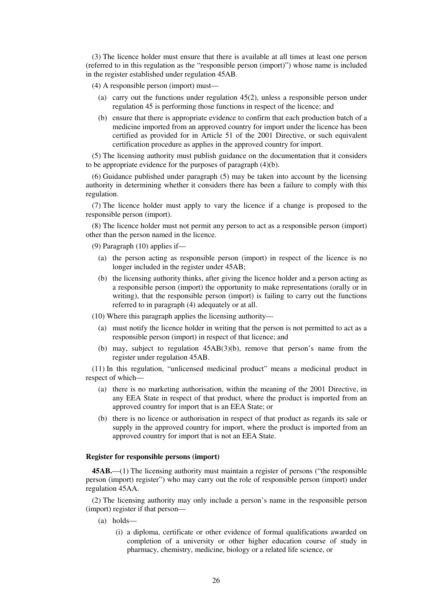(3) The licence holder must ensure that there is available at all times at least one person (referred to in this regulation as the "responsible person (import)") whose name is included in the register established under regulation 45AB.

- (4) A responsible person (import) must—
	- (a) carry out the functions under regulation 45(2), unless a responsible person under regulation 45 is performing those functions in respect of the licence; and
	- (b) ensure that there is appropriate evidence to confirm that each production batch of a medicine imported from an approved country for import under the licence has been certified as provided for in Article 51 of the 2001 Directive, or such equivalent certification procedure as applies in the approved country for import.

(5) The licensing authority must publish guidance on the documentation that it considers to be appropriate evidence for the purposes of paragraph (4)(b).

(6) Guidance published under paragraph (5) may be taken into account by the licensing authority in determining whether it considers there has been a failure to comply with this regulation.

(7) The licence holder must apply to vary the licence if a change is proposed to the responsible person (import).

(8) The licence holder must not permit any person to act as a responsible person (import) other than the person named in the licence.

(9) Paragraph (10) applies if—

- (a) the person acting as responsible person (import) in respect of the licence is no longer included in the register under 45AB;
- (b) the licensing authority thinks, after giving the licence holder and a person acting as a responsible person (import) the opportunity to make representations (orally or in writing), that the responsible person (import) is failing to carry out the functions referred to in paragraph (4) adequately or at all.
- (10) Where this paragraph applies the licensing authority—
	- (a) must notify the licence holder in writing that the person is not permitted to act as a responsible person (import) in respect of that licence; and
	- (b) may, subject to regulation 45AB(3)(b), remove that person's name from the register under regulation 45AB.

(11) In this regulation, "unlicensed medicinal product" means a medicinal product in respect of which—

- (a) there is no marketing authorisation, within the meaning of the 2001 Directive, in any EEA State in respect of that product, where the product is imported from an approved country for import that is an EEA State; or
- (b) there is no licence or authorisation in respect of that product as regards its sale or supply in the approved country for import, where the product is imported from an approved country for import that is not an EEA State.

#### **Register for responsible persons (import)**

**45AB.**—(1) The licensing authority must maintain a register of persons ("the responsible person (import) register") who may carry out the role of responsible person (import) under regulation 45AA.

(2) The licensing authority may only include a person's name in the responsible person (import) register if that person—

- (a) holds—
	- (i) a diploma, certificate or other evidence of formal qualifications awarded on completion of a university or other higher education course of study in pharmacy, chemistry, medicine, biology or a related life science, or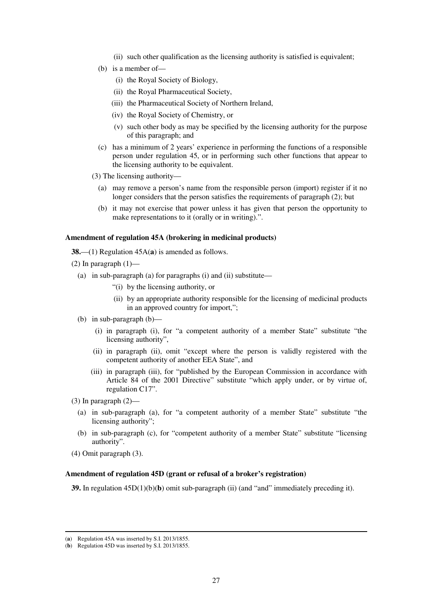- (ii) such other qualification as the licensing authority is satisfied is equivalent;
- (b) is a member of—
	- (i) the Royal Society of Biology,
	- (ii) the Royal Pharmaceutical Society,
	- (iii) the Pharmaceutical Society of Northern Ireland,
	- (iv) the Royal Society of Chemistry, or
	- (v) such other body as may be specified by the licensing authority for the purpose of this paragraph; and
- (c) has a minimum of 2 years' experience in performing the functions of a responsible person under regulation 45, or in performing such other functions that appear to the licensing authority to be equivalent.
- (3) The licensing authority—
	- (a) may remove a person's name from the responsible person (import) register if it no longer considers that the person satisfies the requirements of paragraph (2); but
	- (b) it may not exercise that power unless it has given that person the opportunity to make representations to it (orally or in writing).".

#### **Amendment of regulation 45A (brokering in medicinal products)**

**38.**—(1) Regulation 45A(**a**) is amended as follows.

- (2) In paragraph  $(1)$ 
	- (a) in sub-paragraph (a) for paragraphs (i) and (ii) substitute—
		- "(i) by the licensing authority, or
		- (ii) by an appropriate authority responsible for the licensing of medicinal products in an approved country for import,";
	- (b) in sub-paragraph (b)—
		- (i) in paragraph (i), for "a competent authority of a member State" substitute "the licensing authority",
		- (ii) in paragraph (ii), omit "except where the person is validly registered with the competent authority of another EEA State", and
		- (iii) in paragraph (iii), for "published by the European Commission in accordance with Article 84 of the 2001 Directive" substitute "which apply under, or by virtue of, regulation C17".
- (3) In paragraph  $(2)$ 
	- (a) in sub-paragraph (a), for "a competent authority of a member State" substitute "the licensing authority";
	- (b) in sub-paragraph (c), for "competent authority of a member State" substitute "licensing authority".
- (4) Omit paragraph (3).

-

#### **Amendment of regulation 45D (grant or refusal of a broker's registration)**

**39.** In regulation 45D(1)(b)(**b**) omit sub-paragraph (ii) (and "and" immediately preceding it).

<sup>(</sup>**a**) Regulation 45A was inserted by S.I. 2013/1855.

<sup>(</sup>**b**) Regulation 45D was inserted by S.I. 2013/1855.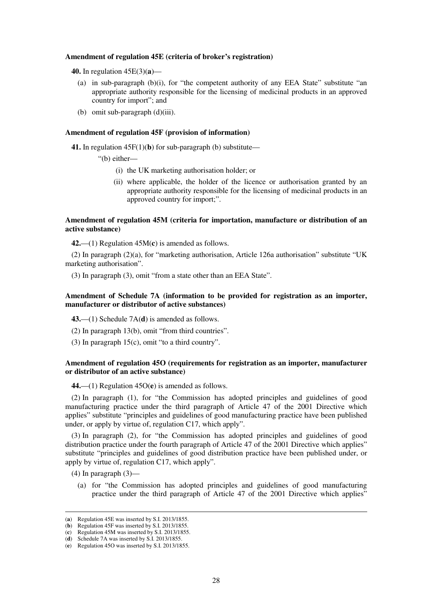#### **Amendment of regulation 45E (criteria of broker's registration)**

**40.** In regulation 45E(3)(**a**)—

- (a) in sub-paragraph (b)(i), for "the competent authority of any EEA State" substitute "an appropriate authority responsible for the licensing of medicinal products in an approved country for import"; and
- (b) omit sub-paragraph (d)(iii).

#### **Amendment of regulation 45F (provision of information)**

**41.** In regulation 45F(1)(**b**) for sub-paragraph (b) substitute—

"(b) either—

- (i) the UK marketing authorisation holder; or
- (ii) where applicable, the holder of the licence or authorisation granted by an appropriate authority responsible for the licensing of medicinal products in an approved country for import;".

### **Amendment of regulation 45M (criteria for importation, manufacture or distribution of an active substance)**

**42.**—(1) Regulation 45M(**c**) is amended as follows.

(2) In paragraph (2)(a), for "marketing authorisation, Article 126a authorisation" substitute "UK marketing authorisation".

(3) In paragraph (3), omit "from a state other than an EEA State".

#### **Amendment of Schedule 7A (information to be provided for registration as an importer, manufacturer or distributor of active substances)**

**43.**—(1) Schedule 7A(**d**) is amended as follows.

- (2) In paragraph 13(b), omit "from third countries".
- (3) In paragraph 15(c), omit "to a third country".

#### **Amendment of regulation 45O (requirements for registration as an importer, manufacturer or distributor of an active substance)**

**44.**—(1) Regulation 45O(**e**) is amended as follows.

(2) In paragraph (1), for "the Commission has adopted principles and guidelines of good manufacturing practice under the third paragraph of Article 47 of the 2001 Directive which applies" substitute "principles and guidelines of good manufacturing practice have been published under, or apply by virtue of, regulation C17, which apply".

(3) In paragraph (2), for "the Commission has adopted principles and guidelines of good distribution practice under the fourth paragraph of Article 47 of the 2001 Directive which applies" substitute "principles and guidelines of good distribution practice have been published under, or apply by virtue of, regulation C17, which apply".

 $(4)$  In paragraph  $(3)$ —

-

(a) for "the Commission has adopted principles and guidelines of good manufacturing practice under the third paragraph of Article 47 of the 2001 Directive which applies"

<sup>(</sup>**a**) Regulation 45E was inserted by S.I. 2013/1855.

<sup>(</sup>**b**) Regulation 45F was inserted by S.I. 2013/1855.

<sup>(</sup>**c**) Regulation 45M was inserted by S.I. 2013/1855. (**d**) Schedule 7A was inserted by S.I. 2013/1855.

<sup>(</sup>**e**) Regulation 45O was inserted by S.I. 2013/1855.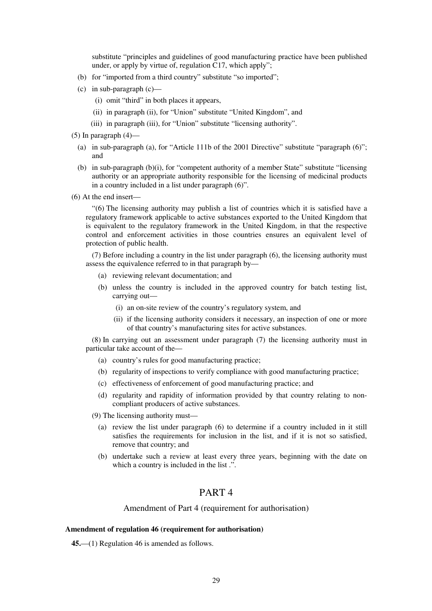substitute "principles and guidelines of good manufacturing practice have been published under, or apply by virtue of, regulation C17, which apply";

- (b) for "imported from a third country" substitute "so imported";
- (c) in sub-paragraph (c)—
	- (i) omit "third" in both places it appears,
	- (ii) in paragraph (ii), for "Union" substitute "United Kingdom", and
	- (iii) in paragraph (iii), for "Union" substitute "licensing authority".
- $(5)$  In paragraph  $(4)$ 
	- (a) in sub-paragraph (a), for "Article 111b of the 2001 Directive" substitute "paragraph (6)"; and
	- (b) in sub-paragraph (b)(i), for "competent authority of a member State" substitute "licensing authority or an appropriate authority responsible for the licensing of medicinal products in a country included in a list under paragraph (6)".
- (6) At the end insert—

"(6) The licensing authority may publish a list of countries which it is satisfied have a regulatory framework applicable to active substances exported to the United Kingdom that is equivalent to the regulatory framework in the United Kingdom, in that the respective control and enforcement activities in those countries ensures an equivalent level of protection of public health.

(7) Before including a country in the list under paragraph (6), the licensing authority must assess the equivalence referred to in that paragraph by—

- (a) reviewing relevant documentation; and
- (b) unless the country is included in the approved country for batch testing list, carrying out—
	- (i) an on-site review of the country's regulatory system, and
	- (ii) if the licensing authority considers it necessary, an inspection of one or more of that country's manufacturing sites for active substances.

(8) In carrying out an assessment under paragraph (7) the licensing authority must in particular take account of the—

- (a) country's rules for good manufacturing practice;
- (b) regularity of inspections to verify compliance with good manufacturing practice;
- (c) effectiveness of enforcement of good manufacturing practice; and
- (d) regularity and rapidity of information provided by that country relating to noncompliant producers of active substances.

(9) The licensing authority must—

- (a) review the list under paragraph (6) to determine if a country included in it still satisfies the requirements for inclusion in the list, and if it is not so satisfied, remove that country; and
- (b) undertake such a review at least every three years, beginning with the date on which a country is included in the list.".

# PART 4

#### Amendment of Part 4 (requirement for authorisation)

#### **Amendment of regulation 46 (requirement for authorisation)**

**45.**—(1) Regulation 46 is amended as follows.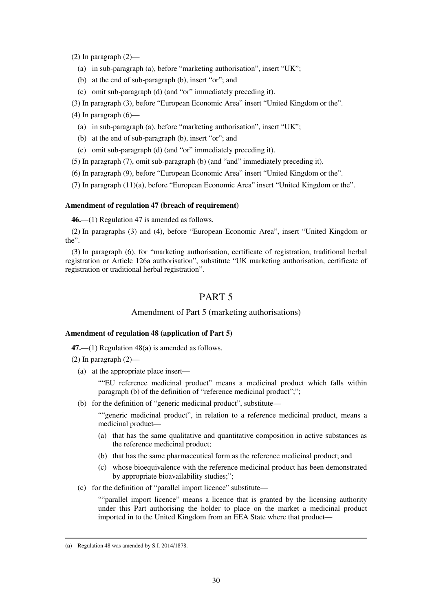$(2)$  In paragraph  $(2)$ —

- (a) in sub-paragraph (a), before "marketing authorisation", insert "UK";
- (b) at the end of sub-paragraph (b), insert "or"; and
- (c) omit sub-paragraph (d) (and "or" immediately preceding it).

(3) In paragraph (3), before "European Economic Area" insert "United Kingdom or the".

(4) In paragraph  $(6)$ —

- (a) in sub-paragraph (a), before "marketing authorisation", insert "UK";
- (b) at the end of sub-paragraph (b), insert "or"; and
- (c) omit sub-paragraph (d) (and "or" immediately preceding it).
- (5) In paragraph (7), omit sub-paragraph (b) (and "and" immediately preceding it).
- (6) In paragraph (9), before "European Economic Area" insert "United Kingdom or the".

(7) In paragraph (11)(a), before "European Economic Area" insert "United Kingdom or the".

#### **Amendment of regulation 47 (breach of requirement)**

**46.**—(1) Regulation 47 is amended as follows.

(2) In paragraphs (3) and (4), before "European Economic Area", insert "United Kingdom or the".

(3) In paragraph (6), for "marketing authorisation, certificate of registration, traditional herbal registration or Article 126a authorisation", substitute "UK marketing authorisation, certificate of registration or traditional herbal registration".

# PART 5

#### Amendment of Part 5 (marketing authorisations)

#### **Amendment of regulation 48 (application of Part 5)**

**47.**—(1) Regulation 48(**a**) is amended as follows.

(2) In paragraph  $(2)$ —

(a) at the appropriate place insert—

""EU reference medicinal product" means a medicinal product which falls within paragraph (b) of the definition of "reference medicinal product";";

(b) for the definition of "generic medicinal product", substitute—

""generic medicinal product", in relation to a reference medicinal product, means a medicinal product—

- (a) that has the same qualitative and quantitative composition in active substances as the reference medicinal product;
- (b) that has the same pharmaceutical form as the reference medicinal product; and
- (c) whose bioequivalence with the reference medicinal product has been demonstrated by appropriate bioavailability studies;";
- (c) for the definition of "parallel import licence" substitute—

""parallel import licence" means a licence that is granted by the licensing authority under this Part authorising the holder to place on the market a medicinal product imported in to the United Kingdom from an EEA State where that product—

<sup>(</sup>**a**) Regulation 48 was amended by S.I. 2014/1878.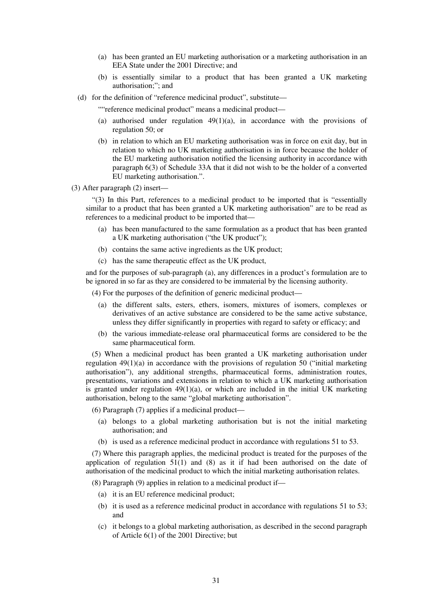- (a) has been granted an EU marketing authorisation or a marketing authorisation in an EEA State under the 2001 Directive; and
- (b) is essentially similar to a product that has been granted a UK marketing authorisation;"; and
- (d) for the definition of "reference medicinal product", substitute—

""reference medicinal product" means a medicinal product—

- (a) authorised under regulation  $49(1)(a)$ , in accordance with the provisions of regulation 50; or
- (b) in relation to which an EU marketing authorisation was in force on exit day, but in relation to which no UK marketing authorisation is in force because the holder of the EU marketing authorisation notified the licensing authority in accordance with paragraph 6(3) of Schedule 33A that it did not wish to be the holder of a converted EU marketing authorisation.".
- (3) After paragraph (2) insert—

"(3) In this Part, references to a medicinal product to be imported that is "essentially similar to a product that has been granted a UK marketing authorisation" are to be read as references to a medicinal product to be imported that—

- (a) has been manufactured to the same formulation as a product that has been granted a UK marketing authorisation ("the UK product");
- (b) contains the same active ingredients as the UK product;
- (c) has the same therapeutic effect as the UK product,

and for the purposes of sub-paragraph (a), any differences in a product's formulation are to be ignored in so far as they are considered to be immaterial by the licensing authority.

(4) For the purposes of the definition of generic medicinal product—

- (a) the different salts, esters, ethers, isomers, mixtures of isomers, complexes or derivatives of an active substance are considered to be the same active substance, unless they differ significantly in properties with regard to safety or efficacy; and
- (b) the various immediate-release oral pharmaceutical forms are considered to be the same pharmaceutical form.

(5) When a medicinal product has been granted a UK marketing authorisation under regulation  $49(1)(a)$  in accordance with the provisions of regulation 50 ("initial marketing authorisation"), any additional strengths, pharmaceutical forms, administration routes, presentations, variations and extensions in relation to which a UK marketing authorisation is granted under regulation  $49(1)(a)$ , or which are included in the initial UK marketing authorisation, belong to the same "global marketing authorisation".

(6) Paragraph (7) applies if a medicinal product—

- (a) belongs to a global marketing authorisation but is not the initial marketing authorisation; and
- (b) is used as a reference medicinal product in accordance with regulations 51 to 53.

(7) Where this paragraph applies, the medicinal product is treated for the purposes of the application of regulation  $51(1)$  and  $(8)$  as it if had been authorised on the date of authorisation of the medicinal product to which the initial marketing authorisation relates.

(8) Paragraph (9) applies in relation to a medicinal product if—

- (a) it is an EU reference medicinal product;
- (b) it is used as a reference medicinal product in accordance with regulations 51 to 53; and
- (c) it belongs to a global marketing authorisation, as described in the second paragraph of Article 6(1) of the 2001 Directive; but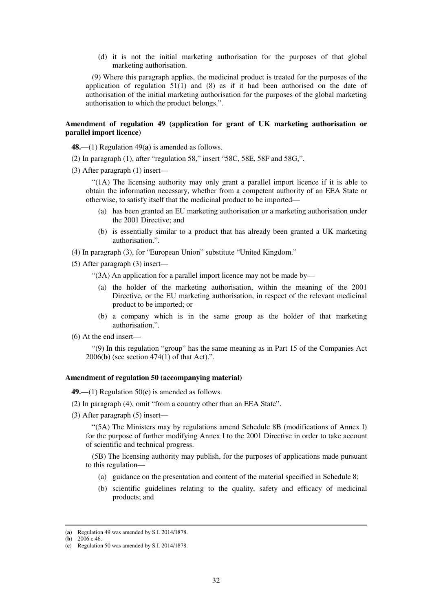(d) it is not the initial marketing authorisation for the purposes of that global marketing authorisation.

(9) Where this paragraph applies, the medicinal product is treated for the purposes of the application of regulation  $51(1)$  and (8) as if it had been authorised on the date of authorisation of the initial marketing authorisation for the purposes of the global marketing authorisation to which the product belongs.".

### **Amendment of regulation 49 (application for grant of UK marketing authorisation or parallel import licence)**

**48.**—(1) Regulation 49(**a**) is amended as follows.

- (2) In paragraph (1), after "regulation 58," insert "58C, 58E, 58F and 58G,".
- (3) After paragraph (1) insert—

"(1A) The licensing authority may only grant a parallel import licence if it is able to obtain the information necessary, whether from a competent authority of an EEA State or otherwise, to satisfy itself that the medicinal product to be imported—

- (a) has been granted an EU marketing authorisation or a marketing authorisation under the 2001 Directive; and
- (b) is essentially similar to a product that has already been granted a UK marketing authorisation.".
- (4) In paragraph (3), for "European Union" substitute "United Kingdom."
- (5) After paragraph (3) insert—

"(3A) An application for a parallel import licence may not be made by—

- (a) the holder of the marketing authorisation, within the meaning of the 2001 Directive, or the EU marketing authorisation, in respect of the relevant medicinal product to be imported; or
- (b) a company which is in the same group as the holder of that marketing authorisation.".
- (6) At the end insert—

"(9) In this regulation "group" has the same meaning as in Part 15 of the Companies Act 2006(**b**) (see section 474(1) of that Act).".

### **Amendment of regulation 50 (accompanying material)**

**49.**—(1) Regulation 50(**c**) is amended as follows.

- (2) In paragraph (4), omit "from a country other than an EEA State".
- (3) After paragraph (5) insert—

"(5A) The Ministers may by regulations amend Schedule 8B (modifications of Annex I) for the purpose of further modifying Annex I to the 2001 Directive in order to take account of scientific and technical progress.

(5B) The licensing authority may publish, for the purposes of applications made pursuant to this regulation—

- (a) guidance on the presentation and content of the material specified in Schedule 8;
- (b) scientific guidelines relating to the quality, safety and efficacy of medicinal products; and

<sup>(</sup>**a**) Regulation 49 was amended by S.I. 2014/1878.

<sup>(</sup>**b**)  $2006$  c.46.

<sup>(</sup>**c**) Regulation 50 was amended by S.I. 2014/1878.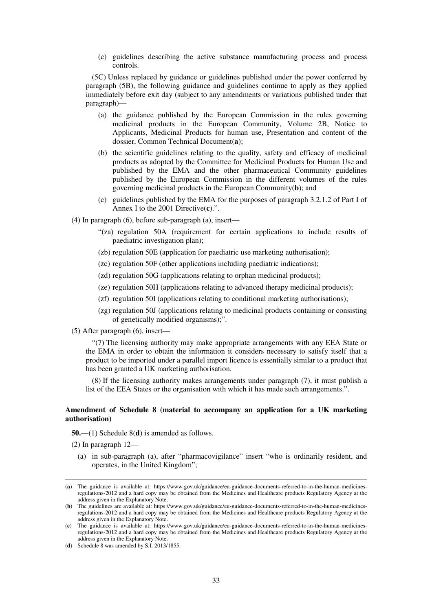(c) guidelines describing the active substance manufacturing process and process controls.

(5C) Unless replaced by guidance or guidelines published under the power conferred by paragraph (5B), the following guidance and guidelines continue to apply as they applied immediately before exit day (subject to any amendments or variations published under that paragraph)—

- (a) the guidance published by the European Commission in the rules governing medicinal products in the European Community, Volume 2B, Notice to Applicants, Medicinal Products for human use, Presentation and content of the dossier, Common Technical Document(**a**);
- (b) the scientific guidelines relating to the quality, safety and efficacy of medicinal products as adopted by the Committee for Medicinal Products for Human Use and published by the EMA and the other pharmaceutical Community guidelines published by the European Commission in the different volumes of the rules governing medicinal products in the European Community(**b**); and
- (c) guidelines published by the EMA for the purposes of paragraph 3.2.1.2 of Part I of Annex I to the 2001 Directive(**c**).".

(4) In paragraph (6), before sub-paragraph (a), insert—

- "(za) regulation 50A (requirement for certain applications to include results of paediatric investigation plan);
- (zb) regulation 50E (application for paediatric use marketing authorisation);
- (zc) regulation 50F (other applications including paediatric indications);
- (zd) regulation 50G (applications relating to orphan medicinal products);
- (ze) regulation 50H (applications relating to advanced therapy medicinal products);
- (zf) regulation 50I (applications relating to conditional marketing authorisations);
- (zg) regulation 50J (applications relating to medicinal products containing or consisting of genetically modified organisms);".
- (5) After paragraph (6), insert—

"(7) The licensing authority may make appropriate arrangements with any EEA State or the EMA in order to obtain the information it considers necessary to satisfy itself that a product to be imported under a parallel import licence is essentially similar to a product that has been granted a UK marketing authorisation.

(8) If the licensing authority makes arrangements under paragraph (7), it must publish a list of the EEA States or the organisation with which it has made such arrangements.".

### **Amendment of Schedule 8 (material to accompany an application for a UK marketing authorisation)**

**50.**—(1) Schedule 8(**d**) is amended as follows.

(2) In paragraph 12—

-

(a) in sub-paragraph (a), after "pharmacovigilance" insert "who is ordinarily resident, and operates, in the United Kingdom";

<sup>(</sup>**a**) The guidance is available at: https://www.gov.uk/guidance/eu-guidance-documents-referred-to-in-the-human-medicinesregulations-2012 and a hard copy may be obtained from the Medicines and Healthcare products Regulatory Agency at the address given in the Explanatory Note.

<sup>(</sup>**b**) The guidelines are available at: https://www.gov.uk/guidance/eu-guidance-documents-referred-to-in-the-human-medicinesregulations-2012 and a hard copy may be obtained from the Medicines and Healthcare products Regulatory Agency at the address given in the Explanatory Note.

<sup>(</sup>**c**) The guidance is available at: https://www.gov.uk/guidance/eu-guidance-documents-referred-to-in-the-human-medicinesregulations-2012 and a hard copy may be obtained from the Medicines and Healthcare products Regulatory Agency at the address given in the Explanatory Note.

<sup>(</sup>**d**) Schedule 8 was amended by S.I. 2013/1855.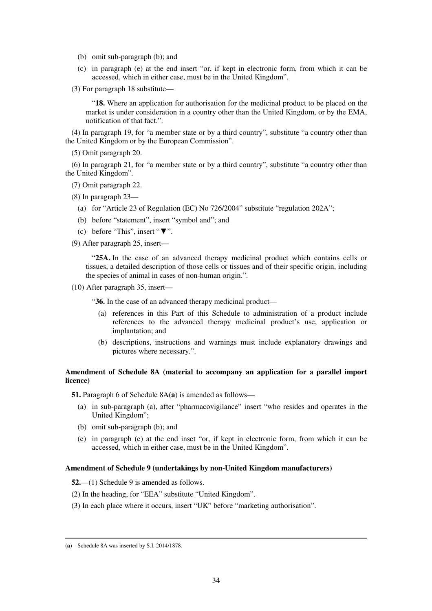- (b) omit sub-paragraph (b); and
- (c) in paragraph (e) at the end insert "or, if kept in electronic form, from which it can be accessed, which in either case, must be in the United Kingdom".
- (3) For paragraph 18 substitute—

"**18.** Where an application for authorisation for the medicinal product to be placed on the market is under consideration in a country other than the United Kingdom, or by the EMA, notification of that fact.".

(4) In paragraph 19, for "a member state or by a third country", substitute "a country other than the United Kingdom or by the European Commission".

(5) Omit paragraph 20.

(6) In paragraph 21, for "a member state or by a third country", substitute "a country other than the United Kingdom".

- (7) Omit paragraph 22.
- (8) In paragraph 23—
	- (a) for "Article 23 of Regulation (EC) No 726/2004" substitute "regulation 202A";
	- (b) before "statement", insert "symbol and"; and
	- (c) before "This", insert "▼".

(9) After paragraph 25, insert—

"**25A.** In the case of an advanced therapy medicinal product which contains cells or tissues, a detailed description of those cells or tissues and of their specific origin, including the species of animal in cases of non-human origin.".

(10) After paragraph 35, insert—

"**36.** In the case of an advanced therapy medicinal product—

- (a) references in this Part of this Schedule to administration of a product include references to the advanced therapy medicinal product's use, application or implantation; and
- (b) descriptions, instructions and warnings must include explanatory drawings and pictures where necessary.".

### **Amendment of Schedule 8A (material to accompany an application for a parallel import licence)**

**51.** Paragraph 6 of Schedule 8A(**a**) is amended as follows—

- (a) in sub-paragraph (a), after "pharmacovigilance" insert "who resides and operates in the United Kingdom";
- (b) omit sub-paragraph (b); and
- (c) in paragraph (e) at the end inset "or, if kept in electronic form, from which it can be accessed, which in either case, must be in the United Kingdom".

### **Amendment of Schedule 9 (undertakings by non-United Kingdom manufacturers)**

**52.**—(1) Schedule 9 is amended as follows.

- (2) In the heading, for "EEA" substitute "United Kingdom".
- (3) In each place where it occurs, insert "UK" before "marketing authorisation".

<sup>(</sup>**a**) Schedule 8A was inserted by S.I. 2014/1878.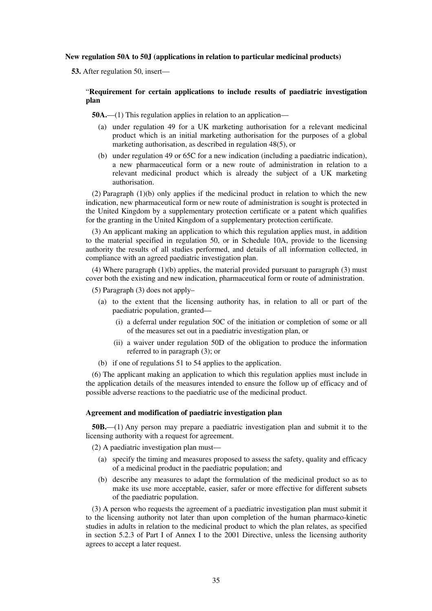#### **New regulation 50A to 50J (applications in relation to particular medicinal products)**

**53.** After regulation 50, insert—

#### "**Requirement for certain applications to include results of paediatric investigation plan**

**50A.**—(1) This regulation applies in relation to an application—

- (a) under regulation 49 for a UK marketing authorisation for a relevant medicinal product which is an initial marketing authorisation for the purposes of a global marketing authorisation, as described in regulation 48(5), or
- (b) under regulation 49 or 65C for a new indication (including a paediatric indication), a new pharmaceutical form or a new route of administration in relation to a relevant medicinal product which is already the subject of a UK marketing authorisation.

(2) Paragraph (1)(b) only applies if the medicinal product in relation to which the new indication, new pharmaceutical form or new route of administration is sought is protected in the United Kingdom by a supplementary protection certificate or a patent which qualifies for the granting in the United Kingdom of a supplementary protection certificate.

(3) An applicant making an application to which this regulation applies must, in addition to the material specified in regulation 50, or in Schedule 10A, provide to the licensing authority the results of all studies performed, and details of all information collected, in compliance with an agreed paediatric investigation plan.

(4) Where paragraph (1)(b) applies, the material provided pursuant to paragraph (3) must cover both the existing and new indication, pharmaceutical form or route of administration.

- (5) Paragraph (3) does not apply–
	- (a) to the extent that the licensing authority has, in relation to all or part of the paediatric population, granted—
		- (i) a deferral under regulation 50C of the initiation or completion of some or all of the measures set out in a paediatric investigation plan, or
		- (ii) a waiver under regulation 50D of the obligation to produce the information referred to in paragraph (3); or
	- (b) if one of regulations 51 to 54 applies to the application.

(6) The applicant making an application to which this regulation applies must include in the application details of the measures intended to ensure the follow up of efficacy and of possible adverse reactions to the paediatric use of the medicinal product.

#### **Agreement and modification of paediatric investigation plan**

**50B.**—(1) Any person may prepare a paediatric investigation plan and submit it to the licensing authority with a request for agreement.

(2) A paediatric investigation plan must—

- (a) specify the timing and measures proposed to assess the safety, quality and efficacy of a medicinal product in the paediatric population; and
- (b) describe any measures to adapt the formulation of the medicinal product so as to make its use more acceptable, easier, safer or more effective for different subsets of the paediatric population.

(3) A person who requests the agreement of a paediatric investigation plan must submit it to the licensing authority not later than upon completion of the human pharmaco-kinetic studies in adults in relation to the medicinal product to which the plan relates, as specified in section 5.2.3 of Part I of Annex I to the 2001 Directive, unless the licensing authority agrees to accept a later request.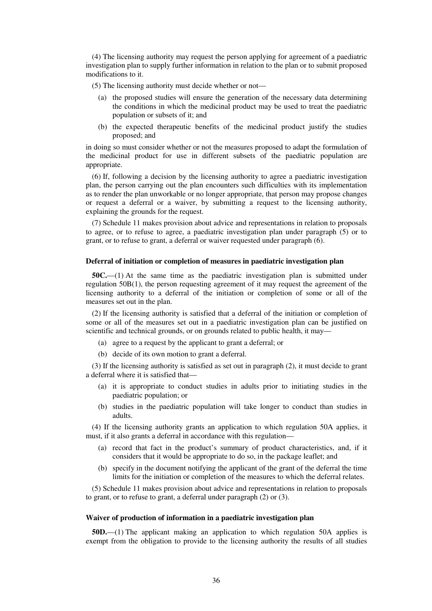(4) The licensing authority may request the person applying for agreement of a paediatric investigation plan to supply further information in relation to the plan or to submit proposed modifications to it.

- (5) The licensing authority must decide whether or not—
	- (a) the proposed studies will ensure the generation of the necessary data determining the conditions in which the medicinal product may be used to treat the paediatric population or subsets of it; and
	- (b) the expected therapeutic benefits of the medicinal product justify the studies proposed; and

in doing so must consider whether or not the measures proposed to adapt the formulation of the medicinal product for use in different subsets of the paediatric population are appropriate.

(6) If, following a decision by the licensing authority to agree a paediatric investigation plan, the person carrying out the plan encounters such difficulties with its implementation as to render the plan unworkable or no longer appropriate, that person may propose changes or request a deferral or a waiver, by submitting a request to the licensing authority, explaining the grounds for the request.

(7) Schedule 11 makes provision about advice and representations in relation to proposals to agree, or to refuse to agree, a paediatric investigation plan under paragraph (5) or to grant, or to refuse to grant, a deferral or waiver requested under paragraph (6).

#### **Deferral of initiation or completion of measures in paediatric investigation plan**

**50C.**—(1) At the same time as the paediatric investigation plan is submitted under regulation 50B(1), the person requesting agreement of it may request the agreement of the licensing authority to a deferral of the initiation or completion of some or all of the measures set out in the plan.

(2) If the licensing authority is satisfied that a deferral of the initiation or completion of some or all of the measures set out in a paediatric investigation plan can be justified on scientific and technical grounds, or on grounds related to public health, it may—

- (a) agree to a request by the applicant to grant a deferral; or
- (b) decide of its own motion to grant a deferral.

(3) If the licensing authority is satisfied as set out in paragraph (2), it must decide to grant a deferral where it is satisfied that—

- (a) it is appropriate to conduct studies in adults prior to initiating studies in the paediatric population; or
- (b) studies in the paediatric population will take longer to conduct than studies in adults.

(4) If the licensing authority grants an application to which regulation 50A applies, it must, if it also grants a deferral in accordance with this regulation—

- (a) record that fact in the product's summary of product characteristics, and, if it considers that it would be appropriate to do so, in the package leaflet; and
- (b) specify in the document notifying the applicant of the grant of the deferral the time limits for the initiation or completion of the measures to which the deferral relates.

(5) Schedule 11 makes provision about advice and representations in relation to proposals to grant, or to refuse to grant, a deferral under paragraph (2) or (3).

#### **Waiver of production of information in a paediatric investigation plan**

**50D.**—(1) The applicant making an application to which regulation 50A applies is exempt from the obligation to provide to the licensing authority the results of all studies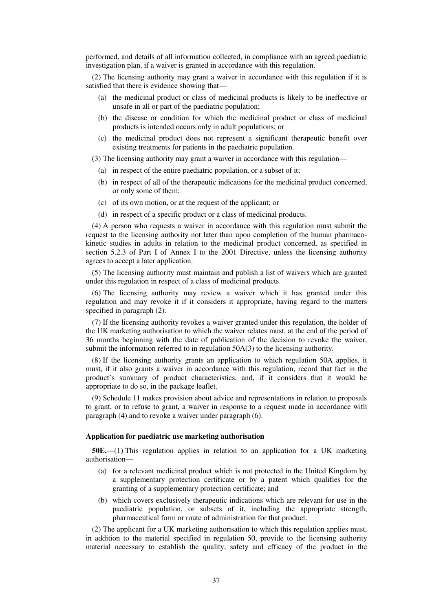performed, and details of all information collected, in compliance with an agreed paediatric investigation plan, if a waiver is granted in accordance with this regulation.

(2) The licensing authority may grant a waiver in accordance with this regulation if it is satisfied that there is evidence showing that—

- (a) the medicinal product or class of medicinal products is likely to be ineffective or unsafe in all or part of the paediatric population;
- (b) the disease or condition for which the medicinal product or class of medicinal products is intended occurs only in adult populations; or
- (c) the medicinal product does not represent a significant therapeutic benefit over existing treatments for patients in the paediatric population.

(3) The licensing authority may grant a waiver in accordance with this regulation—

- (a) in respect of the entire paediatric population, or a subset of it;
- (b) in respect of all of the therapeutic indications for the medicinal product concerned, or only some of them;
- (c) of its own motion, or at the request of the applicant; or
- (d) in respect of a specific product or a class of medicinal products.

(4) A person who requests a waiver in accordance with this regulation must submit the request to the licensing authority not later than upon completion of the human pharmacokinetic studies in adults in relation to the medicinal product concerned, as specified in section 5.2.3 of Part I of Annex I to the 2001 Directive, unless the licensing authority agrees to accept a later application.

(5) The licensing authority must maintain and publish a list of waivers which are granted under this regulation in respect of a class of medicinal products.

(6) The licensing authority may review a waiver which it has granted under this regulation and may revoke it if it considers it appropriate, having regard to the matters specified in paragraph (2).

(7) If the licensing authority revokes a waiver granted under this regulation, the holder of the UK marketing authorisation to which the waiver relates must, at the end of the period of 36 months beginning with the date of publication of the decision to revoke the waiver, submit the information referred to in regulation 50A(3) to the licensing authority.

(8) If the licensing authority grants an application to which regulation 50A applies, it must, if it also grants a waiver in accordance with this regulation, record that fact in the product's summary of product characteristics, and, if it considers that it would be appropriate to do so, in the package leaflet.

(9) Schedule 11 makes provision about advice and representations in relation to proposals to grant, or to refuse to grant, a waiver in response to a request made in accordance with paragraph (4) and to revoke a waiver under paragraph (6).

### **Application for paediatric use marketing authorisation**

**50E.**—(1) This regulation applies in relation to an application for a UK marketing authorisation—

- (a) for a relevant medicinal product which is not protected in the United Kingdom by a supplementary protection certificate or by a patent which qualifies for the granting of a supplementary protection certificate; and
- (b) which covers exclusively therapeutic indications which are relevant for use in the paediatric population, or subsets of it, including the appropriate strength, pharmaceutical form or route of administration for that product.

(2) The applicant for a UK marketing authorisation to which this regulation applies must, in addition to the material specified in regulation 50, provide to the licensing authority material necessary to establish the quality, safety and efficacy of the product in the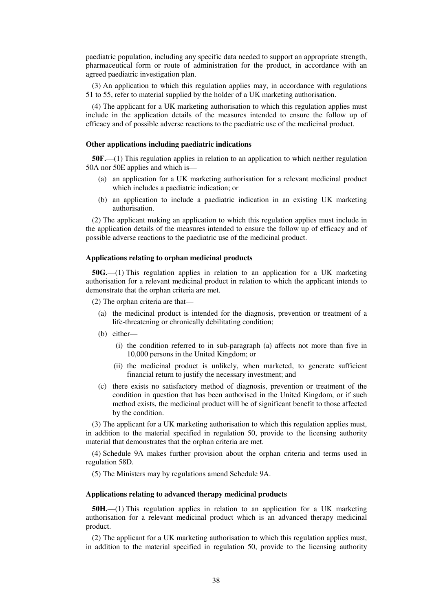paediatric population, including any specific data needed to support an appropriate strength, pharmaceutical form or route of administration for the product, in accordance with an agreed paediatric investigation plan.

(3) An application to which this regulation applies may, in accordance with regulations 51 to 55, refer to material supplied by the holder of a UK marketing authorisation.

(4) The applicant for a UK marketing authorisation to which this regulation applies must include in the application details of the measures intended to ensure the follow up of efficacy and of possible adverse reactions to the paediatric use of the medicinal product.

#### **Other applications including paediatric indications**

**50F.**—(1) This regulation applies in relation to an application to which neither regulation 50A nor 50E applies and which is—

- (a) an application for a UK marketing authorisation for a relevant medicinal product which includes a paediatric indication; or
- (b) an application to include a paediatric indication in an existing UK marketing authorisation.

(2) The applicant making an application to which this regulation applies must include in the application details of the measures intended to ensure the follow up of efficacy and of possible adverse reactions to the paediatric use of the medicinal product.

### **Applications relating to orphan medicinal products**

**50G.**—(1) This regulation applies in relation to an application for a UK marketing authorisation for a relevant medicinal product in relation to which the applicant intends to demonstrate that the orphan criteria are met.

(2) The orphan criteria are that—

- (a) the medicinal product is intended for the diagnosis, prevention or treatment of a life-threatening or chronically debilitating condition;
- (b) either—
	- (i) the condition referred to in sub-paragraph (a) affects not more than five in 10,000 persons in the United Kingdom; or
	- (ii) the medicinal product is unlikely, when marketed, to generate sufficient financial return to justify the necessary investment; and
- (c) there exists no satisfactory method of diagnosis, prevention or treatment of the condition in question that has been authorised in the United Kingdom, or if such method exists, the medicinal product will be of significant benefit to those affected by the condition.

(3) The applicant for a UK marketing authorisation to which this regulation applies must, in addition to the material specified in regulation 50, provide to the licensing authority material that demonstrates that the orphan criteria are met.

(4) Schedule 9A makes further provision about the orphan criteria and terms used in regulation 58D.

(5) The Ministers may by regulations amend Schedule 9A.

#### **Applications relating to advanced therapy medicinal products**

**50H.**—(1) This regulation applies in relation to an application for a UK marketing authorisation for a relevant medicinal product which is an advanced therapy medicinal product.

(2) The applicant for a UK marketing authorisation to which this regulation applies must, in addition to the material specified in regulation 50, provide to the licensing authority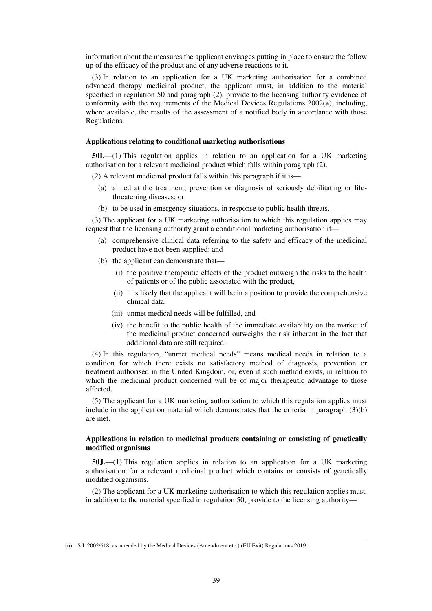information about the measures the applicant envisages putting in place to ensure the follow up of the efficacy of the product and of any adverse reactions to it.

(3) In relation to an application for a UK marketing authorisation for a combined advanced therapy medicinal product, the applicant must, in addition to the material specified in regulation 50 and paragraph (2), provide to the licensing authority evidence of conformity with the requirements of the Medical Devices Regulations 2002(**a**), including, where available, the results of the assessment of a notified body in accordance with those Regulations.

### **Applications relating to conditional marketing authorisations**

**50I.**—(1) This regulation applies in relation to an application for a UK marketing authorisation for a relevant medicinal product which falls within paragraph (2).

- (2) A relevant medicinal product falls within this paragraph if it is—
	- (a) aimed at the treatment, prevention or diagnosis of seriously debilitating or lifethreatening diseases; or
	- (b) to be used in emergency situations, in response to public health threats.

(3) The applicant for a UK marketing authorisation to which this regulation applies may request that the licensing authority grant a conditional marketing authorisation if—

- (a) comprehensive clinical data referring to the safety and efficacy of the medicinal product have not been supplied; and
- (b) the applicant can demonstrate that—
	- (i) the positive therapeutic effects of the product outweigh the risks to the health of patients or of the public associated with the product,
	- (ii) it is likely that the applicant will be in a position to provide the comprehensive clinical data,
	- (iii) unmet medical needs will be fulfilled, and
	- (iv) the benefit to the public health of the immediate availability on the market of the medicinal product concerned outweighs the risk inherent in the fact that additional data are still required.

(4) In this regulation, "unmet medical needs" means medical needs in relation to a condition for which there exists no satisfactory method of diagnosis, prevention or treatment authorised in the United Kingdom, or, even if such method exists, in relation to which the medicinal product concerned will be of major therapeutic advantage to those affected.

(5) The applicant for a UK marketing authorisation to which this regulation applies must include in the application material which demonstrates that the criteria in paragraph (3)(b) are met.

# **Applications in relation to medicinal products containing or consisting of genetically modified organisms**

**50J.**—(1) This regulation applies in relation to an application for a UK marketing authorisation for a relevant medicinal product which contains or consists of genetically modified organisms.

(2) The applicant for a UK marketing authorisation to which this regulation applies must, in addition to the material specified in regulation 50, provide to the licensing authority—

<sup>(</sup>**a**) S.I. 2002/618, as amended by the Medical Devices (Amendment etc.) (EU Exit) Regulations 2019.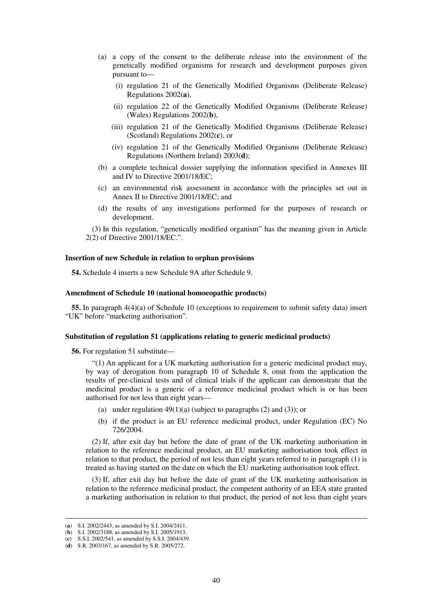- (a) a copy of the consent to the deliberate release into the environment of the genetically modified organisms for research and development purposes given pursuant to—
	- (i) regulation 21 of the Genetically Modified Organisms (Deliberate Release) Regulations 2002(**a**),
	- (ii) regulation 22 of the Genetically Modified Organisms (Deliberate Release) (Wales) Regulations 2002(**b**),
	- (iii) regulation 21 of the Genetically Modified Organisms (Deliberate Release) (Scotland) Regulations 2002(**c**), or
	- (iv) regulation 21 of the Genetically Modified Organisms (Deliberate Release) Regulations (Northern Ireland) 2003(**d**);
- (b) a complete technical dossier supplying the information specified in Annexes III and IV to Directive 2001/18/EC;
- (c) an environmental risk assessment in accordance with the principles set out in Annex II to Directive 2001/18/EC; and
- (d) the results of any investigations performed for the purposes of research or development.

(3) In this regulation, "genetically modified organism" has the meaning given in Article 2(2) of Directive 2001/18/EC.".

### **Insertion of new Schedule in relation to orphan provisions**

**54.** Schedule 4 inserts a new Schedule 9A after Schedule 9.

### **Amendment of Schedule 10 (national homoeopathic products)**

**55.** In paragraph 4(4)(a) of Schedule 10 (exceptions to requirement to submit safety data) insert "UK" before "marketing authorisation".

### **Substitution of regulation 51 (applications relating to generic medicinal products)**

**56.** For regulation 51 substitute—

"(1) An applicant for a UK marketing authorisation for a generic medicinal product may, by way of derogation from paragraph 10 of Schedule 8, omit from the application the results of pre-clinical tests and of clinical trials if the applicant can demonstrate that the medicinal product is a generic of a reference medicinal product which is or has been authorised for not less than eight years—

- (a) under regulation  $49(1)(a)$  (subject to paragraphs (2) and (3)); or
- (b) if the product is an EU reference medicinal product, under Regulation (EC) No 726/2004.

(2) If, after exit day but before the date of grant of the UK marketing authorisation in relation to the reference medicinal product, an EU marketing authorisation took effect in relation to that product, the period of not less than eight years referred to in paragraph (1) is treated as having started on the date on which the EU marketing authorisation took effect.

(3) If, after exit day but before the date of grant of the UK marketing authorisation in relation to the reference medicinal product, the competent authority of an EEA state granted a marketing authorisation in relation to that product, the period of not less than eight years

<sup>(</sup>**a**) S.I. 2002/2443, as amended by S.I. 2004/2411.

<sup>(</sup>**b**) S.I. 2002/3188, as amended by S.I. 2005/1913.

<sup>(</sup>**c**) S.S.I. 2002/541, as amended by S.S.I. 2004/439.

<sup>(</sup>**d**) S.R. 2003/167, as amended by S.R. 2005/272.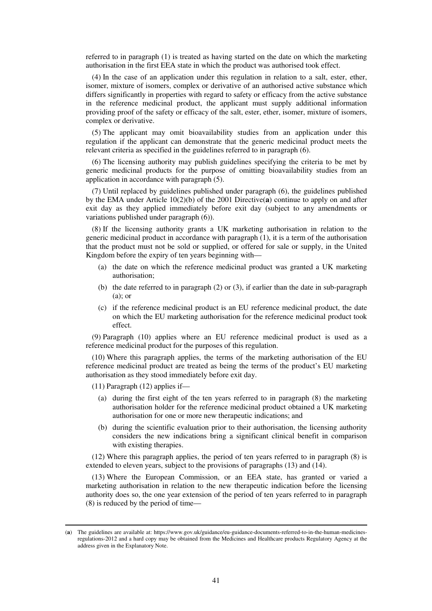referred to in paragraph (1) is treated as having started on the date on which the marketing authorisation in the first EEA state in which the product was authorised took effect.

(4) In the case of an application under this regulation in relation to a salt, ester, ether, isomer, mixture of isomers, complex or derivative of an authorised active substance which differs significantly in properties with regard to safety or efficacy from the active substance in the reference medicinal product, the applicant must supply additional information providing proof of the safety or efficacy of the salt, ester, ether, isomer, mixture of isomers, complex or derivative.

(5) The applicant may omit bioavailability studies from an application under this regulation if the applicant can demonstrate that the generic medicinal product meets the relevant criteria as specified in the guidelines referred to in paragraph (6).

(6) The licensing authority may publish guidelines specifying the criteria to be met by generic medicinal products for the purpose of omitting bioavailability studies from an application in accordance with paragraph (5).

(7) Until replaced by guidelines published under paragraph (6), the guidelines published by the EMA under Article 10(2)(b) of the 2001 Directive(**a**) continue to apply on and after exit day as they applied immediately before exit day (subject to any amendments or variations published under paragraph (6)).

(8) If the licensing authority grants a UK marketing authorisation in relation to the generic medicinal product in accordance with paragraph (1), it is a term of the authorisation that the product must not be sold or supplied, or offered for sale or supply, in the United Kingdom before the expiry of ten years beginning with—

- (a) the date on which the reference medicinal product was granted a UK marketing authorisation;
- (b) the date referred to in paragraph (2) or (3), if earlier than the date in sub-paragraph (a); or
- (c) if the reference medicinal product is an EU reference medicinal product, the date on which the EU marketing authorisation for the reference medicinal product took effect.

(9) Paragraph (10) applies where an EU reference medicinal product is used as a reference medicinal product for the purposes of this regulation.

(10) Where this paragraph applies, the terms of the marketing authorisation of the EU reference medicinal product are treated as being the terms of the product's EU marketing authorisation as they stood immediately before exit day.

(11) Paragraph (12) applies if—

-

- (a) during the first eight of the ten years referred to in paragraph (8) the marketing authorisation holder for the reference medicinal product obtained a UK marketing authorisation for one or more new therapeutic indications; and
- (b) during the scientific evaluation prior to their authorisation, the licensing authority considers the new indications bring a significant clinical benefit in comparison with existing therapies.

(12) Where this paragraph applies, the period of ten years referred to in paragraph (8) is extended to eleven years, subject to the provisions of paragraphs (13) and (14).

(13) Where the European Commission, or an EEA state, has granted or varied a marketing authorisation in relation to the new therapeutic indication before the licensing authority does so, the one year extension of the period of ten years referred to in paragraph (8) is reduced by the period of time—

<sup>(</sup>**a**) The guidelines are available at: https://www.gov.uk/guidance/eu-guidance-documents-referred-to-in-the-human-medicinesregulations-2012 and a hard copy may be obtained from the Medicines and Healthcare products Regulatory Agency at the address given in the Explanatory Note.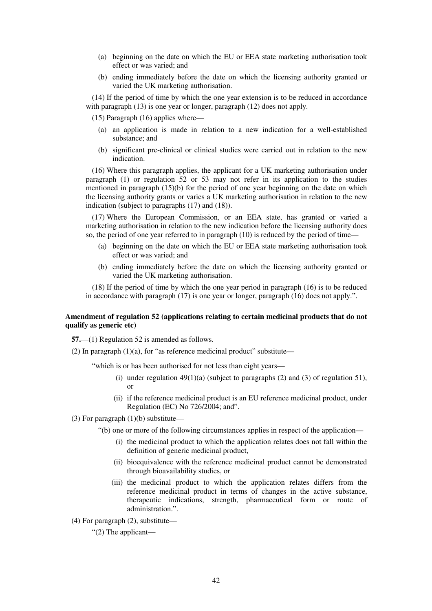- (a) beginning on the date on which the EU or EEA state marketing authorisation took effect or was varied; and
- (b) ending immediately before the date on which the licensing authority granted or varied the UK marketing authorisation.

(14) If the period of time by which the one year extension is to be reduced in accordance with paragraph (13) is one year or longer, paragraph (12) does not apply.

(15) Paragraph (16) applies where—

- (a) an application is made in relation to a new indication for a well-established substance; and
- (b) significant pre-clinical or clinical studies were carried out in relation to the new indication.

(16) Where this paragraph applies, the applicant for a UK marketing authorisation under paragraph (1) or regulation 52 or 53 may not refer in its application to the studies mentioned in paragraph (15)(b) for the period of one year beginning on the date on which the licensing authority grants or varies a UK marketing authorisation in relation to the new indication (subject to paragraphs (17) and (18)).

(17) Where the European Commission, or an EEA state, has granted or varied a marketing authorisation in relation to the new indication before the licensing authority does so, the period of one year referred to in paragraph (10) is reduced by the period of time—

- (a) beginning on the date on which the EU or EEA state marketing authorisation took effect or was varied; and
- (b) ending immediately before the date on which the licensing authority granted or varied the UK marketing authorisation.

(18) If the period of time by which the one year period in paragraph (16) is to be reduced in accordance with paragraph (17) is one year or longer, paragraph (16) does not apply.".

# **Amendment of regulation 52 (applications relating to certain medicinal products that do not qualify as generic etc)**

**57.**—(1) Regulation 52 is amended as follows.

(2) In paragraph  $(1)(a)$ , for "as reference medicinal product" substitute—

"which is or has been authorised for not less than eight years—

- (i) under regulation  $49(1)(a)$  (subject to paragraphs (2) and (3) of regulation 51), or
- (ii) if the reference medicinal product is an EU reference medicinal product, under Regulation (EC) No 726/2004; and".
- (3) For paragraph  $(1)(b)$  substitute—
	- "(b) one or more of the following circumstances applies in respect of the application—
		- (i) the medicinal product to which the application relates does not fall within the definition of generic medicinal product,
		- (ii) bioequivalence with the reference medicinal product cannot be demonstrated through bioavailability studies, or
		- (iii) the medicinal product to which the application relates differs from the reference medicinal product in terms of changes in the active substance, therapeutic indications, strength, pharmaceutical form or route of administration.".
- (4) For paragraph (2), substitute—

"(2) The applicant—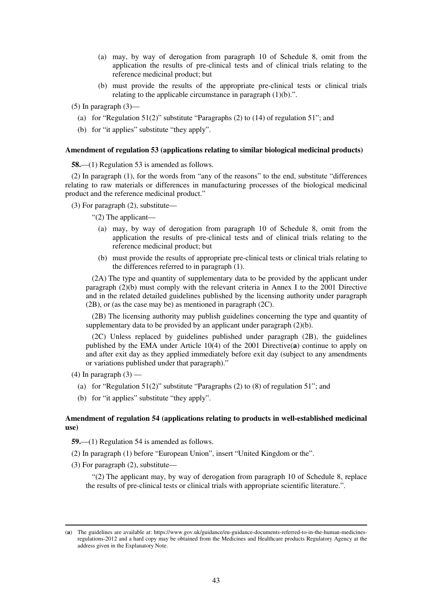- (a) may, by way of derogation from paragraph 10 of Schedule 8, omit from the application the results of pre-clinical tests and of clinical trials relating to the reference medicinal product; but
- (b) must provide the results of the appropriate pre-clinical tests or clinical trials relating to the applicable circumstance in paragraph (1)(b).".

(5) In paragraph (3)—

- (a) for "Regulation 51(2)" substitute "Paragraphs (2) to (14) of regulation 51"; and
- (b) for "it applies" substitute "they apply".

### **Amendment of regulation 53 (applications relating to similar biological medicinal products)**

**58.**—(1) Regulation 53 is amended as follows.

(2) In paragraph (1), for the words from "any of the reasons" to the end, substitute "differences relating to raw materials or differences in manufacturing processes of the biological medicinal product and the reference medicinal product."

(3) For paragraph (2), substitute—

- "(2) The applicant—
	- (a) may, by way of derogation from paragraph 10 of Schedule 8, omit from the application the results of pre-clinical tests and of clinical trials relating to the reference medicinal product; but
	- (b) must provide the results of appropriate pre-clinical tests or clinical trials relating to the differences referred to in paragraph (1).

(2A) The type and quantity of supplementary data to be provided by the applicant under paragraph (2)(b) must comply with the relevant criteria in Annex I to the 2001 Directive and in the related detailed guidelines published by the licensing authority under paragraph (2B), or (as the case may be) as mentioned in paragraph (2C).

(2B) The licensing authority may publish guidelines concerning the type and quantity of supplementary data to be provided by an applicant under paragraph  $(2)(b)$ .

(2C) Unless replaced by guidelines published under paragraph (2B), the guidelines published by the EMA under Article 10(4) of the 2001 Directive(**a**) continue to apply on and after exit day as they applied immediately before exit day (subject to any amendments or variations published under that paragraph)."

 $(4)$  In paragraph  $(3)$  —

- (a) for "Regulation 51(2)" substitute "Paragraphs (2) to (8) of regulation 51"; and
- (b) for "it applies" substitute "they apply".

# **Amendment of regulation 54 (applications relating to products in well-established medicinal use)**

**59.**—(1) Regulation 54 is amended as follows.

- (2) In paragraph (1) before "European Union", insert "United Kingdom or the".
- (3) For paragraph (2), substitute—

-

"(2) The applicant may, by way of derogation from paragraph 10 of Schedule 8, replace the results of pre-clinical tests or clinical trials with appropriate scientific literature.".

<sup>(</sup>**a**) The guidelines are available at: https://www.gov.uk/guidance/eu-guidance-documents-referred-to-in-the-human-medicinesregulations-2012 and a hard copy may be obtained from the Medicines and Healthcare products Regulatory Agency at the address given in the Explanatory Note.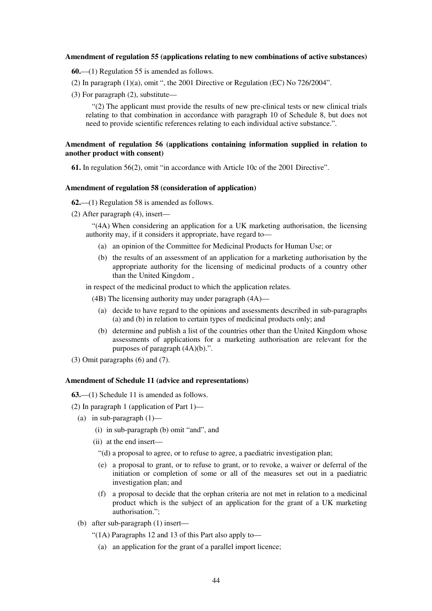### **Amendment of regulation 55 (applications relating to new combinations of active substances)**

**60.**—(1) Regulation 55 is amended as follows.

- (2) In paragraph (1)(a), omit ", the 2001 Directive or Regulation (EC) No 726/2004".
- (3) For paragraph (2), substitute—

"(2) The applicant must provide the results of new pre-clinical tests or new clinical trials relating to that combination in accordance with paragraph 10 of Schedule 8, but does not need to provide scientific references relating to each individual active substance.".

### **Amendment of regulation 56 (applications containing information supplied in relation to another product with consent)**

**61.** In regulation 56(2), omit "in accordance with Article 10c of the 2001 Directive".

# **Amendment of regulation 58 (consideration of application)**

**62.**—(1) Regulation 58 is amended as follows.

(2) After paragraph (4), insert—

"(4A) When considering an application for a UK marketing authorisation, the licensing authority may, if it considers it appropriate, have regard to—

- (a) an opinion of the Committee for Medicinal Products for Human Use; or
- (b) the results of an assessment of an application for a marketing authorisation by the appropriate authority for the licensing of medicinal products of a country other than the United Kingdom ,

in respect of the medicinal product to which the application relates.

- (4B) The licensing authority may under paragraph (4A)—
	- (a) decide to have regard to the opinions and assessments described in sub-paragraphs (a) and (b) in relation to certain types of medicinal products only; and
	- (b) determine and publish a list of the countries other than the United Kingdom whose assessments of applications for a marketing authorisation are relevant for the purposes of paragraph (4A)(b).".
- (3) Omit paragraphs (6) and (7).

### **Amendment of Schedule 11 (advice and representations)**

**63.**—(1) Schedule 11 is amended as follows.

- (2) In paragraph 1 (application of Part 1)—
	- (a) in sub-paragraph  $(1)$ 
		- (i) in sub-paragraph (b) omit "and", and
		- (ii) at the end insert—

"(d) a proposal to agree, or to refuse to agree, a paediatric investigation plan;

- (e) a proposal to grant, or to refuse to grant, or to revoke, a waiver or deferral of the initiation or completion of some or all of the measures set out in a paediatric investigation plan; and
- (f) a proposal to decide that the orphan criteria are not met in relation to a medicinal product which is the subject of an application for the grant of a UK marketing authorisation.";
- (b) after sub-paragraph (1) insert—

"(1A) Paragraphs 12 and 13 of this Part also apply to—

(a) an application for the grant of a parallel import licence;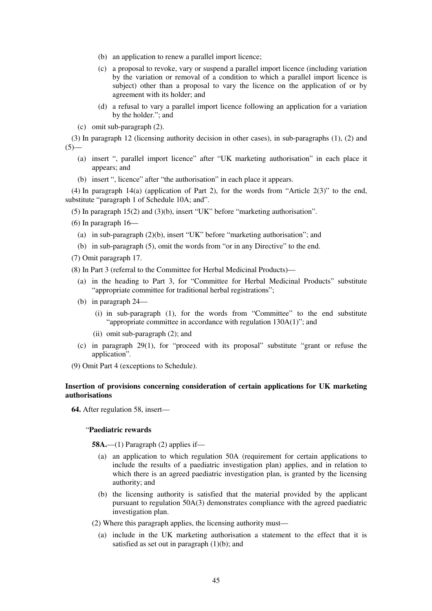- (b) an application to renew a parallel import licence;
- (c) a proposal to revoke, vary or suspend a parallel import licence (including variation by the variation or removal of a condition to which a parallel import licence is subject) other than a proposal to vary the licence on the application of or by agreement with its holder; and
- (d) a refusal to vary a parallel import licence following an application for a variation by the holder."; and
- (c) omit sub-paragraph (2).

(3) In paragraph 12 (licensing authority decision in other cases), in sub-paragraphs (1), (2) and  $(5)$ —

- (a) insert ", parallel import licence" after "UK marketing authorisation" in each place it appears; and
- (b) insert ", licence" after "the authorisation" in each place it appears.

(4) In paragraph  $14(a)$  (application of Part 2), for the words from "Article  $2(3)$ " to the end, substitute "paragraph 1 of Schedule 10A; and".

(5) In paragraph 15(2) and (3)(b), insert "UK" before "marketing authorisation".

- (6) In paragraph 16—
	- (a) in sub-paragraph (2)(b), insert "UK" before "marketing authorisation"; and
	- (b) in sub-paragraph (5), omit the words from "or in any Directive" to the end.
- (7) Omit paragraph 17.

(8) In Part 3 (referral to the Committee for Herbal Medicinal Products)—

- (a) in the heading to Part 3, for "Committee for Herbal Medicinal Products" substitute "appropriate committee for traditional herbal registrations";
- (b) in paragraph 24—
	- (i) in sub-paragraph (1), for the words from "Committee" to the end substitute "appropriate committee in accordance with regulation 130A(1)"; and
	- (ii) omit sub-paragraph (2); and
- (c) in paragraph 29(1), for "proceed with its proposal" substitute "grant or refuse the application".
- (9) Omit Part 4 (exceptions to Schedule).

# **Insertion of provisions concerning consideration of certain applications for UK marketing authorisations**

**64.** After regulation 58, insert—

### "**Paediatric rewards**

**58A.**—(1) Paragraph (2) applies if—

- (a) an application to which regulation 50A (requirement for certain applications to include the results of a paediatric investigation plan) applies, and in relation to which there is an agreed paediatric investigation plan, is granted by the licensing authority; and
- (b) the licensing authority is satisfied that the material provided by the applicant pursuant to regulation 50A(3) demonstrates compliance with the agreed paediatric investigation plan.
- (2) Where this paragraph applies, the licensing authority must—
	- (a) include in the UK marketing authorisation a statement to the effect that it is satisfied as set out in paragraph  $(1)(b)$ ; and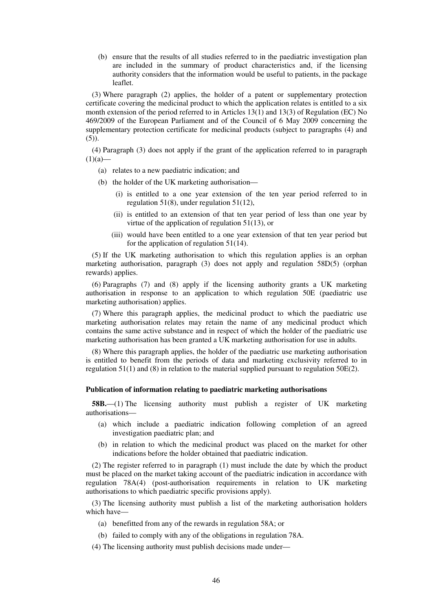(b) ensure that the results of all studies referred to in the paediatric investigation plan are included in the summary of product characteristics and, if the licensing authority considers that the information would be useful to patients, in the package leaflet.

(3) Where paragraph (2) applies, the holder of a patent or supplementary protection certificate covering the medicinal product to which the application relates is entitled to a six month extension of the period referred to in Articles 13(1) and 13(3) of Regulation (EC) No 469/2009 of the European Parliament and of the Council of 6 May 2009 concerning the supplementary protection certificate for medicinal products (subject to paragraphs (4) and  $(5)$ ).

(4) Paragraph (3) does not apply if the grant of the application referred to in paragraph  $(1)(a)$ —

- (a) relates to a new paediatric indication; and
- (b) the holder of the UK marketing authorisation—
	- (i) is entitled to a one year extension of the ten year period referred to in regulation 51(8), under regulation 51(12),
	- (ii) is entitled to an extension of that ten year period of less than one year by virtue of the application of regulation 51(13), or
	- (iii) would have been entitled to a one year extension of that ten year period but for the application of regulation 51(14).

(5) If the UK marketing authorisation to which this regulation applies is an orphan marketing authorisation, paragraph (3) does not apply and regulation 58D(5) (orphan rewards) applies.

(6) Paragraphs (7) and (8) apply if the licensing authority grants a UK marketing authorisation in response to an application to which regulation 50E (paediatric use marketing authorisation) applies.

(7) Where this paragraph applies, the medicinal product to which the paediatric use marketing authorisation relates may retain the name of any medicinal product which contains the same active substance and in respect of which the holder of the paediatric use marketing authorisation has been granted a UK marketing authorisation for use in adults.

(8) Where this paragraph applies, the holder of the paediatric use marketing authorisation is entitled to benefit from the periods of data and marketing exclusivity referred to in regulation 51(1) and (8) in relation to the material supplied pursuant to regulation 50E(2).

### **Publication of information relating to paediatric marketing authorisations**

**58B.**—(1) The licensing authority must publish a register of UK marketing authorisations—

- (a) which include a paediatric indication following completion of an agreed investigation paediatric plan; and
- (b) in relation to which the medicinal product was placed on the market for other indications before the holder obtained that paediatric indication.

(2) The register referred to in paragraph (1) must include the date by which the product must be placed on the market taking account of the paediatric indication in accordance with regulation 78A(4) (post-authorisation requirements in relation to UK marketing authorisations to which paediatric specific provisions apply).

(3) The licensing authority must publish a list of the marketing authorisation holders which have—

- (a) benefitted from any of the rewards in regulation 58A; or
- (b) failed to comply with any of the obligations in regulation 78A.
- (4) The licensing authority must publish decisions made under—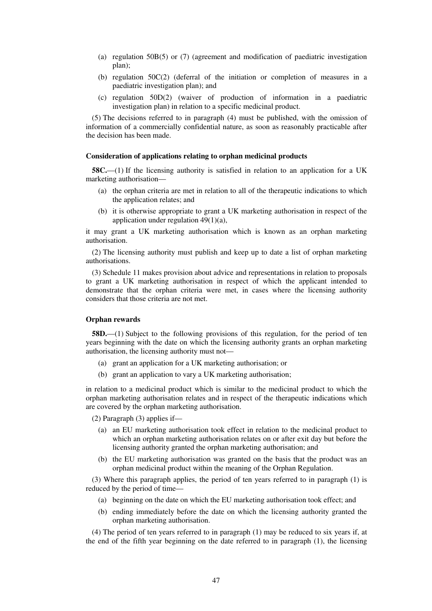- (a) regulation 50B(5) or (7) (agreement and modification of paediatric investigation plan);
- (b) regulation 50C(2) (deferral of the initiation or completion of measures in a paediatric investigation plan); and
- (c) regulation 50D(2) (waiver of production of information in a paediatric investigation plan) in relation to a specific medicinal product.

(5) The decisions referred to in paragraph (4) must be published, with the omission of information of a commercially confidential nature, as soon as reasonably practicable after the decision has been made.

### **Consideration of applications relating to orphan medicinal products**

**58C.**—(1) If the licensing authority is satisfied in relation to an application for a UK marketing authorisation—

- (a) the orphan criteria are met in relation to all of the therapeutic indications to which the application relates; and
- (b) it is otherwise appropriate to grant a UK marketing authorisation in respect of the application under regulation  $49(1)(a)$ ,

it may grant a UK marketing authorisation which is known as an orphan marketing authorisation.

(2) The licensing authority must publish and keep up to date a list of orphan marketing authorisations.

(3) Schedule 11 makes provision about advice and representations in relation to proposals to grant a UK marketing authorisation in respect of which the applicant intended to demonstrate that the orphan criteria were met, in cases where the licensing authority considers that those criteria are not met.

#### **Orphan rewards**

**58D.**—(1) Subject to the following provisions of this regulation, for the period of ten years beginning with the date on which the licensing authority grants an orphan marketing authorisation, the licensing authority must not—

- (a) grant an application for a UK marketing authorisation; or
- (b) grant an application to vary a UK marketing authorisation;

in relation to a medicinal product which is similar to the medicinal product to which the orphan marketing authorisation relates and in respect of the therapeutic indications which are covered by the orphan marketing authorisation.

(2) Paragraph (3) applies if—

- (a) an EU marketing authorisation took effect in relation to the medicinal product to which an orphan marketing authorisation relates on or after exit day but before the licensing authority granted the orphan marketing authorisation; and
- (b) the EU marketing authorisation was granted on the basis that the product was an orphan medicinal product within the meaning of the Orphan Regulation.

(3) Where this paragraph applies, the period of ten years referred to in paragraph (1) is reduced by the period of time—

- (a) beginning on the date on which the EU marketing authorisation took effect; and
- (b) ending immediately before the date on which the licensing authority granted the orphan marketing authorisation.

(4) The period of ten years referred to in paragraph (1) may be reduced to six years if, at the end of the fifth year beginning on the date referred to in paragraph (1), the licensing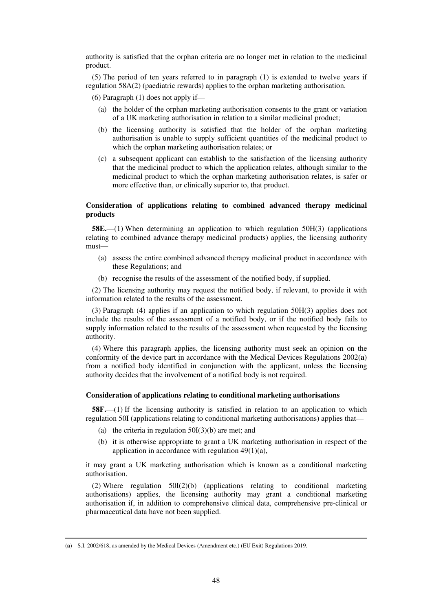authority is satisfied that the orphan criteria are no longer met in relation to the medicinal product.

(5) The period of ten years referred to in paragraph (1) is extended to twelve years if regulation 58A(2) (paediatric rewards) applies to the orphan marketing authorisation.

(6) Paragraph (1) does not apply if—

- (a) the holder of the orphan marketing authorisation consents to the grant or variation of a UK marketing authorisation in relation to a similar medicinal product;
- (b) the licensing authority is satisfied that the holder of the orphan marketing authorisation is unable to supply sufficient quantities of the medicinal product to which the orphan marketing authorisation relates; or
- (c) a subsequent applicant can establish to the satisfaction of the licensing authority that the medicinal product to which the application relates, although similar to the medicinal product to which the orphan marketing authorisation relates, is safer or more effective than, or clinically superior to, that product.

# **Consideration of applications relating to combined advanced therapy medicinal products**

**58E.**—(1) When determining an application to which regulation 50H(3) (applications relating to combined advance therapy medicinal products) applies, the licensing authority must—

- (a) assess the entire combined advanced therapy medicinal product in accordance with these Regulations; and
- (b) recognise the results of the assessment of the notified body, if supplied.

(2) The licensing authority may request the notified body, if relevant, to provide it with information related to the results of the assessment.

(3) Paragraph (4) applies if an application to which regulation 50H(3) applies does not include the results of the assessment of a notified body, or if the notified body fails to supply information related to the results of the assessment when requested by the licensing authority.

(4) Where this paragraph applies, the licensing authority must seek an opinion on the conformity of the device part in accordance with the Medical Devices Regulations 2002(**a**) from a notified body identified in conjunction with the applicant, unless the licensing authority decides that the involvement of a notified body is not required.

### **Consideration of applications relating to conditional marketing authorisations**

**58F.**—(1) If the licensing authority is satisfied in relation to an application to which regulation 50I (applications relating to conditional marketing authorisations) applies that—

- (a) the criteria in regulation 50I(3)(b) are met; and
- (b) it is otherwise appropriate to grant a UK marketing authorisation in respect of the application in accordance with regulation 49(1)(a),

it may grant a UK marketing authorisation which is known as a conditional marketing authorisation.

(2) Where regulation 50I(2)(b) (applications relating to conditional marketing authorisations) applies, the licensing authority may grant a conditional marketing authorisation if, in addition to comprehensive clinical data, comprehensive pre-clinical or pharmaceutical data have not been supplied.

<sup>(</sup>**a**) S.I. 2002/618, as amended by the Medical Devices (Amendment etc.) (EU Exit) Regulations 2019.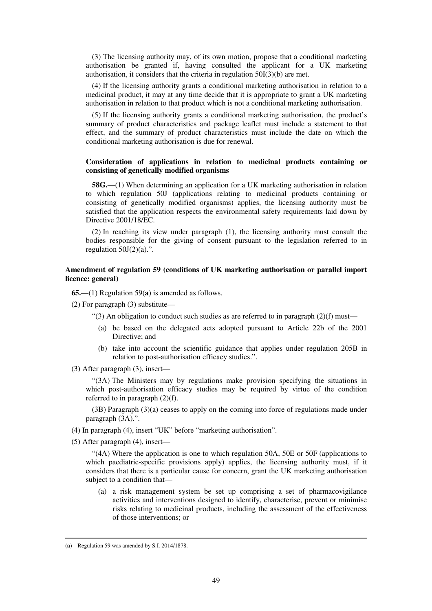(3) The licensing authority may, of its own motion, propose that a conditional marketing authorisation be granted if, having consulted the applicant for a UK marketing authorisation, it considers that the criteria in regulation  $50I(3)(b)$  are met.

(4) If the licensing authority grants a conditional marketing authorisation in relation to a medicinal product, it may at any time decide that it is appropriate to grant a UK marketing authorisation in relation to that product which is not a conditional marketing authorisation.

(5) If the licensing authority grants a conditional marketing authorisation, the product's summary of product characteristics and package leaflet must include a statement to that effect, and the summary of product characteristics must include the date on which the conditional marketing authorisation is due for renewal.

# **Consideration of applications in relation to medicinal products containing or consisting of genetically modified organisms**

**58G.**—(1) When determining an application for a UK marketing authorisation in relation to which regulation 50J (applications relating to medicinal products containing or consisting of genetically modified organisms) applies, the licensing authority must be satisfied that the application respects the environmental safety requirements laid down by Directive 2001/18/EC.

(2) In reaching its view under paragraph (1), the licensing authority must consult the bodies responsible for the giving of consent pursuant to the legislation referred to in regulation  $50J(2)(a)$ .".

# **Amendment of regulation 59 (conditions of UK marketing authorisation or parallel import licence: general)**

**65.**—(1) Regulation 59(**a**) is amended as follows.

- (2) For paragraph (3) substitute—
	- "(3) An obligation to conduct such studies as are referred to in paragraph  $(2)(f)$  must—
		- (a) be based on the delegated acts adopted pursuant to Article 22b of the 2001 Directive; and
		- (b) take into account the scientific guidance that applies under regulation 205B in relation to post-authorisation efficacy studies.".
- (3) After paragraph (3), insert—

"(3A) The Ministers may by regulations make provision specifying the situations in which post-authorisation efficacy studies may be required by virtue of the condition referred to in paragraph (2)(f).

(3B) Paragraph (3)(a) ceases to apply on the coming into force of regulations made under paragraph (3A).".

- (4) In paragraph (4), insert "UK" before "marketing authorisation".
- (5) After paragraph (4), insert—

"(4A) Where the application is one to which regulation 50A, 50E or 50F (applications to which paediatric-specific provisions apply) applies, the licensing authority must, if it considers that there is a particular cause for concern, grant the UK marketing authorisation subject to a condition that—

(a) a risk management system be set up comprising a set of pharmacovigilance activities and interventions designed to identify, characterise, prevent or minimise risks relating to medicinal products, including the assessment of the effectiveness of those interventions; or

<sup>(</sup>**a**) Regulation 59 was amended by S.I. 2014/1878.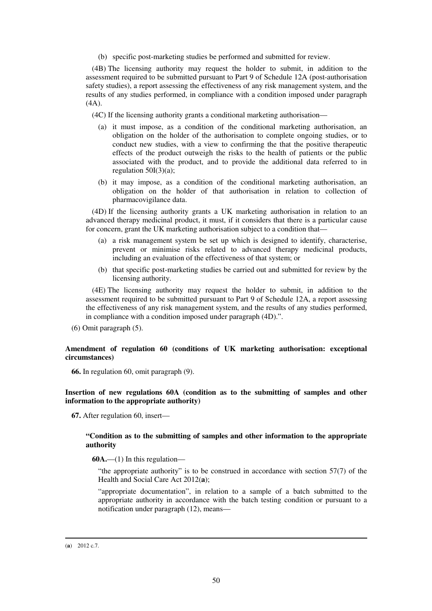(b) specific post-marketing studies be performed and submitted for review.

(4B) The licensing authority may request the holder to submit, in addition to the assessment required to be submitted pursuant to Part 9 of Schedule 12A (post-authorisation safety studies), a report assessing the effectiveness of any risk management system, and the results of any studies performed, in compliance with a condition imposed under paragraph (4A).

(4C) If the licensing authority grants a conditional marketing authorisation—

- (a) it must impose, as a condition of the conditional marketing authorisation, an obligation on the holder of the authorisation to complete ongoing studies, or to conduct new studies, with a view to confirming the that the positive therapeutic effects of the product outweigh the risks to the health of patients or the public associated with the product, and to provide the additional data referred to in regulation  $50I(3)(a)$ ;
- (b) it may impose, as a condition of the conditional marketing authorisation, an obligation on the holder of that authorisation in relation to collection of pharmacovigilance data.

(4D) If the licensing authority grants a UK marketing authorisation in relation to an advanced therapy medicinal product, it must, if it considers that there is a particular cause for concern, grant the UK marketing authorisation subject to a condition that—

- (a) a risk management system be set up which is designed to identify, characterise, prevent or minimise risks related to advanced therapy medicinal products, including an evaluation of the effectiveness of that system; or
- (b) that specific post-marketing studies be carried out and submitted for review by the licensing authority.

(4E) The licensing authority may request the holder to submit, in addition to the assessment required to be submitted pursuant to Part 9 of Schedule 12A, a report assessing the effectiveness of any risk management system, and the results of any studies performed, in compliance with a condition imposed under paragraph (4D).".

(6) Omit paragraph (5).

### **Amendment of regulation 60 (conditions of UK marketing authorisation: exceptional circumstances)**

**66.** In regulation 60, omit paragraph (9).

# **Insertion of new regulations 60A (condition as to the submitting of samples and other information to the appropriate authority)**

**67.** After regulation 60, insert—

# **"Condition as to the submitting of samples and other information to the appropriate authority**

**60A.**—(1) In this regulation—

"the appropriate authority" is to be construed in accordance with section  $57(7)$  of the Health and Social Care Act 2012(**a**);

"appropriate documentation", in relation to a sample of a batch submitted to the appropriate authority in accordance with the batch testing condition or pursuant to a notification under paragraph (12), means—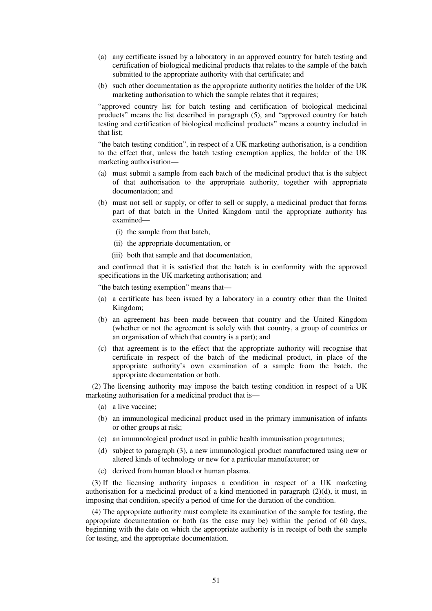- (a) any certificate issued by a laboratory in an approved country for batch testing and certification of biological medicinal products that relates to the sample of the batch submitted to the appropriate authority with that certificate; and
- (b) such other documentation as the appropriate authority notifies the holder of the UK marketing authorisation to which the sample relates that it requires;

"approved country list for batch testing and certification of biological medicinal products" means the list described in paragraph (5), and "approved country for batch testing and certification of biological medicinal products" means a country included in that list;

"the batch testing condition", in respect of a UK marketing authorisation, is a condition to the effect that, unless the batch testing exemption applies, the holder of the UK marketing authorisation—

- (a) must submit a sample from each batch of the medicinal product that is the subject of that authorisation to the appropriate authority, together with appropriate documentation; and
- (b) must not sell or supply, or offer to sell or supply, a medicinal product that forms part of that batch in the United Kingdom until the appropriate authority has examined—
	- (i) the sample from that batch,
	- (ii) the appropriate documentation, or
	- (iii) both that sample and that documentation,

and confirmed that it is satisfied that the batch is in conformity with the approved specifications in the UK marketing authorisation; and

"the batch testing exemption" means that—

- (a) a certificate has been issued by a laboratory in a country other than the United Kingdom;
- (b) an agreement has been made between that country and the United Kingdom (whether or not the agreement is solely with that country, a group of countries or an organisation of which that country is a part); and
- (c) that agreement is to the effect that the appropriate authority will recognise that certificate in respect of the batch of the medicinal product, in place of the appropriate authority's own examination of a sample from the batch, the appropriate documentation or both.

(2) The licensing authority may impose the batch testing condition in respect of a UK marketing authorisation for a medicinal product that is—

- (a) a live vaccine;
- (b) an immunological medicinal product used in the primary immunisation of infants or other groups at risk;
- (c) an immunological product used in public health immunisation programmes;
- (d) subject to paragraph (3), a new immunological product manufactured using new or altered kinds of technology or new for a particular manufacturer; or
- (e) derived from human blood or human plasma.

(3) If the licensing authority imposes a condition in respect of a UK marketing authorisation for a medicinal product of a kind mentioned in paragraph (2)(d), it must, in imposing that condition, specify a period of time for the duration of the condition.

(4) The appropriate authority must complete its examination of the sample for testing, the appropriate documentation or both (as the case may be) within the period of 60 days, beginning with the date on which the appropriate authority is in receipt of both the sample for testing, and the appropriate documentation.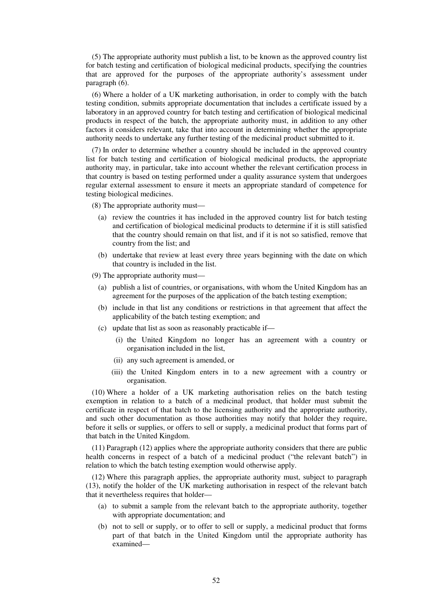(5) The appropriate authority must publish a list, to be known as the approved country list for batch testing and certification of biological medicinal products, specifying the countries that are approved for the purposes of the appropriate authority's assessment under paragraph (6).

(6) Where a holder of a UK marketing authorisation, in order to comply with the batch testing condition, submits appropriate documentation that includes a certificate issued by a laboratory in an approved country for batch testing and certification of biological medicinal products in respect of the batch, the appropriate authority must, in addition to any other factors it considers relevant, take that into account in determining whether the appropriate authority needs to undertake any further testing of the medicinal product submitted to it.

(7) In order to determine whether a country should be included in the approved country list for batch testing and certification of biological medicinal products, the appropriate authority may, in particular, take into account whether the relevant certification process in that country is based on testing performed under a quality assurance system that undergoes regular external assessment to ensure it meets an appropriate standard of competence for testing biological medicines.

(8) The appropriate authority must—

- (a) review the countries it has included in the approved country list for batch testing and certification of biological medicinal products to determine if it is still satisfied that the country should remain on that list, and if it is not so satisfied, remove that country from the list; and
- (b) undertake that review at least every three years beginning with the date on which that country is included in the list.

(9) The appropriate authority must—

- (a) publish a list of countries, or organisations, with whom the United Kingdom has an agreement for the purposes of the application of the batch testing exemption;
- (b) include in that list any conditions or restrictions in that agreement that affect the applicability of the batch testing exemption; and
- (c) update that list as soon as reasonably practicable if—
	- (i) the United Kingdom no longer has an agreement with a country or organisation included in the list,
	- (ii) any such agreement is amended, or
	- (iii) the United Kingdom enters in to a new agreement with a country or organisation.

(10) Where a holder of a UK marketing authorisation relies on the batch testing exemption in relation to a batch of a medicinal product, that holder must submit the certificate in respect of that batch to the licensing authority and the appropriate authority, and such other documentation as those authorities may notify that holder they require, before it sells or supplies, or offers to sell or supply, a medicinal product that forms part of that batch in the United Kingdom.

(11) Paragraph (12) applies where the appropriate authority considers that there are public health concerns in respect of a batch of a medicinal product ("the relevant batch") in relation to which the batch testing exemption would otherwise apply.

(12) Where this paragraph applies, the appropriate authority must, subject to paragraph (13), notify the holder of the UK marketing authorisation in respect of the relevant batch that it nevertheless requires that holder—

- (a) to submit a sample from the relevant batch to the appropriate authority, together with appropriate documentation; and
- (b) not to sell or supply, or to offer to sell or supply, a medicinal product that forms part of that batch in the United Kingdom until the appropriate authority has examined—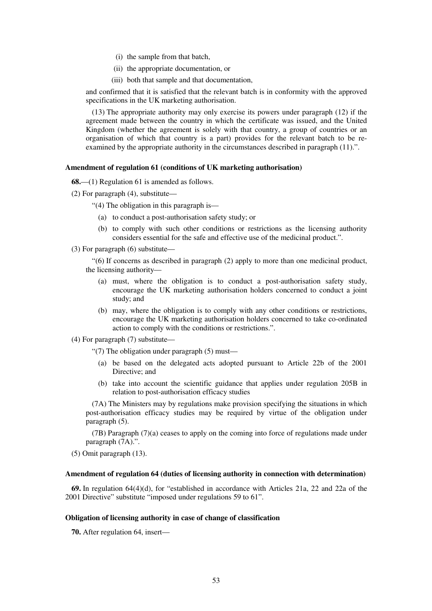- (i) the sample from that batch,
- (ii) the appropriate documentation, or
- (iii) both that sample and that documentation,

and confirmed that it is satisfied that the relevant batch is in conformity with the approved specifications in the UK marketing authorisation.

(13) The appropriate authority may only exercise its powers under paragraph (12) if the agreement made between the country in which the certificate was issued, and the United Kingdom (whether the agreement is solely with that country, a group of countries or an organisation of which that country is a part) provides for the relevant batch to be reexamined by the appropriate authority in the circumstances described in paragraph (11).".

### **Amendment of regulation 61 (conditions of UK marketing authorisation)**

**68.**—(1) Regulation 61 is amended as follows.

(2) For paragraph (4), substitute—

"(4) The obligation in this paragraph is—

- (a) to conduct a post-authorisation safety study; or
- (b) to comply with such other conditions or restrictions as the licensing authority considers essential for the safe and effective use of the medicinal product.".
- (3) For paragraph (6) substitute—

"(6) If concerns as described in paragraph (2) apply to more than one medicinal product, the licensing authority—

- (a) must, where the obligation is to conduct a post-authorisation safety study, encourage the UK marketing authorisation holders concerned to conduct a joint study; and
- (b) may, where the obligation is to comply with any other conditions or restrictions, encourage the UK marketing authorisation holders concerned to take co-ordinated action to comply with the conditions or restrictions.".
- (4) For paragraph (7) substitute—

"(7) The obligation under paragraph (5) must—

- (a) be based on the delegated acts adopted pursuant to Article 22b of the 2001 Directive; and
- (b) take into account the scientific guidance that applies under regulation 205B in relation to post-authorisation efficacy studies

(7A) The Ministers may by regulations make provision specifying the situations in which post-authorisation efficacy studies may be required by virtue of the obligation under paragraph (5).

(7B) Paragraph (7)(a) ceases to apply on the coming into force of regulations made under paragraph (7A).".

(5) Omit paragraph (13).

### **Amendment of regulation 64 (duties of licensing authority in connection with determination)**

**69.** In regulation 64(4)(d), for "established in accordance with Articles 21a, 22 and 22a of the 2001 Directive" substitute "imposed under regulations 59 to 61".

### **Obligation of licensing authority in case of change of classification**

**70.** After regulation 64, insert—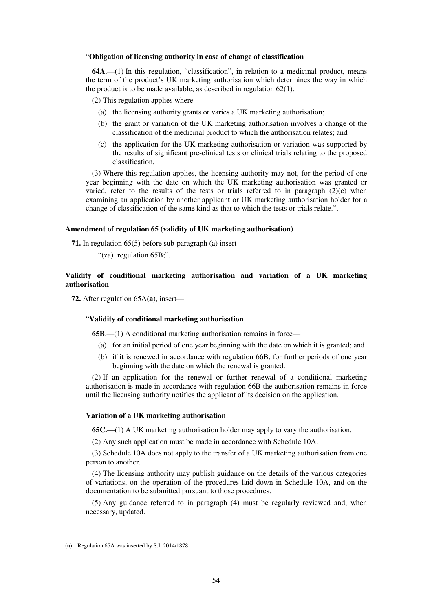#### "**Obligation of licensing authority in case of change of classification**

**64A.**—(1) In this regulation, "classification", in relation to a medicinal product, means the term of the product's UK marketing authorisation which determines the way in which the product is to be made available, as described in regulation 62(1).

(2) This regulation applies where—

- (a) the licensing authority grants or varies a UK marketing authorisation;
- (b) the grant or variation of the UK marketing authorisation involves a change of the classification of the medicinal product to which the authorisation relates; and
- (c) the application for the UK marketing authorisation or variation was supported by the results of significant pre-clinical tests or clinical trials relating to the proposed classification.

(3) Where this regulation applies, the licensing authority may not, for the period of one year beginning with the date on which the UK marketing authorisation was granted or varied, refer to the results of the tests or trials referred to in paragraph  $(2)(c)$  when examining an application by another applicant or UK marketing authorisation holder for a change of classification of the same kind as that to which the tests or trials relate.".

# **Amendment of regulation 65 (validity of UK marketing authorisation)**

**71.** In regulation 65(5) before sub-paragraph (a) insert—

"(za) regulation 65B;".

# **Validity of conditional marketing authorisation and variation of a UK marketing authorisation**

**72.** After regulation 65A(**a**), insert—

#### "**Validity of conditional marketing authorisation**

**65B**.—(1) A conditional marketing authorisation remains in force—

- (a) for an initial period of one year beginning with the date on which it is granted; and
- (b) if it is renewed in accordance with regulation 66B, for further periods of one year beginning with the date on which the renewal is granted.

(2) If an application for the renewal or further renewal of a conditional marketing authorisation is made in accordance with regulation 66B the authorisation remains in force until the licensing authority notifies the applicant of its decision on the application.

#### **Variation of a UK marketing authorisation**

**65C.**—(1) A UK marketing authorisation holder may apply to vary the authorisation.

(2) Any such application must be made in accordance with Schedule 10A.

(3) Schedule 10A does not apply to the transfer of a UK marketing authorisation from one person to another.

(4) The licensing authority may publish guidance on the details of the various categories of variations, on the operation of the procedures laid down in Schedule 10A, and on the documentation to be submitted pursuant to those procedures.

(5) Any guidance referred to in paragraph (4) must be regularly reviewed and, when necessary, updated.

<sup>(</sup>**a**) Regulation 65A was inserted by S.I. 2014/1878.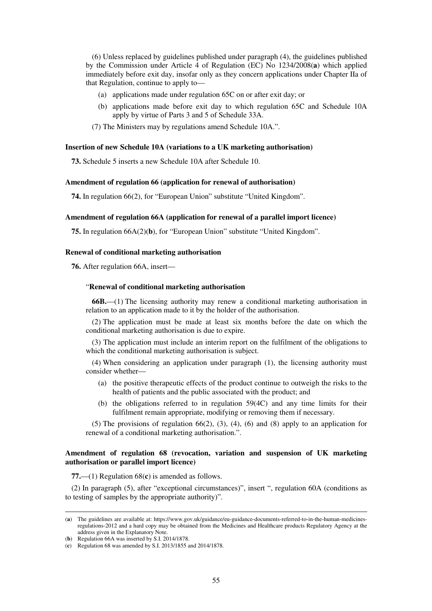(6) Unless replaced by guidelines published under paragraph (4), the guidelines published by the Commission under Article 4 of Regulation (EC) No 1234/2008(**a**) which applied immediately before exit day, insofar only as they concern applications under Chapter IIa of that Regulation, continue to apply to—

- (a) applications made under regulation 65C on or after exit day; or
- (b) applications made before exit day to which regulation 65C and Schedule 10A apply by virtue of Parts 3 and 5 of Schedule 33A.
- (7) The Ministers may by regulations amend Schedule 10A.".

### **Insertion of new Schedule 10A (variations to a UK marketing authorisation)**

**73.** Schedule 5 inserts a new Schedule 10A after Schedule 10.

### **Amendment of regulation 66 (application for renewal of authorisation)**

**74.** In regulation 66(2), for "European Union" substitute "United Kingdom".

#### **Amendment of regulation 66A (application for renewal of a parallel import licence)**

**75.** In regulation 66A(2)(**b**), for "European Union" substitute "United Kingdom".

### **Renewal of conditional marketing authorisation**

**76.** After regulation 66A, insert—

#### "**Renewal of conditional marketing authorisation**

**66B.**—(1) The licensing authority may renew a conditional marketing authorisation in relation to an application made to it by the holder of the authorisation.

(2) The application must be made at least six months before the date on which the conditional marketing authorisation is due to expire.

(3) The application must include an interim report on the fulfilment of the obligations to which the conditional marketing authorisation is subject.

(4) When considering an application under paragraph (1), the licensing authority must consider whether—

- (a) the positive therapeutic effects of the product continue to outweigh the risks to the health of patients and the public associated with the product; and
- (b) the obligations referred to in regulation 59(4C) and any time limits for their fulfilment remain appropriate, modifying or removing them if necessary.

(5) The provisions of regulation  $66(2)$ ,  $(3)$ ,  $(4)$ ,  $(6)$  and  $(8)$  apply to an application for renewal of a conditional marketing authorisation.".

### **Amendment of regulation 68 (revocation, variation and suspension of UK marketing authorisation or parallel import licence)**

**77.**—(1) Regulation 68(**c**) is amended as follows.

(2) In paragraph (5), after "exceptional circumstances)", insert ", regulation 60A (conditions as to testing of samples by the appropriate authority)".

<sup>(</sup>**a**) The guidelines are available at: https://www.gov.uk/guidance/eu-guidance-documents-referred-to-in-the-human-medicinesregulations-2012 and a hard copy may be obtained from the Medicines and Healthcare products Regulatory Agency at the address given in the Explanatory Note.

<sup>(</sup>**b**) Regulation 66A was inserted by S.I. 2014/1878.

<sup>(</sup>**c**) Regulation 68 was amended by S.I. 2013/1855 and 2014/1878.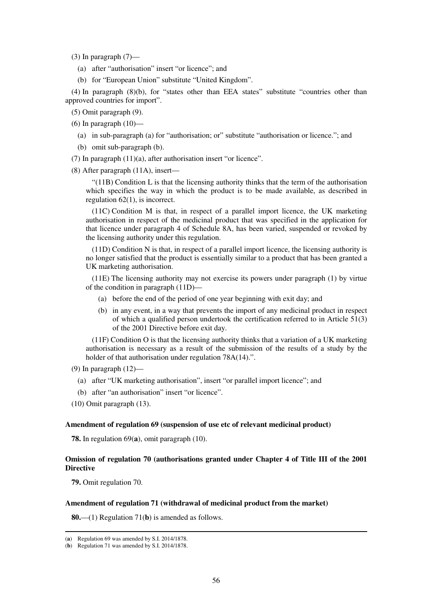$(3)$  In paragraph  $(7)$ —

- (a) after "authorisation" insert "or licence"; and
- (b) for "European Union" substitute "United Kingdom".

(4) In paragraph (8)(b), for "states other than EEA states" substitute "countries other than approved countries for import".

(5) Omit paragraph (9).

- (6) In paragraph (10)—
	- (a) in sub-paragraph (a) for "authorisation; or" substitute "authorisation or licence."; and
	- (b) omit sub-paragraph (b).
- (7) In paragraph (11)(a), after authorisation insert "or licence".
- (8) After paragraph (11A), insert—

"(11B) Condition L is that the licensing authority thinks that the term of the authorisation which specifies the way in which the product is to be made available, as described in regulation 62(1), is incorrect.

(11C) Condition M is that, in respect of a parallel import licence, the UK marketing authorisation in respect of the medicinal product that was specified in the application for that licence under paragraph 4 of Schedule 8A, has been varied, suspended or revoked by the licensing authority under this regulation.

(11D) Condition N is that, in respect of a parallel import licence, the licensing authority is no longer satisfied that the product is essentially similar to a product that has been granted a UK marketing authorisation.

(11E) The licensing authority may not exercise its powers under paragraph (1) by virtue of the condition in paragraph (11D)—

- (a) before the end of the period of one year beginning with exit day; and
- (b) in any event, in a way that prevents the import of any medicinal product in respect of which a qualified person undertook the certification referred to in Article 51(3) of the 2001 Directive before exit day.

(11F) Condition O is that the licensing authority thinks that a variation of a UK marketing authorisation is necessary as a result of the submission of the results of a study by the holder of that authorisation under regulation 78A(14).".

- (9) In paragraph (12)—
	- (a) after "UK marketing authorisation", insert "or parallel import licence"; and
	- (b) after "an authorisation" insert "or licence".
- (10) Omit paragraph (13).

### **Amendment of regulation 69 (suspension of use etc of relevant medicinal product)**

**78.** In regulation 69(**a**), omit paragraph (10).

# **Omission of regulation 70 (authorisations granted under Chapter 4 of Title III of the 2001 Directive**

**79.** Omit regulation 70.

-

#### **Amendment of regulation 71 (withdrawal of medicinal product from the market)**

**80.**—(1) Regulation 71(**b**) is amended as follows.

<sup>(</sup>**a**) Regulation 69 was amended by S.I. 2014/1878.

<sup>(</sup>**b**) Regulation 71 was amended by S.I. 2014/1878.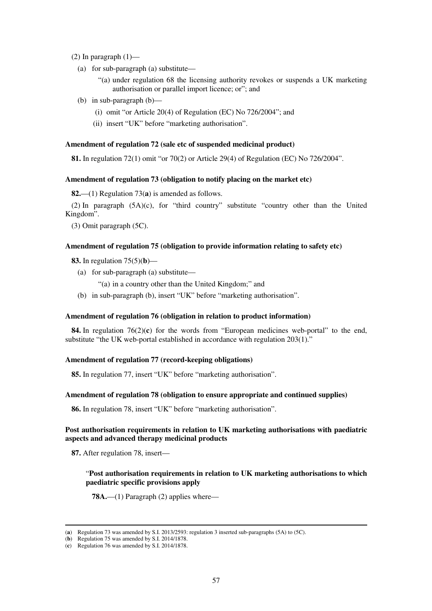$(2)$  In paragraph  $(1)$ —

(a) for sub-paragraph (a) substitute—

"(a) under regulation 68 the licensing authority revokes or suspends a UK marketing authorisation or parallel import licence; or"; and

- (b) in sub-paragraph (b)—
	- (i) omit "or Article 20(4) of Regulation (EC) No 726/2004"; and
	- (ii) insert "UK" before "marketing authorisation".

#### **Amendment of regulation 72 (sale etc of suspended medicinal product)**

**81.** In regulation 72(1) omit "or 70(2) or Article 29(4) of Regulation (EC) No 726/2004".

### **Amendment of regulation 73 (obligation to notify placing on the market etc)**

**82.**—(1) Regulation 73(**a**) is amended as follows.

(2) In paragraph (5A)(c), for "third country" substitute "country other than the United Kingdom".

(3) Omit paragraph (5C).

### **Amendment of regulation 75 (obligation to provide information relating to safety etc)**

**83.** In regulation 75(5)(**b**)—

(a) for sub-paragraph (a) substitute—

"(a) in a country other than the United Kingdom;" and

(b) in sub-paragraph (b), insert "UK" before "marketing authorisation".

### **Amendment of regulation 76 (obligation in relation to product information)**

**84.** In regulation 76(2)(**c**) for the words from "European medicines web-portal" to the end, substitute "the UK web-portal established in accordance with regulation 203(1)."

#### **Amendment of regulation 77 (record-keeping obligations)**

**85.** In regulation 77, insert "UK" before "marketing authorisation".

### **Amendment of regulation 78 (obligation to ensure appropriate and continued supplies)**

**86.** In regulation 78, insert "UK" before "marketing authorisation".

# **Post authorisation requirements in relation to UK marketing authorisations with paediatric aspects and advanced therapy medicinal products**

**87.** After regulation 78, insert—

# "**Post authorisation requirements in relation to UK marketing authorisations to which paediatric specific provisions apply**

**78A.**—(1) Paragraph (2) applies where—

<sup>(</sup>**a**) Regulation 73 was amended by S.I. 2013/2593: regulation 3 inserted sub-paragraphs (5A) to (5C).

<sup>(</sup>**b**) Regulation 75 was amended by S.I. 2014/1878.

<sup>(</sup>**c**) Regulation 76 was amended by S.I. 2014/1878.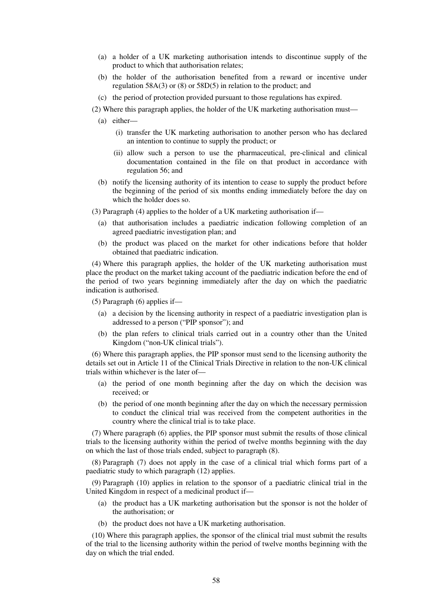- (a) a holder of a UK marketing authorisation intends to discontinue supply of the product to which that authorisation relates;
- (b) the holder of the authorisation benefited from a reward or incentive under regulation 58A(3) or (8) or 58D(5) in relation to the product; and
- (c) the period of protection provided pursuant to those regulations has expired.
- (2) Where this paragraph applies, the holder of the UK marketing authorisation must—
	- (a) either—
		- (i) transfer the UK marketing authorisation to another person who has declared an intention to continue to supply the product; or
		- (ii) allow such a person to use the pharmaceutical, pre-clinical and clinical documentation contained in the file on that product in accordance with regulation 56; and
	- (b) notify the licensing authority of its intention to cease to supply the product before the beginning of the period of six months ending immediately before the day on which the holder does so.
- (3) Paragraph (4) applies to the holder of a UK marketing authorisation if—
	- (a) that authorisation includes a paediatric indication following completion of an agreed paediatric investigation plan; and
	- (b) the product was placed on the market for other indications before that holder obtained that paediatric indication.

(4) Where this paragraph applies, the holder of the UK marketing authorisation must place the product on the market taking account of the paediatric indication before the end of the period of two years beginning immediately after the day on which the paediatric indication is authorised.

(5) Paragraph (6) applies if—

- (a) a decision by the licensing authority in respect of a paediatric investigation plan is addressed to a person ("PIP sponsor"); and
- (b) the plan refers to clinical trials carried out in a country other than the United Kingdom ("non-UK clinical trials").

(6) Where this paragraph applies, the PIP sponsor must send to the licensing authority the details set out in Article 11 of the Clinical Trials Directive in relation to the non-UK clinical trials within whichever is the later of—

- (a) the period of one month beginning after the day on which the decision was received; or
- (b) the period of one month beginning after the day on which the necessary permission to conduct the clinical trial was received from the competent authorities in the country where the clinical trial is to take place.

(7) Where paragraph (6) applies, the PIP sponsor must submit the results of those clinical trials to the licensing authority within the period of twelve months beginning with the day on which the last of those trials ended, subject to paragraph (8).

(8) Paragraph (7) does not apply in the case of a clinical trial which forms part of a paediatric study to which paragraph (12) applies.

(9) Paragraph (10) applies in relation to the sponsor of a paediatric clinical trial in the United Kingdom in respect of a medicinal product if—

- (a) the product has a UK marketing authorisation but the sponsor is not the holder of the authorisation; or
- (b) the product does not have a UK marketing authorisation.

(10) Where this paragraph applies, the sponsor of the clinical trial must submit the results of the trial to the licensing authority within the period of twelve months beginning with the day on which the trial ended.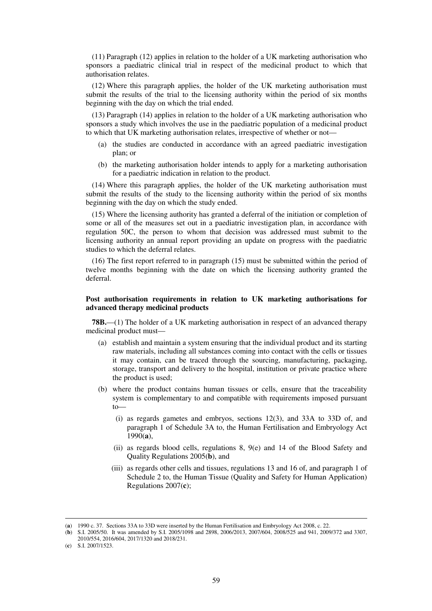(11) Paragraph (12) applies in relation to the holder of a UK marketing authorisation who sponsors a paediatric clinical trial in respect of the medicinal product to which that authorisation relates.

(12) Where this paragraph applies, the holder of the UK marketing authorisation must submit the results of the trial to the licensing authority within the period of six months beginning with the day on which the trial ended.

(13) Paragraph (14) applies in relation to the holder of a UK marketing authorisation who sponsors a study which involves the use in the paediatric population of a medicinal product to which that UK marketing authorisation relates, irrespective of whether or not—

- (a) the studies are conducted in accordance with an agreed paediatric investigation plan; or
- (b) the marketing authorisation holder intends to apply for a marketing authorisation for a paediatric indication in relation to the product.

(14) Where this paragraph applies, the holder of the UK marketing authorisation must submit the results of the study to the licensing authority within the period of six months beginning with the day on which the study ended.

(15) Where the licensing authority has granted a deferral of the initiation or completion of some or all of the measures set out in a paediatric investigation plan, in accordance with regulation 50C, the person to whom that decision was addressed must submit to the licensing authority an annual report providing an update on progress with the paediatric studies to which the deferral relates.

(16) The first report referred to in paragraph (15) must be submitted within the period of twelve months beginning with the date on which the licensing authority granted the deferral.

### **Post authorisation requirements in relation to UK marketing authorisations for advanced therapy medicinal products**

**78B.**—(1) The holder of a UK marketing authorisation in respect of an advanced therapy medicinal product must—

- (a) establish and maintain a system ensuring that the individual product and its starting raw materials, including all substances coming into contact with the cells or tissues it may contain, can be traced through the sourcing, manufacturing, packaging, storage, transport and delivery to the hospital, institution or private practice where the product is used;
- (b) where the product contains human tissues or cells, ensure that the traceability system is complementary to and compatible with requirements imposed pursuant to—
	- (i) as regards gametes and embryos, sections 12(3), and 33A to 33D of, and paragraph 1 of Schedule 3A to, the Human Fertilisation and Embryology Act 1990(**a**),
	- (ii) as regards blood cells, regulations 8, 9(e) and 14 of the Blood Safety and Quality Regulations 2005(**b**), and
	- (iii) as regards other cells and tissues, regulations 13 and 16 of, and paragraph 1 of Schedule 2 to, the Human Tissue (Quality and Safety for Human Application) Regulations 2007(**c**);

<sup>(</sup>**a**) 1990 c. 37. Sections 33A to 33D were inserted by the Human Fertilisation and Embryology Act 2008, c. 22.

<sup>(</sup>**b**) S.I. 2005/50. It was amended by S.I. 2005/1098 and 2898, 2006/2013, 2007/604, 2008/525 and 941, 2009/372 and 3307, 2010/554, 2016/604, 2017/1320 and 2018/231.

<sup>(</sup>**c**) S.I. 2007/1523.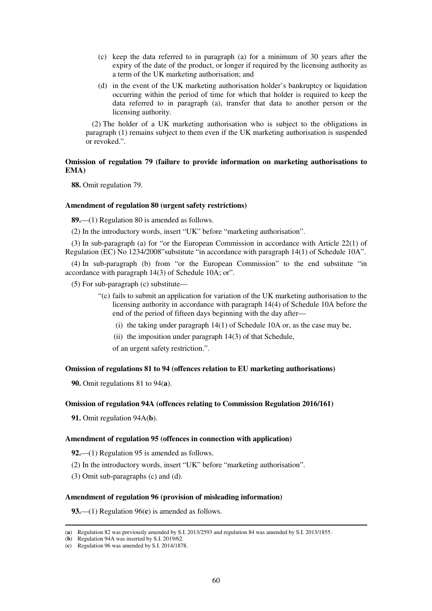- (c) keep the data referred to in paragraph (a) for a minimum of 30 years after the expiry of the date of the product, or longer if required by the licensing authority as a term of the UK marketing authorisation; and
- (d) in the event of the UK marketing authorisation holder's bankruptcy or liquidation occurring within the period of time for which that holder is required to keep the data referred to in paragraph (a), transfer that data to another person or the licensing authority.

(2) The holder of a UK marketing authorisation who is subject to the obligations in paragraph (1) remains subject to them even if the UK marketing authorisation is suspended or revoked."

# **Omission of regulation 79 (failure to provide information on marketing authorisations to EMA)**

**88.** Omit regulation 79.

### **Amendment of regulation 80 (urgent safety restrictions)**

**89.**—(1) Regulation 80 is amended as follows.

(2) In the introductory words, insert "UK" before "marketing authorisation".

(3) In sub-paragraph (a) for "or the European Commission in accordance with Article 22(1) of Regulation (EC) No 1234/2008"substitute "in accordance with paragraph 14(1) of Schedule 10A".

(4) In sub-paragraph (b) from "or the European Commission" to the end substitute "in accordance with paragraph 14(3) of Schedule 10A; or".

(5) For sub-paragraph (c) substitute—

- "(c) fails to submit an application for variation of the UK marketing authorisation to the licensing authority in accordance with paragraph 14(4) of Schedule 10A before the end of the period of fifteen days beginning with the day after—
	- (i) the taking under paragraph 14(1) of Schedule 10A or, as the case may be,
	- (ii) the imposition under paragraph 14(3) of that Schedule,
	- of an urgent safety restriction.".

# **Omission of regulations 81 to 94 (offences relation to EU marketing authorisations)**

**90.** Omit regulations 81 to 94(**a**).

### **Omission of regulation 94A (offences relating to Commission Regulation 2016/161)**

**91.** Omit regulation 94A(**b**).

### **Amendment of regulation 95 (offences in connection with application)**

**92.**—(1) Regulation 95 is amended as follows.

- (2) In the introductory words, insert "UK" before "marketing authorisation".
- (3) Omit sub-paragraphs (c) and (d).

### **Amendment of regulation 96 (provision of misleading information)**

**93.**—(1) Regulation 96(**c**) is amended as follows.

<sup>-</sup>(**a**) Regulation 82 was previously amended by S.I. 2013/2593 and regulation 84 was amended by S.I. 2013/1855.

<sup>(</sup>**b**) Regulation 94A was inserted by S.I. 2019/62.

<sup>(</sup>**c**) Regulation 96 was amended by S.I. 2014/1878.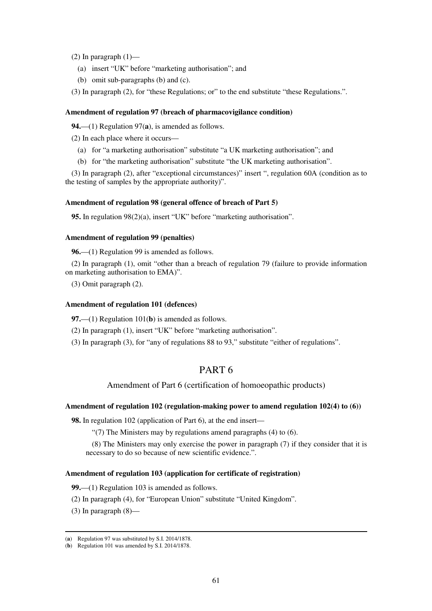$(2)$  In paragraph  $(1)$ —

- (a) insert "UK" before "marketing authorisation"; and
- (b) omit sub-paragraphs (b) and (c).

(3) In paragraph (2), for "these Regulations; or" to the end substitute "these Regulations.".

# **Amendment of regulation 97 (breach of pharmacovigilance condition)**

**94.**—(1) Regulation 97(**a**), is amended as follows.

(2) In each place where it occurs—

- (a) for "a marketing authorisation" substitute "a UK marketing authorisation"; and
- (b) for "the marketing authorisation" substitute "the UK marketing authorisation".

(3) In paragraph (2), after "exceptional circumstances)" insert ", regulation 60A (condition as to the testing of samples by the appropriate authority)".

# **Amendment of regulation 98 (general offence of breach of Part 5)**

**95.** In regulation 98(2)(a), insert "UK" before "marketing authorisation".

# **Amendment of regulation 99 (penalties)**

**96.**—(1) Regulation 99 is amended as follows.

(2) In paragraph (1), omit "other than a breach of regulation 79 (failure to provide information on marketing authorisation to EMA)".

(3) Omit paragraph (2).

# **Amendment of regulation 101 (defences)**

**97.**—(1) Regulation 101(**b**) is amended as follows.

(2) In paragraph (1), insert "UK" before "marketing authorisation".

(3) In paragraph (3), for "any of regulations 88 to 93," substitute "either of regulations".

# PART 6

# Amendment of Part 6 (certification of homoeopathic products)

# **Amendment of regulation 102 (regulation-making power to amend regulation 102(4) to (6))**

**98.** In regulation 102 (application of Part 6), at the end insert—

"(7) The Ministers may by regulations amend paragraphs  $(4)$  to  $(6)$ .

(8) The Ministers may only exercise the power in paragraph (7) if they consider that it is necessary to do so because of new scientific evidence.".

### **Amendment of regulation 103 (application for certificate of registration)**

**99.**—(1) Regulation 103 is amended as follows.

(2) In paragraph (4), for "European Union" substitute "United Kingdom".

(3) In paragraph (8)—

<sup>(</sup>**a**) Regulation 97 was substituted by S.I. 2014/1878.

<sup>(</sup>**b**) Regulation 101 was amended by S.I. 2014/1878.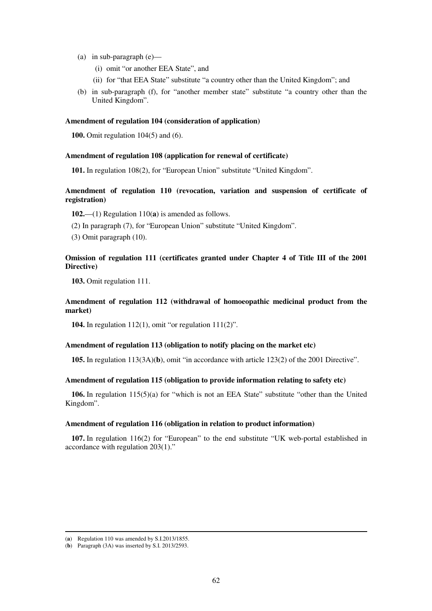- (a) in sub-paragraph (e)—
	- (i) omit "or another EEA State", and
	- (ii) for "that EEA State" substitute "a country other than the United Kingdom"; and
- (b) in sub-paragraph (f), for "another member state" substitute "a country other than the United Kingdom".

#### **Amendment of regulation 104 (consideration of application)**

**100.** Omit regulation 104(5) and (6).

## **Amendment of regulation 108 (application for renewal of certificate)**

**101.** In regulation 108(2), for "European Union" substitute "United Kingdom".

# **Amendment of regulation 110 (revocation, variation and suspension of certificate of registration)**

**102.**—(1) Regulation 110(**a**) is amended as follows.

- (2) In paragraph (7), for "European Union" substitute "United Kingdom".
- (3) Omit paragraph (10).

# **Omission of regulation 111 (certificates granted under Chapter 4 of Title III of the 2001 Directive)**

**103.** Omit regulation 111.

# **Amendment of regulation 112 (withdrawal of homoeopathic medicinal product from the market)**

**104.** In regulation 112(1), omit "or regulation 111(2)".

# **Amendment of regulation 113 (obligation to notify placing on the market etc)**

**105.** In regulation 113(3A)(**b**), omit "in accordance with article 123(2) of the 2001 Directive".

# **Amendment of regulation 115 (obligation to provide information relating to safety etc)**

**106.** In regulation 115(5)(a) for "which is not an EEA State" substitute "other than the United Kingdom".

### **Amendment of regulation 116 (obligation in relation to product information)**

**107.** In regulation 116(2) for "European" to the end substitute "UK web-portal established in accordance with regulation 203(1)."

<sup>(</sup>**a**) Regulation 110 was amended by S.I.2013/1855.

<sup>(</sup>**b**) Paragraph (3A) was inserted by S.I. 2013/2593.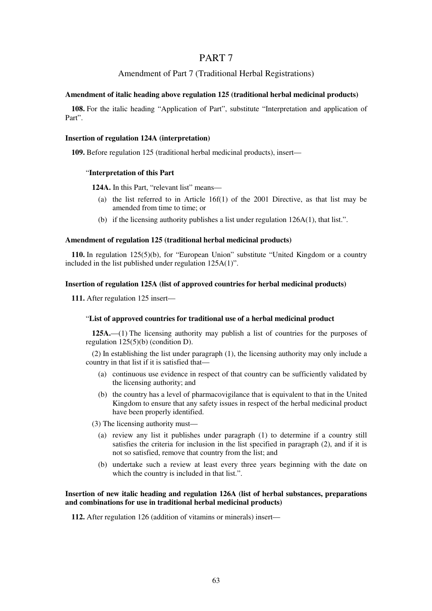# PART 7

# Amendment of Part 7 (Traditional Herbal Registrations)

### **Amendment of italic heading above regulation 125 (traditional herbal medicinal products)**

**108.** For the italic heading "Application of Part", substitute "Interpretation and application of Part".

### **Insertion of regulation 124A (interpretation)**

**109.** Before regulation 125 (traditional herbal medicinal products), insert—

#### "**Interpretation of this Part**

124A. In this Part, "relevant list" means—

- (a) the list referred to in Article  $16f(1)$  of the 2001 Directive, as that list may be amended from time to time; or
- (b) if the licensing authority publishes a list under regulation 126A(1), that list.".

#### **Amendment of regulation 125 (traditional herbal medicinal products)**

**110.** In regulation 125(5)(b), for "European Union" substitute "United Kingdom or a country included in the list published under regulation 125A(1)".

### **Insertion of regulation 125A (list of approved countries for herbal medicinal products)**

**111.** After regulation 125 insert—

### "**List of approved countries for traditional use of a herbal medicinal product**

**125A.**—(1) The licensing authority may publish a list of countries for the purposes of regulation  $125(5)(b)$  (condition D).

(2) In establishing the list under paragraph (1), the licensing authority may only include a country in that list if it is satisfied that—

- (a) continuous use evidence in respect of that country can be sufficiently validated by the licensing authority; and
- (b) the country has a level of pharmacovigilance that is equivalent to that in the United Kingdom to ensure that any safety issues in respect of the herbal medicinal product have been properly identified.

(3) The licensing authority must—

- (a) review any list it publishes under paragraph (1) to determine if a country still satisfies the criteria for inclusion in the list specified in paragraph (2), and if it is not so satisfied, remove that country from the list; and
- (b) undertake such a review at least every three years beginning with the date on which the country is included in that list.".

# **Insertion of new italic heading and regulation 126A (list of herbal substances, preparations and combinations for use in traditional herbal medicinal products)**

**112.** After regulation 126 (addition of vitamins or minerals) insert—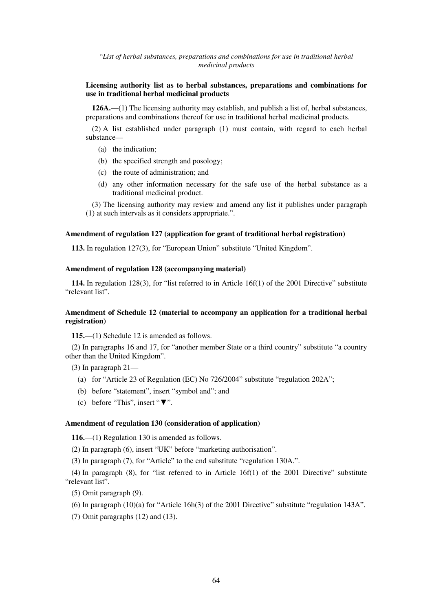# **Licensing authority list as to herbal substances, preparations and combinations for use in traditional herbal medicinal products**

**126A.**—(1) The licensing authority may establish, and publish a list of, herbal substances, preparations and combinations thereof for use in traditional herbal medicinal products.

(2) A list established under paragraph (1) must contain, with regard to each herbal substance—

- (a) the indication;
- (b) the specified strength and posology;
- (c) the route of administration; and
- (d) any other information necessary for the safe use of the herbal substance as a traditional medicinal product.

(3) The licensing authority may review and amend any list it publishes under paragraph (1) at such intervals as it considers appropriate.".

## **Amendment of regulation 127 (application for grant of traditional herbal registration)**

**113.** In regulation 127(3), for "European Union" substitute "United Kingdom".

### **Amendment of regulation 128 (accompanying material)**

**114.** In regulation 128(3), for "list referred to in Article 16f(1) of the 2001 Directive" substitute "relevant list".

# **Amendment of Schedule 12 (material to accompany an application for a traditional herbal registration)**

**115.**—(1) Schedule 12 is amended as follows.

(2) In paragraphs 16 and 17, for "another member State or a third country" substitute "a country other than the United Kingdom".

- (3) In paragraph 21—
	- (a) for "Article 23 of Regulation (EC) No 726/2004" substitute "regulation 202A";
	- (b) before "statement", insert "symbol and"; and
	- (c) before "This", insert "▼".

### **Amendment of regulation 130 (consideration of application)**

**116.**—(1) Regulation 130 is amended as follows.

(2) In paragraph (6), insert "UK" before "marketing authorisation".

(3) In paragraph (7), for "Article" to the end substitute "regulation 130A.".

(4) In paragraph (8), for "list referred to in Article 16f(1) of the 2001 Directive" substitute "relevant list".

(5) Omit paragraph (9).

(6) In paragraph (10)(a) for "Article 16h(3) of the 2001 Directive" substitute "regulation 143A".

(7) Omit paragraphs (12) and (13).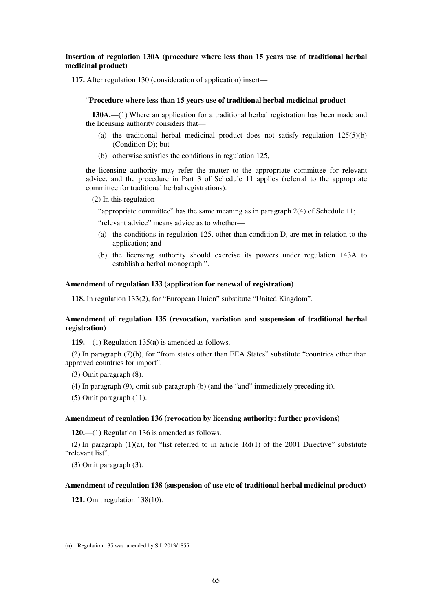# **Insertion of regulation 130A (procedure where less than 15 years use of traditional herbal medicinal product)**

**117.** After regulation 130 (consideration of application) insert—

### "**Procedure where less than 15 years use of traditional herbal medicinal product**

**130A.**—(1) Where an application for a traditional herbal registration has been made and the licensing authority considers that—

- (a) the traditional herbal medicinal product does not satisfy regulation  $125(5)(b)$ (Condition D); but
- (b) otherwise satisfies the conditions in regulation 125,

the licensing authority may refer the matter to the appropriate committee for relevant advice, and the procedure in Part 3 of Schedule 11 applies (referral to the appropriate committee for traditional herbal registrations).

(2) In this regulation—

"appropriate committee" has the same meaning as in paragraph 2(4) of Schedule 11;

"relevant advice" means advice as to whether—

- (a) the conditions in regulation 125, other than condition D, are met in relation to the application; and
- (b) the licensing authority should exercise its powers under regulation 143A to establish a herbal monograph.".

# **Amendment of regulation 133 (application for renewal of registration)**

**118.** In regulation 133(2), for "European Union" substitute "United Kingdom".

## **Amendment of regulation 135 (revocation, variation and suspension of traditional herbal registration)**

**119.**—(1) Regulation 135(**a**) is amended as follows.

(2) In paragraph (7)(b), for "from states other than EEA States" substitute "countries other than approved countries for import".

(3) Omit paragraph (8).

(4) In paragraph (9), omit sub-paragraph (b) (and the "and" immediately preceding it).

(5) Omit paragraph (11).

### **Amendment of regulation 136 (revocation by licensing authority: further provisions)**

**120.**—(1) Regulation 136 is amended as follows.

(2) In paragraph  $(1)(a)$ , for "list referred to in article 16f $(1)$  of the 2001 Directive" substitute "relevant list".

(3) Omit paragraph (3).

-

### **Amendment of regulation 138 (suspension of use etc of traditional herbal medicinal product)**

**121.** Omit regulation 138(10).

<sup>(</sup>**a**) Regulation 135 was amended by S.I. 2013/1855.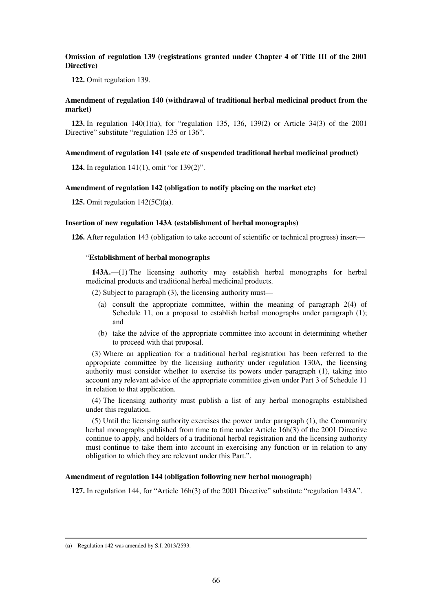# **Omission of regulation 139 (registrations granted under Chapter 4 of Title III of the 2001 Directive)**

**122.** Omit regulation 139.

# **Amendment of regulation 140 (withdrawal of traditional herbal medicinal product from the market)**

**123.** In regulation 140(1)(a), for "regulation 135, 136, 139(2) or Article 34(3) of the 2001 Directive" substitute "regulation 135 or 136".

### **Amendment of regulation 141 (sale etc of suspended traditional herbal medicinal product)**

**124.** In regulation 141(1), omit "or 139(2)".

### **Amendment of regulation 142 (obligation to notify placing on the market etc)**

**125.** Omit regulation 142(5C)(**a**).

#### **Insertion of new regulation 143A (establishment of herbal monographs)**

**126.** After regulation 143 (obligation to take account of scientific or technical progress) insert—

### "**Establishment of herbal monographs**

**143A.**—(1) The licensing authority may establish herbal monographs for herbal medicinal products and traditional herbal medicinal products.

(2) Subject to paragraph (3), the licensing authority must—

- (a) consult the appropriate committee, within the meaning of paragraph 2(4) of Schedule 11, on a proposal to establish herbal monographs under paragraph (1); and
- (b) take the advice of the appropriate committee into account in determining whether to proceed with that proposal.

(3) Where an application for a traditional herbal registration has been referred to the appropriate committee by the licensing authority under regulation 130A, the licensing authority must consider whether to exercise its powers under paragraph (1), taking into account any relevant advice of the appropriate committee given under Part 3 of Schedule 11 in relation to that application.

(4) The licensing authority must publish a list of any herbal monographs established under this regulation.

(5) Until the licensing authority exercises the power under paragraph (1), the Community herbal monographs published from time to time under Article 16h(3) of the 2001 Directive continue to apply, and holders of a traditional herbal registration and the licensing authority must continue to take them into account in exercising any function or in relation to any obligation to which they are relevant under this Part.".

# **Amendment of regulation 144 (obligation following new herbal monograph)**

**127.** In regulation 144, for "Article 16h(3) of the 2001 Directive" substitute "regulation 143A".

(**a**) Regulation 142 was amended by S.I. 2013/2593.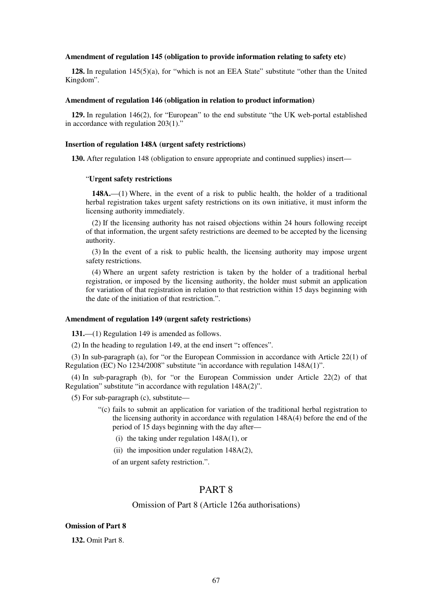#### **Amendment of regulation 145 (obligation to provide information relating to safety etc)**

**128.** In regulation 145(5)(a), for "which is not an EEA State" substitute "other than the United Kingdom".

### **Amendment of regulation 146 (obligation in relation to product information)**

**129.** In regulation 146(2), for "European" to the end substitute "the UK web-portal established in accordance with regulation 203(1)."

#### **Insertion of regulation 148A (urgent safety restrictions)**

**130.** After regulation 148 (obligation to ensure appropriate and continued supplies) insert—

#### "**Urgent safety restrictions**

**148A.**—(1) Where, in the event of a risk to public health, the holder of a traditional herbal registration takes urgent safety restrictions on its own initiative, it must inform the licensing authority immediately.

(2) If the licensing authority has not raised objections within 24 hours following receipt of that information, the urgent safety restrictions are deemed to be accepted by the licensing authority.

(3) In the event of a risk to public health, the licensing authority may impose urgent safety restrictions.

(4) Where an urgent safety restriction is taken by the holder of a traditional herbal registration, or imposed by the licensing authority, the holder must submit an application for variation of that registration in relation to that restriction within 15 days beginning with the date of the initiation of that restriction.".

#### **Amendment of regulation 149 (urgent safety restrictions)**

**131.**—(1) Regulation 149 is amended as follows.

(2) In the heading to regulation 149, at the end insert "**:** offences".

(3) In sub-paragraph (a), for "or the European Commission in accordance with Article 22(1) of Regulation (EC) No 1234/2008" substitute "in accordance with regulation 148A(1)".

(4) In sub-paragraph (b), for "or the European Commission under Article 22(2) of that Regulation" substitute "in accordance with regulation 148A(2)".

(5) For sub-paragraph (c), substitute—

- "(c) fails to submit an application for variation of the traditional herbal registration to the licensing authority in accordance with regulation 148A(4) before the end of the period of 15 days beginning with the day after—
	- (i) the taking under regulation 148A(1), or
	- (ii) the imposition under regulation  $148A(2)$ ,
	- of an urgent safety restriction.".

# PART 8

# Omission of Part 8 (Article 126a authorisations)

#### **Omission of Part 8**

**132.** Omit Part 8.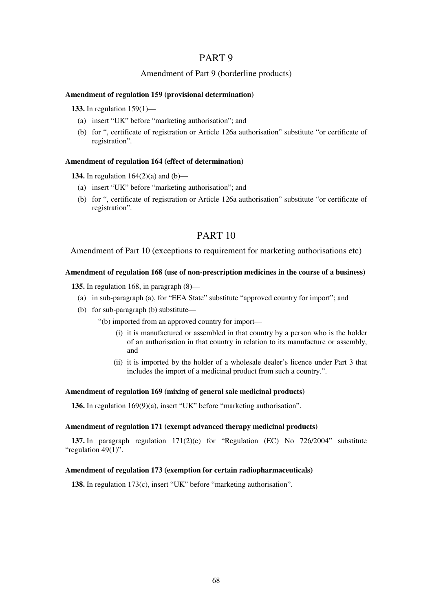# PART 9

# Amendment of Part 9 (borderline products)

### **Amendment of regulation 159 (provisional determination)**

### **133.** In regulation 159(1)—

- (a) insert "UK" before "marketing authorisation"; and
- (b) for ", certificate of registration or Article 126a authorisation" substitute "or certificate of registration".

# **Amendment of regulation 164 (effect of determination)**

**134.** In regulation 164(2)(a) and (b)—

- (a) insert "UK" before "marketing authorisation"; and
- (b) for ", certificate of registration or Article 126a authorisation" substitute "or certificate of registration".

# PART 10

# Amendment of Part 10 (exceptions to requirement for marketing authorisations etc)

### **Amendment of regulation 168 (use of non-prescription medicines in the course of a business)**

#### **135.** In regulation 168, in paragraph (8)—

- (a) in sub-paragraph (a), for "EEA State" substitute "approved country for import"; and
- (b) for sub-paragraph (b) substitute—

"(b) imported from an approved country for import—

- (i) it is manufactured or assembled in that country by a person who is the holder of an authorisation in that country in relation to its manufacture or assembly, and
- (ii) it is imported by the holder of a wholesale dealer's licence under Part 3 that includes the import of a medicinal product from such a country.".

### **Amendment of regulation 169 (mixing of general sale medicinal products)**

**136.** In regulation 169(9)(a), insert "UK" before "marketing authorisation".

#### **Amendment of regulation 171 (exempt advanced therapy medicinal products)**

**137.** In paragraph regulation 171(2)(c) for "Regulation (EC) No 726/2004" substitute "regulation 49(1)".

#### **Amendment of regulation 173 (exemption for certain radiopharmaceuticals)**

**138.** In regulation 173(c), insert "UK" before "marketing authorisation".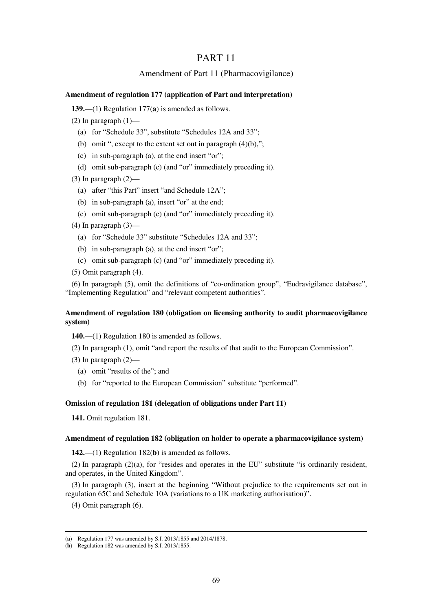# PART 11

# Amendment of Part 11 (Pharmacovigilance)

## **Amendment of regulation 177 (application of Part and interpretation)**

**139.**—(1) Regulation 177(**a**) is amended as follows.

(2) In paragraph  $(1)$ —

- (a) for "Schedule 33", substitute "Schedules 12A and 33";
- (b) omit ", except to the extent set out in paragraph  $(4)(b)$ ,";
- (c) in sub-paragraph (a), at the end insert "or";
- (d) omit sub-paragraph (c) (and "or" immediately preceding it).

(3) In paragraph (2)—

- (a) after "this Part" insert "and Schedule 12A";
- (b) in sub-paragraph (a), insert "or" at the end;
- (c) omit sub-paragraph (c) (and "or" immediately preceding it).
- $(4)$  In paragraph  $(3)$ 
	- (a) for "Schedule 33" substitute "Schedules 12A and 33";
	- (b) in sub-paragraph (a), at the end insert "or";
	- (c) omit sub-paragraph (c) (and "or" immediately preceding it).

(5) Omit paragraph (4).

(6) In paragraph (5), omit the definitions of "co-ordination group", "Eudravigilance database", "Implementing Regulation" and "relevant competent authorities".

# **Amendment of regulation 180 (obligation on licensing authority to audit pharmacovigilance system)**

**140.**—(1) Regulation 180 is amended as follows.

(2) In paragraph (1), omit "and report the results of that audit to the European Commission".

(3) In paragraph (2)—

- (a) omit "results of the"; and
- (b) for "reported to the European Commission" substitute "performed".

# **Omission of regulation 181 (delegation of obligations under Part 11)**

**141.** Omit regulation 181.

### **Amendment of regulation 182 (obligation on holder to operate a pharmacovigilance system)**

**142.**—(1) Regulation 182(**b**) is amended as follows.

(2) In paragraph (2)(a), for "resides and operates in the EU" substitute "is ordinarily resident, and operates, in the United Kingdom".

(3) In paragraph (3), insert at the beginning "Without prejudice to the requirements set out in regulation 65C and Schedule 10A (variations to a UK marketing authorisation)".

(4) Omit paragraph (6).

<sup>(</sup>**a**) Regulation 177 was amended by S.I. 2013/1855 and 2014/1878.

<sup>(</sup>**b**) Regulation 182 was amended by S.I. 2013/1855.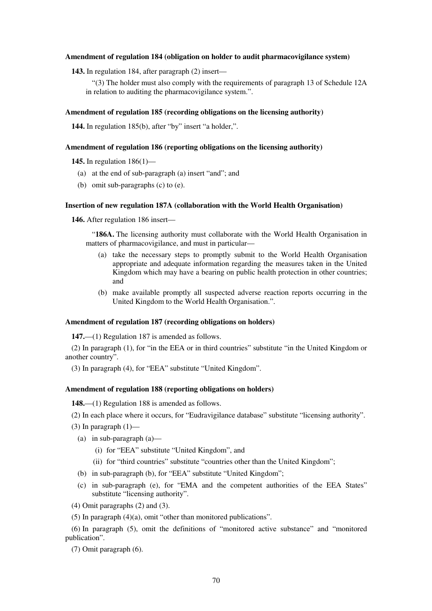#### **Amendment of regulation 184 (obligation on holder to audit pharmacovigilance system)**

**143.** In regulation 184, after paragraph (2) insert—

"(3) The holder must also comply with the requirements of paragraph 13 of Schedule 12A in relation to auditing the pharmacovigilance system.".

### **Amendment of regulation 185 (recording obligations on the licensing authority)**

**144.** In regulation 185(b), after "by" insert "a holder,".

# **Amendment of regulation 186 (reporting obligations on the licensing authority)**

**145.** In regulation 186(1)—

- (a) at the end of sub-paragraph (a) insert "and"; and
- (b) omit sub-paragraphs (c) to (e).

#### **Insertion of new regulation 187A (collaboration with the World Health Organisation)**

**146.** After regulation 186 insert—

"**186A.** The licensing authority must collaborate with the World Health Organisation in matters of pharmacovigilance, and must in particular—

- (a) take the necessary steps to promptly submit to the World Health Organisation appropriate and adequate information regarding the measures taken in the United Kingdom which may have a bearing on public health protection in other countries; and
- (b) make available promptly all suspected adverse reaction reports occurring in the United Kingdom to the World Health Organisation.".

### **Amendment of regulation 187 (recording obligations on holders)**

**147.**—(1) Regulation 187 is amended as follows.

(2) In paragraph (1), for "in the EEA or in third countries" substitute "in the United Kingdom or another country".

(3) In paragraph (4), for "EEA" substitute "United Kingdom".

### **Amendment of regulation 188 (reporting obligations on holders)**

**148.**—(1) Regulation 188 is amended as follows.

- (2) In each place where it occurs, for "Eudravigilance database" substitute "licensing authority".
- $(3)$  In paragraph  $(1)$ 
	- (a) in sub-paragraph (a)—
		- (i) for "EEA" substitute "United Kingdom", and
		- (ii) for "third countries" substitute "countries other than the United Kingdom";
	- (b) in sub-paragraph (b), for "EEA" substitute "United Kingdom";
	- (c) in sub-paragraph (e), for "EMA and the competent authorities of the EEA States" substitute "licensing authority".
- (4) Omit paragraphs (2) and (3).
- (5) In paragraph (4)(a), omit "other than monitored publications".

(6) In paragraph (5), omit the definitions of "monitored active substance" and "monitored publication".

(7) Omit paragraph (6).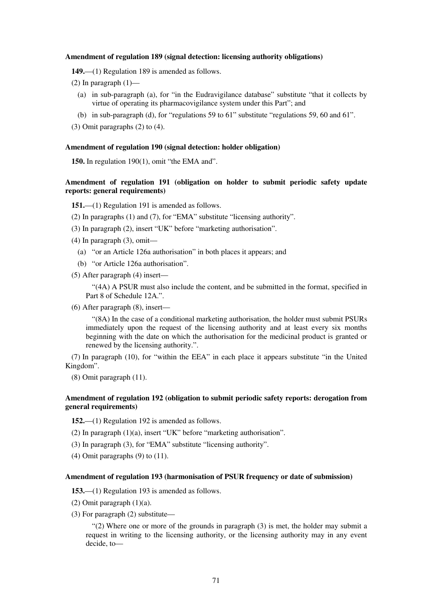#### **Amendment of regulation 189 (signal detection: licensing authority obligations)**

**149.**—(1) Regulation 189 is amended as follows.

- (2) In paragraph  $(1)$ 
	- (a) in sub-paragraph (a), for "in the Eudravigilance database" substitute "that it collects by virtue of operating its pharmacovigilance system under this Part"; and
	- (b) in sub-paragraph (d), for "regulations 59 to 61" substitute "regulations 59, 60 and 61".
- (3) Omit paragraphs (2) to (4).

# **Amendment of regulation 190 (signal detection: holder obligation)**

**150.** In regulation 190(1), omit "the EMA and".

# **Amendment of regulation 191 (obligation on holder to submit periodic safety update reports: general requirements)**

**151.**—(1) Regulation 191 is amended as follows.

- (2) In paragraphs (1) and (7), for "EMA" substitute "licensing authority".
- (3) In paragraph (2), insert "UK" before "marketing authorisation".
- (4) In paragraph (3), omit—
	- (a) "or an Article 126a authorisation" in both places it appears; and
	- (b) "or Article 126a authorisation".

(5) After paragraph (4) insert—

"(4A) A PSUR must also include the content, and be submitted in the format, specified in Part 8 of Schedule 12A.".

(6) After paragraph (8), insert—

"(8A) In the case of a conditional marketing authorisation, the holder must submit PSURs immediately upon the request of the licensing authority and at least every six months beginning with the date on which the authorisation for the medicinal product is granted or renewed by the licensing authority.".

(7) In paragraph (10), for "within the EEA" in each place it appears substitute "in the United Kingdom".

(8) Omit paragraph (11).

# **Amendment of regulation 192 (obligation to submit periodic safety reports: derogation from general requirements)**

**152.**—(1) Regulation 192 is amended as follows.

(2) In paragraph (1)(a), insert "UK" before "marketing authorisation".

(3) In paragraph (3), for "EMA" substitute "licensing authority".

(4) Omit paragraphs (9) to (11).

#### **Amendment of regulation 193 (harmonisation of PSUR frequency or date of submission)**

**153.**—(1) Regulation 193 is amended as follows.

- (2) Omit paragraph (1)(a).
- (3) For paragraph (2) substitute—

 $(2)$  Where one or more of the grounds in paragraph (3) is met, the holder may submit a request in writing to the licensing authority, or the licensing authority may in any event decide, to—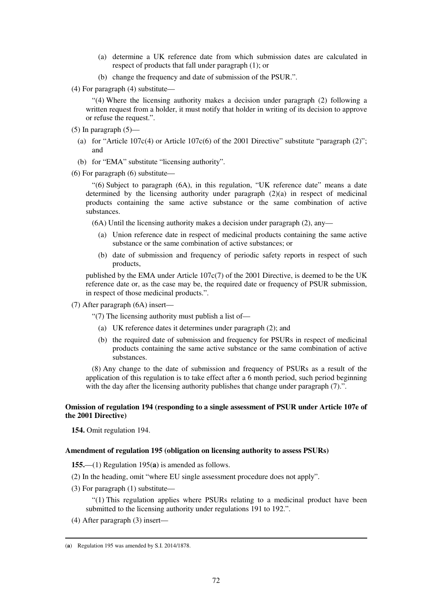- (a) determine a UK reference date from which submission dates are calculated in respect of products that fall under paragraph (1); or
- (b) change the frequency and date of submission of the PSUR.".
- (4) For paragraph (4) substitute—

"(4) Where the licensing authority makes a decision under paragraph (2) following a written request from a holder, it must notify that holder in writing of its decision to approve or refuse the request.".

- $(5)$  In paragraph  $(5)$ 
	- (a) for "Article 107 $c(4)$  or Article 107 $c(6)$  of the 2001 Directive" substitute "paragraph (2)"; and
	- (b) for "EMA" substitute "licensing authority".
- (6) For paragraph (6) substitute—

"(6) Subject to paragraph (6A), in this regulation, "UK reference date" means a date determined by the licensing authority under paragraph (2)(a) in respect of medicinal products containing the same active substance or the same combination of active substances.

(6A) Until the licensing authority makes a decision under paragraph (2), any—

- (a) Union reference date in respect of medicinal products containing the same active substance or the same combination of active substances; or
- (b) date of submission and frequency of periodic safety reports in respect of such products,

published by the EMA under Article  $107c(7)$  of the 2001 Directive, is deemed to be the UK reference date or, as the case may be, the required date or frequency of PSUR submission, in respect of those medicinal products.".

(7) After paragraph (6A) insert—

"(7) The licensing authority must publish a list of—

- (a) UK reference dates it determines under paragraph (2); and
- (b) the required date of submission and frequency for PSURs in respect of medicinal products containing the same active substance or the same combination of active substances.

(8) Any change to the date of submission and frequency of PSURs as a result of the application of this regulation is to take effect after a 6 month period, such period beginning with the day after the licensing authority publishes that change under paragraph (7).".

### **Omission of regulation 194 (responding to a single assessment of PSUR under Article 107e of the 2001 Directive)**

**154.** Omit regulation 194.

#### **Amendment of regulation 195 (obligation on licensing authority to assess PSURs)**

**155.**—(1) Regulation 195(**a**) is amended as follows.

- (2) In the heading, omit "where EU single assessment procedure does not apply".
- (3) For paragraph (1) substitute—

"(1) This regulation applies where PSURs relating to a medicinal product have been submitted to the licensing authority under regulations 191 to 192.".

(4) After paragraph (3) insert—

<sup>(</sup>**a**) Regulation 195 was amended by S.I. 2014/1878.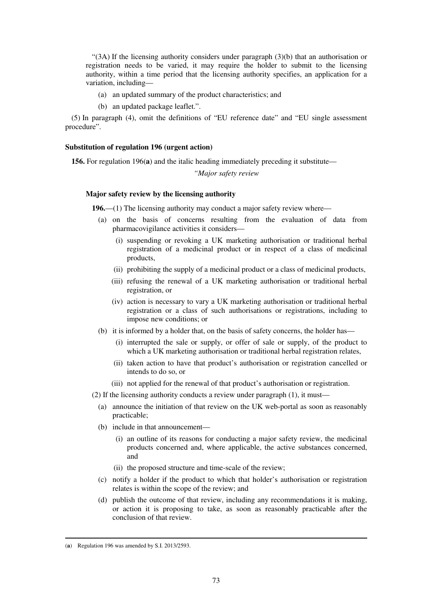"(3A) If the licensing authority considers under paragraph (3)(b) that an authorisation or registration needs to be varied, it may require the holder to submit to the licensing authority, within a time period that the licensing authority specifies, an application for a variation, including—

- (a) an updated summary of the product characteristics; and
- (b) an updated package leaflet.".

(5) In paragraph (4), omit the definitions of "EU reference date" and "EU single assessment procedure".

#### **Substitution of regulation 196 (urgent action)**

**156.** For regulation 196(**a**) and the italic heading immediately preceding it substitute—

#### *"Major safety review*

### **Major safety review by the licensing authority**

**196.**—(1) The licensing authority may conduct a major safety review where—

- (a) on the basis of concerns resulting from the evaluation of data from pharmacovigilance activities it considers—
	- (i) suspending or revoking a UK marketing authorisation or traditional herbal registration of a medicinal product or in respect of a class of medicinal products,
	- (ii) prohibiting the supply of a medicinal product or a class of medicinal products,
	- (iii) refusing the renewal of a UK marketing authorisation or traditional herbal registration, or
	- (iv) action is necessary to vary a UK marketing authorisation or traditional herbal registration or a class of such authorisations or registrations, including to impose new conditions; or
- (b) it is informed by a holder that, on the basis of safety concerns, the holder has—
	- (i) interrupted the sale or supply, or offer of sale or supply, of the product to which a UK marketing authorisation or traditional herbal registration relates,
	- (ii) taken action to have that product's authorisation or registration cancelled or intends to do so, or
	- (iii) not applied for the renewal of that product's authorisation or registration.
- (2) If the licensing authority conducts a review under paragraph (1), it must—
	- (a) announce the initiation of that review on the UK web-portal as soon as reasonably practicable;
	- (b) include in that announcement—
		- (i) an outline of its reasons for conducting a major safety review, the medicinal products concerned and, where applicable, the active substances concerned, and
		- (ii) the proposed structure and time-scale of the review;
	- (c) notify a holder if the product to which that holder's authorisation or registration relates is within the scope of the review; and
	- (d) publish the outcome of that review, including any recommendations it is making, or action it is proposing to take, as soon as reasonably practicable after the conclusion of that review.

<sup>(</sup>**a**) Regulation 196 was amended by S.I. 2013/2593.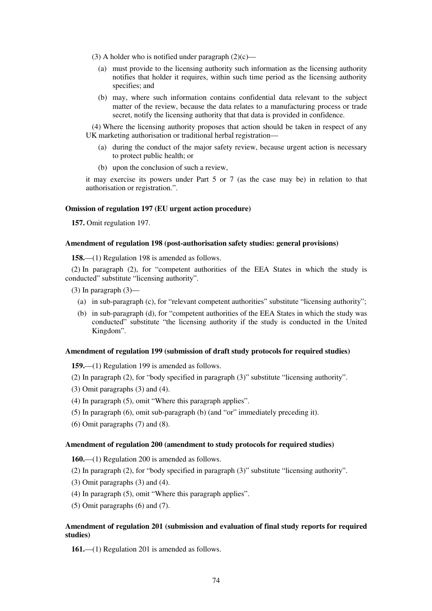(3) A holder who is notified under paragraph  $(2)(c)$ —

- (a) must provide to the licensing authority such information as the licensing authority notifies that holder it requires, within such time period as the licensing authority specifies: and
- (b) may, where such information contains confidential data relevant to the subject matter of the review, because the data relates to a manufacturing process or trade secret, notify the licensing authority that that data is provided in confidence.

(4) Where the licensing authority proposes that action should be taken in respect of any UK marketing authorisation or traditional herbal registration—

- (a) during the conduct of the major safety review, because urgent action is necessary to protect public health; or
- (b) upon the conclusion of such a review,

it may exercise its powers under Part 5 or 7 (as the case may be) in relation to that authorisation or registration.".

#### **Omission of regulation 197 (EU urgent action procedure)**

**157.** Omit regulation 197.

#### **Amendment of regulation 198 (post-authorisation safety studies: general provisions)**

**158.**—(1) Regulation 198 is amended as follows.

(2) In paragraph (2), for "competent authorities of the EEA States in which the study is conducted" substitute "licensing authority".

- $(3)$  In paragraph  $(3)$ 
	- (a) in sub-paragraph (c), for "relevant competent authorities" substitute "licensing authority";
	- (b) in sub-paragraph (d), for "competent authorities of the EEA States in which the study was conducted" substitute "the licensing authority if the study is conducted in the United Kingdom".

#### **Amendment of regulation 199 (submission of draft study protocols for required studies)**

**159.**—(1) Regulation 199 is amended as follows.

- (2) In paragraph (2), for "body specified in paragraph (3)" substitute "licensing authority".
- (3) Omit paragraphs (3) and (4).
- (4) In paragraph (5), omit "Where this paragraph applies".
- (5) In paragraph (6), omit sub-paragraph (b) (and "or" immediately preceding it).
- (6) Omit paragraphs (7) and (8).

#### **Amendment of regulation 200 (amendment to study protocols for required studies)**

**160.**—(1) Regulation 200 is amended as follows.

- (2) In paragraph (2), for "body specified in paragraph (3)" substitute "licensing authority".
- (3) Omit paragraphs (3) and (4).
- (4) In paragraph (5), omit "Where this paragraph applies".
- (5) Omit paragraphs (6) and (7).

## **Amendment of regulation 201 (submission and evaluation of final study reports for required studies)**

**161.**—(1) Regulation 201 is amended as follows.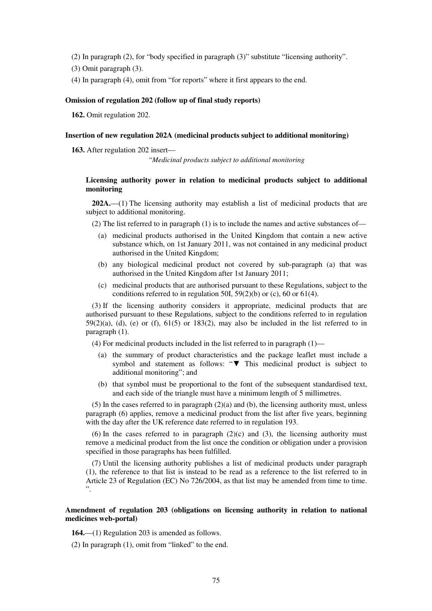- (2) In paragraph (2), for "body specified in paragraph (3)" substitute "licensing authority".
- (3) Omit paragraph (3).
- (4) In paragraph (4), omit from "for reports" where it first appears to the end.

### **Omission of regulation 202 (follow up of final study reports)**

**162.** Omit regulation 202.

#### **Insertion of new regulation 202A (medicinal products subject to additional monitoring)**

**163.** After regulation 202 insert—

*"Medicinal products subject to additional monitoring* 

## **Licensing authority power in relation to medicinal products subject to additional monitoring**

**202A.**—(1) The licensing authority may establish a list of medicinal products that are subject to additional monitoring.

- (2) The list referred to in paragraph (1) is to include the names and active substances of—
	- (a) medicinal products authorised in the United Kingdom that contain a new active substance which, on 1st January 2011, was not contained in any medicinal product authorised in the United Kingdom;
	- (b) any biological medicinal product not covered by sub-paragraph (a) that was authorised in the United Kingdom after 1st January 2011;
	- (c) medicinal products that are authorised pursuant to these Regulations, subject to the conditions referred to in regulation 50I, 59(2)(b) or (c), 60 or 61(4).

(3) If the licensing authority considers it appropriate, medicinal products that are authorised pursuant to these Regulations, subject to the conditions referred to in regulation  $59(2)(a)$ , (d), (e) or (f),  $61(5)$  or 183(2), may also be included in the list referred to in paragraph (1).

(4) For medicinal products included in the list referred to in paragraph (1)—

- (a) the summary of product characteristics and the package leaflet must include a symbol and statement as follows: "▼ This medicinal product is subject to additional monitoring"; and
- (b) that symbol must be proportional to the font of the subsequent standardised text, and each side of the triangle must have a minimum length of 5 millimetres.

(5) In the cases referred to in paragraph  $(2)(a)$  and (b), the licensing authority must, unless paragraph (6) applies, remove a medicinal product from the list after five years, beginning with the day after the UK reference date referred to in regulation 193.

(6) In the cases referred to in paragraph  $(2)(c)$  and  $(3)$ , the licensing authority must remove a medicinal product from the list once the condition or obligation under a provision specified in those paragraphs has been fulfilled.

(7) Until the licensing authority publishes a list of medicinal products under paragraph (1), the reference to that list is instead to be read as a reference to the list referred to in Article 23 of Regulation (EC) No 726/2004, as that list may be amended from time to time. ".

## **Amendment of regulation 203 (obligations on licensing authority in relation to national medicines web-portal)**

**164.**—(1) Regulation 203 is amended as follows.

(2) In paragraph (1), omit from "linked" to the end.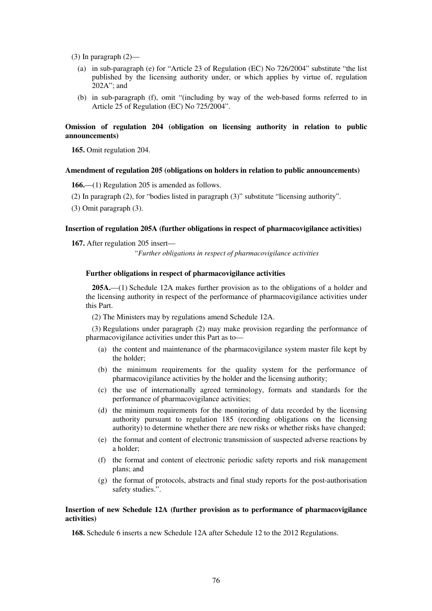$(3)$  In paragraph  $(2)$ —

- (a) in sub-paragraph (e) for "Article 23 of Regulation (EC) No 726/2004" substitute "the list published by the licensing authority under, or which applies by virtue of, regulation  $202A"$ : and
- (b) in sub-paragraph (f), omit "(including by way of the web-based forms referred to in Article 25 of Regulation (EC) No 725/2004".

## **Omission of regulation 204 (obligation on licensing authority in relation to public announcements)**

**165.** Omit regulation 204.

### **Amendment of regulation 205 (obligations on holders in relation to public announcements)**

**166.**—(1) Regulation 205 is amended as follows.

- (2) In paragraph (2), for "bodies listed in paragraph (3)" substitute "licensing authority".
- (3) Omit paragraph (3).

#### **Insertion of regulation 205A (further obligations in respect of pharmacovigilance activities)**

**167.** After regulation 205 insert—

*"Further obligations in respect of pharmacovigilance activities* 

## **Further obligations in respect of pharmacovigilance activities**

**205A.**—(1) Schedule 12A makes further provision as to the obligations of a holder and the licensing authority in respect of the performance of pharmacovigilance activities under this Part.

(2) The Ministers may by regulations amend Schedule 12A.

(3) Regulations under paragraph (2) may make provision regarding the performance of pharmacovigilance activities under this Part as to—

- (a) the content and maintenance of the pharmacovigilance system master file kept by the holder;
- (b) the minimum requirements for the quality system for the performance of pharmacovigilance activities by the holder and the licensing authority;
- (c) the use of internationally agreed terminology, formats and standards for the performance of pharmacovigilance activities;
- (d) the minimum requirements for the monitoring of data recorded by the licensing authority pursuant to regulation 185 (recording obligations on the licensing authority) to determine whether there are new risks or whether risks have changed;
- (e) the format and content of electronic transmission of suspected adverse reactions by a holder;
- (f) the format and content of electronic periodic safety reports and risk management plans; and
- (g) the format of protocols, abstracts and final study reports for the post-authorisation safety studies.".

### **Insertion of new Schedule 12A (further provision as to performance of pharmacovigilance activities)**

**168.** Schedule 6 inserts a new Schedule 12A after Schedule 12 to the 2012 Regulations.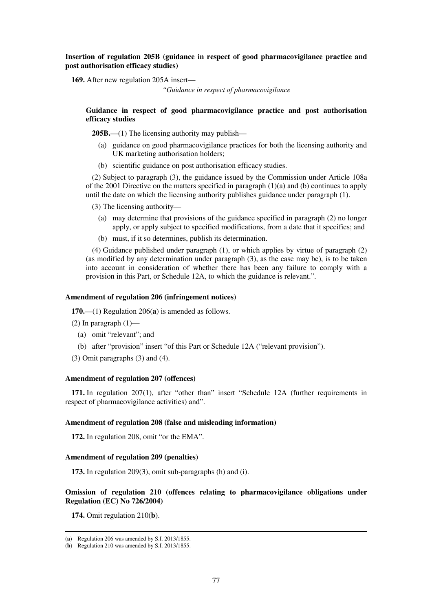**Insertion of regulation 205B (guidance in respect of good pharmacovigilance practice and post authorisation efficacy studies)** 

**169.** After new regulation 205A insert—

*"Guidance in respect of pharmacovigilance* 

## **Guidance in respect of good pharmacovigilance practice and post authorisation efficacy studies**

**205B.**—(1) The licensing authority may publish—

- (a) guidance on good pharmacovigilance practices for both the licensing authority and UK marketing authorisation holders;
- (b) scientific guidance on post authorisation efficacy studies.

(2) Subject to paragraph (3), the guidance issued by the Commission under Article 108a of the 2001 Directive on the matters specified in paragraph (1)(a) and (b) continues to apply until the date on which the licensing authority publishes guidance under paragraph (1).

(3) The licensing authority—

- (a) may determine that provisions of the guidance specified in paragraph (2) no longer apply, or apply subject to specified modifications, from a date that it specifies; and
- (b) must, if it so determines, publish its determination.

(4) Guidance published under paragraph (1), or which applies by virtue of paragraph (2) (as modified by any determination under paragraph (3), as the case may be), is to be taken into account in consideration of whether there has been any failure to comply with a provision in this Part, or Schedule 12A, to which the guidance is relevant.".

#### **Amendment of regulation 206 (infringement notices)**

**170.**—(1) Regulation 206(**a**) is amended as follows.

(2) In paragraph  $(1)$ —

- (a) omit "relevant"; and
- (b) after "provision" insert "of this Part or Schedule 12A ("relevant provision").

(3) Omit paragraphs (3) and (4).

#### **Amendment of regulation 207 (offences)**

**171.** In regulation 207(1), after "other than" insert "Schedule 12A (further requirements in respect of pharmacovigilance activities) and".

#### **Amendment of regulation 208 (false and misleading information)**

**172.** In regulation 208, omit "or the EMA".

#### **Amendment of regulation 209 (penalties)**

**173.** In regulation 209(3), omit sub-paragraphs (h) and (i).

## **Omission of regulation 210 (offences relating to pharmacovigilance obligations under Regulation (EC) No 726/2004)**

**174.** Omit regulation 210(**b**).

<sup>(</sup>**a**) Regulation 206 was amended by S.I. 2013/1855.

<sup>(</sup>**b**) Regulation 210 was amended by S.I. 2013/1855.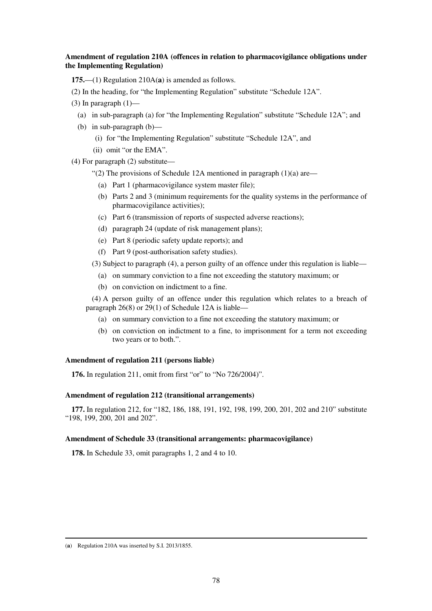## **Amendment of regulation 210A (offences in relation to pharmacovigilance obligations under the Implementing Regulation)**

**175.**—(1) Regulation 210A(**a**) is amended as follows.

- (2) In the heading, for "the Implementing Regulation" substitute "Schedule 12A".
- (3) In paragraph  $(1)$ 
	- (a) in sub-paragraph (a) for "the Implementing Regulation" substitute "Schedule 12A"; and
	- (b) in sub-paragraph (b)—
		- (i) for "the Implementing Regulation" substitute "Schedule 12A", and
		- (ii) omit "or the EMA".
- (4) For paragraph (2) substitute—
	- "(2) The provisions of Schedule 12A mentioned in paragraph  $(1)(a)$  are—
		- (a) Part 1 (pharmacovigilance system master file);
		- (b) Parts 2 and 3 (minimum requirements for the quality systems in the performance of pharmacovigilance activities);
		- (c) Part 6 (transmission of reports of suspected adverse reactions);
		- (d) paragraph 24 (update of risk management plans);
		- (e) Part 8 (periodic safety update reports); and
		- (f) Part 9 (post-authorisation safety studies).
	- (3) Subject to paragraph (4), a person guilty of an offence under this regulation is liable—
		- (a) on summary conviction to a fine not exceeding the statutory maximum; or
		- (b) on conviction on indictment to a fine.

(4) A person guilty of an offence under this regulation which relates to a breach of paragraph 26(8) or 29(1) of Schedule 12A is liable—

- (a) on summary conviction to a fine not exceeding the statutory maximum; or
- (b) on conviction on indictment to a fine, to imprisonment for a term not exceeding two years or to both.".

## **Amendment of regulation 211 (persons liable)**

**176.** In regulation 211, omit from first "or" to "No 726/2004)".

## **Amendment of regulation 212 (transitional arrangements)**

**177.** In regulation 212, for "182, 186, 188, 191, 192, 198, 199, 200, 201, 202 and 210" substitute "198, 199, 200, 201 and 202".

## **Amendment of Schedule 33 (transitional arrangements: pharmacovigilance)**

**178.** In Schedule 33, omit paragraphs 1, 2 and 4 to 10.

<sup>(</sup>**a**) Regulation 210A was inserted by S.I. 2013/1855.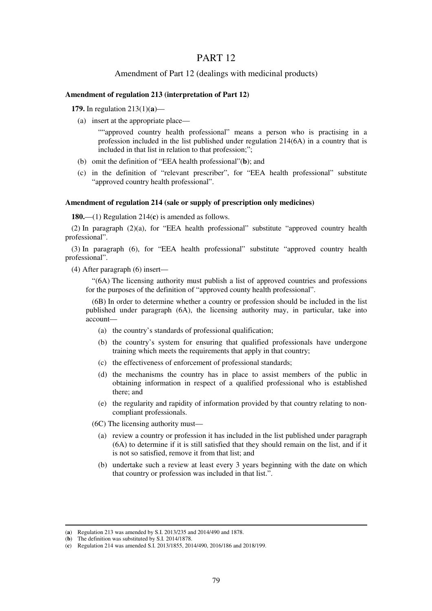## PART 12

## Amendment of Part 12 (dealings with medicinal products)

## **Amendment of regulation 213 (interpretation of Part 12)**

**179.** In regulation 213(1)(**a**)—

(a) insert at the appropriate place—

""approved country health professional" means a person who is practising in a profession included in the list published under regulation 214(6A) in a country that is included in that list in relation to that profession;";

- (b) omit the definition of "EEA health professional"(**b**); and
- (c) in the definition of "relevant prescriber", for "EEA health professional" substitute "approved country health professional".

## **Amendment of regulation 214 (sale or supply of prescription only medicines)**

**180.**—(1) Regulation 214(**c**) is amended as follows.

(2) In paragraph (2)(a), for "EEA health professional" substitute "approved country health professional".

(3) In paragraph (6), for "EEA health professional" substitute "approved country health professional".

(4) After paragraph (6) insert—

"(6A) The licensing authority must publish a list of approved countries and professions for the purposes of the definition of "approved county health professional".

(6B) In order to determine whether a country or profession should be included in the list published under paragraph (6A), the licensing authority may, in particular, take into account—

- (a) the country's standards of professional qualification;
- (b) the country's system for ensuring that qualified professionals have undergone training which meets the requirements that apply in that country;
- (c) the effectiveness of enforcement of professional standards;
- (d) the mechanisms the country has in place to assist members of the public in obtaining information in respect of a qualified professional who is established there; and
- (e) the regularity and rapidity of information provided by that country relating to noncompliant professionals.

(6C) The licensing authority must—

- (a) review a country or profession it has included in the list published under paragraph (6A) to determine if it is still satisfied that they should remain on the list, and if it is not so satisfied, remove it from that list; and
- (b) undertake such a review at least every 3 years beginning with the date on which that country or profession was included in that list.".

<sup>(</sup>**a**) Regulation 213 was amended by S.I. 2013/235 and 2014/490 and 1878.

<sup>(</sup>**b**) The definition was substituted by S.I. 2014/1878.

<sup>(</sup>**c**) Regulation 214 was amended S.I. 2013/1855, 2014/490, 2016/186 and 2018/199.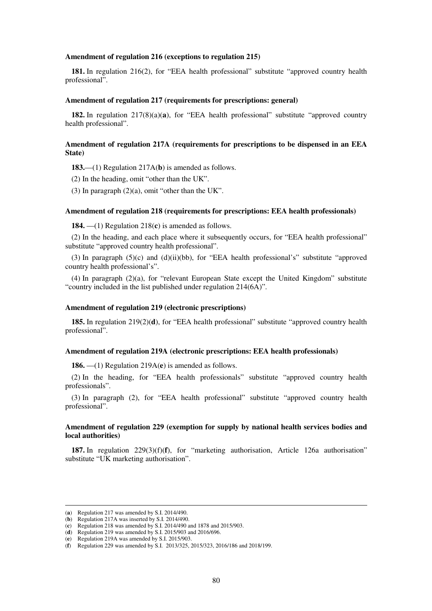#### **Amendment of regulation 216 (exceptions to regulation 215)**

**181.** In regulation 216(2), for "EEA health professional" substitute "approved country health professional".

### **Amendment of regulation 217 (requirements for prescriptions: general)**

**182.** In regulation 217(8)(a)(**a**), for "EEA health professional" substitute "approved country health professional".

### **Amendment of regulation 217A (requirements for prescriptions to be dispensed in an EEA State)**

**183.**—(1) Regulation 217A(**b**) is amended as follows.

(2) In the heading, omit "other than the UK".

(3) In paragraph (2)(a), omit "other than the UK".

#### **Amendment of regulation 218 (requirements for prescriptions: EEA health professionals)**

**184.** —(1) Regulation 218(**c**) is amended as follows.

(2) In the heading, and each place where it subsequently occurs, for "EEA health professional" substitute "approved country health professional".

(3) In paragraph (5)(c) and (d)(ii)(bb), for "EEA health professional's" substitute "approved country health professional's".

(4) In paragraph (2)(a), for "relevant European State except the United Kingdom" substitute "country included in the list published under regulation 214(6A)".

#### **Amendment of regulation 219 (electronic prescriptions)**

**185.** In regulation 219(2)(**d**), for "EEA health professional" substitute "approved country health professional".

#### **Amendment of regulation 219A (electronic prescriptions: EEA health professionals)**

**186.** —(1) Regulation 219A(**e**) is amended as follows.

(2) In the heading, for "EEA health professionals" substitute "approved country health professionals".

(3) In paragraph (2), for "EEA health professional" substitute "approved country health professional".

## **Amendment of regulation 229 (exemption for supply by national health services bodies and local authorities)**

**187.** In regulation 229(3)(f)(**f**), for "marketing authorisation, Article 126a authorisation" substitute "UK marketing authorisation".

<sup>(</sup>**a**) Regulation 217 was amended by S.I. 2014/490.

<sup>(</sup>**b**) Regulation 217A was inserted by S.I. 2014/490.

<sup>(</sup>**c**) Regulation 218 was amended by S.I. 2014/490 and 1878 and 2015/903.

<sup>(</sup>**d**) Regulation 219 was amended by S.I. 2015/903 and 2016/696.

<sup>(</sup>**e**) Regulation 219A was amended by S.I. 2015/903.

<sup>(</sup>**f**) Regulation 229 was amended by S.I. 2013/325, 2015/323, 2016/186 and 2018/199.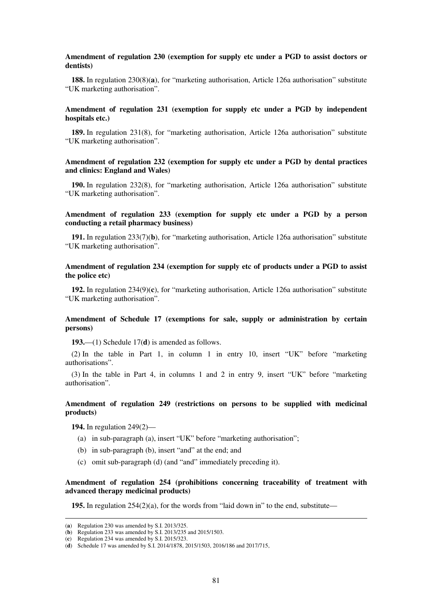#### **Amendment of regulation 230 (exemption for supply etc under a PGD to assist doctors or dentists)**

**188.** In regulation 230(8)(**a**), for "marketing authorisation, Article 126a authorisation" substitute "UK marketing authorisation".

## **Amendment of regulation 231 (exemption for supply etc under a PGD by independent hospitals etc.)**

**189.** In regulation 231(8), for "marketing authorisation, Article 126a authorisation" substitute "UK marketing authorisation".

## **Amendment of regulation 232 (exemption for supply etc under a PGD by dental practices and clinics: England and Wales)**

**190.** In regulation 232(8), for "marketing authorisation, Article 126a authorisation" substitute "UK marketing authorisation".

## **Amendment of regulation 233 (exemption for supply etc under a PGD by a person conducting a retail pharmacy business)**

**191.** In regulation 233(7)(**b**), for "marketing authorisation, Article 126a authorisation" substitute "UK marketing authorisation".

## **Amendment of regulation 234 (exemption for supply etc of products under a PGD to assist the police etc)**

**192.** In regulation 234(9)(**c**), for "marketing authorisation, Article 126a authorisation" substitute "UK marketing authorisation".

## **Amendment of Schedule 17 (exemptions for sale, supply or administration by certain persons)**

**193.**—(1) Schedule 17(**d**) is amended as follows.

(2) In the table in Part 1, in column 1 in entry 10, insert "UK" before "marketing authorisations".

(3) In the table in Part 4, in columns 1 and 2 in entry 9, insert "UK" before "marketing authorisation".

## **Amendment of regulation 249 (restrictions on persons to be supplied with medicinal products)**

**194.** In regulation 249(2)—

-

- (a) in sub-paragraph (a), insert "UK" before "marketing authorisation";
- (b) in sub-paragraph (b), insert "and" at the end; and
- (c) omit sub-paragraph (d) (and "and" immediately preceding it).

## **Amendment of regulation 254 (prohibitions concerning traceability of treatment with advanced therapy medicinal products)**

**195.** In regulation 254(2)(a), for the words from "laid down in" to the end, substitute—

<sup>(</sup>**a**) Regulation 230 was amended by S.I. 2013/325.

<sup>(</sup>**b**) Regulation 233 was amended by S.I. 2013/235 and 2015/1503.

<sup>(</sup>**c**) Regulation 234 was amended by S.I. 2015/323.

<sup>(</sup>**d**) Schedule 17 was amended by S.I. 2014/1878, 2015/1503, 2016/186 and 2017/715,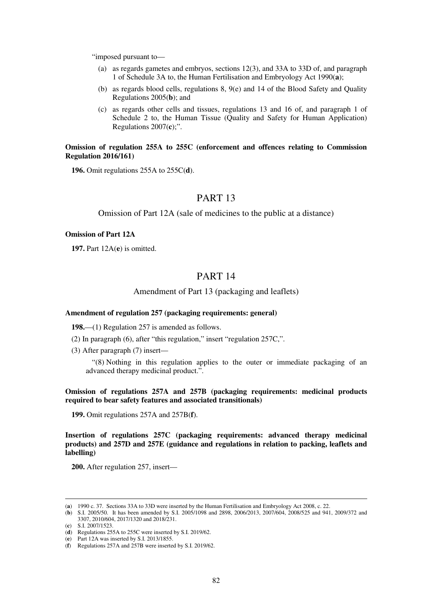"imposed pursuant to—

- (a) as regards gametes and embryos, sections 12(3), and 33A to 33D of, and paragraph 1 of Schedule 3A to, the Human Fertilisation and Embryology Act 1990(**a**);
- (b) as regards blood cells, regulations 8, 9(e) and 14 of the Blood Safety and Quality Regulations 2005(**b**); and
- (c) as regards other cells and tissues, regulations 13 and 16 of, and paragraph 1 of Schedule 2 to, the Human Tissue (Quality and Safety for Human Application) Regulations 2007(**c**);".

## **Omission of regulation 255A to 255C (enforcement and offences relating to Commission Regulation 2016/161)**

**196.** Omit regulations 255A to 255C(**d**).

## PART 13

Omission of Part 12A (sale of medicines to the public at a distance)

### **Omission of Part 12A**

**197.** Part 12A(**e**) is omitted.

# PART 14

## Amendment of Part 13 (packaging and leaflets)

#### **Amendment of regulation 257 (packaging requirements: general)**

**198.**—(1) Regulation 257 is amended as follows.

(2) In paragraph (6), after "this regulation," insert "regulation 257C,".

(3) After paragraph (7) insert—

"(8) Nothing in this regulation applies to the outer or immediate packaging of an advanced therapy medicinal product.".

## **Omission of regulations 257A and 257B (packaging requirements: medicinal products required to bear safety features and associated transitionals)**

**199.** Omit regulations 257A and 257B(**f**).

**Insertion of regulations 257C (packaging requirements: advanced therapy medicinal products) and 257D and 257E (guidance and regulations in relation to packing, leaflets and labelling)** 

**200.** After regulation 257, insert—

<sup>(</sup>**a**) 1990 c. 37. Sections 33A to 33D were inserted by the Human Fertilisation and Embryology Act 2008, c. 22.

<sup>(</sup>**b**) S.I. 2005/50. It has been amended by S.I. 2005/1098 and 2898, 2006/2013, 2007/604, 2008/525 and 941, 2009/372 and 3307, 2010/604, 2017/1320 and 2018/231.

<sup>(</sup>**c**) S.I. 2007/1523.

<sup>(</sup>**d**) Regulations 255A to 255C were inserted by S.I. 2019/62.

<sup>(</sup>**e**) Part 12A was inserted by S.I. 2013/1855.

<sup>(</sup>**f**) Regulations 257A and 257B were inserted by S.I. 2019/62.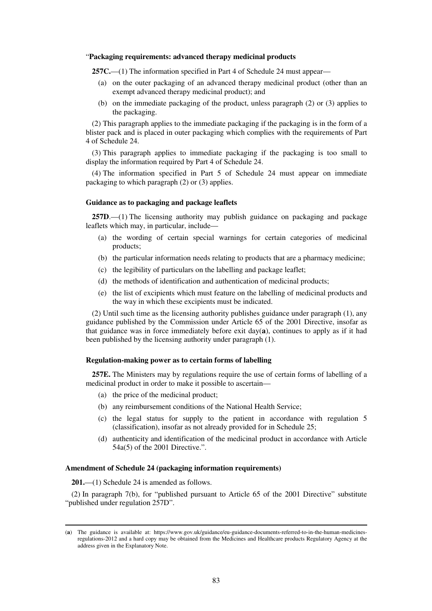#### "**Packaging requirements: advanced therapy medicinal products**

**257C.**—(1) The information specified in Part 4 of Schedule 24 must appear—

- (a) on the outer packaging of an advanced therapy medicinal product (other than an exempt advanced therapy medicinal product); and
- (b) on the immediate packaging of the product, unless paragraph (2) or (3) applies to the packaging.

(2) This paragraph applies to the immediate packaging if the packaging is in the form of a blister pack and is placed in outer packaging which complies with the requirements of Part 4 of Schedule 24.

(3) This paragraph applies to immediate packaging if the packaging is too small to display the information required by Part 4 of Schedule 24.

(4) The information specified in Part 5 of Schedule 24 must appear on immediate packaging to which paragraph (2) or (3) applies.

## **Guidance as to packaging and package leaflets**

**257D.**—(1) The licensing authority may publish guidance on packaging and package leaflets which may, in particular, include—

- (a) the wording of certain special warnings for certain categories of medicinal products;
- (b) the particular information needs relating to products that are a pharmacy medicine;
- (c) the legibility of particulars on the labelling and package leaflet;
- (d) the methods of identification and authentication of medicinal products;
- (e) the list of excipients which must feature on the labelling of medicinal products and the way in which these excipients must be indicated.

(2) Until such time as the licensing authority publishes guidance under paragraph (1), any guidance published by the Commission under Article 65 of the 2001 Directive, insofar as that guidance was in force immediately before exit  $day(a)$ , continues to apply as if it had been published by the licensing authority under paragraph (1).

### **Regulation-making power as to certain forms of labelling**

**257E.** The Ministers may by regulations require the use of certain forms of labelling of a medicinal product in order to make it possible to ascertain—

- (a) the price of the medicinal product;
- (b) any reimbursement conditions of the National Health Service;
- (c) the legal status for supply to the patient in accordance with regulation 5 (classification), insofar as not already provided for in Schedule 25;
- (d) authenticity and identification of the medicinal product in accordance with Article 54a(5) of the 2001 Directive.".

#### **Amendment of Schedule 24 (packaging information requirements)**

**201.**—(1) Schedule 24 is amended as follows.

-

(2) In paragraph 7(b), for "published pursuant to Article 65 of the 2001 Directive" substitute "published under regulation 257D".

<sup>(</sup>**a**) The guidance is available at: https://www.gov.uk/guidance/eu-guidance-documents-referred-to-in-the-human-medicinesregulations-2012 and a hard copy may be obtained from the Medicines and Healthcare products Regulatory Agency at the address given in the Explanatory Note.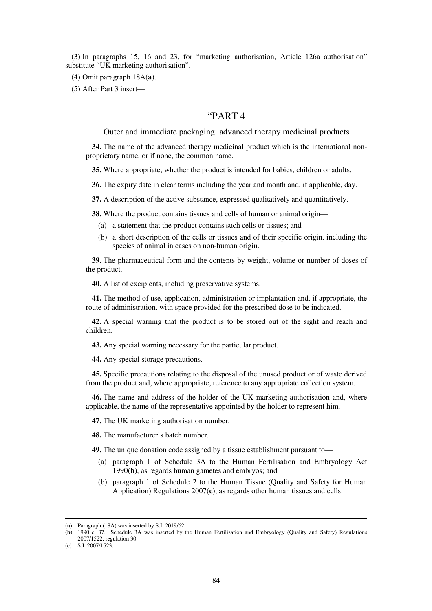(3) In paragraphs 15, 16 and 23, for "marketing authorisation, Article 126a authorisation" substitute "UK marketing authorisation".

(4) Omit paragraph 18A(**a**).

(5) After Part 3 insert—

# "PART 4

Outer and immediate packaging: advanced therapy medicinal products

**34.** The name of the advanced therapy medicinal product which is the international nonproprietary name, or if none, the common name.

**35.** Where appropriate, whether the product is intended for babies, children or adults.

**36.** The expiry date in clear terms including the year and month and, if applicable, day.

**37.** A description of the active substance, expressed qualitatively and quantitatively.

**38.** Where the product contains tissues and cells of human or animal origin—

- (a) a statement that the product contains such cells or tissues; and
- (b) a short description of the cells or tissues and of their specific origin, including the species of animal in cases on non-human origin.

**39.** The pharmaceutical form and the contents by weight, volume or number of doses of the product.

**40.** A list of excipients, including preservative systems.

**41.** The method of use, application, administration or implantation and, if appropriate, the route of administration, with space provided for the prescribed dose to be indicated.

**42.** A special warning that the product is to be stored out of the sight and reach and children.

**43.** Any special warning necessary for the particular product.

**44.** Any special storage precautions.

**45.** Specific precautions relating to the disposal of the unused product or of waste derived from the product and, where appropriate, reference to any appropriate collection system.

**46.** The name and address of the holder of the UK marketing authorisation and, where applicable, the name of the representative appointed by the holder to represent him.

**47.** The UK marketing authorisation number.

**48.** The manufacturer's batch number.

**49.** The unique donation code assigned by a tissue establishment pursuant to—

- (a) paragraph 1 of Schedule 3A to the Human Fertilisation and Embryology Act 1990(**b**), as regards human gametes and embryos; and
- (b) paragraph 1 of Schedule 2 to the Human Tissue (Quality and Safety for Human Application) Regulations 2007(**c**), as regards other human tissues and cells.

<sup>(</sup>**a**) Paragraph (18A) was inserted by S.I. 2019/62.

<sup>(</sup>**b**) 1990 c. 37. Schedule 3A was inserted by the Human Fertilisation and Embryology (Quality and Safety) Regulations 2007/1522, regulation 30.

<sup>(</sup>**c**) S.I. 2007/1523.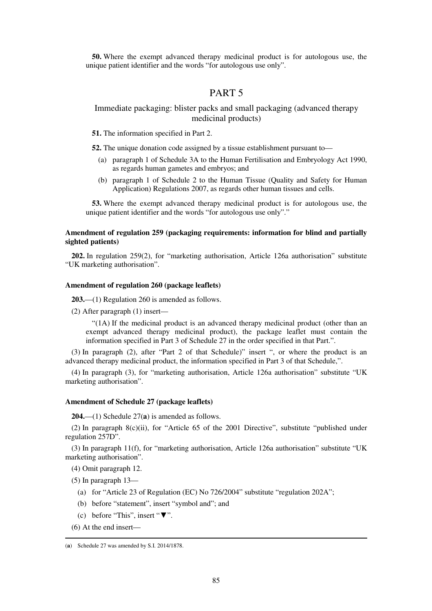**50.** Where the exempt advanced therapy medicinal product is for autologous use, the unique patient identifier and the words "for autologous use only".

## PART 5

## Immediate packaging: blister packs and small packaging (advanced therapy medicinal products)

**51.** The information specified in Part 2.

**52.** The unique donation code assigned by a tissue establishment pursuant to—

- (a) paragraph 1 of Schedule 3A to the Human Fertilisation and Embryology Act 1990, as regards human gametes and embryos; and
- (b) paragraph 1 of Schedule 2 to the Human Tissue (Quality and Safety for Human Application) Regulations 2007, as regards other human tissues and cells.

**53.** Where the exempt advanced therapy medicinal product is for autologous use, the unique patient identifier and the words "for autologous use only"."

## **Amendment of regulation 259 (packaging requirements: information for blind and partially sighted patients)**

**202.** In regulation 259(2), for "marketing authorisation, Article 126a authorisation" substitute "UK marketing authorisation".

#### **Amendment of regulation 260 (package leaflets)**

**203.**—(1) Regulation 260 is amended as follows.

(2) After paragraph (1) insert—

"(1A) If the medicinal product is an advanced therapy medicinal product (other than an exempt advanced therapy medicinal product), the package leaflet must contain the information specified in Part 3 of Schedule 27 in the order specified in that Part.".

(3) In paragraph (2), after "Part 2 of that Schedule)" insert ", or where the product is an advanced therapy medicinal product, the information specified in Part 3 of that Schedule,".

(4) In paragraph (3), for "marketing authorisation, Article 126a authorisation" substitute "UK marketing authorisation".

#### **Amendment of Schedule 27 (package leaflets)**

**204.**—(1) Schedule 27(**a**) is amended as follows.

(2) In paragraph 8(c)(ii), for "Article 65 of the 2001 Directive", substitute "published under regulation 257D".

(3) In paragraph 11(f), for "marketing authorisation, Article 126a authorisation" substitute "UK marketing authorisation".

(4) Omit paragraph 12.

(5) In paragraph 13—

- (a) for "Article 23 of Regulation (EC) No 726/2004" substitute "regulation 202A";
- (b) before "statement", insert "symbol and"; and
- (c) before "This", insert "▼".
- (6) At the end insert—

<sup>(</sup>**a**) Schedule 27 was amended by S.I. 2014/1878.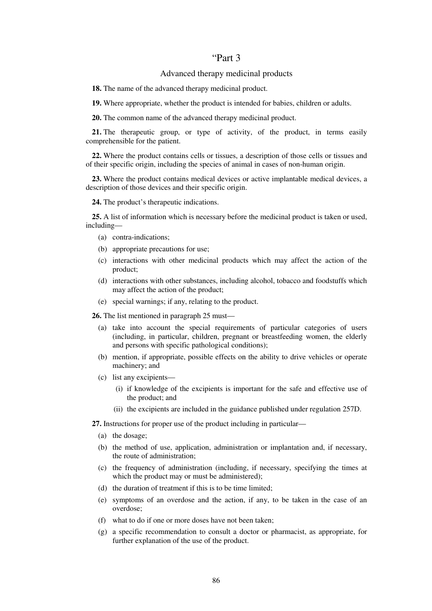## "Part 3

### Advanced therapy medicinal products

**18.** The name of the advanced therapy medicinal product.

**19.** Where appropriate, whether the product is intended for babies, children or adults.

**20.** The common name of the advanced therapy medicinal product.

**21.** The therapeutic group, or type of activity, of the product, in terms easily comprehensible for the patient.

**22.** Where the product contains cells or tissues, a description of those cells or tissues and of their specific origin, including the species of animal in cases of non-human origin.

**23.** Where the product contains medical devices or active implantable medical devices, a description of those devices and their specific origin.

**24.** The product's therapeutic indications.

**25.** A list of information which is necessary before the medicinal product is taken or used, including—

- (a) contra-indications;
- (b) appropriate precautions for use;
- (c) interactions with other medicinal products which may affect the action of the product;
- (d) interactions with other substances, including alcohol, tobacco and foodstuffs which may affect the action of the product;
- (e) special warnings; if any, relating to the product.

**26.** The list mentioned in paragraph 25 must—

- (a) take into account the special requirements of particular categories of users (including, in particular, children, pregnant or breastfeeding women, the elderly and persons with specific pathological conditions);
- (b) mention, if appropriate, possible effects on the ability to drive vehicles or operate machinery; and
- (c) list any excipients—
	- (i) if knowledge of the excipients is important for the safe and effective use of the product; and
	- (ii) the excipients are included in the guidance published under regulation 257D.

**27.** Instructions for proper use of the product including in particular—

- (a) the dosage;
- (b) the method of use, application, administration or implantation and, if necessary, the route of administration;
- (c) the frequency of administration (including, if necessary, specifying the times at which the product may or must be administered):
- (d) the duration of treatment if this is to be time limited;
- (e) symptoms of an overdose and the action, if any, to be taken in the case of an overdose;
- (f) what to do if one or more doses have not been taken;
- (g) a specific recommendation to consult a doctor or pharmacist, as appropriate, for further explanation of the use of the product.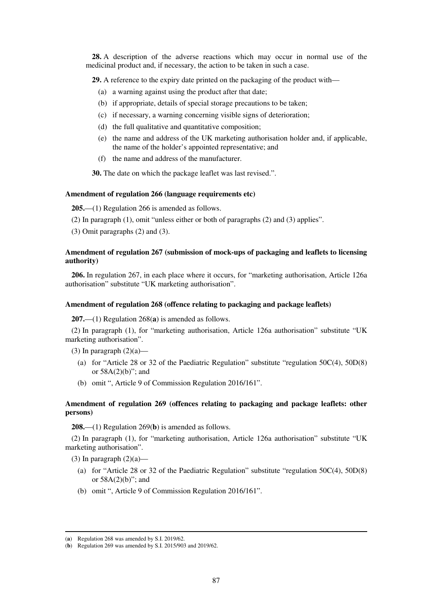**28.** A description of the adverse reactions which may occur in normal use of the medicinal product and, if necessary, the action to be taken in such a case.

**29.** A reference to the expiry date printed on the packaging of the product with—

- (a) a warning against using the product after that date;
- (b) if appropriate, details of special storage precautions to be taken;
- (c) if necessary, a warning concerning visible signs of deterioration;
- (d) the full qualitative and quantitative composition;
- (e) the name and address of the UK marketing authorisation holder and, if applicable, the name of the holder's appointed representative; and
- (f) the name and address of the manufacturer.

**30.** The date on which the package leaflet was last revised.".

### **Amendment of regulation 266 (language requirements etc)**

**205.**—(1) Regulation 266 is amended as follows.

(2) In paragraph (1), omit "unless either or both of paragraphs (2) and (3) applies".

(3) Omit paragraphs (2) and (3).

## **Amendment of regulation 267 (submission of mock-ups of packaging and leaflets to licensing authority)**

**206.** In regulation 267, in each place where it occurs, for "marketing authorisation, Article 126a authorisation" substitute "UK marketing authorisation".

#### **Amendment of regulation 268 (offence relating to packaging and package leaflets)**

**207.**—(1) Regulation 268(**a**) is amended as follows.

(2) In paragraph (1), for "marketing authorisation, Article 126a authorisation" substitute "UK marketing authorisation".

(3) In paragraph  $(2)(a)$ —

- (a) for "Article 28 or 32 of the Paediatric Regulation" substitute "regulation 50C(4), 50D(8) or  $58A(2)(b)$ "; and
- (b) omit ", Article 9 of Commission Regulation 2016/161".

## **Amendment of regulation 269 (offences relating to packaging and package leaflets: other persons)**

**208.**—(1) Regulation 269(**b**) is amended as follows.

(2) In paragraph (1), for "marketing authorisation, Article 126a authorisation" substitute "UK marketing authorisation".

(3) In paragraph  $(2)(a)$ —

- (a) for "Article 28 or 32 of the Paediatric Regulation" substitute "regulation 50C(4), 50D(8) or  $58A(2)(b)$ "; and
- (b) omit ", Article 9 of Commission Regulation 2016/161".

<sup>(</sup>**a**) Regulation 268 was amended by S.I. 2019/62.

<sup>(</sup>**b**) Regulation 269 was amended by S.I. 2015/903 and 2019/62.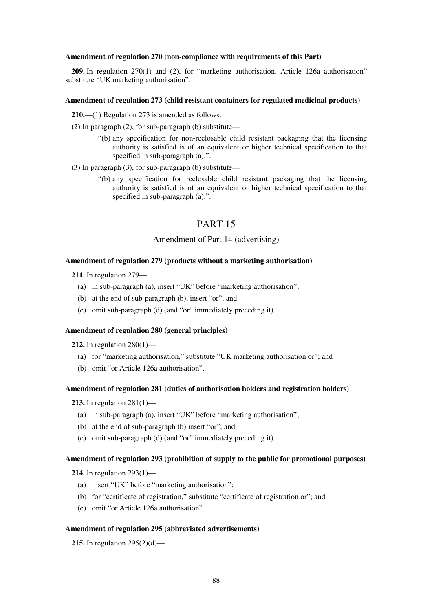#### **Amendment of regulation 270 (non-compliance with requirements of this Part)**

**209.** In regulation 270(1) and (2), for "marketing authorisation, Article 126a authorisation" substitute "UK marketing authorisation".

### **Amendment of regulation 273 (child resistant containers for regulated medicinal products)**

**210.**—(1) Regulation 273 is amended as follows.

- (2) In paragraph (2), for sub-paragraph (b) substitute—
	- "(b) any specification for non-reclosable child resistant packaging that the licensing authority is satisfied is of an equivalent or higher technical specification to that specified in sub-paragraph (a).".
- (3) In paragraph (3), for sub-paragraph (b) substitute—
	- "(b) any specification for reclosable child resistant packaging that the licensing authority is satisfied is of an equivalent or higher technical specification to that specified in sub-paragraph (a).".

# PART 15

## Amendment of Part 14 (advertising)

#### **Amendment of regulation 279 (products without a marketing authorisation)**

**211.** In regulation 279—

- (a) in sub-paragraph (a), insert "UK" before "marketing authorisation";
- (b) at the end of sub-paragraph (b), insert "or"; and
- (c) omit sub-paragraph (d) (and "or" immediately preceding it).

## **Amendment of regulation 280 (general principles)**

**212.** In regulation 280(1)—

- (a) for "marketing authorisation," substitute "UK marketing authorisation or"; and
- (b) omit "or Article 126a authorisation".

## **Amendment of regulation 281 (duties of authorisation holders and registration holders)**

**213.** In regulation 281(1)—

- (a) in sub-paragraph (a), insert "UK" before "marketing authorisation";
- (b) at the end of sub-paragraph (b) insert "or"; and
- (c) omit sub-paragraph (d) (and "or" immediately preceding it).

#### **Amendment of regulation 293 (prohibition of supply to the public for promotional purposes)**

**214.** In regulation 293(1)—

- (a) insert "UK" before "marketing authorisation";
- (b) for "certificate of registration," substitute "certificate of registration or"; and
- (c) omit "or Article 126a authorisation".

#### **Amendment of regulation 295 (abbreviated advertisements)**

**215.** In regulation 295(2)(d)—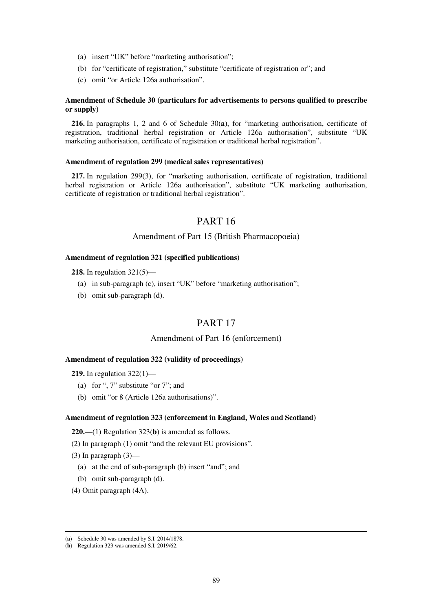- (a) insert "UK" before "marketing authorisation";
- (b) for "certificate of registration," substitute "certificate of registration or"; and
- (c) omit "or Article 126a authorisation".

## **Amendment of Schedule 30 (particulars for advertisements to persons qualified to prescribe or supply)**

**216.** In paragraphs 1, 2 and 6 of Schedule 30(**a**), for "marketing authorisation, certificate of registration, traditional herbal registration or Article 126a authorisation", substitute "UK marketing authorisation, certificate of registration or traditional herbal registration".

#### **Amendment of regulation 299 (medical sales representatives)**

**217.** In regulation 299(3), for "marketing authorisation, certificate of registration, traditional herbal registration or Article 126a authorisation", substitute "UK marketing authorisation, certificate of registration or traditional herbal registration".

## PART 16

## Amendment of Part 15 (British Pharmacopoeia)

## **Amendment of regulation 321 (specified publications)**

**218.** In regulation 321(5)—

- (a) in sub-paragraph (c), insert "UK" before "marketing authorisation";
- (b) omit sub-paragraph (d).

# PART 17

## Amendment of Part 16 (enforcement)

#### **Amendment of regulation 322 (validity of proceedings)**

**219.** In regulation 322(1)—

- (a) for ", 7" substitute "or 7"; and
- (b) omit "or 8 (Article 126a authorisations)".

## **Amendment of regulation 323 (enforcement in England, Wales and Scotland)**

**220.**—(1) Regulation 323(**b**) is amended as follows.

- (2) In paragraph (1) omit "and the relevant EU provisions".
- $(3)$  In paragraph  $(3)$ 
	- (a) at the end of sub-paragraph (b) insert "and"; and
	- (b) omit sub-paragraph (d).
- (4) Omit paragraph (4A).

<sup>(</sup>**a**) Schedule 30 was amended by S.I. 2014/1878.

<sup>(</sup>**b**) Regulation 323 was amended S.I. 2019/62.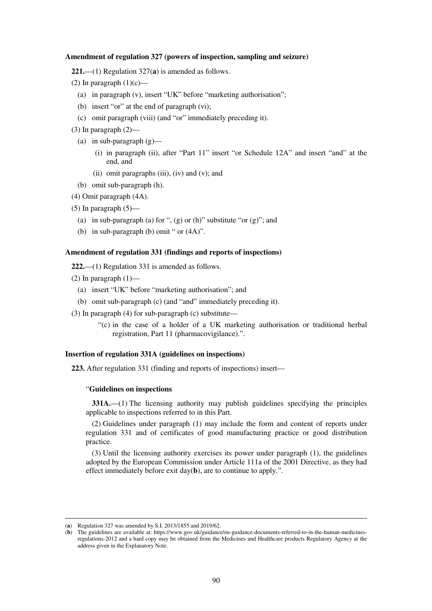#### **Amendment of regulation 327 (powers of inspection, sampling and seizure)**

**221.**—(1) Regulation 327(**a**) is amended as follows.

(2) In paragraph  $(1)(c)$ —

- (a) in paragraph (v), insert "UK" before "marketing authorisation";
- (b) insert "or" at the end of paragraph (vi);
- (c) omit paragraph (viii) (and "or" immediately preceding it).
- (3) In paragraph  $(2)$ 
	- (a) in sub-paragraph  $(g)$ 
		- (i) in paragraph (ii), after "Part 11" insert "or Schedule 12A" and insert "and" at the end, and
		- (ii) omit paragraphs (iii), (iv) and (v); and
	- (b) omit sub-paragraph (h).

(4) Omit paragraph (4A).

 $(5)$  In paragraph  $(5)$ —

- (a) in sub-paragraph (a) for ", (g) or (h)" substitute "or (g)"; and
- (b) in sub-paragraph (b) omit " or (4A)".

#### **Amendment of regulation 331 (findings and reports of inspections)**

**222.**—(1) Regulation 331 is amended as follows.

- (2) In paragraph  $(1)$ 
	- (a) insert "UK" before "marketing authorisation"; and
	- (b) omit sub-paragraph (c) (and "and" immediately preceding it).
- (3) In paragraph (4) for sub-paragraph (c) substitute—
	- "(c) in the case of a holder of a UK marketing authorisation or traditional herbal registration, Part 11 (pharmacovigilance).".

## **Insertion of regulation 331A (guidelines on inspections)**

**223.** After regulation 331 (finding and reports of inspections) insert—

#### "**Guidelines on inspections**

**331A.**—(1) The licensing authority may publish guidelines specifying the principles applicable to inspections referred to in this Part.

(2) Guidelines under paragraph (1) may include the form and content of reports under regulation 331 and of certificates of good manufacturing practice or good distribution practice.

(3) Until the licensing authority exercises its power under paragraph (1), the guidelines adopted by the European Commission under Article 111a of the 2001 Directive, as they had effect immediately before exit day(**b**), are to continue to apply.".

<sup>(</sup>**a**) Regulation 327 was amended by S.I. 2013/1855 and 2019/62.

<sup>(</sup>**b**) The guidelines are available at: https://www.gov.uk/guidance/eu-guidance-documents-referred-to-in-the-human-medicinesregulations-2012 and a hard copy may be obtained from the Medicines and Healthcare products Regulatory Agency at the address given in the Explanatory Note.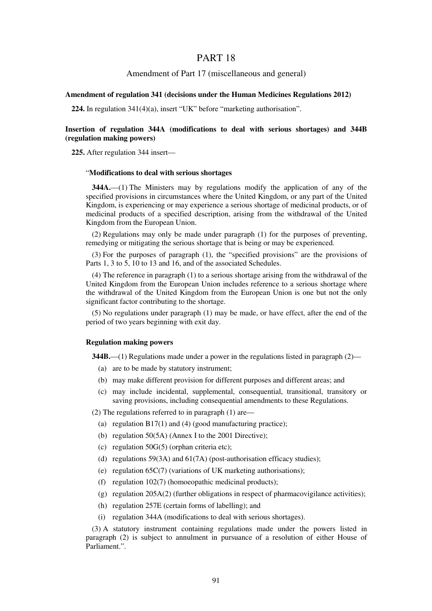## PART 18

## Amendment of Part 17 (miscellaneous and general)

#### **Amendment of regulation 341 (decisions under the Human Medicines Regulations 2012)**

**224.** In regulation 341(4)(a), insert "UK" before "marketing authorisation".

## **Insertion of regulation 344A (modifications to deal with serious shortages) and 344B (regulation making powers)**

**225.** After regulation 344 insert—

#### "**Modifications to deal with serious shortages**

**344A.**—(1) The Ministers may by regulations modify the application of any of the specified provisions in circumstances where the United Kingdom, or any part of the United Kingdom, is experiencing or may experience a serious shortage of medicinal products, or of medicinal products of a specified description, arising from the withdrawal of the United Kingdom from the European Union.

(2) Regulations may only be made under paragraph (1) for the purposes of preventing, remedying or mitigating the serious shortage that is being or may be experienced.

(3) For the purposes of paragraph (1), the "specified provisions" are the provisions of Parts 1, 3 to 5, 10 to 13 and 16, and of the associated Schedules.

(4) The reference in paragraph (1) to a serious shortage arising from the withdrawal of the United Kingdom from the European Union includes reference to a serious shortage where the withdrawal of the United Kingdom from the European Union is one but not the only significant factor contributing to the shortage.

(5) No regulations under paragraph (1) may be made, or have effect, after the end of the period of two years beginning with exit day.

### **Regulation making powers**

**344B.**—(1) Regulations made under a power in the regulations listed in paragraph (2)—

- (a) are to be made by statutory instrument;
- (b) may make different provision for different purposes and different areas; and
- (c) may include incidental, supplemental, consequential, transitional, transitory or saving provisions, including consequential amendments to these Regulations.

(2) The regulations referred to in paragraph (1) are—

- (a) regulation  $B17(1)$  and (4) (good manufacturing practice);
- (b) regulation 50(5A) (Annex I to the 2001 Directive);
- (c) regulation  $50G(5)$  (orphan criteria etc);
- (d) regulations 59(3A) and 61(7A) (post-authorisation efficacy studies);
- (e) regulation 65C(7) (variations of UK marketing authorisations);
- (f) regulation 102(7) (homoeopathic medicinal products);
- (g) regulation 205A(2) (further obligations in respect of pharmacovigilance activities);
- (h) regulation 257E (certain forms of labelling); and
- (i) regulation 344A (modifications to deal with serious shortages).

(3) A statutory instrument containing regulations made under the powers listed in paragraph (2) is subject to annulment in pursuance of a resolution of either House of Parliament<sup>"</sup>.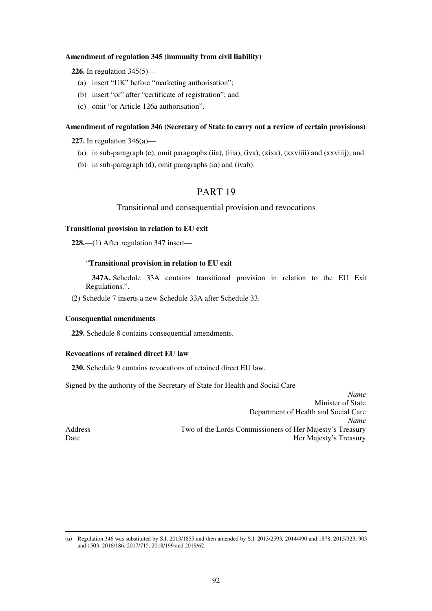## **Amendment of regulation 345 (immunity from civil liability)**

**226.** In regulation 345(5)—

- (a) insert "UK" before "marketing authorisation";
- (b) insert "or" after "certificate of registration"; and
- (c) omit "or Article 126a authorisation".

## **Amendment of regulation 346 (Secretary of State to carry out a review of certain provisions)**

**227.** In regulation 346(**a**)—

- (a) in sub-paragraph (c), omit paragraphs (iia), (iiia), (iva), (xixa), (xxviiii) and (xxviiij); and
- (b) in sub-paragraph (d), omit paragraphs (ia) and (ivab).

# PART 19

## Transitional and consequential provision and revocations

## **Transitional provision in relation to EU exit**

**228.**—(1) After regulation 347 insert—

## "**Transitional provision in relation to EU exit**

**347A.** Schedule 33A contains transitional provision in relation to the EU Exit Regulations.".

(2) Schedule 7 inserts a new Schedule 33A after Schedule 33.

## **Consequential amendments**

**229.** Schedule 8 contains consequential amendments.

## **Revocations of retained direct EU law**

**230.** Schedule 9 contains revocations of retained direct EU law.

Signed by the authority of the Secretary of State for Health and Social Care

*Name*  Minister of State Department of Health and Social Care *Name*  Address Two of the Lords Commissioners of Her Majesty's Treasury Date Her Majesty's Treasury

-

(**a**) Regulation 346 was substituted by S.I. 2013/1855 and then amended by S.I. 2013/2593, 2014/490 and 1878, 2015/323, 903 and 1503, 2016/186, 2017/715, 2018/199 and 2019/62.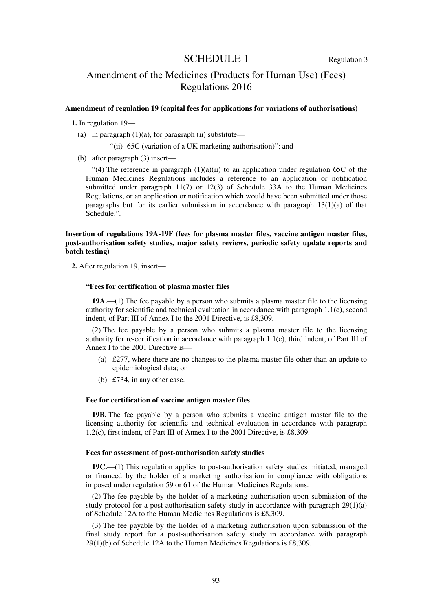# SCHEDULE 1 Regulation 3

# Amendment of the Medicines (Products for Human Use) (Fees) Regulations 2016

#### **Amendment of regulation 19 (capital fees for applications for variations of authorisations)**

**1.** In regulation 19—

(a) in paragraph  $(1)(a)$ , for paragraph (ii) substitute—

"(ii) 65C (variation of a UK marketing authorisation)"; and

(b) after paragraph (3) insert—

"(4) The reference in paragraph  $(1)(a)(ii)$  to an application under regulation 65C of the Human Medicines Regulations includes a reference to an application or notification submitted under paragraph 11(7) or 12(3) of Schedule 33A to the Human Medicines Regulations, or an application or notification which would have been submitted under those paragraphs but for its earlier submission in accordance with paragraph  $13(1)(a)$  of that Schedule.".

## **Insertion of regulations 19A-19F (fees for plasma master files, vaccine antigen master files, post-authorisation safety studies, major safety reviews, periodic safety update reports and batch testing)**

**2.** After regulation 19, insert—

#### **"Fees for certification of plasma master files**

**19A.**—(1) The fee payable by a person who submits a plasma master file to the licensing authority for scientific and technical evaluation in accordance with paragraph 1.1(c), second indent, of Part III of Annex I to the 2001 Directive, is £8,309.

(2) The fee payable by a person who submits a plasma master file to the licensing authority for re-certification in accordance with paragraph 1.1(c), third indent, of Part III of Annex I to the 2001 Directive is—

- (a) £277, where there are no changes to the plasma master file other than an update to epidemiological data; or
- (b) £734, in any other case.

#### **Fee for certification of vaccine antigen master files**

**19B.** The fee payable by a person who submits a vaccine antigen master file to the licensing authority for scientific and technical evaluation in accordance with paragraph 1.2(c), first indent, of Part III of Annex I to the 2001 Directive, is £8,309.

### **Fees for assessment of post-authorisation safety studies**

**19C.**—(1) This regulation applies to post-authorisation safety studies initiated, managed or financed by the holder of a marketing authorisation in compliance with obligations imposed under regulation 59 or 61 of the Human Medicines Regulations.

(2) The fee payable by the holder of a marketing authorisation upon submission of the study protocol for a post-authorisation safety study in accordance with paragraph  $29(1)(a)$ of Schedule 12A to the Human Medicines Regulations is £8,309.

(3) The fee payable by the holder of a marketing authorisation upon submission of the final study report for a post-authorisation safety study in accordance with paragraph 29(1)(b) of Schedule 12A to the Human Medicines Regulations is £8,309.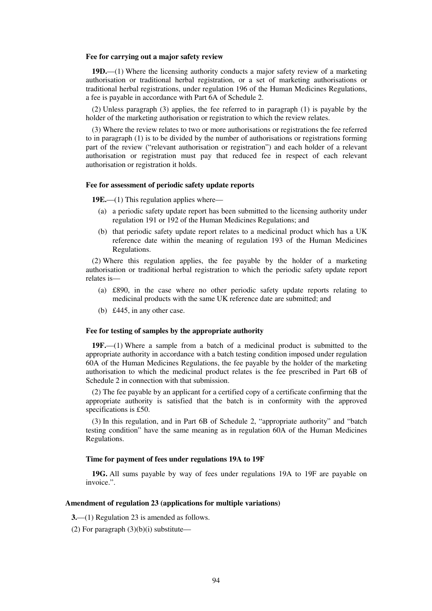#### **Fee for carrying out a major safety review**

**19D.**—(1) Where the licensing authority conducts a major safety review of a marketing authorisation or traditional herbal registration, or a set of marketing authorisations or traditional herbal registrations, under regulation 196 of the Human Medicines Regulations, a fee is payable in accordance with Part 6A of Schedule 2.

(2) Unless paragraph (3) applies, the fee referred to in paragraph (1) is payable by the holder of the marketing authorisation or registration to which the review relates.

(3) Where the review relates to two or more authorisations or registrations the fee referred to in paragraph (1) is to be divided by the number of authorisations or registrations forming part of the review ("relevant authorisation or registration") and each holder of a relevant authorisation or registration must pay that reduced fee in respect of each relevant authorisation or registration it holds.

#### **Fee for assessment of periodic safety update reports**

**19E.**—(1) This regulation applies where—

- (a) a periodic safety update report has been submitted to the licensing authority under regulation 191 or 192 of the Human Medicines Regulations; and
- (b) that periodic safety update report relates to a medicinal product which has a UK reference date within the meaning of regulation 193 of the Human Medicines Regulations.

(2) Where this regulation applies, the fee payable by the holder of a marketing authorisation or traditional herbal registration to which the periodic safety update report relates is—

- (a) £890, in the case where no other periodic safety update reports relating to medicinal products with the same UK reference date are submitted; and
- (b) £445, in any other case.

## **Fee for testing of samples by the appropriate authority**

**19F.**—(1) Where a sample from a batch of a medicinal product is submitted to the appropriate authority in accordance with a batch testing condition imposed under regulation 60A of the Human Medicines Regulations, the fee payable by the holder of the marketing authorisation to which the medicinal product relates is the fee prescribed in Part 6B of Schedule 2 in connection with that submission.

(2) The fee payable by an applicant for a certified copy of a certificate confirming that the appropriate authority is satisfied that the batch is in conformity with the approved specifications is £50.

(3) In this regulation, and in Part 6B of Schedule 2, "appropriate authority" and "batch testing condition" have the same meaning as in regulation 60A of the Human Medicines Regulations.

#### **Time for payment of fees under regulations 19A to 19F**

**19G.** All sums payable by way of fees under regulations 19A to 19F are payable on invoice.".

#### **Amendment of regulation 23 (applications for multiple variations)**

**3.**—(1) Regulation 23 is amended as follows.

(2) For paragraph  $(3)(b)(i)$  substitute—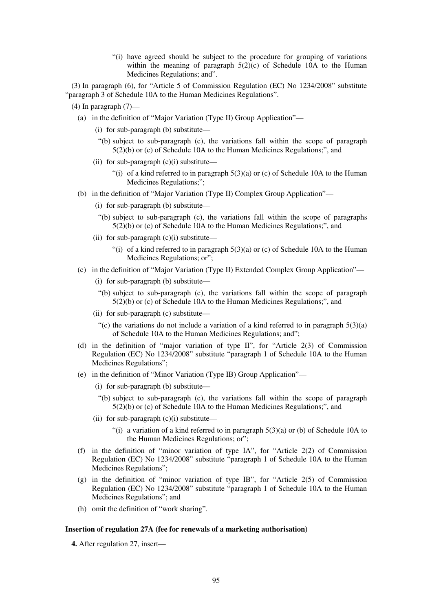"(i) have agreed should be subject to the procedure for grouping of variations within the meaning of paragraph  $5(2)(c)$  of Schedule 10A to the Human Medicines Regulations; and".

(3) In paragraph (6), for "Article 5 of Commission Regulation (EC) No 1234/2008" substitute "paragraph 3 of Schedule 10A to the Human Medicines Regulations".

- $(4)$  In paragraph  $(7)$ 
	- (a) in the definition of "Major Variation (Type II) Group Application"—
		- (i) for sub-paragraph (b) substitute—
		- "(b) subject to sub-paragraph (c), the variations fall within the scope of paragraph 5(2)(b) or (c) of Schedule 10A to the Human Medicines Regulations;", and
		- (ii) for sub-paragraph  $(c)(i)$  substitute—
			- "(i) of a kind referred to in paragraph  $5(3)(a)$  or (c) of Schedule 10A to the Human Medicines Regulations;";
	- (b) in the definition of "Major Variation (Type II) Complex Group Application"—
		- (i) for sub-paragraph (b) substitute—
		- "(b) subject to sub-paragraph (c), the variations fall within the scope of paragraphs 5(2)(b) or (c) of Schedule 10A to the Human Medicines Regulations;", and
		- (ii) for sub-paragraph  $(c)(i)$  substitute—
			- "(i) of a kind referred to in paragraph  $5(3)(a)$  or (c) of Schedule 10A to the Human Medicines Regulations; or";
	- (c) in the definition of "Major Variation (Type II) Extended Complex Group Application"—
		- (i) for sub-paragraph (b) substitute—
		- "(b) subject to sub-paragraph (c), the variations fall within the scope of paragraph 5(2)(b) or (c) of Schedule 10A to the Human Medicines Regulations;", and
		- (ii) for sub-paragraph (c) substitute—
			- "(c) the variations do not include a variation of a kind referred to in paragraph  $5(3)(a)$ of Schedule 10A to the Human Medicines Regulations; and";
	- (d) in the definition of "major variation of type II", for "Article 2(3) of Commission Regulation (EC) No 1234/2008" substitute "paragraph 1 of Schedule 10A to the Human Medicines Regulations";
	- (e) in the definition of "Minor Variation (Type IB) Group Application"—
		- (i) for sub-paragraph (b) substitute—
		- "(b) subject to sub-paragraph (c), the variations fall within the scope of paragraph 5(2)(b) or (c) of Schedule 10A to the Human Medicines Regulations;", and
		- (ii) for sub-paragraph  $(c)(i)$  substitute—
			- "(i) a variation of a kind referred to in paragraph  $5(3)(a)$  or (b) of Schedule 10A to the Human Medicines Regulations; or";
	- (f) in the definition of "minor variation of type IA", for "Article 2(2) of Commission Regulation (EC) No 1234/2008" substitute "paragraph 1 of Schedule 10A to the Human Medicines Regulations";
	- (g) in the definition of "minor variation of type IB", for "Article 2(5) of Commission Regulation (EC) No 1234/2008" substitute "paragraph 1 of Schedule 10A to the Human Medicines Regulations"; and
	- (h) omit the definition of "work sharing".

#### **Insertion of regulation 27A (fee for renewals of a marketing authorisation)**

**4.** After regulation 27, insert—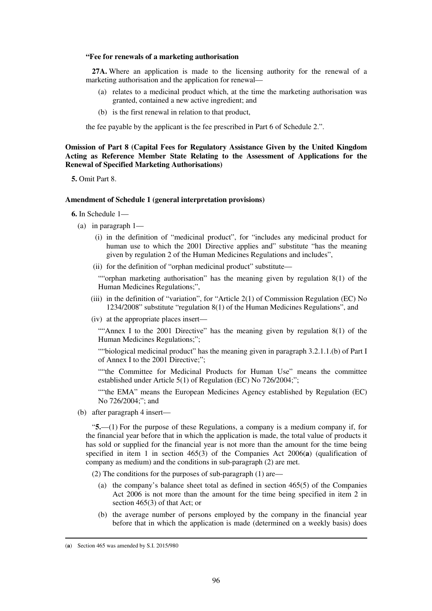#### **"Fee for renewals of a marketing authorisation**

**27A.** Where an application is made to the licensing authority for the renewal of a marketing authorisation and the application for renewal—

- (a) relates to a medicinal product which, at the time the marketing authorisation was granted, contained a new active ingredient; and
- (b) is the first renewal in relation to that product,

the fee payable by the applicant is the fee prescribed in Part 6 of Schedule 2.".

## **Omission of Part 8 (Capital Fees for Regulatory Assistance Given by the United Kingdom Acting as Reference Member State Relating to the Assessment of Applications for the Renewal of Specified Marketing Authorisations)**

**5.** Omit Part 8.

#### **Amendment of Schedule 1 (general interpretation provisions)**

**6.** In Schedule 1—

- (a) in paragraph 1—
	- (i) in the definition of "medicinal product", for "includes any medicinal product for human use to which the 2001 Directive applies and" substitute "has the meaning given by regulation 2 of the Human Medicines Regulations and includes",
	- (ii) for the definition of "orphan medicinal product" substitute—

""orphan marketing authorisation" has the meaning given by regulation 8(1) of the Human Medicines Regulations;",

- (iii) in the definition of "variation", for "Article 2(1) of Commission Regulation (EC) No 1234/2008" substitute "regulation 8(1) of the Human Medicines Regulations", and
- (iv) at the appropriate places insert—

""Annex I to the 2001 Directive" has the meaning given by regulation  $8(1)$  of the Human Medicines Regulations;";

""biological medicinal product" has the meaning given in paragraph 3.2.1.1.(b) of Part I of Annex I to the 2001 Directive;";

""the Committee for Medicinal Products for Human Use" means the committee established under Article 5(1) of Regulation (EC) No 726/2004;";

""the EMA" means the European Medicines Agency established by Regulation (EC) No 726/2004;"; and

(b) after paragraph 4 insert—

"**5.**—(1) For the purpose of these Regulations, a company is a medium company if, for the financial year before that in which the application is made, the total value of products it has sold or supplied for the financial year is not more than the amount for the time being specified in item 1 in section 465(3) of the Companies Act 2006(**a**) (qualification of company as medium) and the conditions in sub-paragraph (2) are met.

(2) The conditions for the purposes of sub-paragraph (1) are—

- (a) the company's balance sheet total as defined in section 465(5) of the Companies Act 2006 is not more than the amount for the time being specified in item 2 in section 465(3) of that Act; or
- (b) the average number of persons employed by the company in the financial year before that in which the application is made (determined on a weekly basis) does

<sup>(</sup>**a**) Section 465 was amended by S.I. 2015/980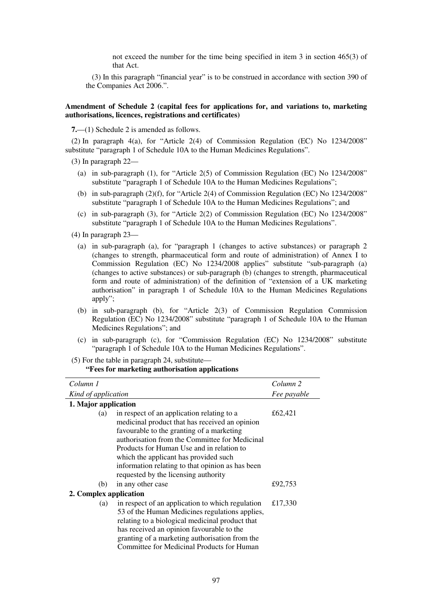not exceed the number for the time being specified in item 3 in section 465(3) of that Act.

(3) In this paragraph "financial year" is to be construed in accordance with section 390 of the Companies Act 2006.".

## **Amendment of Schedule 2 (capital fees for applications for, and variations to, marketing authorisations, licences, registrations and certificates)**

**7.**—(1) Schedule 2 is amended as follows.

(2) In paragraph 4(a), for "Article 2(4) of Commission Regulation (EC) No 1234/2008" substitute "paragraph 1 of Schedule 10A to the Human Medicines Regulations".

(3) In paragraph 22—

- (a) in sub-paragraph (1), for "Article 2(5) of Commission Regulation (EC) No 1234/2008" substitute "paragraph 1 of Schedule 10A to the Human Medicines Regulations":
- (b) in sub-paragraph (2)(f), for "Article 2(4) of Commission Regulation (EC) No 1234/2008" substitute "paragraph 1 of Schedule 10A to the Human Medicines Regulations"; and
- (c) in sub-paragraph (3), for "Article 2(2) of Commission Regulation (EC) No 1234/2008" substitute "paragraph 1 of Schedule 10A to the Human Medicines Regulations".

(4) In paragraph 23—

- (a) in sub-paragraph (a), for "paragraph 1 (changes to active substances) or paragraph 2 (changes to strength, pharmaceutical form and route of administration) of Annex I to Commission Regulation (EC) No 1234/2008 applies" substitute "sub-paragraph (a) (changes to active substances) or sub-paragraph (b) (changes to strength, pharmaceutical form and route of administration) of the definition of "extension of a UK marketing authorisation" in paragraph 1 of Schedule 10A to the Human Medicines Regulations apply";
- (b) in sub-paragraph (b), for "Article 2(3) of Commission Regulation Commission Regulation (EC) No 1234/2008" substitute "paragraph 1 of Schedule 10A to the Human Medicines Regulations"; and
- (c) in sub-paragraph (c), for "Commission Regulation (EC) No 1234/2008" substitute "paragraph 1 of Schedule 10A to the Human Medicines Regulations".
- (5) For the table in paragraph 24, substitute—

## **"Fees for marketing authorisation applications**

| Column 1               |                                                                                                                                                                                                                                                                                                                                                                               | Column <sub>2</sub> |
|------------------------|-------------------------------------------------------------------------------------------------------------------------------------------------------------------------------------------------------------------------------------------------------------------------------------------------------------------------------------------------------------------------------|---------------------|
| Kind of application    |                                                                                                                                                                                                                                                                                                                                                                               | Fee payable         |
| 1. Major application   |                                                                                                                                                                                                                                                                                                                                                                               |                     |
| (a)                    | in respect of an application relating to a<br>medicinal product that has received an opinion<br>favourable to the granting of a marketing<br>authorisation from the Committee for Medicinal<br>Products for Human Use and in relation to<br>which the applicant has provided such<br>information relating to that opinion as has been<br>requested by the licensing authority | £62,421             |
| (b)                    | in any other case                                                                                                                                                                                                                                                                                                                                                             | £92,753             |
| 2. Complex application |                                                                                                                                                                                                                                                                                                                                                                               |                     |
| (a)                    | in respect of an application to which regulation<br>53 of the Human Medicines regulations applies,<br>relating to a biological medicinal product that<br>has received an opinion favourable to the<br>granting of a marketing authorisation from the<br>Committee for Medicinal Products for Human                                                                            | £17,330             |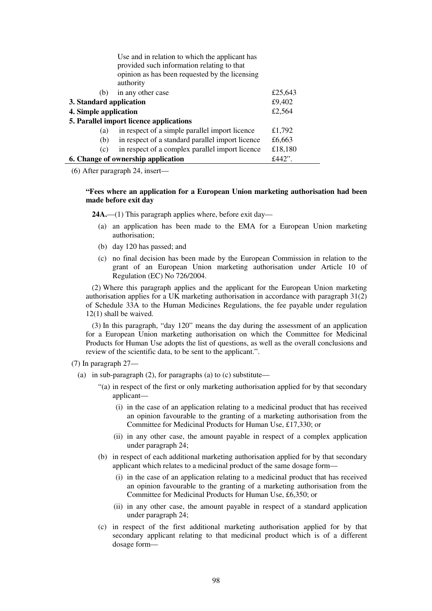|                         | Use and in relation to which the applicant has<br>provided such information relating to that<br>opinion as has been requested by the licensing<br>authority |         |
|-------------------------|-------------------------------------------------------------------------------------------------------------------------------------------------------------|---------|
| (b)                     | in any other case                                                                                                                                           | £25,643 |
| 3. Standard application |                                                                                                                                                             | £9,402  |
| 4. Simple application   |                                                                                                                                                             | £2,564  |
|                         | 5. Parallel import licence applications                                                                                                                     |         |
| (a)                     | in respect of a simple parallel import licence                                                                                                              | £1,792  |
| (b)                     | in respect of a standard parallel import licence                                                                                                            | £6,663  |
| (c)                     | in respect of a complex parallel import licence                                                                                                             | £18,180 |
|                         | 6. Change of ownership application                                                                                                                          | £442".  |

(6) After paragraph 24, insert—

## **"Fees where an application for a European Union marketing authorisation had been made before exit day**

**24A.**—(1) This paragraph applies where, before exit day—

- (a) an application has been made to the EMA for a European Union marketing authorisation;
- (b) day 120 has passed; and
- (c) no final decision has been made by the European Commission in relation to the grant of an European Union marketing authorisation under Article 10 of Regulation (EC) No 726/2004.

(2) Where this paragraph applies and the applicant for the European Union marketing authorisation applies for a UK marketing authorisation in accordance with paragraph 31(2) of Schedule 33A to the Human Medicines Regulations, the fee payable under regulation 12(1) shall be waived.

(3) In this paragraph, "day 120" means the day during the assessment of an application for a European Union marketing authorisation on which the Committee for Medicinal Products for Human Use adopts the list of questions, as well as the overall conclusions and review of the scientific data, to be sent to the applicant.".

(7) In paragraph 27—

- (a) in sub-paragraph (2), for paragraphs (a) to (c) substitute—
	- "(a) in respect of the first or only marketing authorisation applied for by that secondary applicant—
		- (i) in the case of an application relating to a medicinal product that has received an opinion favourable to the granting of a marketing authorisation from the Committee for Medicinal Products for Human Use, £17,330; or
		- (ii) in any other case, the amount payable in respect of a complex application under paragraph 24;
	- (b) in respect of each additional marketing authorisation applied for by that secondary applicant which relates to a medicinal product of the same dosage form—
		- (i) in the case of an application relating to a medicinal product that has received an opinion favourable to the granting of a marketing authorisation from the Committee for Medicinal Products for Human Use, £6,350; or
		- (ii) in any other case, the amount payable in respect of a standard application under paragraph 24;
	- (c) in respect of the first additional marketing authorisation applied for by that secondary applicant relating to that medicinal product which is of a different dosage form—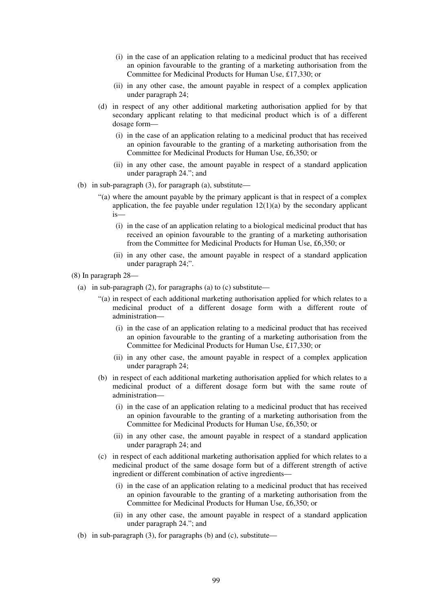- (i) in the case of an application relating to a medicinal product that has received an opinion favourable to the granting of a marketing authorisation from the Committee for Medicinal Products for Human Use, £17,330; or
- (ii) in any other case, the amount payable in respect of a complex application under paragraph 24;
- (d) in respect of any other additional marketing authorisation applied for by that secondary applicant relating to that medicinal product which is of a different dosage form—
	- (i) in the case of an application relating to a medicinal product that has received an opinion favourable to the granting of a marketing authorisation from the Committee for Medicinal Products for Human Use, £6,350; or
	- (ii) in any other case, the amount payable in respect of a standard application under paragraph 24."; and
- (b) in sub-paragraph (3), for paragraph (a), substitute—
	- "(a) where the amount payable by the primary applicant is that in respect of a complex application, the fee payable under regulation  $12(1)(a)$  by the secondary applicant is—
		- (i) in the case of an application relating to a biological medicinal product that has received an opinion favourable to the granting of a marketing authorisation from the Committee for Medicinal Products for Human Use, £6,350; or
		- (ii) in any other case, the amount payable in respect of a standard application under paragraph 24;".
- (8) In paragraph 28—
	- (a) in sub-paragraph (2), for paragraphs (a) to (c) substitute—
		- "(a) in respect of each additional marketing authorisation applied for which relates to a medicinal product of a different dosage form with a different route of administration—
			- (i) in the case of an application relating to a medicinal product that has received an opinion favourable to the granting of a marketing authorisation from the Committee for Medicinal Products for Human Use, £17,330; or
			- (ii) in any other case, the amount payable in respect of a complex application under paragraph 24;
		- (b) in respect of each additional marketing authorisation applied for which relates to a medicinal product of a different dosage form but with the same route of administration—
			- (i) in the case of an application relating to a medicinal product that has received an opinion favourable to the granting of a marketing authorisation from the Committee for Medicinal Products for Human Use, £6,350; or
			- (ii) in any other case, the amount payable in respect of a standard application under paragraph 24; and
		- (c) in respect of each additional marketing authorisation applied for which relates to a medicinal product of the same dosage form but of a different strength of active ingredient or different combination of active ingredients—
			- (i) in the case of an application relating to a medicinal product that has received an opinion favourable to the granting of a marketing authorisation from the Committee for Medicinal Products for Human Use, £6,350; or
			- (ii) in any other case, the amount payable in respect of a standard application under paragraph 24."; and
	- (b) in sub-paragraph  $(3)$ , for paragraphs (b) and (c), substitute—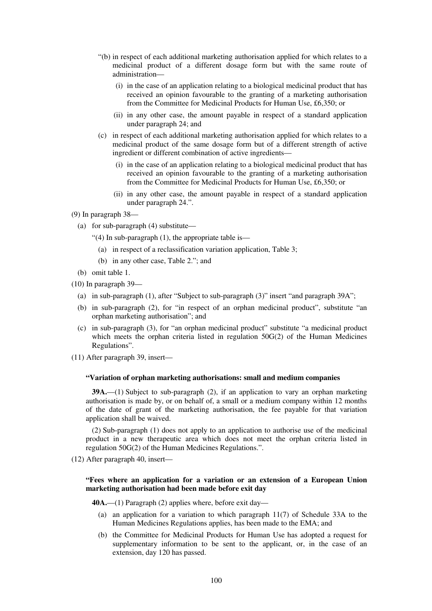- "(b) in respect of each additional marketing authorisation applied for which relates to a medicinal product of a different dosage form but with the same route of administration—
	- (i) in the case of an application relating to a biological medicinal product that has received an opinion favourable to the granting of a marketing authorisation from the Committee for Medicinal Products for Human Use, £6,350; or
	- (ii) in any other case, the amount payable in respect of a standard application under paragraph 24; and
- (c) in respect of each additional marketing authorisation applied for which relates to a medicinal product of the same dosage form but of a different strength of active ingredient or different combination of active ingredients—
	- (i) in the case of an application relating to a biological medicinal product that has received an opinion favourable to the granting of a marketing authorisation from the Committee for Medicinal Products for Human Use, £6,350; or
	- (ii) in any other case, the amount payable in respect of a standard application under paragraph 24.".
- (9) In paragraph 38—
	- (a) for sub-paragraph (4) substitute—
		- "(4) In sub-paragraph  $(1)$ , the appropriate table is—
			- (a) in respect of a reclassification variation application, Table 3;
			- (b) in any other case, Table 2."; and
	- (b) omit table 1.

(10) In paragraph 39—

- (a) in sub-paragraph (1), after "Subject to sub-paragraph (3)" insert "and paragraph 39A";
- (b) in sub-paragraph (2), for "in respect of an orphan medicinal product", substitute "an orphan marketing authorisation"; and
- (c) in sub-paragraph (3), for "an orphan medicinal product" substitute "a medicinal product which meets the orphan criteria listed in regulation 50G(2) of the Human Medicines Regulations".
- (11) After paragraph 39, insert—

#### **"Variation of orphan marketing authorisations: small and medium companies**

**39A.**—(1) Subject to sub-paragraph (2), if an application to vary an orphan marketing authorisation is made by, or on behalf of, a small or a medium company within 12 months of the date of grant of the marketing authorisation, the fee payable for that variation application shall be waived.

(2) Sub-paragraph (1) does not apply to an application to authorise use of the medicinal product in a new therapeutic area which does not meet the orphan criteria listed in regulation 50G(2) of the Human Medicines Regulations.".

(12) After paragraph 40, insert—

## **"Fees where an application for a variation or an extension of a European Union marketing authorisation had been made before exit day**

**40A.**—(1) Paragraph (2) applies where, before exit day—

- (a) an application for a variation to which paragraph 11(7) of Schedule 33A to the Human Medicines Regulations applies, has been made to the EMA; and
- (b) the Committee for Medicinal Products for Human Use has adopted a request for supplementary information to be sent to the applicant, or, in the case of an extension, day 120 has passed.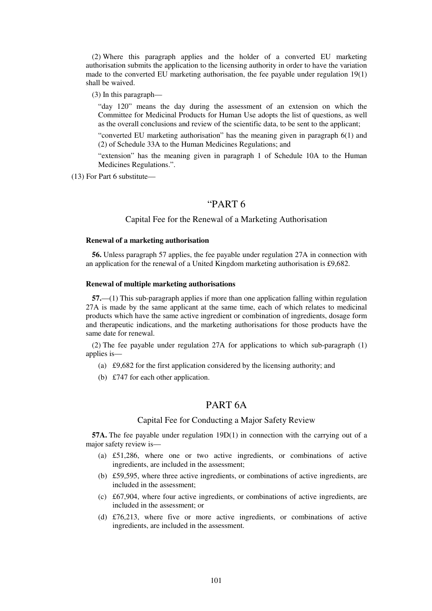(2) Where this paragraph applies and the holder of a converted EU marketing authorisation submits the application to the licensing authority in order to have the variation made to the converted EU marketing authorisation, the fee payable under regulation 19(1) shall be waived.

(3) In this paragraph—

"day 120" means the day during the assessment of an extension on which the Committee for Medicinal Products for Human Use adopts the list of questions, as well as the overall conclusions and review of the scientific data, to be sent to the applicant;

"converted EU marketing authorisation" has the meaning given in paragraph 6(1) and (2) of Schedule 33A to the Human Medicines Regulations; and

"extension" has the meaning given in paragraph 1 of Schedule 10A to the Human Medicines Regulations.".

(13) For Part 6 substitute—

## "PART 6

## Capital Fee for the Renewal of a Marketing Authorisation

#### **Renewal of a marketing authorisation**

**56.** Unless paragraph 57 applies, the fee payable under regulation 27A in connection with an application for the renewal of a United Kingdom marketing authorisation is £9,682.

#### **Renewal of multiple marketing authorisations**

**57.**—(1) This sub-paragraph applies if more than one application falling within regulation 27A is made by the same applicant at the same time, each of which relates to medicinal products which have the same active ingredient or combination of ingredients, dosage form and therapeutic indications, and the marketing authorisations for those products have the same date for renewal.

(2) The fee payable under regulation 27A for applications to which sub-paragraph (1) applies is—

- (a) £9,682 for the first application considered by the licensing authority; and
- (b) £747 for each other application.

## PART 6A

## Capital Fee for Conducting a Major Safety Review

**57A.** The fee payable under regulation 19D(1) in connection with the carrying out of a major safety review is—

- (a) £51,286, where one or two active ingredients, or combinations of active ingredients, are included in the assessment;
- (b) £59,595, where three active ingredients, or combinations of active ingredients, are included in the assessment;
- (c) £67,904, where four active ingredients, or combinations of active ingredients, are included in the assessment; or
- (d) £76,213, where five or more active ingredients, or combinations of active ingredients, are included in the assessment.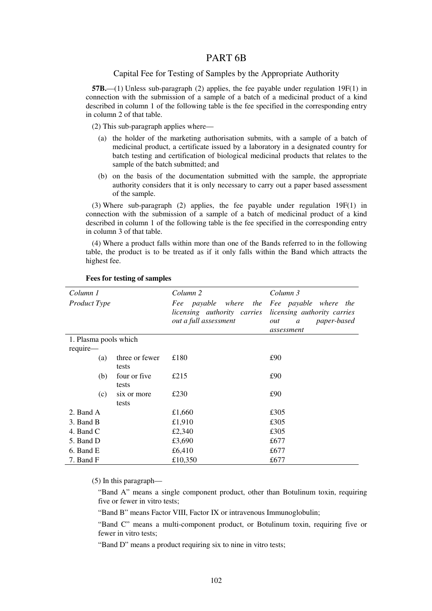## PART 6B

## Capital Fee for Testing of Samples by the Appropriate Authority

**57B.**—(1) Unless sub-paragraph (2) applies, the fee payable under regulation 19F(1) in connection with the submission of a sample of a batch of a medicinal product of a kind described in column 1 of the following table is the fee specified in the corresponding entry in column 2 of that table.

(2) This sub-paragraph applies where—

- (a) the holder of the marketing authorisation submits, with a sample of a batch of medicinal product, a certificate issued by a laboratory in a designated country for batch testing and certification of biological medicinal products that relates to the sample of the batch submitted; and
- (b) on the basis of the documentation submitted with the sample, the appropriate authority considers that it is only necessary to carry out a paper based assessment of the sample.

(3) Where sub-paragraph (2) applies, the fee payable under regulation 19F(1) in connection with the submission of a sample of a batch of medicinal product of a kind described in column 1 of the following table is the fee specified in the corresponding entry in column 3 of that table.

(4) Where a product falls within more than one of the Bands referred to in the following table, the product is to be treated as if it only falls within the Band which attracts the highest fee.

| Column 1              |                | Column 2                                                                                                                        | Column 3                                           |
|-----------------------|----------------|---------------------------------------------------------------------------------------------------------------------------------|----------------------------------------------------|
| Product Type          |                | Fee payable where the Fee payable where the<br>licensing authority carries licensing authority carries<br>out a full assessment | paper-based<br>out<br>$\mathfrak{a}$<br>assessment |
| 1. Plasma pools which |                |                                                                                                                                 |                                                    |
| require—              |                |                                                                                                                                 |                                                    |
| (a)                   | three or fewer | £180                                                                                                                            | £90                                                |
|                       | tests          |                                                                                                                                 |                                                    |
| (b)                   | four or five   | £215                                                                                                                            | £90                                                |
|                       | tests          |                                                                                                                                 |                                                    |
| (c)                   | six or more    | £230                                                                                                                            | £90                                                |
|                       | tests          |                                                                                                                                 |                                                    |
| 2. Band A             |                | £1,660                                                                                                                          | £305                                               |
| 3. Band B             |                | £1,910                                                                                                                          | £305                                               |
| 4. Band C             |                | £2,340                                                                                                                          | £305                                               |
| 5. Band D             |                | £3,690                                                                                                                          | £677                                               |
| 6. Band E             |                | £6,410                                                                                                                          | £677                                               |
| 7. Band F             |                | £10,350                                                                                                                         | £677                                               |

#### **Fees for testing of samples**

(5) In this paragraph—

"Band A" means a single component product, other than Botulinum toxin, requiring five or fewer in vitro tests;

"Band B" means Factor VIII, Factor IX or intravenous Immunoglobulin;

"Band C" means a multi-component product, or Botulinum toxin, requiring five or fewer in vitro tests;

"Band D" means a product requiring six to nine in vitro tests;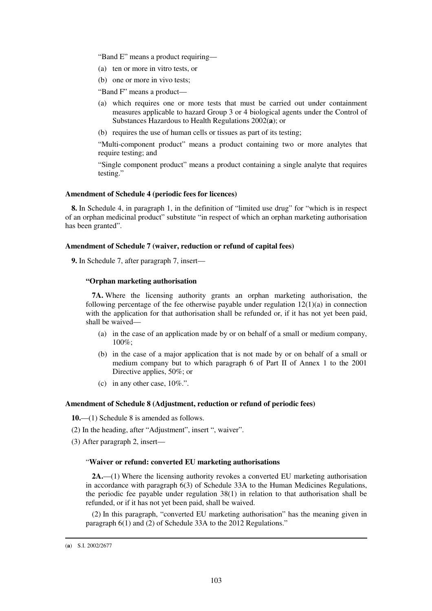"Band E" means a product requiring—

- (a) ten or more in vitro tests, or
- (b) one or more in vivo tests;

"Band F" means a product—

- (a) which requires one or more tests that must be carried out under containment measures applicable to hazard Group 3 or 4 biological agents under the Control of Substances Hazardous to Health Regulations 2002(**a**); or
- (b) requires the use of human cells or tissues as part of its testing;

"Multi-component product" means a product containing two or more analytes that require testing; and

"Single component product" means a product containing a single analyte that requires testing."

#### **Amendment of Schedule 4 (periodic fees for licences)**

**8.** In Schedule 4, in paragraph 1, in the definition of "limited use drug" for "which is in respect of an orphan medicinal product" substitute "in respect of which an orphan marketing authorisation has been granted".

#### **Amendment of Schedule 7 (waiver, reduction or refund of capital fees)**

**9.** In Schedule 7, after paragraph 7, insert—

## **"Orphan marketing authorisation**

**7A.** Where the licensing authority grants an orphan marketing authorisation, the following percentage of the fee otherwise payable under regulation  $12(1)(a)$  in connection with the application for that authorisation shall be refunded or, if it has not yet been paid, shall be waived—

- (a) in the case of an application made by or on behalf of a small or medium company, 100%;
- (b) in the case of a major application that is not made by or on behalf of a small or medium company but to which paragraph 6 of Part II of Annex 1 to the 2001 Directive applies, 50%; or
- (c) in any other case, 10%.".

#### **Amendment of Schedule 8 (Adjustment, reduction or refund of periodic fees)**

**10.**—(1) Schedule 8 is amended as follows.

- (2) In the heading, after "Adjustment", insert ", waiver".
- (3) After paragraph 2, insert—

#### "**Waiver or refund: converted EU marketing authorisations**

**2A.**—(1) Where the licensing authority revokes a converted EU marketing authorisation in accordance with paragraph 6(3) of Schedule 33A to the Human Medicines Regulations, the periodic fee payable under regulation 38(1) in relation to that authorisation shall be refunded, or if it has not yet been paid, shall be waived.

(2) In this paragraph, "converted EU marketing authorisation" has the meaning given in paragraph 6(1) and (2) of Schedule 33A to the 2012 Regulations."

<sup>(</sup>**a**) S.I. 2002/2677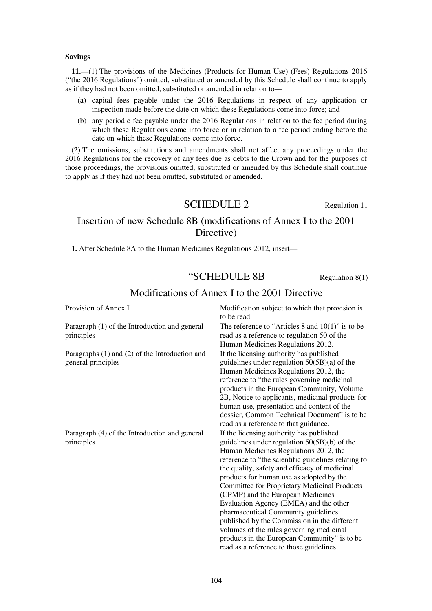#### **Savings**

**11.**—(1) The provisions of the Medicines (Products for Human Use) (Fees) Regulations 2016 ("the 2016 Regulations") omitted, substituted or amended by this Schedule shall continue to apply as if they had not been omitted, substituted or amended in relation to—

- (a) capital fees payable under the 2016 Regulations in respect of any application or inspection made before the date on which these Regulations come into force; and
- (b) any periodic fee payable under the 2016 Regulations in relation to the fee period during which these Regulations come into force or in relation to a fee period ending before the date on which these Regulations come into force.

(2) The omissions, substitutions and amendments shall not affect any proceedings under the 2016 Regulations for the recovery of any fees due as debts to the Crown and for the purposes of those proceedings, the provisions omitted, substituted or amended by this Schedule shall continue to apply as if they had not been omitted, substituted or amended.

# SCHEDULE 2 Regulation 11

# Insertion of new Schedule 8B (modifications of Annex I to the 2001 Directive)

**1.** After Schedule 8A to the Human Medicines Regulations 2012, insert—

# "SCHEDULE 8B Regulation 8(1)

| Provision of Annex I                                                     | Modification subject to which that provision is                                                                                                                                                                                                                                                                                                                                                                                                                                                                                                                                                                                                              |
|--------------------------------------------------------------------------|--------------------------------------------------------------------------------------------------------------------------------------------------------------------------------------------------------------------------------------------------------------------------------------------------------------------------------------------------------------------------------------------------------------------------------------------------------------------------------------------------------------------------------------------------------------------------------------------------------------------------------------------------------------|
|                                                                          | to be read                                                                                                                                                                                                                                                                                                                                                                                                                                                                                                                                                                                                                                                   |
| Paragraph (1) of the Introduction and general<br>principles              | The reference to "Articles 8 and $10(1)$ " is to be<br>read as a reference to regulation 50 of the<br>Human Medicines Regulations 2012.                                                                                                                                                                                                                                                                                                                                                                                                                                                                                                                      |
| Paragraphs $(1)$ and $(2)$ of the Introduction and<br>general principles | If the licensing authority has published<br>guidelines under regulation $50(5B)(a)$ of the<br>Human Medicines Regulations 2012, the<br>reference to "the rules governing medicinal<br>products in the European Community, Volume<br>2B, Notice to applicants, medicinal products for<br>human use, presentation and content of the<br>dossier, Common Technical Document" is to be<br>read as a reference to that guidance.                                                                                                                                                                                                                                  |
| Paragraph (4) of the Introduction and general<br>principles              | If the licensing authority has published<br>guidelines under regulation $50(5B)(b)$ of the<br>Human Medicines Regulations 2012, the<br>reference to "the scientific guidelines relating to<br>the quality, safety and efficacy of medicinal<br>products for human use as adopted by the<br><b>Committee for Proprietary Medicinal Products</b><br>(CPMP) and the European Medicines<br>Evaluation Agency (EMEA) and the other<br>pharmaceutical Community guidelines<br>published by the Commission in the different<br>volumes of the rules governing medicinal<br>products in the European Community" is to be<br>read as a reference to those guidelines. |

# Modifications of Annex I to the 2001 Directive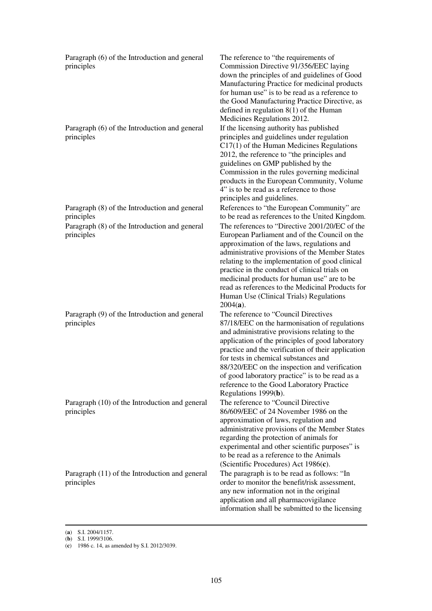Paragraph (6) of the Introduction and general principles

Paragraph (6) of the Introduction and general principles

Paragraph (8) of the Introduction and general principles Paragraph (8) of the Introduction and general

principles

Paragraph (9) of the Introduction and general principles

Paragraph (10) of the Introduction and general principles

Paragraph (11) of the Introduction and general principles

The reference to "the requirements of Commission Directive 91/356/EEC laying down the principles of and guidelines of Good Manufacturing Practice for medicinal products for human use" is to be read as a reference to the Good Manufacturing Practice Directive, as defined in regulation 8(1) of the Human Medicines Regulations 2012. If the licensing authority has published principles and guidelines under regulation C17(1) of the Human Medicines Regulations 2012, the reference to "the principles and guidelines on GMP published by the Commission in the rules governing medicinal products in the European Community, Volume 4" is to be read as a reference to those principles and guidelines. References to "the European Community" are to be read as references to the United Kingdom. The references to "Directive 2001/20/EC of the European Parliament and of the Council on the approximation of the laws, regulations and administrative provisions of the Member States relating to the implementation of good clinical practice in the conduct of clinical trials on medicinal products for human use" are to be read as references to the Medicinal Products for Human Use (Clinical Trials) Regulations 2004(**a**). The reference to "Council Directives 87/18/EEC on the harmonisation of regulations and administrative provisions relating to the application of the principles of good laboratory practice and the verification of their application for tests in chemical substances and 88/320/EEC on the inspection and verification of good laboratory practice" is to be read as a reference to the Good Laboratory Practice Regulations 1999(**b**). The reference to "Council Directive 86/609/EEC of 24 November 1986 on the approximation of laws, regulation and administrative provisions of the Member States

regarding the protection of animals for experimental and other scientific purposes" is to be read as a reference to the Animals (Scientific Procedures) Act 1986(**c**). The paragraph is to be read as follows: "In order to monitor the benefit/risk assessment, any new information not in the original application and all pharmacovigilance information shall be submitted to the licensing

(**a**) S.I. 2004/1157.

-

(**b**) S.I. 1999/3106.

(**c**) 1986 c. 14, as amended by S.I. 2012/3039.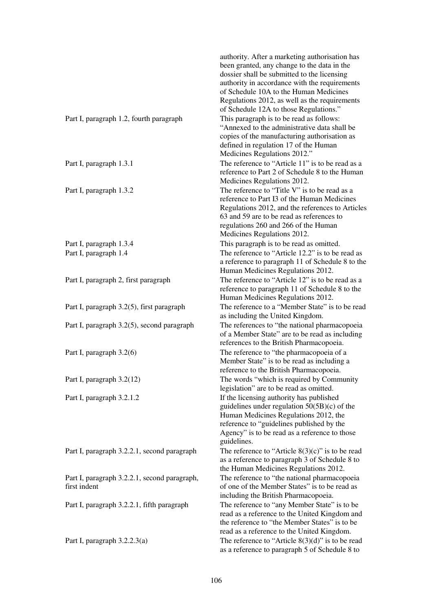|                                                  | authority. After a marketing authorisation has<br>been granted, any change to the data in the |
|--------------------------------------------------|-----------------------------------------------------------------------------------------------|
|                                                  | dossier shall be submitted to the licensing                                                   |
|                                                  | authority in accordance with the requirements                                                 |
|                                                  | of Schedule 10A to the Human Medicines                                                        |
|                                                  | Regulations 2012, as well as the requirements<br>of Schedule 12A to those Regulations."       |
| Part I, paragraph 1.2, fourth paragraph          | This paragraph is to be read as follows:                                                      |
|                                                  | "Annexed to the administrative data shall be                                                  |
|                                                  | copies of the manufacturing authorisation as                                                  |
|                                                  | defined in regulation 17 of the Human                                                         |
|                                                  | Medicines Regulations 2012."                                                                  |
| Part I, paragraph 1.3.1                          | The reference to "Article 11" is to be read as a                                              |
|                                                  | reference to Part 2 of Schedule 8 to the Human                                                |
|                                                  | Medicines Regulations 2012.                                                                   |
| Part I, paragraph 1.3.2                          | The reference to "Title V" is to be read as a                                                 |
|                                                  | reference to Part I3 of the Human Medicines                                                   |
|                                                  | Regulations 2012, and the references to Articles                                              |
|                                                  | 63 and 59 are to be read as references to                                                     |
|                                                  | regulations 260 and 266 of the Human                                                          |
|                                                  | Medicines Regulations 2012.<br>This paragraph is to be read as omitted.                       |
| Part I, paragraph 1.3.4<br>Part I, paragraph 1.4 | The reference to "Article 12.2" is to be read as                                              |
|                                                  | a reference to paragraph 11 of Schedule 8 to the                                              |
|                                                  | Human Medicines Regulations 2012.                                                             |
| Part I, paragraph 2, first paragraph             | The reference to "Article 12" is to be read as a                                              |
|                                                  | reference to paragraph 11 of Schedule 8 to the                                                |
|                                                  | Human Medicines Regulations 2012.                                                             |
| Part I, paragraph 3.2(5), first paragraph        | The reference to a "Member State" is to be read                                               |
|                                                  | as including the United Kingdom.                                                              |
| Part I, paragraph 3.2(5), second paragraph       | The references to "the national pharmacopoeia                                                 |
|                                                  | of a Member State" are to be read as including                                                |
|                                                  | references to the British Pharmacopoeia.                                                      |
| Part I, paragraph 3.2(6)                         | The reference to "the pharmacopoeia of a                                                      |
|                                                  | Member State" is to be read as including a                                                    |
|                                                  | reference to the British Pharmacopoeia.                                                       |
| Part I, paragraph 3.2(12)                        | The words "which is required by Community                                                     |
|                                                  | legislation" are to be read as omitted.                                                       |
| Part I, paragraph 3.2.1.2                        | If the licensing authority has published                                                      |
|                                                  | guidelines under regulation $50(5B)(c)$ of the                                                |
|                                                  | Human Medicines Regulations 2012, the                                                         |
|                                                  | reference to "guidelines published by the                                                     |
|                                                  | Agency" is to be read as a reference to those                                                 |
|                                                  | guidelines.                                                                                   |
| Part I, paragraph 3.2.2.1, second paragraph      | The reference to "Article $8(3)(c)$ " is to be read                                           |
|                                                  | as a reference to paragraph 3 of Schedule 8 to                                                |
|                                                  | the Human Medicines Regulations 2012.                                                         |
| Part I, paragraph 3.2.2.1, second paragraph,     | The reference to "the national pharmacopoeia                                                  |
| first indent                                     | of one of the Member States" is to be read as                                                 |
|                                                  | including the British Pharmacopoeia.                                                          |
| Part I, paragraph 3.2.2.1, fifth paragraph       | The reference to "any Member State" is to be<br>read as a reference to the United Kingdom and |
|                                                  | the reference to "the Member States" is to be                                                 |
|                                                  | read as a reference to the United Kingdom.                                                    |
| Part I, paragraph 3.2.2.3(a)                     | The reference to "Article $8(3)(d)$ " is to be read                                           |
|                                                  | as a reference to paragraph 5 of Schedule 8 to                                                |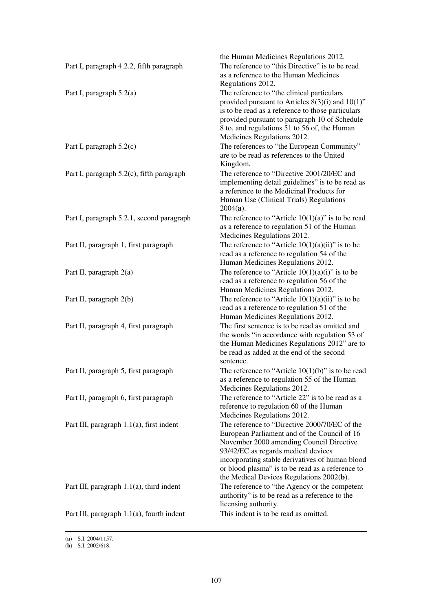| Part I, paragraph 4.2.2, fifth paragraph    | the Human Medicines Regulations 2012.<br>The reference to "this Directive" is to be read<br>as a reference to the Human Medicines<br>Regulations 2012.                                                                                                                                                                              |
|---------------------------------------------|-------------------------------------------------------------------------------------------------------------------------------------------------------------------------------------------------------------------------------------------------------------------------------------------------------------------------------------|
| Part I, paragraph $5.2(a)$                  | The reference to "the clinical particulars<br>provided pursuant to Articles $8(3)(i)$ and $10(1)$ "<br>is to be read as a reference to those particulars<br>provided pursuant to paragraph 10 of Schedule<br>8 to, and regulations 51 to 56 of, the Human<br>Medicines Regulations 2012.                                            |
| Part I, paragraph 5.2(c)                    | The references to "the European Community"<br>are to be read as references to the United<br>Kingdom.                                                                                                                                                                                                                                |
| Part I, paragraph 5.2(c), fifth paragraph   | The reference to "Directive 2001/20/EC and<br>implementing detail guidelines" is to be read as<br>a reference to the Medicinal Products for<br>Human Use (Clinical Trials) Regulations<br>$2004(a)$ .                                                                                                                               |
| Part I, paragraph 5.2.1, second paragraph   | The reference to "Article $10(1)(a)$ " is to be read<br>as a reference to regulation 51 of the Human<br>Medicines Regulations 2012.                                                                                                                                                                                                 |
| Part II, paragraph 1, first paragraph       | The reference to "Article $10(1)(a)(ii)$ " is to be<br>read as a reference to regulation 54 of the<br>Human Medicines Regulations 2012.                                                                                                                                                                                             |
| Part II, paragraph 2(a)                     | The reference to "Article $10(1)(a)(i)$ " is to be<br>read as a reference to regulation 56 of the<br>Human Medicines Regulations 2012.                                                                                                                                                                                              |
| Part II, paragraph 2(b)                     | The reference to "Article $10(1)(a)(ii)$ " is to be<br>read as a reference to regulation 51 of the<br>Human Medicines Regulations 2012.                                                                                                                                                                                             |
| Part II, paragraph 4, first paragraph       | The first sentence is to be read as omitted and<br>the words "in accordance with regulation 53 of<br>the Human Medicines Regulations 2012" are to<br>be read as added at the end of the second<br>sentence.                                                                                                                         |
| Part II, paragraph 5, first paragraph       | The reference to "Article $10(1)(b)$ " is to be read<br>as a reference to regulation 55 of the Human<br>Medicines Regulations 2012.                                                                                                                                                                                                 |
| Part II, paragraph 6, first paragraph       | The reference to "Article 22" is to be read as a<br>reference to regulation 60 of the Human<br>Medicines Regulations 2012.                                                                                                                                                                                                          |
| Part III, paragraph 1.1(a), first indent    | The reference to "Directive 2000/70/EC of the<br>European Parliament and of the Council of 16<br>November 2000 amending Council Directive<br>93/42/EC as regards medical devices<br>incorporating stable derivatives of human blood<br>or blood plasma" is to be read as a reference to<br>the Medical Devices Regulations 2002(b). |
| Part III, paragraph $1.1(a)$ , third indent | The reference to "the Agency or the competent<br>authority" is to be read as a reference to the<br>licensing authority.                                                                                                                                                                                                             |
| Part III, paragraph 1.1(a), fourth indent   | This indent is to be read as omitted.                                                                                                                                                                                                                                                                                               |

(**a**) S.I. 2004/1157.

<sup>(</sup>**b**) S.I. 2002/618.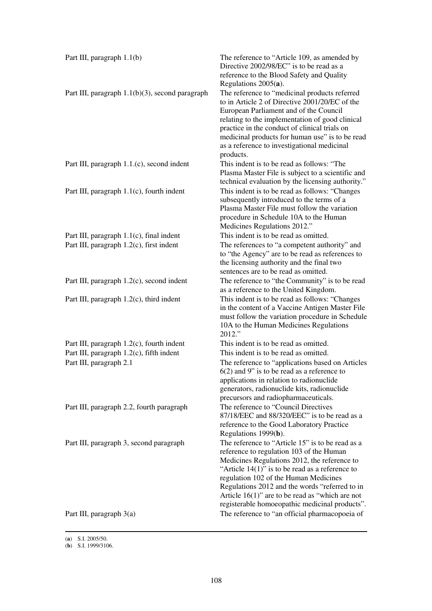| Part III, paragraph 1.1(b)                      | The reference to "Article 109, as amended by<br>Directive 2002/98/EC" is to be read as a<br>reference to the Blood Safety and Quality<br>Regulations 2005(a).                                                                                                                                                                                                                                         |
|-------------------------------------------------|-------------------------------------------------------------------------------------------------------------------------------------------------------------------------------------------------------------------------------------------------------------------------------------------------------------------------------------------------------------------------------------------------------|
| Part III, paragraph 1.1(b)(3), second paragraph | The reference to "medicinal products referred<br>to in Article 2 of Directive 2001/20/EC of the<br>European Parliament and of the Council<br>relating to the implementation of good clinical<br>practice in the conduct of clinical trials on<br>medicinal products for human use" is to be read<br>as a reference to investigational medicinal<br>products.                                          |
| Part III, paragraph 1.1.(c), second indent      | This indent is to be read as follows: "The<br>Plasma Master File is subject to a scientific and<br>technical evaluation by the licensing authority."                                                                                                                                                                                                                                                  |
| Part III, paragraph 1.1(c), fourth indent       | This indent is to be read as follows: "Changes"<br>subsequently introduced to the terms of a<br>Plasma Master File must follow the variation<br>procedure in Schedule 10A to the Human<br>Medicines Regulations 2012."                                                                                                                                                                                |
| Part III, paragraph $1.1(c)$ , final indent     | This indent is to be read as omitted.                                                                                                                                                                                                                                                                                                                                                                 |
| Part III, paragraph 1.2(c), first indent        | The references to "a competent authority" and<br>to "the Agency" are to be read as references to<br>the licensing authority and the final two<br>sentences are to be read as omitted.                                                                                                                                                                                                                 |
| Part III, paragraph 1.2(c), second indent       | The reference to "the Community" is to be read<br>as a reference to the United Kingdom.                                                                                                                                                                                                                                                                                                               |
| Part III, paragraph $1.2(c)$ , third indent     | This indent is to be read as follows: "Changes"<br>in the content of a Vaccine Antigen Master File<br>must follow the variation procedure in Schedule<br>10A to the Human Medicines Regulations<br>2012."                                                                                                                                                                                             |
| Part III, paragraph 1.2(c), fourth indent       | This indent is to be read as omitted.                                                                                                                                                                                                                                                                                                                                                                 |
| Part III, paragraph 1.2(c), fifth indent        | This indent is to be read as omitted.                                                                                                                                                                                                                                                                                                                                                                 |
| Part III, paragraph 2.1                         | The reference to "applications based on Articles"<br>$6(2)$ and 9" is to be read as a reference to<br>applications in relation to radionuclide<br>generators, radionuclide kits, radionuclide<br>precursors and radiopharmaceuticals.                                                                                                                                                                 |
| Part III, paragraph 2.2, fourth paragraph       | The reference to "Council Directives<br>87/18/EEC and 88/320/EEC" is to be read as a<br>reference to the Good Laboratory Practice<br>Regulations 1999(b).                                                                                                                                                                                                                                             |
| Part III, paragraph 3, second paragraph         | The reference to "Article 15" is to be read as a<br>reference to regulation 103 of the Human<br>Medicines Regulations 2012, the reference to<br>"Article $14(1)$ " is to be read as a reference to<br>regulation 102 of the Human Medicines<br>Regulations 2012 and the words "referred to in<br>Article $16(1)$ " are to be read as "which are not<br>registerable homoeopathic medicinal products". |
| Part III, paragraph 3(a)                        | The reference to "an official pharmacopoeia of                                                                                                                                                                                                                                                                                                                                                        |

<sup>-</sup>(**a**) S.I. 2005/50.

<sup>(</sup>**b**) S.I. 1999/3106.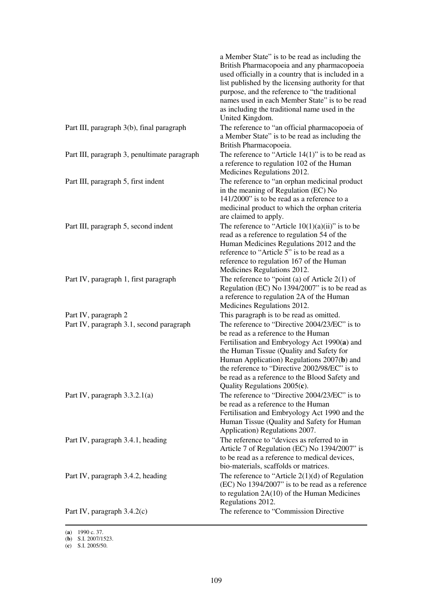|                                              | a Member State" is to be read as including the<br>British Pharmacopoeia and any pharmacopoeia                                                              |
|----------------------------------------------|------------------------------------------------------------------------------------------------------------------------------------------------------------|
|                                              | used officially in a country that is included in a<br>list published by the licensing authority for that<br>purpose, and the reference to "the traditional |
|                                              | names used in each Member State" is to be read                                                                                                             |
|                                              | as including the traditional name used in the                                                                                                              |
|                                              | United Kingdom.                                                                                                                                            |
| Part III, paragraph 3(b), final paragraph    | The reference to "an official pharmacopoeia of<br>a Member State" is to be read as including the<br>British Pharmacopoeia.                                 |
| Part III, paragraph 3, penultimate paragraph | The reference to "Article $14(1)$ " is to be read as                                                                                                       |
|                                              | a reference to regulation 102 of the Human<br>Medicines Regulations 2012.                                                                                  |
| Part III, paragraph 5, first indent          | The reference to "an orphan medicinal product                                                                                                              |
|                                              | in the meaning of Regulation (EC) No                                                                                                                       |
|                                              | 141/2000" is to be read as a reference to a                                                                                                                |
|                                              | medicinal product to which the orphan criteria<br>are claimed to apply.                                                                                    |
| Part III, paragraph 5, second indent         | The reference to "Article $10(1)(a)(ii)$ " is to be                                                                                                        |
|                                              | read as a reference to regulation 54 of the                                                                                                                |
|                                              | Human Medicines Regulations 2012 and the                                                                                                                   |
|                                              | reference to "Article 5" is to be read as a                                                                                                                |
|                                              | reference to regulation 167 of the Human                                                                                                                   |
|                                              | Medicines Regulations 2012.<br>The reference to "point (a) of Article $2(1)$ of                                                                            |
| Part IV, paragraph 1, first paragraph        | Regulation (EC) No 1394/2007" is to be read as                                                                                                             |
|                                              | a reference to regulation 2A of the Human                                                                                                                  |
|                                              | Medicines Regulations 2012.                                                                                                                                |
| Part IV, paragraph 2                         | This paragraph is to be read as omitted.                                                                                                                   |
| Part IV, paragraph 3.1, second paragraph     | The reference to "Directive 2004/23/EC" is to                                                                                                              |
|                                              | be read as a reference to the Human                                                                                                                        |
|                                              | Fertilisation and Embryology Act 1990(a) and                                                                                                               |
|                                              | the Human Tissue (Quality and Safety for<br>Human Application) Regulations 2007(b) and                                                                     |
|                                              | the reference to "Directive 2002/98/EC" is to                                                                                                              |
|                                              | be read as a reference to the Blood Safety and                                                                                                             |
|                                              | Quality Regulations $2005(c)$ .                                                                                                                            |
| Part IV, paragraph 3.3.2.1(a)                | The reference to "Directive 2004/23/EC" is to                                                                                                              |
|                                              | be read as a reference to the Human                                                                                                                        |
|                                              | Fertilisation and Embryology Act 1990 and the                                                                                                              |
|                                              | Human Tissue (Quality and Safety for Human<br>Application) Regulations 2007.                                                                               |
| Part IV, paragraph 3.4.1, heading            | The reference to "devices as referred to in                                                                                                                |
|                                              | Article 7 of Regulation (EC) No 1394/2007" is                                                                                                              |
|                                              | to be read as a reference to medical devices,                                                                                                              |
|                                              | bio-materials, scaffolds or matrices.                                                                                                                      |
| Part IV, paragraph 3.4.2, heading            | The reference to "Article $2(1)(d)$ of Regulation                                                                                                          |
|                                              | (EC) No 1394/2007" is to be read as a reference                                                                                                            |
|                                              | to regulation $2A(10)$ of the Human Medicines                                                                                                              |
|                                              | Regulations 2012.<br>The reference to "Commission Directive                                                                                                |
| Part IV, paragraph 3.4.2(c)                  |                                                                                                                                                            |
|                                              |                                                                                                                                                            |

(**a**) 1990 c. 37.

<sup>(</sup>**b**) S.I. 2007/1523.

<sup>(</sup>**c**) S.I. 2005/50.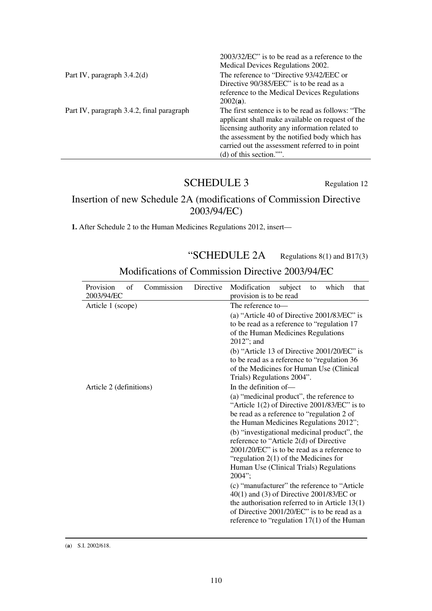|                                           | 2003/32/EC" is to be read as a reference to the<br>Medical Devices Regulations 2002.                  |
|-------------------------------------------|-------------------------------------------------------------------------------------------------------|
| Part IV, paragraph 3.4.2(d)               | The reference to "Directive 93/42/EEC or                                                              |
|                                           | Directive 90/385/EEC" is to be read as a                                                              |
|                                           | reference to the Medical Devices Regulations                                                          |
|                                           | $2002(a)$ .                                                                                           |
| Part IV, paragraph 3.4.2, final paragraph | The first sentence is to be read as follows: "The<br>applicant shall make available on request of the |
|                                           | licensing authority any information related to                                                        |
|                                           | the assessment by the notified body which has                                                         |
|                                           | carried out the assessment referred to in point                                                       |
|                                           | (d) of this section."".                                                                               |

# SCHEDULE 3 Regulation 12

# Insertion of new Schedule 2A (modifications of Commission Directive 2003/94/EC)

**1.** After Schedule 2 to the Human Medicines Regulations 2012, insert—

# "SCHEDULE 2A Regulations 8(1) and B17(3)

| Provision<br>of<br>2003/94/EC | Commission | Directive | Modification<br>which<br>subject<br>that<br>to<br>provision is to be read |
|-------------------------------|------------|-----------|---------------------------------------------------------------------------|
| Article 1 (scope)             |            |           | The reference to-                                                         |
|                               |            |           | (a) "Article 40 of Directive $2001/83/EC$ " is                            |
|                               |            |           | to be read as a reference to "regulation 17                               |
|                               |            |           | of the Human Medicines Regulations                                        |
|                               |            |           | $2012$ "; and                                                             |
|                               |            |           | (b) "Article 13 of Directive $2001/20/EC$ " is                            |
|                               |            |           | to be read as a reference to "regulation 36                               |
|                               |            |           | of the Medicines for Human Use (Clinical<br>Trials) Regulations 2004".    |
| Article 2 (definitions)       |            |           | In the definition of-                                                     |
|                               |            |           | (a) "medicinal product", the reference to                                 |
|                               |            |           | "Article $1(2)$ of Directive 2001/83/EC" is to                            |
|                               |            |           | be read as a reference to "regulation 2 of                                |
|                               |            |           | the Human Medicines Regulations 2012";                                    |
|                               |            |           | (b) "investigational medicinal product", the                              |
|                               |            |           | reference to "Article 2(d) of Directive                                   |
|                               |            |           | 2001/20/EC" is to be read as a reference to                               |
|                               |            |           | "regulation $2(1)$ of the Medicines for                                   |
|                               |            |           | Human Use (Clinical Trials) Regulations<br>$2004$ ";                      |
|                               |            |           | (c) "manufacturer" the reference to "Article"                             |
|                               |            |           | $40(1)$ and (3) of Directive 2001/83/EC or                                |
|                               |            |           | the authorisation referred to in Article $13(1)$                          |
|                               |            |           | of Directive 2001/20/EC" is to be read as a                               |
|                               |            |           | reference to "regulation $17(1)$ of the Human                             |
|                               |            |           |                                                                           |

# Modifications of Commission Directive 2003/94/EC

-(**a**) S.I. 2002/618.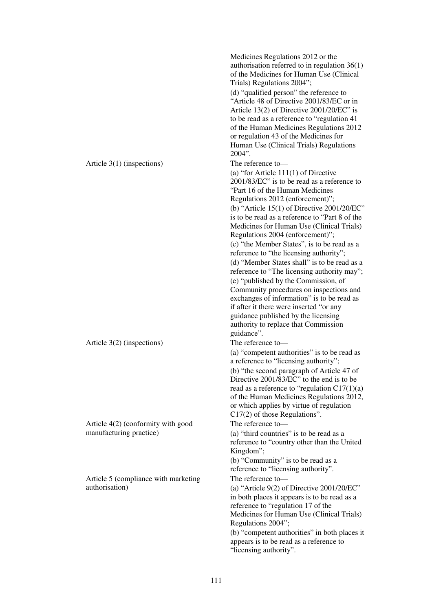|                                                                 | Medicines Regulations 2012 or the<br>authorisation referred to in regulation $36(1)$<br>of the Medicines for Human Use (Clinical<br>Trials) Regulations 2004";<br>(d) "qualified person" the reference to<br>"Article 48 of Directive 2001/83/EC or in<br>Article 13(2) of Directive $2001/20/EC$ " is<br>to be read as a reference to "regulation 41<br>of the Human Medicines Regulations 2012<br>or regulation 43 of the Medicines for<br>Human Use (Clinical Trials) Regulations<br>2004". |
|-----------------------------------------------------------------|------------------------------------------------------------------------------------------------------------------------------------------------------------------------------------------------------------------------------------------------------------------------------------------------------------------------------------------------------------------------------------------------------------------------------------------------------------------------------------------------|
| Article $3(1)$ (inspections)                                    | The reference to-                                                                                                                                                                                                                                                                                                                                                                                                                                                                              |
|                                                                 | (a) "for Article $111(1)$ of Directive<br>2001/83/EC" is to be read as a reference to<br>"Part 16 of the Human Medicines"<br>Regulations 2012 (enforcement)";                                                                                                                                                                                                                                                                                                                                  |
|                                                                 | (b) "Article $15(1)$ of Directive $2001/20$ /EC"<br>is to be read as a reference to "Part 8 of the<br>Medicines for Human Use (Clinical Trials)<br>Regulations 2004 (enforcement)";                                                                                                                                                                                                                                                                                                            |
|                                                                 | (c) "the Member States", is to be read as a<br>reference to "the licensing authority";                                                                                                                                                                                                                                                                                                                                                                                                         |
|                                                                 | (d) "Member States shall" is to be read as a<br>reference to "The licensing authority may";<br>(e) "published by the Commission, of                                                                                                                                                                                                                                                                                                                                                            |
|                                                                 | Community procedures on inspections and<br>exchanges of information" is to be read as<br>if after it there were inserted "or any                                                                                                                                                                                                                                                                                                                                                               |
|                                                                 | guidance published by the licensing<br>authority to replace that Commission<br>guidance".                                                                                                                                                                                                                                                                                                                                                                                                      |
| Article 3(2) (inspections)                                      | The reference to-                                                                                                                                                                                                                                                                                                                                                                                                                                                                              |
|                                                                 | (a) "competent authorities" is to be read as<br>a reference to "licensing authority";                                                                                                                                                                                                                                                                                                                                                                                                          |
|                                                                 | (b) "the second paragraph of Article 47 of<br>Directive 2001/83/EC" to the end is to be<br>read as a reference to "regulation $C17(1)(a)$                                                                                                                                                                                                                                                                                                                                                      |
|                                                                 | of the Human Medicines Regulations 2012,<br>or which applies by virtue of regulation                                                                                                                                                                                                                                                                                                                                                                                                           |
|                                                                 | $C17(2)$ of those Regulations".                                                                                                                                                                                                                                                                                                                                                                                                                                                                |
| Article $4(2)$ (conformity with good<br>manufacturing practice) | The reference to-<br>(a) "third countries" is to be read as a                                                                                                                                                                                                                                                                                                                                                                                                                                  |
|                                                                 | reference to "country other than the United<br>Kingdom";                                                                                                                                                                                                                                                                                                                                                                                                                                       |
|                                                                 | (b) "Community" is to be read as a                                                                                                                                                                                                                                                                                                                                                                                                                                                             |
| Article 5 (compliance with marketing                            | reference to "licensing authority".<br>The reference to-                                                                                                                                                                                                                                                                                                                                                                                                                                       |
| authorisation)                                                  | (a) "Article $9(2)$ of Directive $2001/20$ /EC"                                                                                                                                                                                                                                                                                                                                                                                                                                                |
|                                                                 | in both places it appears is to be read as a<br>reference to "regulation 17 of the<br>Medicines for Human Use (Clinical Trials)<br>Regulations 2004";                                                                                                                                                                                                                                                                                                                                          |
|                                                                 | (b) "competent authorities" in both places it                                                                                                                                                                                                                                                                                                                                                                                                                                                  |
|                                                                 | appears is to be read as a reference to<br>"licensing authority".                                                                                                                                                                                                                                                                                                                                                                                                                              |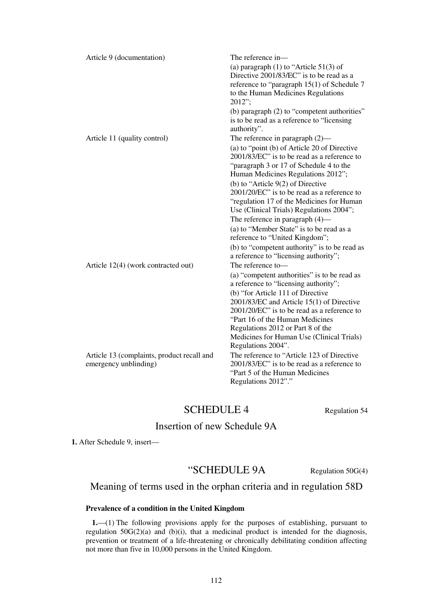| Article 9 (documentation)                  | The reference in—<br>(a) paragraph $(1)$ to "Article 51(3) of<br>Directive 2001/83/EC" is to be read as a<br>reference to "paragraph 15(1) of Schedule 7<br>to the Human Medicines Regulations<br>2012"; |
|--------------------------------------------|----------------------------------------------------------------------------------------------------------------------------------------------------------------------------------------------------------|
|                                            | (b) paragraph (2) to "competent authorities"<br>is to be read as a reference to "licensing<br>authority".                                                                                                |
| Article 11 (quality control)               | The reference in paragraph (2)-                                                                                                                                                                          |
|                                            | (a) to "point (b) of Article 20 of Directive<br>2001/83/EC" is to be read as a reference to<br>"paragraph 3 or 17 of Schedule 4 to the<br>Human Medicines Regulations 2012";                             |
|                                            | (b) to "Article $9(2)$ of Directive                                                                                                                                                                      |
|                                            | 2001/20/EC" is to be read as a reference to                                                                                                                                                              |
|                                            | "regulation 17 of the Medicines for Human<br>Use (Clinical Trials) Regulations 2004";                                                                                                                    |
|                                            | The reference in paragraph $(4)$ —                                                                                                                                                                       |
|                                            | (a) to "Member State" is to be read as a<br>reference to "United Kingdom";                                                                                                                               |
|                                            | (b) to "competent authority" is to be read as<br>a reference to "licensing authority";                                                                                                                   |
| Article 12(4) (work contracted out)        | The reference to-                                                                                                                                                                                        |
|                                            | (a) "competent authorities" is to be read as<br>a reference to "licensing authority";                                                                                                                    |
|                                            | (b) "for Article 111 of Directive                                                                                                                                                                        |
|                                            | 2001/83/EC and Article 15(1) of Directive                                                                                                                                                                |
|                                            | 2001/20/EC" is to be read as a reference to<br>"Part 16 of the Human Medicines"                                                                                                                          |
|                                            | Regulations 2012 or Part 8 of the                                                                                                                                                                        |
|                                            | Medicines for Human Use (Clinical Trials)                                                                                                                                                                |
|                                            | Regulations 2004".                                                                                                                                                                                       |
| Article 13 (complaints, product recall and | The reference to "Article 123 of Directive                                                                                                                                                               |
| emergency unblinding)                      | 2001/83/EC" is to be read as a reference to                                                                                                                                                              |
|                                            | "Part 5 of the Human Medicines                                                                                                                                                                           |
|                                            | Regulations 2012"."                                                                                                                                                                                      |

# SCHEDULE 4 Regulation 54

## Insertion of new Schedule 9A

**1.** After Schedule 9, insert—

# "SCHEDULE 9A Regulation 50G(4)

## Meaning of terms used in the orphan criteria and in regulation 58D

## **Prevalence of a condition in the United Kingdom**

**1.**—(1) The following provisions apply for the purposes of establishing, pursuant to regulation 50G(2)(a) and (b)(i), that a medicinal product is intended for the diagnosis, prevention or treatment of a life-threatening or chronically debilitating condition affecting not more than five in 10,000 persons in the United Kingdom.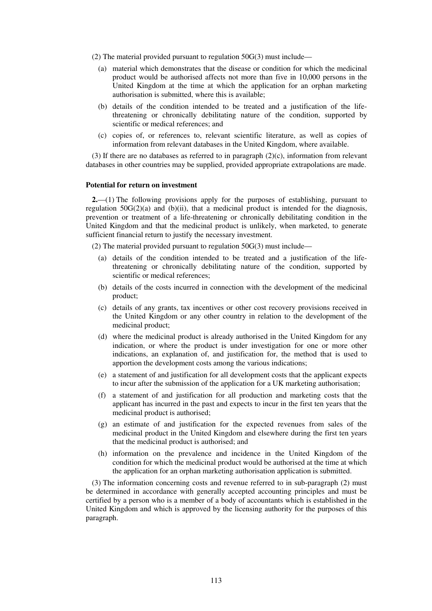- (2) The material provided pursuant to regulation  $50G(3)$  must include—
	- (a) material which demonstrates that the disease or condition for which the medicinal product would be authorised affects not more than five in 10,000 persons in the United Kingdom at the time at which the application for an orphan marketing authorisation is submitted, where this is available;
	- (b) details of the condition intended to be treated and a justification of the lifethreatening or chronically debilitating nature of the condition, supported by scientific or medical references; and
	- (c) copies of, or references to, relevant scientific literature, as well as copies of information from relevant databases in the United Kingdom, where available.

(3) If there are no databases as referred to in paragraph  $(2)(c)$ , information from relevant databases in other countries may be supplied, provided appropriate extrapolations are made.

#### **Potential for return on investment**

**2.**—(1) The following provisions apply for the purposes of establishing, pursuant to regulation  $50G(2)(a)$  and  $(b)(ii)$ , that a medicinal product is intended for the diagnosis, prevention or treatment of a life-threatening or chronically debilitating condition in the United Kingdom and that the medicinal product is unlikely, when marketed, to generate sufficient financial return to justify the necessary investment.

(2) The material provided pursuant to regulation 50G(3) must include—

- (a) details of the condition intended to be treated and a justification of the lifethreatening or chronically debilitating nature of the condition, supported by scientific or medical references;
- (b) details of the costs incurred in connection with the development of the medicinal product;
- (c) details of any grants, tax incentives or other cost recovery provisions received in the United Kingdom or any other country in relation to the development of the medicinal product;
- (d) where the medicinal product is already authorised in the United Kingdom for any indication, or where the product is under investigation for one or more other indications, an explanation of, and justification for, the method that is used to apportion the development costs among the various indications;
- (e) a statement of and justification for all development costs that the applicant expects to incur after the submission of the application for a UK marketing authorisation;
- (f) a statement of and justification for all production and marketing costs that the applicant has incurred in the past and expects to incur in the first ten years that the medicinal product is authorised;
- (g) an estimate of and justification for the expected revenues from sales of the medicinal product in the United Kingdom and elsewhere during the first ten years that the medicinal product is authorised; and
- (h) information on the prevalence and incidence in the United Kingdom of the condition for which the medicinal product would be authorised at the time at which the application for an orphan marketing authorisation application is submitted.

(3) The information concerning costs and revenue referred to in sub-paragraph (2) must be determined in accordance with generally accepted accounting principles and must be certified by a person who is a member of a body of accountants which is established in the United Kingdom and which is approved by the licensing authority for the purposes of this paragraph.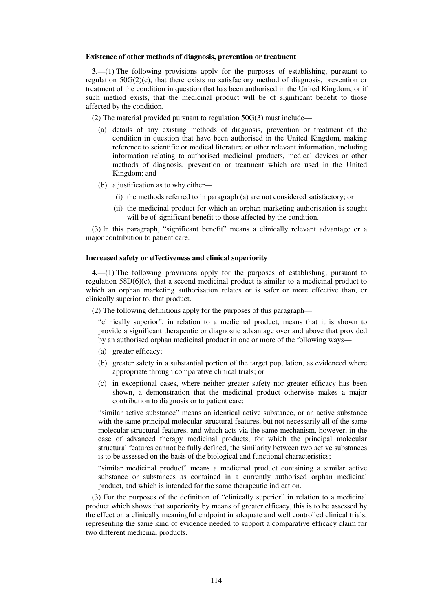#### **Existence of other methods of diagnosis, prevention or treatment**

**3.**—(1) The following provisions apply for the purposes of establishing, pursuant to regulation  $50G(2)(c)$ , that there exists no satisfactory method of diagnosis, prevention or treatment of the condition in question that has been authorised in the United Kingdom, or if such method exists, that the medicinal product will be of significant benefit to those affected by the condition.

(2) The material provided pursuant to regulation 50G(3) must include—

- (a) details of any existing methods of diagnosis, prevention or treatment of the condition in question that have been authorised in the United Kingdom, making reference to scientific or medical literature or other relevant information, including information relating to authorised medicinal products, medical devices or other methods of diagnosis, prevention or treatment which are used in the United Kingdom; and
- (b) a justification as to why either—
	- (i) the methods referred to in paragraph (a) are not considered satisfactory; or
	- (ii) the medicinal product for which an orphan marketing authorisation is sought will be of significant benefit to those affected by the condition.

(3) In this paragraph, "significant benefit" means a clinically relevant advantage or a major contribution to patient care.

## **Increased safety or effectiveness and clinical superiority**

**4.**—(1) The following provisions apply for the purposes of establishing, pursuant to regulation 58D(6)(c), that a second medicinal product is similar to a medicinal product to which an orphan marketing authorisation relates or is safer or more effective than, or clinically superior to, that product.

(2) The following definitions apply for the purposes of this paragraph—

"clinically superior", in relation to a medicinal product, means that it is shown to provide a significant therapeutic or diagnostic advantage over and above that provided by an authorised orphan medicinal product in one or more of the following ways—

- (a) greater efficacy;
- (b) greater safety in a substantial portion of the target population, as evidenced where appropriate through comparative clinical trials; or
- (c) in exceptional cases, where neither greater safety nor greater efficacy has been shown, a demonstration that the medicinal product otherwise makes a major contribution to diagnosis or to patient care;

"similar active substance" means an identical active substance, or an active substance with the same principal molecular structural features, but not necessarily all of the same molecular structural features, and which acts via the same mechanism, however, in the case of advanced therapy medicinal products, for which the principal molecular structural features cannot be fully defined, the similarity between two active substances is to be assessed on the basis of the biological and functional characteristics;

"similar medicinal product" means a medicinal product containing a similar active substance or substances as contained in a currently authorised orphan medicinal product, and which is intended for the same therapeutic indication.

(3) For the purposes of the definition of "clinically superior" in relation to a medicinal product which shows that superiority by means of greater efficacy, this is to be assessed by the effect on a clinically meaningful endpoint in adequate and well controlled clinical trials, representing the same kind of evidence needed to support a comparative efficacy claim for two different medicinal products.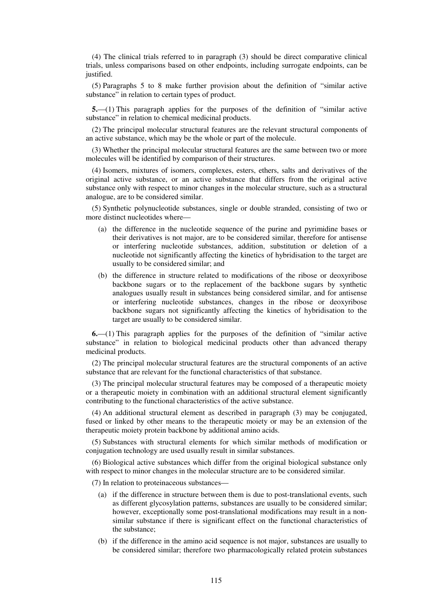(4) The clinical trials referred to in paragraph (3) should be direct comparative clinical trials, unless comparisons based on other endpoints, including surrogate endpoints, can be justified.

(5) Paragraphs 5 to 8 make further provision about the definition of "similar active substance" in relation to certain types of product.

**5.**—(1) This paragraph applies for the purposes of the definition of "similar active substance" in relation to chemical medicinal products.

(2) The principal molecular structural features are the relevant structural components of an active substance, which may be the whole or part of the molecule.

(3) Whether the principal molecular structural features are the same between two or more molecules will be identified by comparison of their structures.

(4) Isomers, mixtures of isomers, complexes, esters, ethers, salts and derivatives of the original active substance, or an active substance that differs from the original active substance only with respect to minor changes in the molecular structure, such as a structural analogue, are to be considered similar.

(5) Synthetic polynucleotide substances, single or double stranded, consisting of two or more distinct nucleotides where—

- (a) the difference in the nucleotide sequence of the purine and pyrimidine bases or their derivatives is not major, are to be considered similar, therefore for antisense or interfering nucleotide substances, addition, substitution or deletion of a nucleotide not significantly affecting the kinetics of hybridisation to the target are usually to be considered similar; and
- (b) the difference in structure related to modifications of the ribose or deoxyribose backbone sugars or to the replacement of the backbone sugars by synthetic analogues usually result in substances being considered similar, and for antisense or interfering nucleotide substances, changes in the ribose or deoxyribose backbone sugars not significantly affecting the kinetics of hybridisation to the target are usually to be considered similar.

**6.**—(1) This paragraph applies for the purposes of the definition of "similar active substance" in relation to biological medicinal products other than advanced therapy medicinal products.

(2) The principal molecular structural features are the structural components of an active substance that are relevant for the functional characteristics of that substance.

(3) The principal molecular structural features may be composed of a therapeutic moiety or a therapeutic moiety in combination with an additional structural element significantly contributing to the functional characteristics of the active substance.

(4) An additional structural element as described in paragraph (3) may be conjugated, fused or linked by other means to the therapeutic moiety or may be an extension of the therapeutic moiety protein backbone by additional amino acids.

(5) Substances with structural elements for which similar methods of modification or conjugation technology are used usually result in similar substances.

(6) Biological active substances which differ from the original biological substance only with respect to minor changes in the molecular structure are to be considered similar.

(7) In relation to proteinaceous substances—

- (a) if the difference in structure between them is due to post-translational events, such as different glycosylation patterns, substances are usually to be considered similar; however, exceptionally some post-translational modifications may result in a nonsimilar substance if there is significant effect on the functional characteristics of the substance;
- (b) if the difference in the amino acid sequence is not major, substances are usually to be considered similar; therefore two pharmacologically related protein substances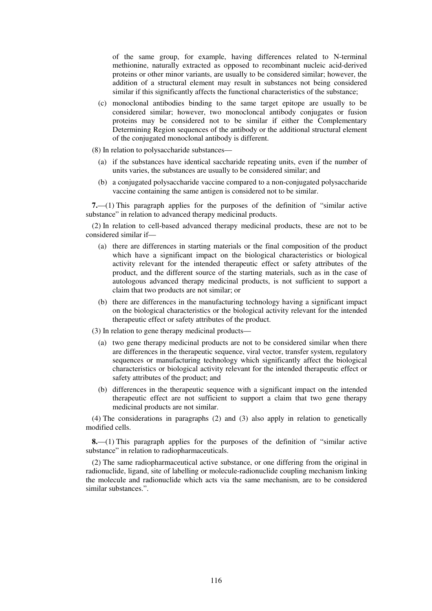of the same group, for example, having differences related to N-terminal methionine, naturally extracted as opposed to recombinant nucleic acid-derived proteins or other minor variants, are usually to be considered similar; however, the addition of a structural element may result in substances not being considered similar if this significantly affects the functional characteristics of the substance;

- (c) monoclonal antibodies binding to the same target epitope are usually to be considered similar; however, two monocloncal antibody conjugates or fusion proteins may be considered not to be similar if either the Complementary Determining Region sequences of the antibody or the additional structural element of the conjugated monoclonal antibody is different.
- (8) In relation to polysaccharide substances—
	- (a) if the substances have identical saccharide repeating units, even if the number of units varies, the substances are usually to be considered similar; and
	- (b) a conjugated polysaccharide vaccine compared to a non-conjugated polysaccharide vaccine containing the same antigen is considered not to be similar.

**7.**—(1) This paragraph applies for the purposes of the definition of "similar active substance" in relation to advanced therapy medicinal products.

(2) In relation to cell-based advanced therapy medicinal products, these are not to be considered similar if—

- (a) there are differences in starting materials or the final composition of the product which have a significant impact on the biological characteristics or biological activity relevant for the intended therapeutic effect or safety attributes of the product, and the different source of the starting materials, such as in the case of autologous advanced therapy medicinal products, is not sufficient to support a claim that two products are not similar; or
- (b) there are differences in the manufacturing technology having a significant impact on the biological characteristics or the biological activity relevant for the intended therapeutic effect or safety attributes of the product.

(3) In relation to gene therapy medicinal products—

- (a) two gene therapy medicinal products are not to be considered similar when there are differences in the therapeutic sequence, viral vector, transfer system, regulatory sequences or manufacturing technology which significantly affect the biological characteristics or biological activity relevant for the intended therapeutic effect or safety attributes of the product; and
- (b) differences in the therapeutic sequence with a significant impact on the intended therapeutic effect are not sufficient to support a claim that two gene therapy medicinal products are not similar.

(4) The considerations in paragraphs (2) and (3) also apply in relation to genetically modified cells.

**8.**—(1) This paragraph applies for the purposes of the definition of "similar active substance" in relation to radiopharmaceuticals.

(2) The same radiopharmaceutical active substance, or one differing from the original in radionuclide, ligand, site of labelling or molecule-radionuclide coupling mechanism linking the molecule and radionuclide which acts via the same mechanism, are to be considered similar substances.".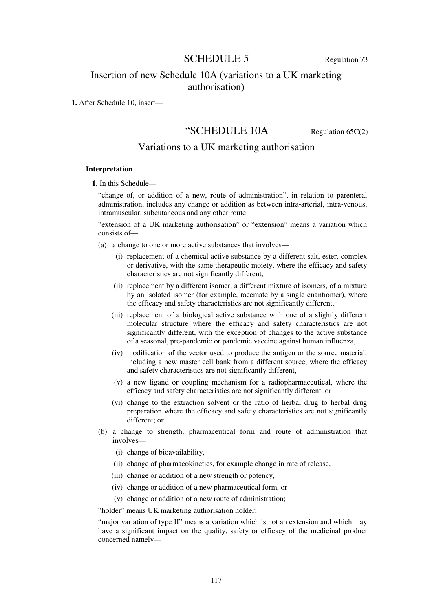## SCHEDULE 5 Regulation 73

## Insertion of new Schedule 10A (variations to a UK marketing authorisation)

**1.** After Schedule 10, insert—

## "SCHEDULE 10A Regulation 65C(2)

## Variations to a UK marketing authorisation

### **Interpretation**

**1.** In this Schedule—

"change of, or addition of a new, route of administration", in relation to parenteral administration, includes any change or addition as between intra-arterial, intra-venous, intramuscular, subcutaneous and any other route;

"extension of a UK marketing authorisation" or "extension" means a variation which consists of—

- (a) a change to one or more active substances that involves—
	- (i) replacement of a chemical active substance by a different salt, ester, complex or derivative, with the same therapeutic moiety, where the efficacy and safety characteristics are not significantly different,
	- (ii) replacement by a different isomer, a different mixture of isomers, of a mixture by an isolated isomer (for example, racemate by a single enantiomer), where the efficacy and safety characteristics are not significantly different,
	- (iii) replacement of a biological active substance with one of a slightly different molecular structure where the efficacy and safety characteristics are not significantly different, with the exception of changes to the active substance of a seasonal, pre-pandemic or pandemic vaccine against human influenza,
	- (iv) modification of the vector used to produce the antigen or the source material, including a new master cell bank from a different source, where the efficacy and safety characteristics are not significantly different,
	- (v) a new ligand or coupling mechanism for a radiopharmaceutical, where the efficacy and safety characteristics are not significantly different, or
	- (vi) change to the extraction solvent or the ratio of herbal drug to herbal drug preparation where the efficacy and safety characteristics are not significantly different; or
- (b) a change to strength, pharmaceutical form and route of administration that involves—
	- (i) change of bioavailability,
	- (ii) change of pharmacokinetics, for example change in rate of release,
	- (iii) change or addition of a new strength or potency,
	- (iv) change or addition of a new pharmaceutical form, or
	- (v) change or addition of a new route of administration;

"holder" means UK marketing authorisation holder;

"major variation of type II" means a variation which is not an extension and which may have a significant impact on the quality, safety or efficacy of the medicinal product concerned namely—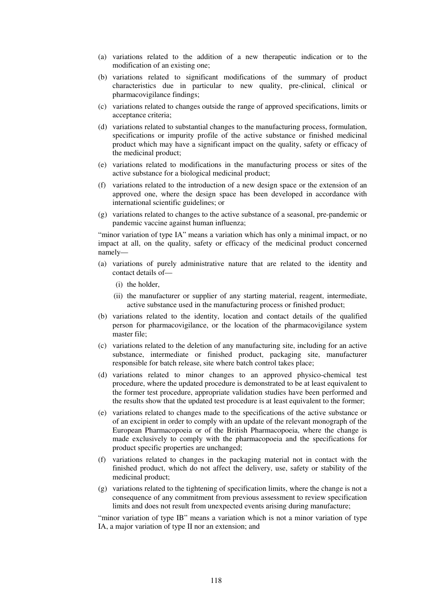- (a) variations related to the addition of a new therapeutic indication or to the modification of an existing one;
- (b) variations related to significant modifications of the summary of product characteristics due in particular to new quality, pre-clinical, clinical or pharmacovigilance findings;
- (c) variations related to changes outside the range of approved specifications, limits or acceptance criteria;
- (d) variations related to substantial changes to the manufacturing process, formulation, specifications or impurity profile of the active substance or finished medicinal product which may have a significant impact on the quality, safety or efficacy of the medicinal product;
- (e) variations related to modifications in the manufacturing process or sites of the active substance for a biological medicinal product;
- (f) variations related to the introduction of a new design space or the extension of an approved one, where the design space has been developed in accordance with international scientific guidelines; or
- (g) variations related to changes to the active substance of a seasonal, pre-pandemic or pandemic vaccine against human influenza;

"minor variation of type IA" means a variation which has only a minimal impact, or no impact at all, on the quality, safety or efficacy of the medicinal product concerned namely—

- (a) variations of purely administrative nature that are related to the identity and contact details of—
	- (i) the holder,
	- (ii) the manufacturer or supplier of any starting material, reagent, intermediate, active substance used in the manufacturing process or finished product;
- (b) variations related to the identity, location and contact details of the qualified person for pharmacovigilance, or the location of the pharmacovigilance system master file;
- (c) variations related to the deletion of any manufacturing site, including for an active substance, intermediate or finished product, packaging site, manufacturer responsible for batch release, site where batch control takes place;
- (d) variations related to minor changes to an approved physico-chemical test procedure, where the updated procedure is demonstrated to be at least equivalent to the former test procedure, appropriate validation studies have been performed and the results show that the updated test procedure is at least equivalent to the former;
- (e) variations related to changes made to the specifications of the active substance or of an excipient in order to comply with an update of the relevant monograph of the European Pharmacopoeia or of the British Pharmacopoeia, where the change is made exclusively to comply with the pharmacopoeia and the specifications for product specific properties are unchanged;
- (f) variations related to changes in the packaging material not in contact with the finished product, which do not affect the delivery, use, safety or stability of the medicinal product;
- (g) variations related to the tightening of specification limits, where the change is not a consequence of any commitment from previous assessment to review specification limits and does not result from unexpected events arising during manufacture;

"minor variation of type IB" means a variation which is not a minor variation of type IA, a major variation of type II nor an extension; and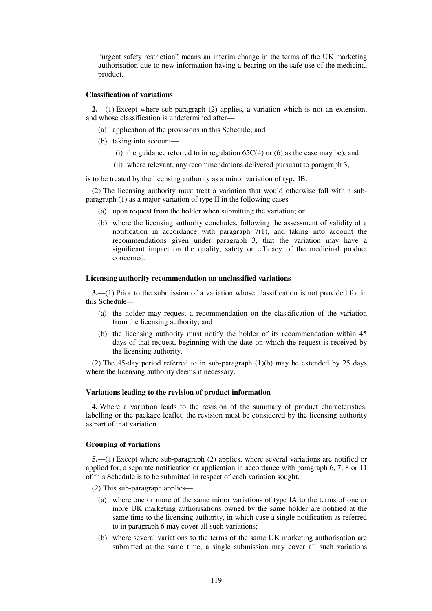"urgent safety restriction" means an interim change in the terms of the UK marketing authorisation due to new information having a bearing on the safe use of the medicinal product.

### **Classification of variations**

**2.**—(1) Except where sub-paragraph (2) applies, a variation which is not an extension, and whose classification is undetermined after—

- (a) application of the provisions in this Schedule; and
- (b) taking into account—
	- (i) the guidance referred to in regulation  $65C(4)$  or  $(6)$  as the case may be), and
	- (ii) where relevant, any recommendations delivered pursuant to paragraph 3,

is to be treated by the licensing authority as a minor variation of type IB.

(2) The licensing authority must treat a variation that would otherwise fall within subparagraph  $(1)$  as a major variation of type II in the following cases—

- (a) upon request from the holder when submitting the variation; or
- (b) where the licensing authority concludes, following the assessment of validity of a notification in accordance with paragraph 7(1), and taking into account the recommendations given under paragraph 3, that the variation may have a significant impact on the quality, safety or efficacy of the medicinal product concerned.

### **Licensing authority recommendation on unclassified variations**

**3.**—(1) Prior to the submission of a variation whose classification is not provided for in this Schedule—

- (a) the holder may request a recommendation on the classification of the variation from the licensing authority; and
- (b) the licensing authority must notify the holder of its recommendation within 45 days of that request, beginning with the date on which the request is received by the licensing authority.

(2) The 45-day period referred to in sub-paragraph (1)(b) may be extended by 25 days where the licensing authority deems it necessary.

### **Variations leading to the revision of product information**

**4.** Where a variation leads to the revision of the summary of product characteristics, labelling or the package leaflet, the revision must be considered by the licensing authority as part of that variation.

### **Grouping of variations**

**5.**—(1) Except where sub-paragraph (2) applies, where several variations are notified or applied for, a separate notification or application in accordance with paragraph 6, 7, 8 or 11 of this Schedule is to be submitted in respect of each variation sought.

(2) This sub-paragraph applies—

- (a) where one or more of the same minor variations of type IA to the terms of one or more UK marketing authorisations owned by the same holder are notified at the same time to the licensing authority, in which case a single notification as referred to in paragraph 6 may cover all such variations;
- (b) where several variations to the terms of the same UK marketing authorisation are submitted at the same time, a single submission may cover all such variations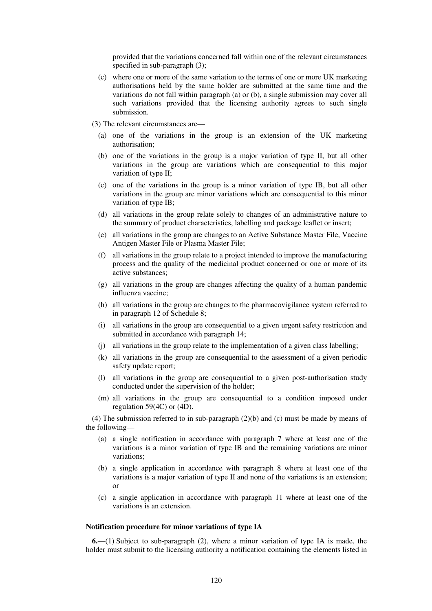provided that the variations concerned fall within one of the relevant circumstances specified in sub-paragraph (3);

- (c) where one or more of the same variation to the terms of one or more UK marketing authorisations held by the same holder are submitted at the same time and the variations do not fall within paragraph (a) or (b), a single submission may cover all such variations provided that the licensing authority agrees to such single submission.
- (3) The relevant circumstances are—
	- (a) one of the variations in the group is an extension of the UK marketing authorisation;
	- (b) one of the variations in the group is a major variation of type II, but all other variations in the group are variations which are consequential to this major variation of type II;
	- (c) one of the variations in the group is a minor variation of type IB, but all other variations in the group are minor variations which are consequential to this minor variation of type IB;
	- (d) all variations in the group relate solely to changes of an administrative nature to the summary of product characteristics, labelling and package leaflet or insert;
	- (e) all variations in the group are changes to an Active Substance Master File, Vaccine Antigen Master File or Plasma Master File;
	- (f) all variations in the group relate to a project intended to improve the manufacturing process and the quality of the medicinal product concerned or one or more of its active substances;
	- (g) all variations in the group are changes affecting the quality of a human pandemic influenza vaccine;
	- (h) all variations in the group are changes to the pharmacovigilance system referred to in paragraph 12 of Schedule 8;
	- (i) all variations in the group are consequential to a given urgent safety restriction and submitted in accordance with paragraph 14;
	- (j) all variations in the group relate to the implementation of a given class labelling;
	- (k) all variations in the group are consequential to the assessment of a given periodic safety update report;
	- (l) all variations in the group are consequential to a given post-authorisation study conducted under the supervision of the holder;
	- (m) all variations in the group are consequential to a condition imposed under regulation 59(4C) or (4D).

(4) The submission referred to in sub-paragraph  $(2)(b)$  and (c) must be made by means of the following—

- (a) a single notification in accordance with paragraph 7 where at least one of the variations is a minor variation of type IB and the remaining variations are minor variations;
- (b) a single application in accordance with paragraph 8 where at least one of the variations is a major variation of type II and none of the variations is an extension; or
- (c) a single application in accordance with paragraph 11 where at least one of the variations is an extension.

### **Notification procedure for minor variations of type IA**

**6.**—(1) Subject to sub-paragraph (2), where a minor variation of type IA is made, the holder must submit to the licensing authority a notification containing the elements listed in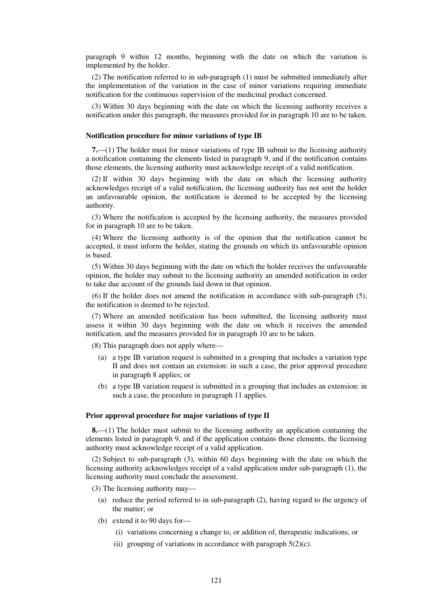paragraph 9 within 12 months, beginning with the date on which the variation is implemented by the holder.

(2) The notification referred to in sub-paragraph (1) must be submitted immediately after the implementation of the variation in the case of minor variations requiring immediate notification for the continuous supervision of the medicinal product concerned.

(3) Within 30 days beginning with the date on which the licensing authority receives a notification under this paragraph, the measures provided for in paragraph 10 are to be taken.

#### **Notification procedure for minor variations of type IB**

**7.**—(1) The holder must for minor variations of type IB submit to the licensing authority a notification containing the elements listed in paragraph 9, and if the notification contains those elements, the licensing authority must acknowledge receipt of a valid notification.

(2) If within 30 days beginning with the date on which the licensing authority acknowledges receipt of a valid notification, the licensing authority has not sent the holder an unfavourable opinion, the notification is deemed to be accepted by the licensing authority.

(3) Where the notification is accepted by the licensing authority, the measures provided for in paragraph 10 are to be taken.

(4) Where the licensing authority is of the opinion that the notification cannot be accepted, it must inform the holder, stating the grounds on which its unfavourable opinion is based.

(5) Within 30 days beginning with the date on which the holder receives the unfavourable opinion, the holder may submit to the licensing authority an amended notification in order to take due account of the grounds laid down in that opinion.

(6) If the holder does not amend the notification in accordance with sub-paragraph (5), the notification is deemed to be rejected.

(7) Where an amended notification has been submitted, the licensing authority must assess it within 30 days beginning with the date on which it receives the amended notification, and the measures provided for in paragraph 10 are to be taken.

(8) This paragraph does not apply where—

- (a) a type IB variation request is submitted in a grouping that includes a variation type II and does not contain an extension: in such a case, the prior approval procedure in paragraph 8 applies; or
- (b) a type IB variation request is submitted in a grouping that includes an extension: in such a case, the procedure in paragraph 11 applies.

#### **Prior approval procedure for major variations of type II**

**8.**—(1) The holder must submit to the licensing authority an application containing the elements listed in paragraph 9, and if the application contains those elements, the licensing authority must acknowledge receipt of a valid application.

(2) Subject to sub-paragraph (3), within 60 days beginning with the date on which the licensing authority acknowledges receipt of a valid application under sub-paragraph (1), the licensing authority must conclude the assessment.

(3) The licensing authority may—

- (a) reduce the period referred to in sub-paragraph (2), having regard to the urgency of the matter; or
- (b) extend it to 90 days for—
	- (i) variations concerning a change to, or addition of, therapeutic indications, or
	- (ii) grouping of variations in accordance with paragraph  $5(2)(c)$ .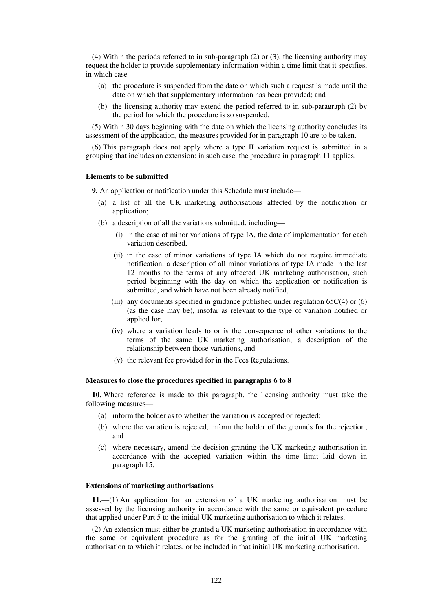(4) Within the periods referred to in sub-paragraph (2) or (3), the licensing authority may request the holder to provide supplementary information within a time limit that it specifies, in which case—

- (a) the procedure is suspended from the date on which such a request is made until the date on which that supplementary information has been provided; and
- (b) the licensing authority may extend the period referred to in sub-paragraph (2) by the period for which the procedure is so suspended.

(5) Within 30 days beginning with the date on which the licensing authority concludes its assessment of the application, the measures provided for in paragraph 10 are to be taken.

(6) This paragraph does not apply where a type II variation request is submitted in a grouping that includes an extension: in such case, the procedure in paragraph 11 applies.

#### **Elements to be submitted**

**9.** An application or notification under this Schedule must include—

- (a) a list of all the UK marketing authorisations affected by the notification or application;
- (b) a description of all the variations submitted, including—
	- (i) in the case of minor variations of type IA, the date of implementation for each variation described,
	- (ii) in the case of minor variations of type IA which do not require immediate notification, a description of all minor variations of type IA made in the last 12 months to the terms of any affected UK marketing authorisation, such period beginning with the day on which the application or notification is submitted, and which have not been already notified,
	- (iii) any documents specified in guidance published under regulation  $65C(4)$  or  $(6)$ (as the case may be), insofar as relevant to the type of variation notified or applied for,
	- (iv) where a variation leads to or is the consequence of other variations to the terms of the same UK marketing authorisation, a description of the relationship between those variations, and
	- (v) the relevant fee provided for in the Fees Regulations.

### **Measures to close the procedures specified in paragraphs 6 to 8**

**10.** Where reference is made to this paragraph, the licensing authority must take the following measures—

- (a) inform the holder as to whether the variation is accepted or rejected;
- (b) where the variation is rejected, inform the holder of the grounds for the rejection; and
- (c) where necessary, amend the decision granting the UK marketing authorisation in accordance with the accepted variation within the time limit laid down in paragraph 15.

## **Extensions of marketing authorisations**

**11.**—(1) An application for an extension of a UK marketing authorisation must be assessed by the licensing authority in accordance with the same or equivalent procedure that applied under Part 5 to the initial UK marketing authorisation to which it relates.

(2) An extension must either be granted a UK marketing authorisation in accordance with the same or equivalent procedure as for the granting of the initial UK marketing authorisation to which it relates, or be included in that initial UK marketing authorisation.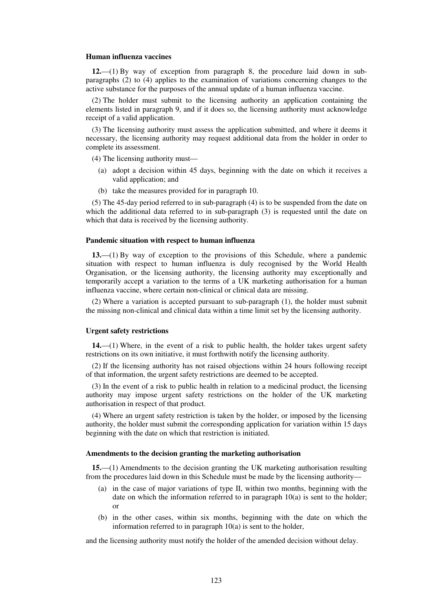#### **Human influenza vaccines**

**12.**—(1) By way of exception from paragraph 8, the procedure laid down in subparagraphs (2) to (4) applies to the examination of variations concerning changes to the active substance for the purposes of the annual update of a human influenza vaccine.

(2) The holder must submit to the licensing authority an application containing the elements listed in paragraph 9, and if it does so, the licensing authority must acknowledge receipt of a valid application.

(3) The licensing authority must assess the application submitted, and where it deems it necessary, the licensing authority may request additional data from the holder in order to complete its assessment.

(4) The licensing authority must—

- (a) adopt a decision within 45 days, beginning with the date on which it receives a valid application; and
- (b) take the measures provided for in paragraph 10.

(5) The 45-day period referred to in sub-paragraph (4) is to be suspended from the date on which the additional data referred to in sub-paragraph (3) is requested until the date on which that data is received by the licensing authority.

### **Pandemic situation with respect to human influenza**

**13.**—(1) By way of exception to the provisions of this Schedule, where a pandemic situation with respect to human influenza is duly recognised by the World Health Organisation, or the licensing authority, the licensing authority may exceptionally and temporarily accept a variation to the terms of a UK marketing authorisation for a human influenza vaccine, where certain non-clinical or clinical data are missing.

(2) Where a variation is accepted pursuant to sub-paragraph (1), the holder must submit the missing non-clinical and clinical data within a time limit set by the licensing authority.

#### **Urgent safety restrictions**

**14.**—(1) Where, in the event of a risk to public health, the holder takes urgent safety restrictions on its own initiative, it must forthwith notify the licensing authority.

(2) If the licensing authority has not raised objections within 24 hours following receipt of that information, the urgent safety restrictions are deemed to be accepted.

(3) In the event of a risk to public health in relation to a medicinal product, the licensing authority may impose urgent safety restrictions on the holder of the UK marketing authorisation in respect of that product.

(4) Where an urgent safety restriction is taken by the holder, or imposed by the licensing authority, the holder must submit the corresponding application for variation within 15 days beginning with the date on which that restriction is initiated.

### **Amendments to the decision granting the marketing authorisation**

**15.**—(1) Amendments to the decision granting the UK marketing authorisation resulting from the procedures laid down in this Schedule must be made by the licensing authority—

- (a) in the case of major variations of type II, within two months, beginning with the date on which the information referred to in paragraph  $10(a)$  is sent to the holder; or
- (b) in the other cases, within six months, beginning with the date on which the information referred to in paragraph 10(a) is sent to the holder,

and the licensing authority must notify the holder of the amended decision without delay.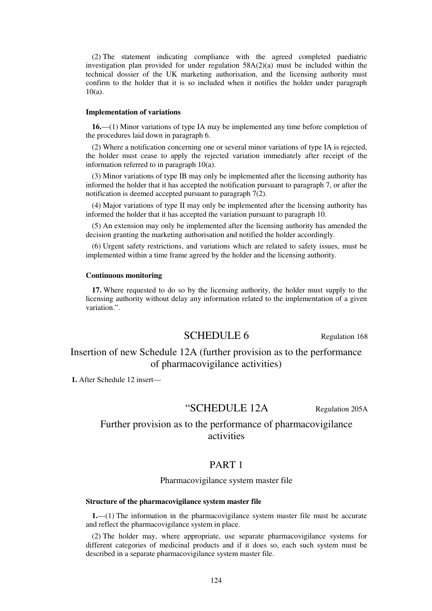(2) The statement indicating compliance with the agreed completed paediatric investigation plan provided for under regulation  $58A(2)(a)$  must be included within the technical dossier of the UK marketing authorisation, and the licensing authority must confirm to the holder that it is so included when it notifies the holder under paragraph 10(a).

#### **Implementation of variations**

**16.**—(1) Minor variations of type IA may be implemented any time before completion of the procedures laid down in paragraph 6.

(2) Where a notification concerning one or several minor variations of type IA is rejected, the holder must cease to apply the rejected variation immediately after receipt of the information referred to in paragraph 10(a).

(3) Minor variations of type IB may only be implemented after the licensing authority has informed the holder that it has accepted the notification pursuant to paragraph 7, or after the notification is deemed accepted pursuant to paragraph 7(2).

(4) Major variations of type II may only be implemented after the licensing authority has informed the holder that it has accepted the variation pursuant to paragraph 10.

(5) An extension may only be implemented after the licensing authority has amended the decision granting the marketing authorisation and notified the holder accordingly.

(6) Urgent safety restrictions, and variations which are related to safety issues, must be implemented within a time frame agreed by the holder and the licensing authority.

#### **Continuous monitoring**

**17.** Where requested to do so by the licensing authority, the holder must supply to the licensing authority without delay any information related to the implementation of a given variation."

## SCHEDULE 6 Regulation 168

## Insertion of new Schedule 12A (further provision as to the performance of pharmacovigilance activities)

**1.** After Schedule 12 insert—

## "SCHEDULE 12A Regulation 205A

# Further provision as to the performance of pharmacovigilance activities

## PART 1

## Pharmacovigilance system master file

### **Structure of the pharmacovigilance system master file**

**1.**—(1) The information in the pharmacovigilance system master file must be accurate and reflect the pharmacovigilance system in place.

(2) The holder may, where appropriate, use separate pharmacovigilance systems for different categories of medicinal products and if it does so, each such system must be described in a separate pharmacovigilance system master file.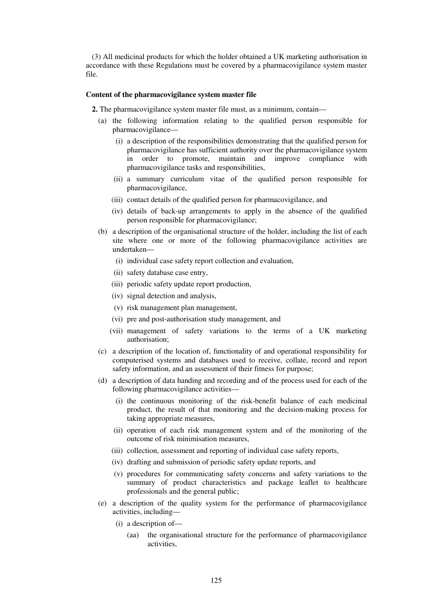(3) All medicinal products for which the holder obtained a UK marketing authorisation in accordance with these Regulations must be covered by a pharmacovigilance system master file.

### **Content of the pharmacovigilance system master file**

**2.** The pharmacovigilance system master file must, as a minimum, contain—

- (a) the following information relating to the qualified person responsible for pharmacovigilance—
	- (i) a description of the responsibilities demonstrating that the qualified person for pharmacovigilance has sufficient authority over the pharmacovigilance system in order to promote, maintain and improve compliance with pharmacovigilance tasks and responsibilities,
	- (ii) a summary curriculum vitae of the qualified person responsible for pharmacovigilance,
	- (iii) contact details of the qualified person for pharmacovigilance, and
	- (iv) details of back-up arrangements to apply in the absence of the qualified person responsible for pharmacovigilance;
- (b) a description of the organisational structure of the holder, including the list of each site where one or more of the following pharmacovigilance activities are undertaken—
	- (i) individual case safety report collection and evaluation,
	- (ii) safety database case entry,
	- (iii) periodic safety update report production,
	- (iv) signal detection and analysis,
	- (v) risk management plan management,
	- (vi) pre and post-authorisation study management, and
	- (vii) management of safety variations to the terms of a UK marketing authorisation;
- (c) a description of the location of, functionality of and operational responsibility for computerised systems and databases used to receive, collate, record and report safety information, and an assessment of their fitness for purpose;
- (d) a description of data handing and recording and of the process used for each of the following pharmacovigilance activities—
	- (i) the continuous monitoring of the risk-benefit balance of each medicinal product, the result of that monitoring and the decision-making process for taking appropriate measures,
	- (ii) operation of each risk management system and of the monitoring of the outcome of risk minimisation measures,
	- (iii) collection, assessment and reporting of individual case safety reports,
	- (iv) drafting and submission of periodic safety update reports, and
	- (v) procedures for communicating safety concerns and safety variations to the summary of product characteristics and package leaflet to healthcare professionals and the general public;
- (e) a description of the quality system for the performance of pharmacovigilance activities, including—
	- (i) a description of—
		- (aa) the organisational structure for the performance of pharmacovigilance activities,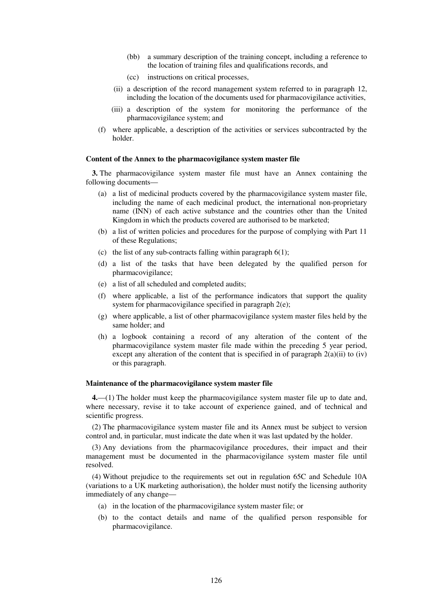- (bb) a summary description of the training concept, including a reference to the location of training files and qualifications records, and
- (cc) instructions on critical processes,
- (ii) a description of the record management system referred to in paragraph 12, including the location of the documents used for pharmacovigilance activities,
- (iii) a description of the system for monitoring the performance of the pharmacovigilance system; and
- (f) where applicable, a description of the activities or services subcontracted by the holder.

### **Content of the Annex to the pharmacovigilance system master file**

**3.** The pharmacovigilance system master file must have an Annex containing the following documents—

- (a) a list of medicinal products covered by the pharmacovigilance system master file, including the name of each medicinal product, the international non-proprietary name (INN) of each active substance and the countries other than the United Kingdom in which the products covered are authorised to be marketed;
- (b) a list of written policies and procedures for the purpose of complying with Part 11 of these Regulations;
- (c) the list of any sub-contracts falling within paragraph  $6(1)$ ;
- (d) a list of the tasks that have been delegated by the qualified person for pharmacovigilance;
- (e) a list of all scheduled and completed audits;
- (f) where applicable, a list of the performance indicators that support the quality system for pharmacovigilance specified in paragraph 2(e);
- (g) where applicable, a list of other pharmacovigilance system master files held by the same holder; and
- (h) a logbook containing a record of any alteration of the content of the pharmacovigilance system master file made within the preceding 5 year period, except any alteration of the content that is specified in of paragraph  $2(a)(ii)$  to (iv) or this paragraph.

#### **Maintenance of the pharmacovigilance system master file**

**4.**—(1) The holder must keep the pharmacovigilance system master file up to date and, where necessary, revise it to take account of experience gained, and of technical and scientific progress.

(2) The pharmacovigilance system master file and its Annex must be subject to version control and, in particular, must indicate the date when it was last updated by the holder.

(3) Any deviations from the pharmacovigilance procedures, their impact and their management must be documented in the pharmacovigilance system master file until resolved.

(4) Without prejudice to the requirements set out in regulation 65C and Schedule 10A (variations to a UK marketing authorisation), the holder must notify the licensing authority immediately of any change—

- (a) in the location of the pharmacovigilance system master file; or
- (b) to the contact details and name of the qualified person responsible for pharmacovigilance.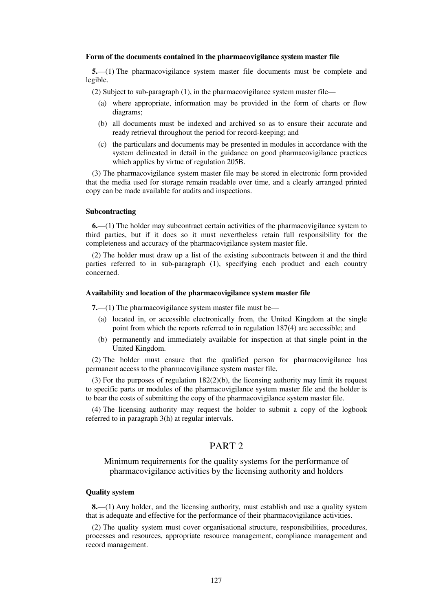#### **Form of the documents contained in the pharmacovigilance system master file**

**5.**—(1) The pharmacovigilance system master file documents must be complete and legible.

(2) Subject to sub-paragraph (1), in the pharmacovigilance system master file—

- (a) where appropriate, information may be provided in the form of charts or flow diagrams;
- (b) all documents must be indexed and archived so as to ensure their accurate and ready retrieval throughout the period for record-keeping; and
- (c) the particulars and documents may be presented in modules in accordance with the system delineated in detail in the guidance on good pharmacovigilance practices which applies by virtue of regulation 205B.

(3) The pharmacovigilance system master file may be stored in electronic form provided that the media used for storage remain readable over time, and a clearly arranged printed copy can be made available for audits and inspections.

### **Subcontracting**

**6.**—(1) The holder may subcontract certain activities of the pharmacovigilance system to third parties, but if it does so it must nevertheless retain full responsibility for the completeness and accuracy of the pharmacovigilance system master file.

(2) The holder must draw up a list of the existing subcontracts between it and the third parties referred to in sub-paragraph (1), specifying each product and each country concerned.

### **Availability and location of the pharmacovigilance system master file**

**7.**—(1) The pharmacovigilance system master file must be—

- (a) located in, or accessible electronically from, the United Kingdom at the single point from which the reports referred to in regulation 187(4) are accessible; and
- (b) permanently and immediately available for inspection at that single point in the United Kingdom.

(2) The holder must ensure that the qualified person for pharmacovigilance has permanent access to the pharmacovigilance system master file.

 $(3)$  For the purposes of regulation  $182(2)(b)$ , the licensing authority may limit its request to specific parts or modules of the pharmacovigilance system master file and the holder is to bear the costs of submitting the copy of the pharmacovigilance system master file.

(4) The licensing authority may request the holder to submit a copy of the logbook referred to in paragraph 3(h) at regular intervals.

## PART 2

Minimum requirements for the quality systems for the performance of pharmacovigilance activities by the licensing authority and holders

## **Quality system**

**8.**—(1) Any holder, and the licensing authority, must establish and use a quality system that is adequate and effective for the performance of their pharmacovigilance activities.

(2) The quality system must cover organisational structure, responsibilities, procedures, processes and resources, appropriate resource management, compliance management and record management.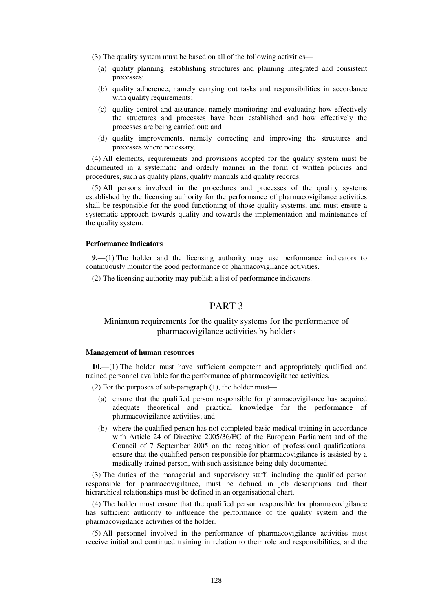(3) The quality system must be based on all of the following activities—

- (a) quality planning: establishing structures and planning integrated and consistent processes;
- (b) quality adherence, namely carrying out tasks and responsibilities in accordance with quality requirements;
- (c) quality control and assurance, namely monitoring and evaluating how effectively the structures and processes have been established and how effectively the processes are being carried out; and
- (d) quality improvements, namely correcting and improving the structures and processes where necessary.

(4) All elements, requirements and provisions adopted for the quality system must be documented in a systematic and orderly manner in the form of written policies and procedures, such as quality plans, quality manuals and quality records.

(5) All persons involved in the procedures and processes of the quality systems established by the licensing authority for the performance of pharmacovigilance activities shall be responsible for the good functioning of those quality systems, and must ensure a systematic approach towards quality and towards the implementation and maintenance of the quality system.

### **Performance indicators**

**9.**—(1) The holder and the licensing authority may use performance indicators to continuously monitor the good performance of pharmacovigilance activities.

(2) The licensing authority may publish a list of performance indicators.

## PART 3

## Minimum requirements for the quality systems for the performance of pharmacovigilance activities by holders

## **Management of human resources**

**10.**—(1) The holder must have sufficient competent and appropriately qualified and trained personnel available for the performance of pharmacovigilance activities.

(2) For the purposes of sub-paragraph (1), the holder must—

- (a) ensure that the qualified person responsible for pharmacovigilance has acquired adequate theoretical and practical knowledge for the performance of pharmacovigilance activities; and
- (b) where the qualified person has not completed basic medical training in accordance with Article 24 of Directive 2005/36/EC of the European Parliament and of the Council of 7 September 2005 on the recognition of professional qualifications, ensure that the qualified person responsible for pharmacovigilance is assisted by a medically trained person, with such assistance being duly documented.

(3) The duties of the managerial and supervisory staff, including the qualified person responsible for pharmacovigilance, must be defined in job descriptions and their hierarchical relationships must be defined in an organisational chart.

(4) The holder must ensure that the qualified person responsible for pharmacovigilance has sufficient authority to influence the performance of the quality system and the pharmacovigilance activities of the holder.

(5) All personnel involved in the performance of pharmacovigilance activities must receive initial and continued training in relation to their role and responsibilities, and the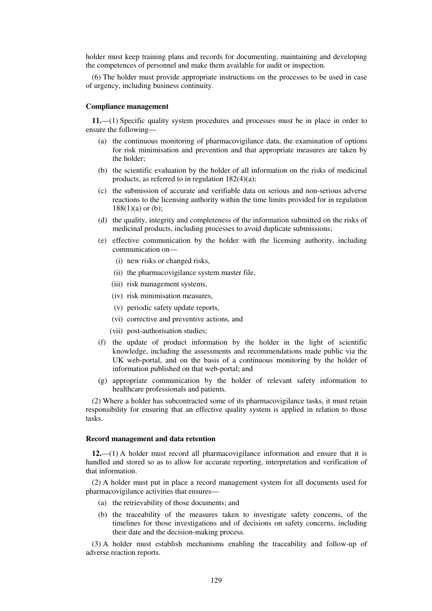holder must keep training plans and records for documenting, maintaining and developing the competences of personnel and make them available for audit or inspection.

(6) The holder must provide appropriate instructions on the processes to be used in case of urgency, including business continuity.

### **Compliance management**

**11.**—(1) Specific quality system procedures and processes must be in place in order to ensure the following—

- (a) the continuous monitoring of pharmacovigilance data, the examination of options for risk minimisation and prevention and that appropriate measures are taken by the holder;
- (b) the scientific evaluation by the holder of all information on the risks of medicinal products, as referred to in regulation 182(4)(a);
- (c) the submission of accurate and verifiable data on serious and non-serious adverse reactions to the licensing authority within the time limits provided for in regulation  $188(1)(a)$  or (b);
- (d) the quality, integrity and completeness of the information submitted on the risks of medicinal products, including processes to avoid duplicate submissions;
- (e) effective communication by the holder with the licensing authority, including communication on—
	- (i) new risks or changed risks,
	- (ii) the pharmacovigilance system master file,
	- (iii) risk management systems,
	- (iv) risk minimisation measures,
	- (v) periodic safety update reports,
	- (vi) corrective and preventive actions, and
	- (vii) post-authorisation studies;
- (f) the update of product information by the holder in the light of scientific knowledge, including the assessments and recommendations made public via the UK web-portal, and on the basis of a continuous monitoring by the holder of information published on that web-portal; and
- (g) appropriate communication by the holder of relevant safety information to healthcare professionals and patients.

(2) Where a holder has subcontracted some of its pharmacovigilance tasks, it must retain responsibility for ensuring that an effective quality system is applied in relation to those tasks.

#### **Record management and data retention**

**12.**—(1) A holder must record all pharmacovigilance information and ensure that it is handled and stored so as to allow for accurate reporting, interpretation and verification of that information.

(2) A holder must put in place a record management system for all documents used for pharmacovigilance activities that ensures—

- (a) the retrievability of those documents; and
- (b) the traceability of the measures taken to investigate safety concerns, of the timelines for those investigations and of decisions on safety concerns, including their date and the decision-making process.

(3) A holder must establish mechanisms enabling the traceability and follow-up of adverse reaction reports.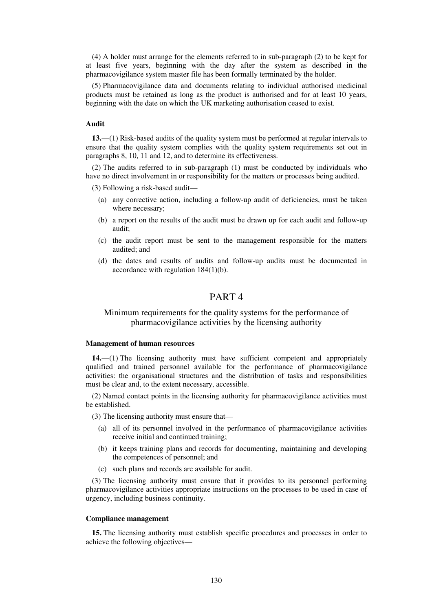(4) A holder must arrange for the elements referred to in sub-paragraph (2) to be kept for at least five years, beginning with the day after the system as described in the pharmacovigilance system master file has been formally terminated by the holder.

(5) Pharmacovigilance data and documents relating to individual authorised medicinal products must be retained as long as the product is authorised and for at least 10 years, beginning with the date on which the UK marketing authorisation ceased to exist.

## **Audit**

**13.**—(1) Risk-based audits of the quality system must be performed at regular intervals to ensure that the quality system complies with the quality system requirements set out in paragraphs 8, 10, 11 and 12, and to determine its effectiveness.

(2) The audits referred to in sub-paragraph (1) must be conducted by individuals who have no direct involvement in or responsibility for the matters or processes being audited.

(3) Following a risk-based audit—

- (a) any corrective action, including a follow-up audit of deficiencies, must be taken where necessary;
- (b) a report on the results of the audit must be drawn up for each audit and follow-up audit;
- (c) the audit report must be sent to the management responsible for the matters audited; and
- (d) the dates and results of audits and follow-up audits must be documented in accordance with regulation 184(1)(b).

## PART 4

## Minimum requirements for the quality systems for the performance of pharmacovigilance activities by the licensing authority

#### **Management of human resources**

**14.**—(1) The licensing authority must have sufficient competent and appropriately qualified and trained personnel available for the performance of pharmacovigilance activities: the organisational structures and the distribution of tasks and responsibilities must be clear and, to the extent necessary, accessible.

(2) Named contact points in the licensing authority for pharmacovigilance activities must be established.

(3) The licensing authority must ensure that—

- (a) all of its personnel involved in the performance of pharmacovigilance activities receive initial and continued training;
- (b) it keeps training plans and records for documenting, maintaining and developing the competences of personnel; and
- (c) such plans and records are available for audit.

(3) The licensing authority must ensure that it provides to its personnel performing pharmacovigilance activities appropriate instructions on the processes to be used in case of urgency, including business continuity.

#### **Compliance management**

**15.** The licensing authority must establish specific procedures and processes in order to achieve the following objectives—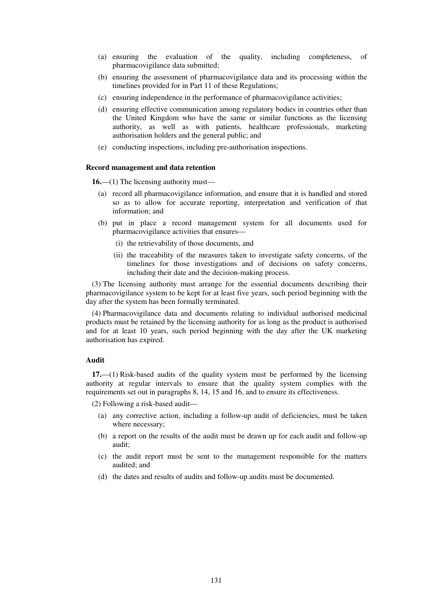- (a) ensuring the evaluation of the quality, including completeness, of pharmacovigilance data submitted;
- (b) ensuring the assessment of pharmacovigilance data and its processing within the timelines provided for in Part 11 of these Regulations;
- (c) ensuring independence in the performance of pharmacovigilance activities;
- (d) ensuring effective communication among regulatory bodies in countries other than the United Kingdom who have the same or similar functions as the licensing authority, as well as with patients, healthcare professionals, marketing authorisation holders and the general public; and
- (e) conducting inspections, including pre-authorisation inspections.

## **Record management and data retention**

**16.**—(1) The licensing authority must—

- (a) record all pharmacovigilance information, and ensure that it is handled and stored so as to allow for accurate reporting, interpretation and verification of that information; and
- (b) put in place a record management system for all documents used for pharmacovigilance activities that ensures—
	- (i) the retrievability of those documents, and
	- (ii) the traceability of the measures taken to investigate safety concerns, of the timelines for those investigations and of decisions on safety concerns, including their date and the decision-making process.

(3) The licensing authority must arrange for the essential documents describing their pharmacovigilance system to be kept for at least five years, such period beginning with the day after the system has been formally terminated.

(4) Pharmacovigilance data and documents relating to individual authorised medicinal products must be retained by the licensing authority for as long as the product is authorised and for at least 10 years, such period beginning with the day after the UK marketing authorisation has expired.

## **Audit**

**17.**—(1) Risk-based audits of the quality system must be performed by the licensing authority at regular intervals to ensure that the quality system complies with the requirements set out in paragraphs 8, 14, 15 and 16, and to ensure its effectiveness.

(2) Following a risk-based audit—

- (a) any corrective action, including a follow-up audit of deficiencies, must be taken where necessary;
- (b) a report on the results of the audit must be drawn up for each audit and follow-up audit;
- (c) the audit report must be sent to the management responsible for the matters audited; and
- (d) the dates and results of audits and follow-up audits must be documented.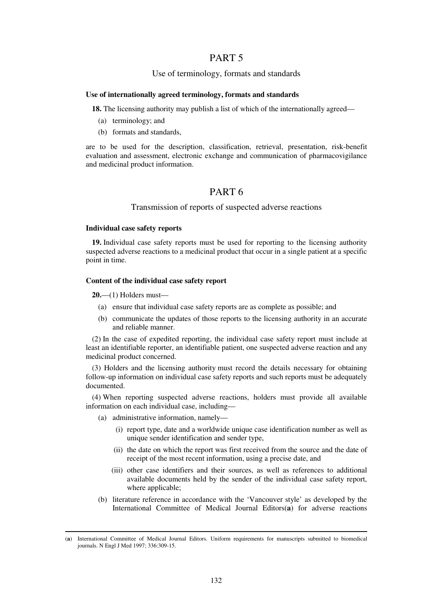## PART 5

## Use of terminology, formats and standards

### **Use of internationally agreed terminology, formats and standards**

**18.** The licensing authority may publish a list of which of the internationally agreed—

- (a) terminology; and
- (b) formats and standards,

are to be used for the description, classification, retrieval, presentation, risk-benefit evaluation and assessment, electronic exchange and communication of pharmacovigilance and medicinal product information.

## PART 6

### Transmission of reports of suspected adverse reactions

### **Individual case safety reports**

**19.** Individual case safety reports must be used for reporting to the licensing authority suspected adverse reactions to a medicinal product that occur in a single patient at a specific point in time.

### **Content of the individual case safety report**

**20.**—(1) Holders must—

-

- (a) ensure that individual case safety reports are as complete as possible; and
- (b) communicate the updates of those reports to the licensing authority in an accurate and reliable manner.

(2) In the case of expedited reporting, the individual case safety report must include at least an identifiable reporter, an identifiable patient, one suspected adverse reaction and any medicinal product concerned.

(3) Holders and the licensing authority must record the details necessary for obtaining follow-up information on individual case safety reports and such reports must be adequately documented.

(4) When reporting suspected adverse reactions, holders must provide all available information on each individual case, including—

- (a) administrative information, namely—
	- (i) report type, date and a worldwide unique case identification number as well as unique sender identification and sender type,
	- (ii) the date on which the report was first received from the source and the date of receipt of the most recent information, using a precise date, and
	- (iii) other case identifiers and their sources, as well as references to additional available documents held by the sender of the individual case safety report, where applicable;
- (b) literature reference in accordance with the 'Vancouver style' as developed by the International Committee of Medical Journal Editors(**a**) for adverse reactions

<sup>(</sup>**a**) International Committee of Medical Journal Editors. Uniform requirements for manuscripts submitted to biomedical journals. N Engl J Med 1997; 336:309-15.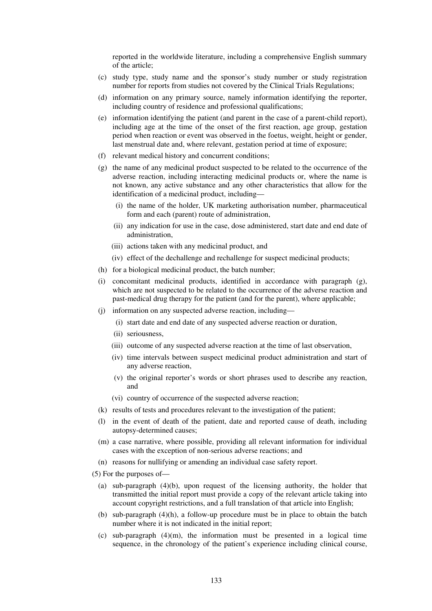reported in the worldwide literature, including a comprehensive English summary of the article;

- (c) study type, study name and the sponsor's study number or study registration number for reports from studies not covered by the Clinical Trials Regulations;
- (d) information on any primary source, namely information identifying the reporter, including country of residence and professional qualifications;
- (e) information identifying the patient (and parent in the case of a parent-child report), including age at the time of the onset of the first reaction, age group, gestation period when reaction or event was observed in the foetus, weight, height or gender, last menstrual date and, where relevant, gestation period at time of exposure;
- (f) relevant medical history and concurrent conditions;
- (g) the name of any medicinal product suspected to be related to the occurrence of the adverse reaction, including interacting medicinal products or, where the name is not known, any active substance and any other characteristics that allow for the identification of a medicinal product, including—
	- (i) the name of the holder, UK marketing authorisation number, pharmaceutical form and each (parent) route of administration,
	- (ii) any indication for use in the case, dose administered, start date and end date of administration,
	- (iii) actions taken with any medicinal product, and
	- (iv) effect of the dechallenge and rechallenge for suspect medicinal products;
- (h) for a biological medicinal product, the batch number;
- (i) concomitant medicinal products, identified in accordance with paragraph (g), which are not suspected to be related to the occurrence of the adverse reaction and past-medical drug therapy for the patient (and for the parent), where applicable;
- (j) information on any suspected adverse reaction, including—
	- (i) start date and end date of any suspected adverse reaction or duration,
	- (ii) seriousness,
	- (iii) outcome of any suspected adverse reaction at the time of last observation,
	- (iv) time intervals between suspect medicinal product administration and start of any adverse reaction,
	- (v) the original reporter's words or short phrases used to describe any reaction, and
	- (vi) country of occurrence of the suspected adverse reaction;
- (k) results of tests and procedures relevant to the investigation of the patient;
- (l) in the event of death of the patient, date and reported cause of death, including autopsy-determined causes;
- (m) a case narrative, where possible, providing all relevant information for individual cases with the exception of non-serious adverse reactions; and
- (n) reasons for nullifying or amending an individual case safety report.

(5) For the purposes of—

- (a) sub-paragraph (4)(b), upon request of the licensing authority, the holder that transmitted the initial report must provide a copy of the relevant article taking into account copyright restrictions, and a full translation of that article into English;
- (b) sub-paragraph (4)(h), a follow-up procedure must be in place to obtain the batch number where it is not indicated in the initial report;
- (c) sub-paragraph  $(4)(m)$ , the information must be presented in a logical time sequence, in the chronology of the patient's experience including clinical course,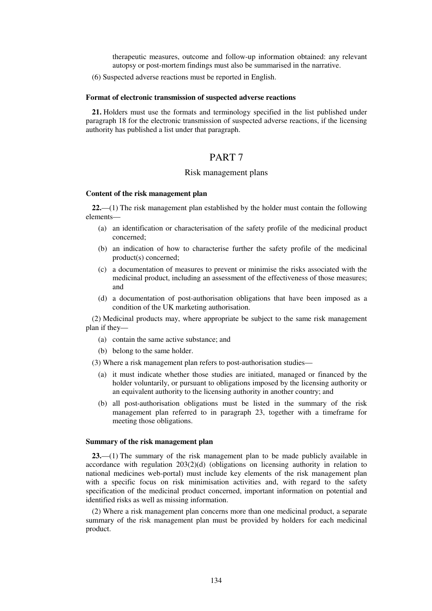therapeutic measures, outcome and follow-up information obtained: any relevant autopsy or post-mortem findings must also be summarised in the narrative.

(6) Suspected adverse reactions must be reported in English.

#### **Format of electronic transmission of suspected adverse reactions**

**21.** Holders must use the formats and terminology specified in the list published under paragraph 18 for the electronic transmission of suspected adverse reactions, if the licensing authority has published a list under that paragraph.

## PART 7

### Risk management plans

#### **Content of the risk management plan**

**22.**—(1) The risk management plan established by the holder must contain the following elements—

- (a) an identification or characterisation of the safety profile of the medicinal product concerned;
- (b) an indication of how to characterise further the safety profile of the medicinal product(s) concerned;
- (c) a documentation of measures to prevent or minimise the risks associated with the medicinal product, including an assessment of the effectiveness of those measures; and
- (d) a documentation of post-authorisation obligations that have been imposed as a condition of the UK marketing authorisation.

(2) Medicinal products may, where appropriate be subject to the same risk management plan if they—

- (a) contain the same active substance; and
- (b) belong to the same holder.

(3) Where a risk management plan refers to post-authorisation studies—

- (a) it must indicate whether those studies are initiated, managed or financed by the holder voluntarily, or pursuant to obligations imposed by the licensing authority or an equivalent authority to the licensing authority in another country; and
- (b) all post-authorisation obligations must be listed in the summary of the risk management plan referred to in paragraph 23, together with a timeframe for meeting those obligations.

#### **Summary of the risk management plan**

**23.**—(1) The summary of the risk management plan to be made publicly available in accordance with regulation  $203(2)(d)$  (obligations on licensing authority in relation to national medicines web-portal) must include key elements of the risk management plan with a specific focus on risk minimisation activities and, with regard to the safety specification of the medicinal product concerned, important information on potential and identified risks as well as missing information.

(2) Where a risk management plan concerns more than one medicinal product, a separate summary of the risk management plan must be provided by holders for each medicinal product.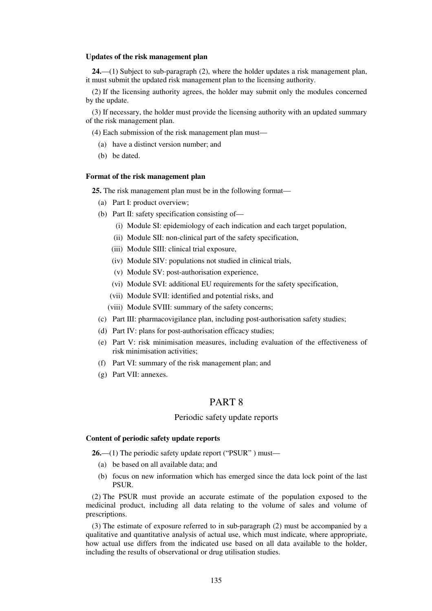#### **Updates of the risk management plan**

**24.**—(1) Subject to sub-paragraph (2), where the holder updates a risk management plan, it must submit the updated risk management plan to the licensing authority.

(2) If the licensing authority agrees, the holder may submit only the modules concerned by the update.

(3) If necessary, the holder must provide the licensing authority with an updated summary of the risk management plan.

(4) Each submission of the risk management plan must—

- (a) have a distinct version number; and
- (b) be dated.

#### **Format of the risk management plan**

**25.** The risk management plan must be in the following format—

- (a) Part I: product overview;
- (b) Part II: safety specification consisting of—
	- (i) Module SI: epidemiology of each indication and each target population,
	- (ii) Module SII: non-clinical part of the safety specification,
	- (iii) Module SIII: clinical trial exposure,
	- (iv) Module SIV: populations not studied in clinical trials,
	- (v) Module SV: post-authorisation experience,
	- (vi) Module SVI: additional EU requirements for the safety specification,
	- (vii) Module SVII: identified and potential risks, and
	- (viii) Module SVIII: summary of the safety concerns;
- (c) Part III: pharmacovigilance plan, including post-authorisation safety studies;
- (d) Part IV: plans for post-authorisation efficacy studies;
- (e) Part V: risk minimisation measures, including evaluation of the effectiveness of risk minimisation activities;
- (f) Part VI: summary of the risk management plan; and
- (g) Part VII: annexes.

## PART 8

### Periodic safety update reports

#### **Content of periodic safety update reports**

**26.**—(1) The periodic safety update report ("PSUR") must—

- (a) be based on all available data; and
- (b) focus on new information which has emerged since the data lock point of the last PSUR.

(2) The PSUR must provide an accurate estimate of the population exposed to the medicinal product, including all data relating to the volume of sales and volume of prescriptions.

(3) The estimate of exposure referred to in sub-paragraph (2) must be accompanied by a qualitative and quantitative analysis of actual use, which must indicate, where appropriate, how actual use differs from the indicated use based on all data available to the holder, including the results of observational or drug utilisation studies.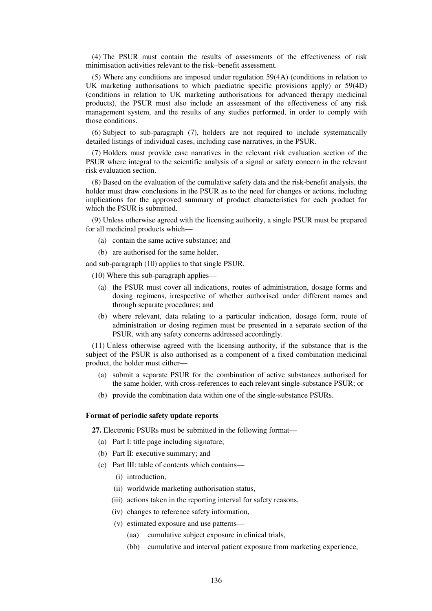(4) The PSUR must contain the results of assessments of the effectiveness of risk minimisation activities relevant to the risk–benefit assessment.

(5) Where any conditions are imposed under regulation 59(4A) (conditions in relation to UK marketing authorisations to which paediatric specific provisions apply) or 59(4D) (conditions in relation to UK marketing authorisations for advanced therapy medicinal products), the PSUR must also include an assessment of the effectiveness of any risk management system, and the results of any studies performed, in order to comply with those conditions.

(6) Subject to sub-paragraph (7), holders are not required to include systematically detailed listings of individual cases, including case narratives, in the PSUR.

(7) Holders must provide case narratives in the relevant risk evaluation section of the PSUR where integral to the scientific analysis of a signal or safety concern in the relevant risk evaluation section.

(8) Based on the evaluation of the cumulative safety data and the risk-benefit analysis, the holder must draw conclusions in the PSUR as to the need for changes or actions, including implications for the approved summary of product characteristics for each product for which the PSUR is submitted.

(9) Unless otherwise agreed with the licensing authority, a single PSUR must be prepared for all medicinal products which—

- (a) contain the same active substance; and
- (b) are authorised for the same holder,

and sub-paragraph (10) applies to that single PSUR.

- (10) Where this sub-paragraph applies—
	- (a) the PSUR must cover all indications, routes of administration, dosage forms and dosing regimens, irrespective of whether authorised under different names and through separate procedures; and
	- (b) where relevant, data relating to a particular indication, dosage form, route of administration or dosing regimen must be presented in a separate section of the PSUR, with any safety concerns addressed accordingly.

(11) Unless otherwise agreed with the licensing authority, if the substance that is the subject of the PSUR is also authorised as a component of a fixed combination medicinal product, the holder must either—

- (a) submit a separate PSUR for the combination of active substances authorised for the same holder, with cross-references to each relevant single-substance PSUR; or
- (b) provide the combination data within one of the single-substance PSURs.

### **Format of periodic safety update reports**

**27.** Electronic PSURs must be submitted in the following format—

- (a) Part I: title page including signature;
- (b) Part II: executive summary; and
- (c) Part III: table of contents which contains—
	- (i) introduction,
	- (ii) worldwide marketing authorisation status,
	- (iii) actions taken in the reporting interval for safety reasons,
	- (iv) changes to reference safety information,
	- (v) estimated exposure and use patterns—
		- (aa) cumulative subject exposure in clinical trials,
		- (bb) cumulative and interval patient exposure from marketing experience,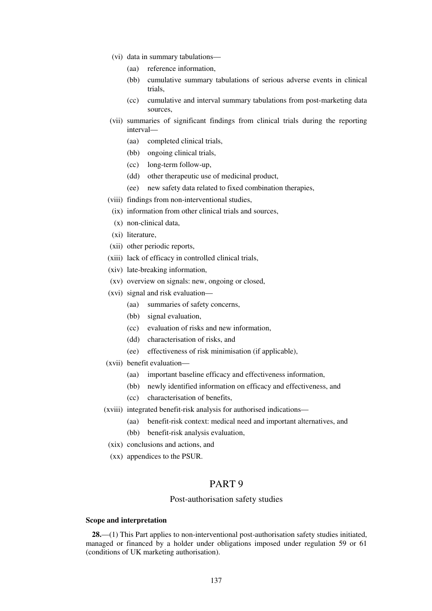- (vi) data in summary tabulations—
	- (aa) reference information,
	- (bb) cumulative summary tabulations of serious adverse events in clinical trials,
	- (cc) cumulative and interval summary tabulations from post-marketing data sources,
- (vii) summaries of significant findings from clinical trials during the reporting interval—
	- (aa) completed clinical trials,
	- (bb) ongoing clinical trials,
	- (cc) long-term follow-up,
	- (dd) other therapeutic use of medicinal product,
	- (ee) new safety data related to fixed combination therapies,
- (viii) findings from non-interventional studies,
	- (ix) information from other clinical trials and sources,
	- (x) non-clinical data,
	- (xi) literature,
- (xii) other periodic reports,
- (xiii) lack of efficacy in controlled clinical trials,
- (xiv) late-breaking information,
- (xv) overview on signals: new, ongoing or closed,
- (xvi) signal and risk evaluation—
	- (aa) summaries of safety concerns,
	- (bb) signal evaluation,
	- (cc) evaluation of risks and new information,
	- (dd) characterisation of risks, and
	- (ee) effectiveness of risk minimisation (if applicable),
- (xvii) benefit evaluation—
	- (aa) important baseline efficacy and effectiveness information,
	- (bb) newly identified information on efficacy and effectiveness, and
	- (cc) characterisation of benefits,
- (xviii) integrated benefit-risk analysis for authorised indications—
	- (aa) benefit-risk context: medical need and important alternatives, and (bb) benefit-risk analysis evaluation,
	-
	- (xix) conclusions and actions, and
	- (xx) appendices to the PSUR.

## PART 9

## Post-authorisation safety studies

## **Scope and interpretation**

**28.**—(1) This Part applies to non-interventional post-authorisation safety studies initiated, managed or financed by a holder under obligations imposed under regulation 59 or 61 (conditions of UK marketing authorisation).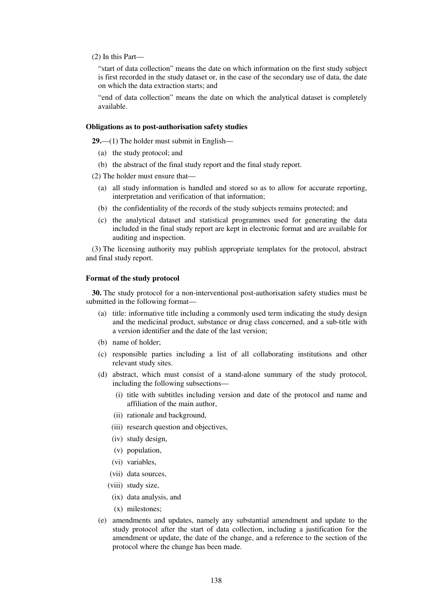(2) In this Part—

"start of data collection" means the date on which information on the first study subject is first recorded in the study dataset or, in the case of the secondary use of data, the date on which the data extraction starts; and

"end of data collection" means the date on which the analytical dataset is completely available.

### **Obligations as to post-authorisation safety studies**

**29.**—(1) The holder must submit in English—

- (a) the study protocol; and
- (b) the abstract of the final study report and the final study report.

(2) The holder must ensure that—

- (a) all study information is handled and stored so as to allow for accurate reporting, interpretation and verification of that information;
- (b) the confidentiality of the records of the study subjects remains protected; and
- (c) the analytical dataset and statistical programmes used for generating the data included in the final study report are kept in electronic format and are available for auditing and inspection.

(3) The licensing authority may publish appropriate templates for the protocol, abstract and final study report.

#### **Format of the study protocol**

**30.** The study protocol for a non-interventional post-authorisation safety studies must be submitted in the following format—

- (a) title: informative title including a commonly used term indicating the study design and the medicinal product, substance or drug class concerned, and a sub-title with a version identifier and the date of the last version;
- (b) name of holder;
- (c) responsible parties including a list of all collaborating institutions and other relevant study sites.
- (d) abstract, which must consist of a stand-alone summary of the study protocol, including the following subsections—
	- (i) title with subtitles including version and date of the protocol and name and affiliation of the main author,
	- (ii) rationale and background,
	- (iii) research question and objectives,
	- (iv) study design,
	- (v) population,
	- (vi) variables,
	- (vii) data sources,
	- (viii) study size,
	- (ix) data analysis, and
	- (x) milestones;
- (e) amendments and updates, namely any substantial amendment and update to the study protocol after the start of data collection, including a justification for the amendment or update, the date of the change, and a reference to the section of the protocol where the change has been made.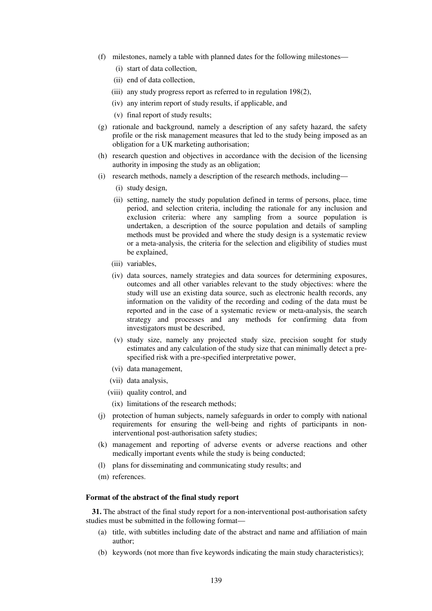- (f) milestones, namely a table with planned dates for the following milestones—
	- (i) start of data collection,
	- (ii) end of data collection,
	- (iii) any study progress report as referred to in regulation 198(2),
	- (iv) any interim report of study results, if applicable, and
	- (v) final report of study results;
- (g) rationale and background, namely a description of any safety hazard, the safety profile or the risk management measures that led to the study being imposed as an obligation for a UK marketing authorisation;
- (h) research question and objectives in accordance with the decision of the licensing authority in imposing the study as an obligation;
- (i) research methods, namely a description of the research methods, including—
	- (i) study design,
	- (ii) setting, namely the study population defined in terms of persons, place, time period, and selection criteria, including the rationale for any inclusion and exclusion criteria: where any sampling from a source population is undertaken, a description of the source population and details of sampling methods must be provided and where the study design is a systematic review or a meta-analysis, the criteria for the selection and eligibility of studies must be explained,
	- (iii) variables,
	- (iv) data sources, namely strategies and data sources for determining exposures, outcomes and all other variables relevant to the study objectives: where the study will use an existing data source, such as electronic health records, any information on the validity of the recording and coding of the data must be reported and in the case of a systematic review or meta-analysis, the search strategy and processes and any methods for confirming data from investigators must be described,
	- (v) study size, namely any projected study size, precision sought for study estimates and any calculation of the study size that can minimally detect a prespecified risk with a pre-specified interpretative power,
	- (vi) data management,
	- (vii) data analysis,
	- (viii) quality control, and
	- (ix) limitations of the research methods;
- (j) protection of human subjects, namely safeguards in order to comply with national requirements for ensuring the well-being and rights of participants in noninterventional post-authorisation safety studies;
- (k) management and reporting of adverse events or adverse reactions and other medically important events while the study is being conducted;
- (l) plans for disseminating and communicating study results; and
- (m) references.

## **Format of the abstract of the final study report**

**31.** The abstract of the final study report for a non-interventional post-authorisation safety studies must be submitted in the following format—

- (a) title, with subtitles including date of the abstract and name and affiliation of main author;
- (b) keywords (not more than five keywords indicating the main study characteristics);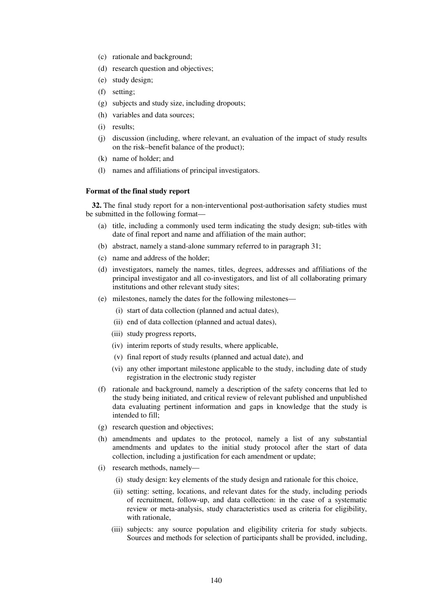- (c) rationale and background;
- (d) research question and objectives;
- (e) study design;
- (f) setting;
- (g) subjects and study size, including dropouts;
- (h) variables and data sources;
- (i) results;
- (j) discussion (including, where relevant, an evaluation of the impact of study results on the risk–benefit balance of the product);
- (k) name of holder; and
- (l) names and affiliations of principal investigators.

#### **Format of the final study report**

**32.** The final study report for a non-interventional post-authorisation safety studies must be submitted in the following format—

- (a) title, including a commonly used term indicating the study design; sub-titles with date of final report and name and affiliation of the main author;
- (b) abstract, namely a stand-alone summary referred to in paragraph 31;
- (c) name and address of the holder;
- (d) investigators, namely the names, titles, degrees, addresses and affiliations of the principal investigator and all co-investigators, and list of all collaborating primary institutions and other relevant study sites;
- (e) milestones, namely the dates for the following milestones—
	- (i) start of data collection (planned and actual dates),
	- (ii) end of data collection (planned and actual dates),
	- (iii) study progress reports,
	- (iv) interim reports of study results, where applicable,
	- (v) final report of study results (planned and actual date), and
	- (vi) any other important milestone applicable to the study, including date of study registration in the electronic study register
- (f) rationale and background, namely a description of the safety concerns that led to the study being initiated, and critical review of relevant published and unpublished data evaluating pertinent information and gaps in knowledge that the study is intended to fill;
- (g) research question and objectives;
- (h) amendments and updates to the protocol, namely a list of any substantial amendments and updates to the initial study protocol after the start of data collection, including a justification for each amendment or update;
- (i) research methods, namely—
	- (i) study design: key elements of the study design and rationale for this choice,
	- (ii) setting: setting, locations, and relevant dates for the study, including periods of recruitment, follow-up, and data collection: in the case of a systematic review or meta-analysis, study characteristics used as criteria for eligibility, with rationale,
	- (iii) subjects: any source population and eligibility criteria for study subjects. Sources and methods for selection of participants shall be provided, including,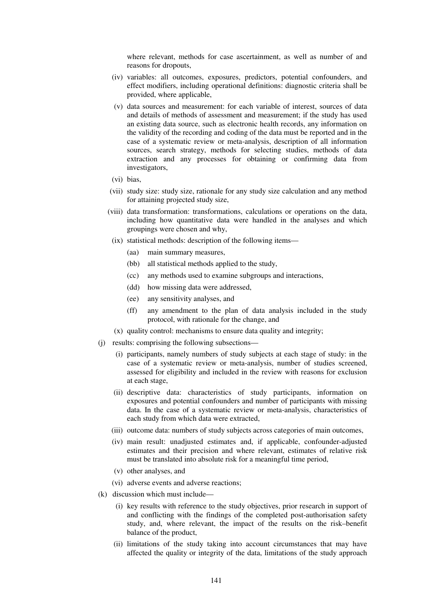where relevant, methods for case ascertainment, as well as number of and reasons for dropouts,

- (iv) variables: all outcomes, exposures, predictors, potential confounders, and effect modifiers, including operational definitions: diagnostic criteria shall be provided, where applicable,
- (v) data sources and measurement: for each variable of interest, sources of data and details of methods of assessment and measurement; if the study has used an existing data source, such as electronic health records, any information on the validity of the recording and coding of the data must be reported and in the case of a systematic review or meta-analysis, description of all information sources, search strategy, methods for selecting studies, methods of data extraction and any processes for obtaining or confirming data from investigators,
- (vi) bias,
- (vii) study size: study size, rationale for any study size calculation and any method for attaining projected study size,
- (viii) data transformation: transformations, calculations or operations on the data, including how quantitative data were handled in the analyses and which groupings were chosen and why,
- (ix) statistical methods: description of the following items—
	- (aa) main summary measures,
	- (bb) all statistical methods applied to the study,
	- (cc) any methods used to examine subgroups and interactions,
	- (dd) how missing data were addressed,
	- (ee) any sensitivity analyses, and
	- (ff) any amendment to the plan of data analysis included in the study protocol, with rationale for the change, and
- (x) quality control: mechanisms to ensure data quality and integrity;
- (j) results: comprising the following subsections—
	- (i) participants, namely numbers of study subjects at each stage of study: in the case of a systematic review or meta-analysis, number of studies screened, assessed for eligibility and included in the review with reasons for exclusion at each stage,
	- (ii) descriptive data: characteristics of study participants, information on exposures and potential confounders and number of participants with missing data. In the case of a systematic review or meta-analysis, characteristics of each study from which data were extracted,
	- (iii) outcome data: numbers of study subjects across categories of main outcomes,
	- (iv) main result: unadjusted estimates and, if applicable, confounder-adjusted estimates and their precision and where relevant, estimates of relative risk must be translated into absolute risk for a meaningful time period,
	- (v) other analyses, and
	- (vi) adverse events and adverse reactions;
- (k) discussion which must include—
	- (i) key results with reference to the study objectives, prior research in support of and conflicting with the findings of the completed post-authorisation safety study, and, where relevant, the impact of the results on the risk–benefit balance of the product,
	- (ii) limitations of the study taking into account circumstances that may have affected the quality or integrity of the data, limitations of the study approach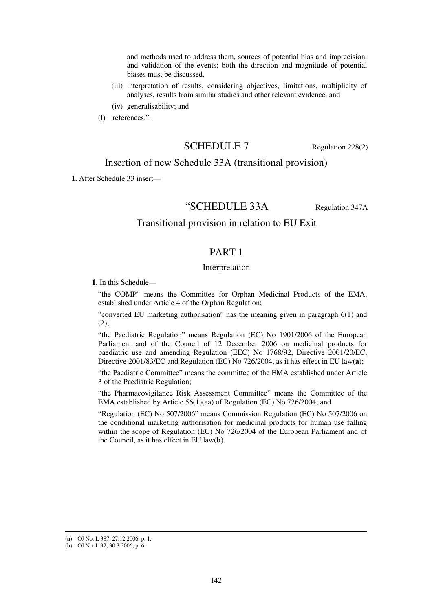and methods used to address them, sources of potential bias and imprecision, and validation of the events; both the direction and magnitude of potential biases must be discussed,

- (iii) interpretation of results, considering objectives, limitations, multiplicity of analyses, results from similar studies and other relevant evidence, and
- (iv) generalisability; and
- (l) references.".

## SCHEDULE 7 Regulation 228(2)

## Insertion of new Schedule 33A (transitional provision)

**1.** After Schedule 33 insert—

## "SCHEDULE 33A Regulation 347A

## Transitional provision in relation to EU Exit

## PART 1

## Interpretation

**1.** In this Schedule—

"the COMP" means the Committee for Orphan Medicinal Products of the EMA, established under Article 4 of the Orphan Regulation;

"converted EU marketing authorisation" has the meaning given in paragraph 6(1) and  $(2)$ ;

"the Paediatric Regulation" means Regulation (EC) No 1901/2006 of the European Parliament and of the Council of 12 December 2006 on medicinal products for paediatric use and amending Regulation (EEC) No 1768/92, Directive 2001/20/EC, Directive 2001/83/EC and Regulation (EC) No 726/2004, as it has effect in EU law(**a**);

"the Paediatric Committee" means the committee of the EMA established under Article 3 of the Paediatric Regulation;

"the Pharmacovigilance Risk Assessment Committee" means the Committee of the EMA established by Article 56(1)(aa) of Regulation (EC) No 726/2004; and

"Regulation (EC) No 507/2006" means Commission Regulation (EC) No 507/2006 on the conditional marketing authorisation for medicinal products for human use falling within the scope of Regulation (EC) No 726/2004 of the European Parliament and of the Council, as it has effect in EU law(**b**).

-

<sup>(</sup>**a**) OJ No. L 387, 27.12.2006, p. 1.

<sup>(</sup>**b**) OJ No. L 92, 30.3.2006, p. 6.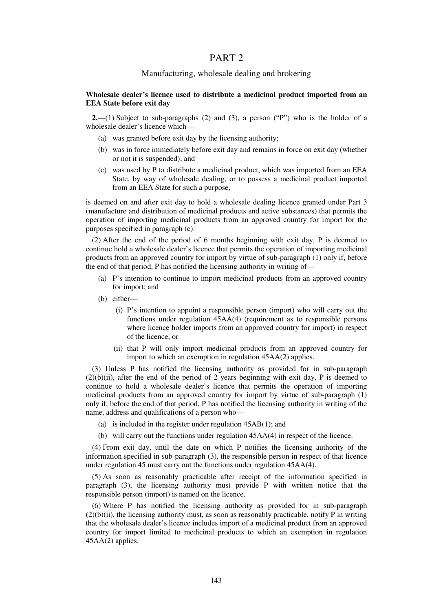## PART 2

## Manufacturing, wholesale dealing and brokering

## **Wholesale dealer's licence used to distribute a medicinal product imported from an EEA State before exit day**

**2.**—(1) Subject to sub-paragraphs (2) and (3), a person ("P") who is the holder of a wholesale dealer's licence which—

- (a) was granted before exit day by the licensing authority;
- (b) was in force immediately before exit day and remains in force on exit day (whether or not it is suspended); and
- (c) was used by P to distribute a medicinal product, which was imported from an EEA State, by way of wholesale dealing, or to possess a medicinal product imported from an EEA State for such a purpose,

is deemed on and after exit day to hold a wholesale dealing licence granted under Part 3 (manufacture and distribution of medicinal products and active substances) that permits the operation of importing medicinal products from an approved country for import for the purposes specified in paragraph (c).

(2) After the end of the period of 6 months beginning with exit day, P is deemed to continue hold a wholesale dealer's licence that permits the operation of importing medicinal products from an approved country for import by virtue of sub-paragraph (1) only if, before the end of that period, P has notified the licensing authority in writing of—

- (a) P's intention to continue to import medicinal products from an approved country for import; and
- (b) either—
	- (i) P's intention to appoint a responsible person (import) who will carry out the functions under regulation 45AA(4) (requirement as to responsible persons where licence holder imports from an approved country for import) in respect of the licence, or
	- (ii) that P will only import medicinal products from an approved country for import to which an exemption in regulation 45AA(2) applies.

(3) Unless P has notified the licensing authority as provided for in sub-paragraph  $(2)(b)(ii)$ , after the end of the period of 2 years beginning with exit day, P is deemed to continue to hold a wholesale dealer's licence that permits the operation of importing medicinal products from an approved country for import by virtue of sub-paragraph (1) only if, before the end of that period, P has notified the licensing authority in writing of the name, address and qualifications of a person who—

- (a) is included in the register under regulation  $45AB(1)$ ; and
- (b) will carry out the functions under regulation 45AA(4) in respect of the licence.

(4) From exit day, until the date on which P notifies the licensing authority of the information specified in sub-paragraph (3), the responsible person in respect of that licence under regulation 45 must carry out the functions under regulation 45AA(4).

(5) As soon as reasonably practicable after receipt of the information specified in paragraph (3), the licensing authority must provide P with written notice that the responsible person (import) is named on the licence.

(6) Where P has notified the licensing authority as provided for in sub-paragraph  $(2)(b)(ii)$ , the licensing authority must, as soon as reasonably practicable, notify P in writing that the wholesale dealer's licence includes import of a medicinal product from an approved country for import limited to medicinal products to which an exemption in regulation 45AA(2) applies.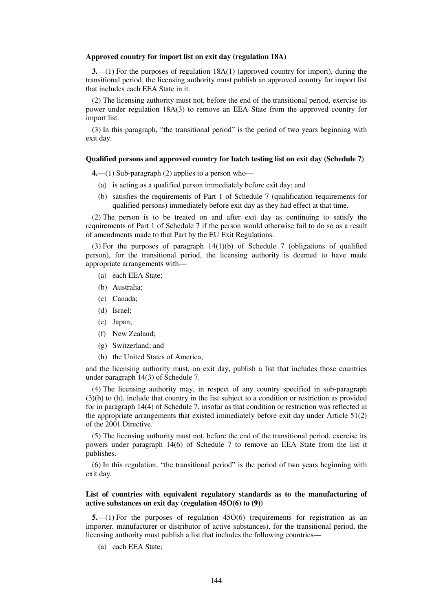#### **Approved country for import list on exit day (regulation 18A)**

**3.**—(1) For the purposes of regulation 18A(1) (approved country for import), during the transitional period, the licensing authority must publish an approved country for import list that includes each EEA State in it.

(2) The licensing authority must not, before the end of the transitional period, exercise its power under regulation 18A(3) to remove an EEA State from the approved country for import list.

(3) In this paragraph, "the transitional period" is the period of two years beginning with exit day.

#### **Qualified persons and approved country for batch testing list on exit day (Schedule 7)**

**4.**—(1) Sub-paragraph (2) applies to a person who—

- (a) is acting as a qualified person immediately before exit day; and
- (b) satisfies the requirements of Part 1 of Schedule 7 (qualification requirements for qualified persons) immediately before exit day as they had effect at that time.

(2) The person is to be treated on and after exit day as continuing to satisfy the requirements of Part 1 of Schedule 7 if the person would otherwise fail to do so as a result of amendments made to that Part by the EU Exit Regulations.

(3) For the purposes of paragraph 14(1)(b) of Schedule 7 (obligations of qualified person), for the transitional period, the licensing authority is deemed to have made appropriate arrangements with—

- (a) each EEA State;
- (b) Australia;
- (c) Canada;
- (d) Israel;
- (e) Japan;
- (f) New Zealand;
- (g) Switzerland; and
- (h) the United States of America,

and the licensing authority must, on exit day, publish a list that includes those countries under paragraph 14(3) of Schedule 7.

(4) The licensing authority may, in respect of any country specified in sub-paragraph (3)(b) to (h), include that country in the list subject to a condition or restriction as provided for in paragraph 14(4) of Schedule 7, insofar as that condition or restriction was reflected in the appropriate arrangements that existed immediately before exit day under Article 51(2) of the 2001 Directive.

(5) The licensing authority must not, before the end of the transitional period, exercise its powers under paragraph 14(6) of Schedule 7 to remove an EEA State from the list it publishes.

(6) In this regulation, "the transitional period" is the period of two years beginning with exit day.

## **List of countries with equivalent regulatory standards as to the manufacturing of active substances on exit day (regulation 45O(6) to (9))**

**5.**—(1) For the purposes of regulation 45O(6) (requirements for registration as an importer, manufacturer or distributor of active substances), for the transitional period, the licensing authority must publish a list that includes the following countries—

(a) each EEA State;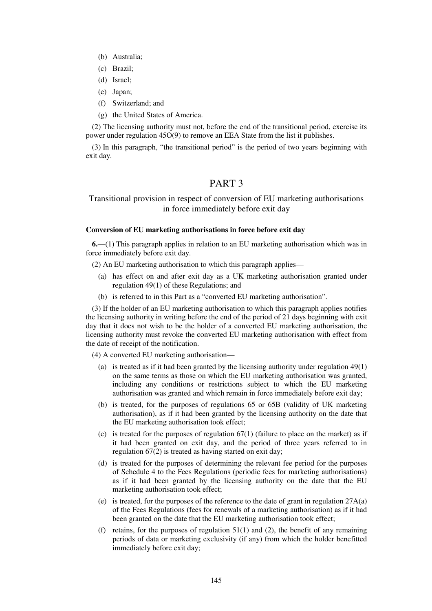- (b) Australia;
- (c) Brazil;
- (d) Israel;
- (e) Japan;
- (f) Switzerland; and
- (g) the United States of America.

(2) The licensing authority must not, before the end of the transitional period, exercise its power under regulation 45O(9) to remove an EEA State from the list it publishes.

(3) In this paragraph, "the transitional period" is the period of two years beginning with exit day.

# PART 3

## Transitional provision in respect of conversion of EU marketing authorisations in force immediately before exit day

#### **Conversion of EU marketing authorisations in force before exit day**

**6.**—(1) This paragraph applies in relation to an EU marketing authorisation which was in force immediately before exit day.

- (2) An EU marketing authorisation to which this paragraph applies—
	- (a) has effect on and after exit day as a UK marketing authorisation granted under regulation 49(1) of these Regulations; and
	- (b) is referred to in this Part as a "converted EU marketing authorisation".

(3) If the holder of an EU marketing authorisation to which this paragraph applies notifies the licensing authority in writing before the end of the period of 21 days beginning with exit day that it does not wish to be the holder of a converted EU marketing authorisation, the licensing authority must revoke the converted EU marketing authorisation with effect from the date of receipt of the notification.

(4) A converted EU marketing authorisation—

- (a) is treated as if it had been granted by the licensing authority under regulation 49(1) on the same terms as those on which the EU marketing authorisation was granted, including any conditions or restrictions subject to which the EU marketing authorisation was granted and which remain in force immediately before exit day;
- (b) is treated, for the purposes of regulations 65 or 65B (validity of UK marketing authorisation), as if it had been granted by the licensing authority on the date that the EU marketing authorisation took effect;
- (c) is treated for the purposes of regulation  $67(1)$  (failure to place on the market) as if it had been granted on exit day, and the period of three years referred to in regulation 67(2) is treated as having started on exit day;
- (d) is treated for the purposes of determining the relevant fee period for the purposes of Schedule 4 to the Fees Regulations (periodic fees for marketing authorisations) as if it had been granted by the licensing authority on the date that the EU marketing authorisation took effect;
- (e) is treated, for the purposes of the reference to the date of grant in regulation 27A(a) of the Fees Regulations (fees for renewals of a marketing authorisation) as if it had been granted on the date that the EU marketing authorisation took effect;
- (f) retains, for the purposes of regulation  $51(1)$  and (2), the benefit of any remaining periods of data or marketing exclusivity (if any) from which the holder benefitted immediately before exit day;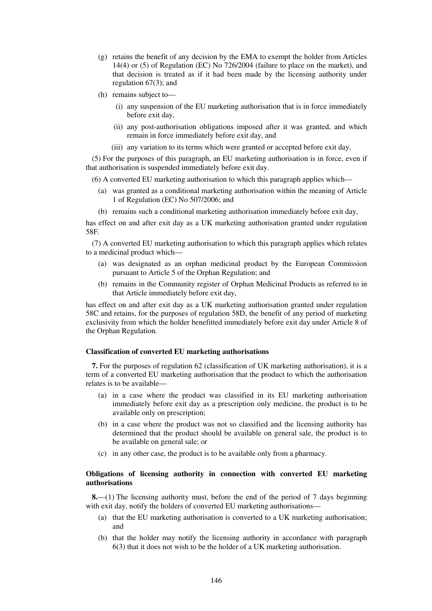- (g) retains the benefit of any decision by the EMA to exempt the holder from Articles 14(4) or (5) of Regulation (EC) No 726/2004 (failure to place on the market), and that decision is treated as if it had been made by the licensing authority under regulation 67(3); and
- (h) remains subject to—
	- (i) any suspension of the EU marketing authorisation that is in force immediately before exit day,
	- (ii) any post-authorisation obligations imposed after it was granted, and which remain in force immediately before exit day, and
	- (iii) any variation to its terms which were granted or accepted before exit day.

(5) For the purposes of this paragraph, an EU marketing authorisation is in force, even if that authorisation is suspended immediately before exit day.

(6) A converted EU marketing authorisation to which this paragraph applies which—

- (a) was granted as a conditional marketing authorisation within the meaning of Article 1 of Regulation (EC) No 507/2006; and
- (b) remains such a conditional marketing authorisation immediately before exit day,

has effect on and after exit day as a UK marketing authorisation granted under regulation 58F.

(7) A converted EU marketing authorisation to which this paragraph applies which relates to a medicinal product which—

- (a) was designated as an orphan medicinal product by the European Commission pursuant to Article 5 of the Orphan Regulation; and
- (b) remains in the Community register of Orphan Medicinal Products as referred to in that Article immediately before exit day,

has effect on and after exit day as a UK marketing authorisation granted under regulation 58C and retains, for the purposes of regulation 58D, the benefit of any period of marketing exclusivity from which the holder benefitted immediately before exit day under Article 8 of the Orphan Regulation.

#### **Classification of converted EU marketing authorisations**

**7.** For the purposes of regulation 62 (classification of UK marketing authorisation), it is a term of a converted EU marketing authorisation that the product to which the authorisation relates is to be available—

- (a) in a case where the product was classified in its EU marketing authorisation immediately before exit day as a prescription only medicine, the product is to be available only on prescription;
- (b) in a case where the product was not so classified and the licensing authority has determined that the product should be available on general sale, the product is to be available on general sale; or
- (c) in any other case, the product is to be available only from a pharmacy.

## **Obligations of licensing authority in connection with converted EU marketing authorisations**

**8.**—(1) The licensing authority must, before the end of the period of 7 days beginning with exit day, notify the holders of converted EU marketing authorisations—

- (a) that the EU marketing authorisation is converted to a UK marketing authorisation; and
- (b) that the holder may notify the licensing authority in accordance with paragraph 6(3) that it does not wish to be the holder of a UK marketing authorisation.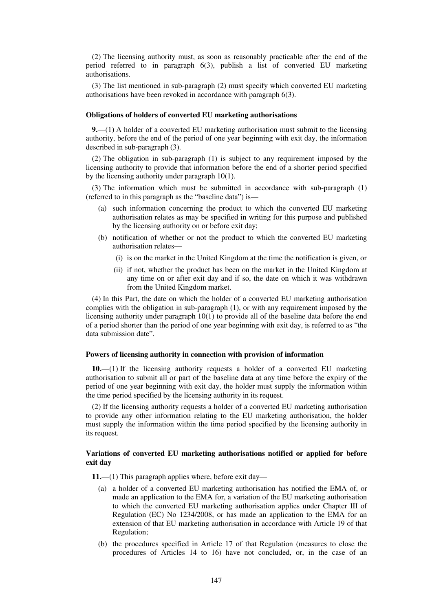(2) The licensing authority must, as soon as reasonably practicable after the end of the period referred to in paragraph 6(3), publish a list of converted EU marketing authorisations.

(3) The list mentioned in sub-paragraph (2) must specify which converted EU marketing authorisations have been revoked in accordance with paragraph 6(3).

#### **Obligations of holders of converted EU marketing authorisations**

**9.**—(1) A holder of a converted EU marketing authorisation must submit to the licensing authority, before the end of the period of one year beginning with exit day, the information described in sub-paragraph (3).

(2) The obligation in sub-paragraph (1) is subject to any requirement imposed by the licensing authority to provide that information before the end of a shorter period specified by the licensing authority under paragraph 10(1).

(3) The information which must be submitted in accordance with sub-paragraph (1) (referred to in this paragraph as the "baseline data") is—

- (a) such information concerning the product to which the converted EU marketing authorisation relates as may be specified in writing for this purpose and published by the licensing authority on or before exit day;
- (b) notification of whether or not the product to which the converted EU marketing authorisation relates—
	- (i) is on the market in the United Kingdom at the time the notification is given, or
	- (ii) if not, whether the product has been on the market in the United Kingdom at any time on or after exit day and if so, the date on which it was withdrawn from the United Kingdom market.

(4) In this Part, the date on which the holder of a converted EU marketing authorisation complies with the obligation in sub-paragraph (1), or with any requirement imposed by the licensing authority under paragraph 10(1) to provide all of the baseline data before the end of a period shorter than the period of one year beginning with exit day, is referred to as "the data submission date".

#### **Powers of licensing authority in connection with provision of information**

**10.**—(1) If the licensing authority requests a holder of a converted EU marketing authorisation to submit all or part of the baseline data at any time before the expiry of the period of one year beginning with exit day, the holder must supply the information within the time period specified by the licensing authority in its request.

(2) If the licensing authority requests a holder of a converted EU marketing authorisation to provide any other information relating to the EU marketing authorisation, the holder must supply the information within the time period specified by the licensing authority in its request.

### **Variations of converted EU marketing authorisations notified or applied for before exit day**

**11.**—(1) This paragraph applies where, before exit day—

- (a) a holder of a converted EU marketing authorisation has notified the EMA of, or made an application to the EMA for, a variation of the EU marketing authorisation to which the converted EU marketing authorisation applies under Chapter III of Regulation (EC) No 1234/2008, or has made an application to the EMA for an extension of that EU marketing authorisation in accordance with Article 19 of that Regulation;
- (b) the procedures specified in Article 17 of that Regulation (measures to close the procedures of Articles 14 to 16) have not concluded, or, in the case of an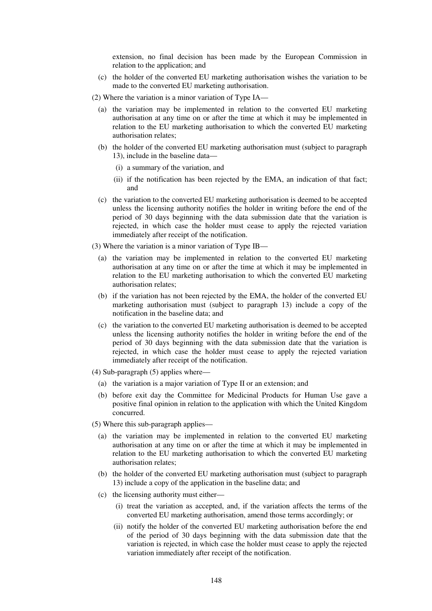extension, no final decision has been made by the European Commission in relation to the application; and

(c) the holder of the converted EU marketing authorisation wishes the variation to be made to the converted EU marketing authorisation.

(2) Where the variation is a minor variation of Type IA—

- (a) the variation may be implemented in relation to the converted EU marketing authorisation at any time on or after the time at which it may be implemented in relation to the EU marketing authorisation to which the converted EU marketing authorisation relates;
- (b) the holder of the converted EU marketing authorisation must (subject to paragraph 13), include in the baseline data—
	- (i) a summary of the variation, and
	- (ii) if the notification has been rejected by the EMA, an indication of that fact; and
- (c) the variation to the converted EU marketing authorisation is deemed to be accepted unless the licensing authority notifies the holder in writing before the end of the period of 30 days beginning with the data submission date that the variation is rejected, in which case the holder must cease to apply the rejected variation immediately after receipt of the notification.

(3) Where the variation is a minor variation of Type IB—

- (a) the variation may be implemented in relation to the converted EU marketing authorisation at any time on or after the time at which it may be implemented in relation to the EU marketing authorisation to which the converted EU marketing authorisation relates;
- (b) if the variation has not been rejected by the EMA, the holder of the converted EU marketing authorisation must (subject to paragraph 13) include a copy of the notification in the baseline data; and
- (c) the variation to the converted EU marketing authorisation is deemed to be accepted unless the licensing authority notifies the holder in writing before the end of the period of 30 days beginning with the data submission date that the variation is rejected, in which case the holder must cease to apply the rejected variation immediately after receipt of the notification.
- (4) Sub-paragraph (5) applies where—
	- (a) the variation is a major variation of Type II or an extension; and
	- (b) before exit day the Committee for Medicinal Products for Human Use gave a positive final opinion in relation to the application with which the United Kingdom concurred.
- (5) Where this sub-paragraph applies—
	- (a) the variation may be implemented in relation to the converted EU marketing authorisation at any time on or after the time at which it may be implemented in relation to the EU marketing authorisation to which the converted EU marketing authorisation relates;
	- (b) the holder of the converted EU marketing authorisation must (subject to paragraph 13) include a copy of the application in the baseline data; and
	- (c) the licensing authority must either—
		- (i) treat the variation as accepted, and, if the variation affects the terms of the converted EU marketing authorisation, amend those terms accordingly; or
		- (ii) notify the holder of the converted EU marketing authorisation before the end of the period of 30 days beginning with the data submission date that the variation is rejected, in which case the holder must cease to apply the rejected variation immediately after receipt of the notification.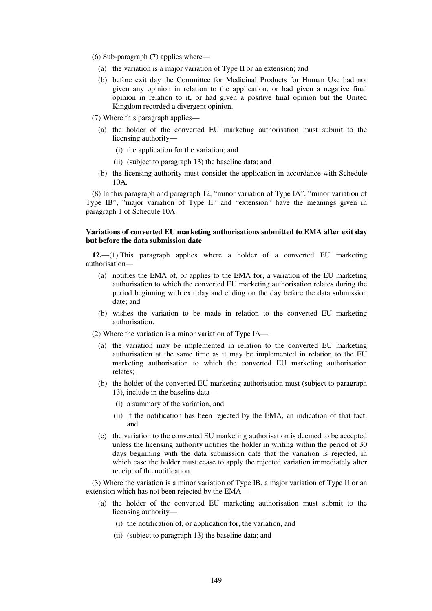- (6) Sub-paragraph (7) applies where—
	- (a) the variation is a major variation of Type II or an extension; and
	- (b) before exit day the Committee for Medicinal Products for Human Use had not given any opinion in relation to the application, or had given a negative final opinion in relation to it, or had given a positive final opinion but the United Kingdom recorded a divergent opinion.

(7) Where this paragraph applies—

- (a) the holder of the converted EU marketing authorisation must submit to the licensing authority—
	- (i) the application for the variation; and
	- (ii) (subject to paragraph 13) the baseline data; and
- (b) the licensing authority must consider the application in accordance with Schedule 10A.

(8) In this paragraph and paragraph 12, "minor variation of Type IA", "minor variation of Type IB", "major variation of Type II" and "extension" have the meanings given in paragraph 1 of Schedule 10A.

#### **Variations of converted EU marketing authorisations submitted to EMA after exit day but before the data submission date**

**12.**—(1) This paragraph applies where a holder of a converted EU marketing authorisation—

- (a) notifies the EMA of, or applies to the EMA for, a variation of the EU marketing authorisation to which the converted EU marketing authorisation relates during the period beginning with exit day and ending on the day before the data submission date; and
- (b) wishes the variation to be made in relation to the converted EU marketing authorisation.

(2) Where the variation is a minor variation of Type IA—

- (a) the variation may be implemented in relation to the converted EU marketing authorisation at the same time as it may be implemented in relation to the EU marketing authorisation to which the converted EU marketing authorisation relates;
- (b) the holder of the converted EU marketing authorisation must (subject to paragraph 13), include in the baseline data—
	- (i) a summary of the variation, and
	- (ii) if the notification has been rejected by the EMA, an indication of that fact; and
- (c) the variation to the converted EU marketing authorisation is deemed to be accepted unless the licensing authority notifies the holder in writing within the period of 30 days beginning with the data submission date that the variation is rejected, in which case the holder must cease to apply the rejected variation immediately after receipt of the notification.

(3) Where the variation is a minor variation of Type IB, a major variation of Type II or an extension which has not been rejected by the EMA—

- (a) the holder of the converted EU marketing authorisation must submit to the licensing authority—
	- (i) the notification of, or application for, the variation, and
	- (ii) (subject to paragraph 13) the baseline data; and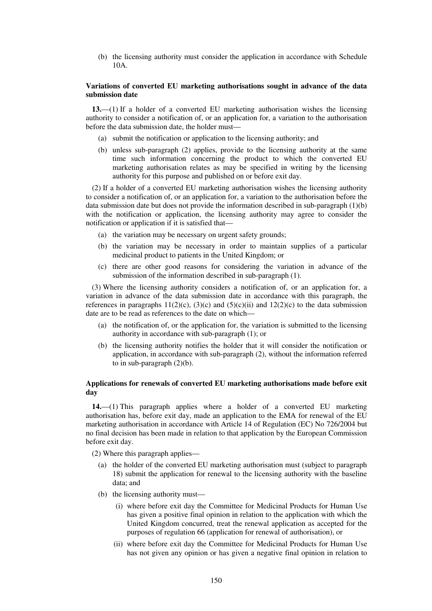(b) the licensing authority must consider the application in accordance with Schedule 10A.

## **Variations of converted EU marketing authorisations sought in advance of the data submission date**

**13.**—(1) If a holder of a converted EU marketing authorisation wishes the licensing authority to consider a notification of, or an application for, a variation to the authorisation before the data submission date, the holder must—

- (a) submit the notification or application to the licensing authority; and
- (b) unless sub-paragraph (2) applies, provide to the licensing authority at the same time such information concerning the product to which the converted EU marketing authorisation relates as may be specified in writing by the licensing authority for this purpose and published on or before exit day.

(2) If a holder of a converted EU marketing authorisation wishes the licensing authority to consider a notification of, or an application for, a variation to the authorisation before the data submission date but does not provide the information described in sub-paragraph (1)(b) with the notification or application, the licensing authority may agree to consider the notification or application if it is satisfied that—

- (a) the variation may be necessary on urgent safety grounds;
- (b) the variation may be necessary in order to maintain supplies of a particular medicinal product to patients in the United Kingdom; or
- (c) there are other good reasons for considering the variation in advance of the submission of the information described in sub-paragraph (1).

(3) Where the licensing authority considers a notification of, or an application for, a variation in advance of the data submission date in accordance with this paragraph, the references in paragraphs  $11(2)(c)$ ,  $(3)(c)$  and  $(5)(c)(ii)$  and  $12(2)(c)$  to the data submission date are to be read as references to the date on which—

- (a) the notification of, or the application for, the variation is submitted to the licensing authority in accordance with sub-paragraph (1); or
- (b) the licensing authority notifies the holder that it will consider the notification or application, in accordance with sub-paragraph (2), without the information referred to in sub-paragraph (2)(b).

## **Applications for renewals of converted EU marketing authorisations made before exit day**

**14.**—(1) This paragraph applies where a holder of a converted EU marketing authorisation has, before exit day, made an application to the EMA for renewal of the EU marketing authorisation in accordance with Article 14 of Regulation (EC) No 726/2004 but no final decision has been made in relation to that application by the European Commission before exit day.

- (2) Where this paragraph applies—
	- (a) the holder of the converted EU marketing authorisation must (subject to paragraph 18) submit the application for renewal to the licensing authority with the baseline data; and
	- (b) the licensing authority must—
		- (i) where before exit day the Committee for Medicinal Products for Human Use has given a positive final opinion in relation to the application with which the United Kingdom concurred, treat the renewal application as accepted for the purposes of regulation 66 (application for renewal of authorisation), or
		- (ii) where before exit day the Committee for Medicinal Products for Human Use has not given any opinion or has given a negative final opinion in relation to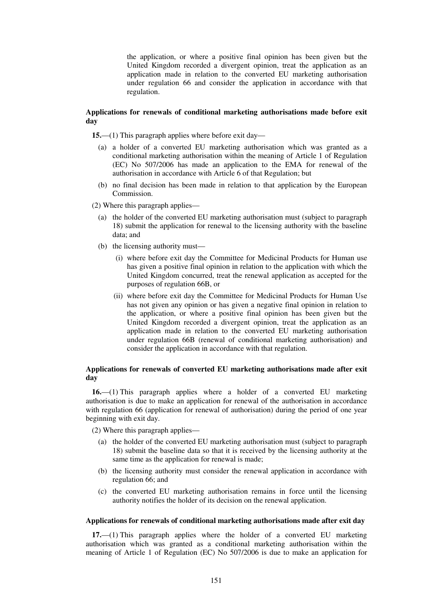the application, or where a positive final opinion has been given but the United Kingdom recorded a divergent opinion, treat the application as an application made in relation to the converted EU marketing authorisation under regulation 66 and consider the application in accordance with that regulation.

## **Applications for renewals of conditional marketing authorisations made before exit day**

**15.**—(1) This paragraph applies where before exit day—

- (a) a holder of a converted EU marketing authorisation which was granted as a conditional marketing authorisation within the meaning of Article 1 of Regulation (EC) No 507/2006 has made an application to the EMA for renewal of the authorisation in accordance with Article 6 of that Regulation; but
- (b) no final decision has been made in relation to that application by the European Commission.

(2) Where this paragraph applies—

- (a) the holder of the converted EU marketing authorisation must (subject to paragraph 18) submit the application for renewal to the licensing authority with the baseline data; and
- (b) the licensing authority must—
	- (i) where before exit day the Committee for Medicinal Products for Human use has given a positive final opinion in relation to the application with which the United Kingdom concurred, treat the renewal application as accepted for the purposes of regulation 66B, or
	- (ii) where before exit day the Committee for Medicinal Products for Human Use has not given any opinion or has given a negative final opinion in relation to the application, or where a positive final opinion has been given but the United Kingdom recorded a divergent opinion, treat the application as an application made in relation to the converted EU marketing authorisation under regulation 66B (renewal of conditional marketing authorisation) and consider the application in accordance with that regulation.

## **Applications for renewals of converted EU marketing authorisations made after exit day**

**16.**—(1) This paragraph applies where a holder of a converted EU marketing authorisation is due to make an application for renewal of the authorisation in accordance with regulation 66 (application for renewal of authorisation) during the period of one year beginning with exit day.

(2) Where this paragraph applies—

- (a) the holder of the converted EU marketing authorisation must (subject to paragraph 18) submit the baseline data so that it is received by the licensing authority at the same time as the application for renewal is made;
- (b) the licensing authority must consider the renewal application in accordance with regulation 66; and
- (c) the converted EU marketing authorisation remains in force until the licensing authority notifies the holder of its decision on the renewal application.

#### **Applications for renewals of conditional marketing authorisations made after exit day**

**17.**—(1) This paragraph applies where the holder of a converted EU marketing authorisation which was granted as a conditional marketing authorisation within the meaning of Article 1 of Regulation (EC) No 507/2006 is due to make an application for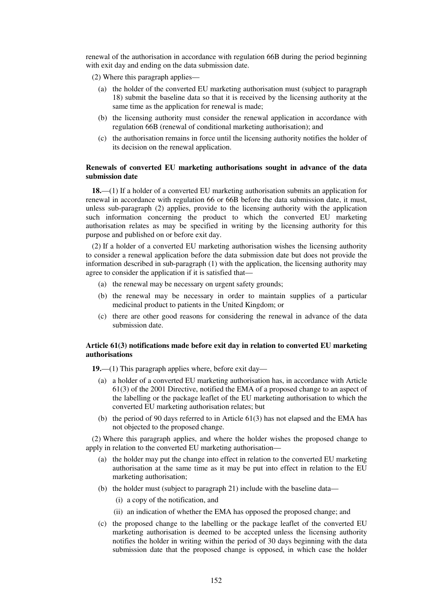renewal of the authorisation in accordance with regulation 66B during the period beginning with exit day and ending on the data submission date.

(2) Where this paragraph applies—

- (a) the holder of the converted EU marketing authorisation must (subject to paragraph 18) submit the baseline data so that it is received by the licensing authority at the same time as the application for renewal is made;
- (b) the licensing authority must consider the renewal application in accordance with regulation 66B (renewal of conditional marketing authorisation); and
- (c) the authorisation remains in force until the licensing authority notifies the holder of its decision on the renewal application.

### **Renewals of converted EU marketing authorisations sought in advance of the data submission date**

**18.**—(1) If a holder of a converted EU marketing authorisation submits an application for renewal in accordance with regulation 66 or 66B before the data submission date, it must, unless sub-paragraph (2) applies, provide to the licensing authority with the application such information concerning the product to which the converted EU marketing authorisation relates as may be specified in writing by the licensing authority for this purpose and published on or before exit day.

(2) If a holder of a converted EU marketing authorisation wishes the licensing authority to consider a renewal application before the data submission date but does not provide the information described in sub-paragraph (1) with the application, the licensing authority may agree to consider the application if it is satisfied that—

- (a) the renewal may be necessary on urgent safety grounds;
- (b) the renewal may be necessary in order to maintain supplies of a particular medicinal product to patients in the United Kingdom; or
- (c) there are other good reasons for considering the renewal in advance of the data submission date.

### **Article 61(3) notifications made before exit day in relation to converted EU marketing authorisations**

**19.**—(1) This paragraph applies where, before exit day—

- (a) a holder of a converted EU marketing authorisation has, in accordance with Article 61(3) of the 2001 Directive, notified the EMA of a proposed change to an aspect of the labelling or the package leaflet of the EU marketing authorisation to which the converted EU marketing authorisation relates; but
- (b) the period of 90 days referred to in Article 61(3) has not elapsed and the EMA has not objected to the proposed change.

(2) Where this paragraph applies, and where the holder wishes the proposed change to apply in relation to the converted EU marketing authorisation—

- (a) the holder may put the change into effect in relation to the converted EU marketing authorisation at the same time as it may be put into effect in relation to the EU marketing authorisation;
- (b) the holder must (subject to paragraph 21) include with the baseline data—
	- (i) a copy of the notification, and
	- (ii) an indication of whether the EMA has opposed the proposed change; and
- (c) the proposed change to the labelling or the package leaflet of the converted EU marketing authorisation is deemed to be accepted unless the licensing authority notifies the holder in writing within the period of 30 days beginning with the data submission date that the proposed change is opposed, in which case the holder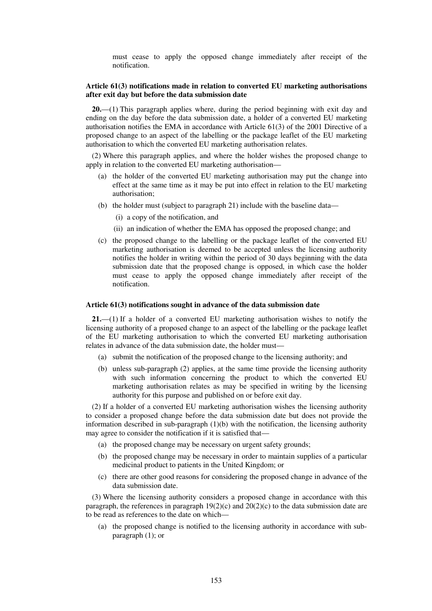must cease to apply the opposed change immediately after receipt of the notification.

#### **Article 61(3) notifications made in relation to converted EU marketing authorisations after exit day but before the data submission date**

**20.**—(1) This paragraph applies where, during the period beginning with exit day and ending on the day before the data submission date, a holder of a converted EU marketing authorisation notifies the EMA in accordance with Article 61(3) of the 2001 Directive of a proposed change to an aspect of the labelling or the package leaflet of the EU marketing authorisation to which the converted EU marketing authorisation relates.

(2) Where this paragraph applies, and where the holder wishes the proposed change to apply in relation to the converted EU marketing authorisation—

- (a) the holder of the converted EU marketing authorisation may put the change into effect at the same time as it may be put into effect in relation to the EU marketing authorisation;
- (b) the holder must (subject to paragraph 21) include with the baseline data—
	- (i) a copy of the notification, and
	- (ii) an indication of whether the EMA has opposed the proposed change; and
- (c) the proposed change to the labelling or the package leaflet of the converted EU marketing authorisation is deemed to be accepted unless the licensing authority notifies the holder in writing within the period of 30 days beginning with the data submission date that the proposed change is opposed, in which case the holder must cease to apply the opposed change immediately after receipt of the notification.

#### **Article 61(3) notifications sought in advance of the data submission date**

**21.**—(1) If a holder of a converted EU marketing authorisation wishes to notify the licensing authority of a proposed change to an aspect of the labelling or the package leaflet of the EU marketing authorisation to which the converted EU marketing authorisation relates in advance of the data submission date, the holder must—

- (a) submit the notification of the proposed change to the licensing authority; and
- (b) unless sub-paragraph (2) applies, at the same time provide the licensing authority with such information concerning the product to which the converted EU marketing authorisation relates as may be specified in writing by the licensing authority for this purpose and published on or before exit day.

(2) If a holder of a converted EU marketing authorisation wishes the licensing authority to consider a proposed change before the data submission date but does not provide the information described in sub-paragraph (1)(b) with the notification, the licensing authority may agree to consider the notification if it is satisfied that—

- (a) the proposed change may be necessary on urgent safety grounds;
- (b) the proposed change may be necessary in order to maintain supplies of a particular medicinal product to patients in the United Kingdom; or
- (c) there are other good reasons for considering the proposed change in advance of the data submission date.

(3) Where the licensing authority considers a proposed change in accordance with this paragraph, the references in paragraph  $19(2)(c)$  and  $20(2)(c)$  to the data submission date are to be read as references to the date on which—

(a) the proposed change is notified to the licensing authority in accordance with subparagraph (1); or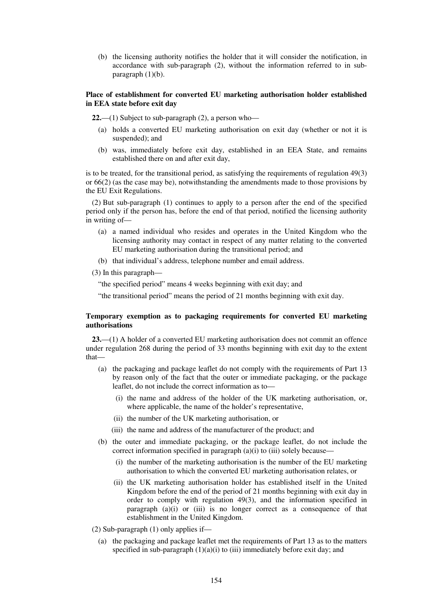(b) the licensing authority notifies the holder that it will consider the notification, in accordance with sub-paragraph (2), without the information referred to in subparagraph (1)(b).

## **Place of establishment for converted EU marketing authorisation holder established in EEA state before exit day**

**22.**—(1) Subject to sub-paragraph (2), a person who—

- (a) holds a converted EU marketing authorisation on exit day (whether or not it is suspended); and
- (b) was, immediately before exit day, established in an EEA State, and remains established there on and after exit day,

is to be treated, for the transitional period, as satisfying the requirements of regulation 49(3) or 66(2) (as the case may be), notwithstanding the amendments made to those provisions by the EU Exit Regulations.

(2) But sub-paragraph (1) continues to apply to a person after the end of the specified period only if the person has, before the end of that period, notified the licensing authority in writing of—

- (a) a named individual who resides and operates in the United Kingdom who the licensing authority may contact in respect of any matter relating to the converted EU marketing authorisation during the transitional period; and
- (b) that individual's address, telephone number and email address.

(3) In this paragraph—

"the specified period" means 4 weeks beginning with exit day; and

"the transitional period" means the period of 21 months beginning with exit day.

### **Temporary exemption as to packaging requirements for converted EU marketing authorisations**

**23.**—(1) A holder of a converted EU marketing authorisation does not commit an offence under regulation 268 during the period of 33 months beginning with exit day to the extent that—

- (a) the packaging and package leaflet do not comply with the requirements of Part 13 by reason only of the fact that the outer or immediate packaging, or the package leaflet, do not include the correct information as to—
	- (i) the name and address of the holder of the UK marketing authorisation, or, where applicable, the name of the holder's representative,
	- (ii) the number of the UK marketing authorisation, or
	- (iii) the name and address of the manufacturer of the product; and
- (b) the outer and immediate packaging, or the package leaflet, do not include the correct information specified in paragraph (a)(i) to (iii) solely because—
	- (i) the number of the marketing authorisation is the number of the EU marketing authorisation to which the converted EU marketing authorisation relates, or
	- (ii) the UK marketing authorisation holder has established itself in the United Kingdom before the end of the period of 21 months beginning with exit day in order to comply with regulation 49(3), and the information specified in paragraph  $(a)(i)$  or  $(iii)$  is no longer correct as a consequence of that establishment in the United Kingdom.
- (2) Sub-paragraph (1) only applies if—
	- (a) the packaging and package leaflet met the requirements of Part 13 as to the matters specified in sub-paragraph  $(1)(a)(i)$  to  $(iii)$  immediately before exit day; and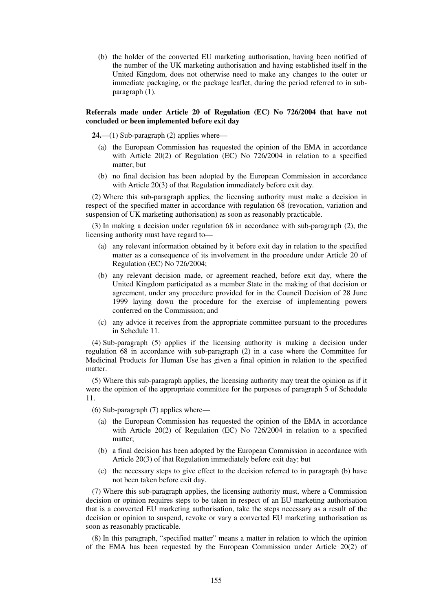(b) the holder of the converted EU marketing authorisation, having been notified of the number of the UK marketing authorisation and having established itself in the United Kingdom, does not otherwise need to make any changes to the outer or immediate packaging, or the package leaflet, during the period referred to in subparagraph (1).

### **Referrals made under Article 20 of Regulation (EC) No 726/2004 that have not concluded or been implemented before exit day**

**24.**—(1) Sub-paragraph (2) applies where—

- (a) the European Commission has requested the opinion of the EMA in accordance with Article 20(2) of Regulation (EC) No 726/2004 in relation to a specified matter; but
- (b) no final decision has been adopted by the European Commission in accordance with Article 20(3) of that Regulation immediately before exit day.

(2) Where this sub-paragraph applies, the licensing authority must make a decision in respect of the specified matter in accordance with regulation 68 (revocation, variation and suspension of UK marketing authorisation) as soon as reasonably practicable.

(3) In making a decision under regulation 68 in accordance with sub-paragraph (2), the licensing authority must have regard to—

- (a) any relevant information obtained by it before exit day in relation to the specified matter as a consequence of its involvement in the procedure under Article 20 of Regulation (EC) No 726/2004;
- (b) any relevant decision made, or agreement reached, before exit day, where the United Kingdom participated as a member State in the making of that decision or agreement, under any procedure provided for in the Council Decision of 28 June 1999 laying down the procedure for the exercise of implementing powers conferred on the Commission; and
- (c) any advice it receives from the appropriate committee pursuant to the procedures in Schedule 11.

(4) Sub-paragraph (5) applies if the licensing authority is making a decision under regulation 68 in accordance with sub-paragraph (2) in a case where the Committee for Medicinal Products for Human Use has given a final opinion in relation to the specified matter.

(5) Where this sub-paragraph applies, the licensing authority may treat the opinion as if it were the opinion of the appropriate committee for the purposes of paragraph 5 of Schedule 11.

(6) Sub-paragraph (7) applies where—

- (a) the European Commission has requested the opinion of the EMA in accordance with Article 20(2) of Regulation (EC) No 726/2004 in relation to a specified matter;
- (b) a final decision has been adopted by the European Commission in accordance with Article 20(3) of that Regulation immediately before exit day; but
- (c) the necessary steps to give effect to the decision referred to in paragraph (b) have not been taken before exit day.

(7) Where this sub-paragraph applies, the licensing authority must, where a Commission decision or opinion requires steps to be taken in respect of an EU marketing authorisation that is a converted EU marketing authorisation, take the steps necessary as a result of the decision or opinion to suspend, revoke or vary a converted EU marketing authorisation as soon as reasonably practicable.

(8) In this paragraph, "specified matter" means a matter in relation to which the opinion of the EMA has been requested by the European Commission under Article 20(2) of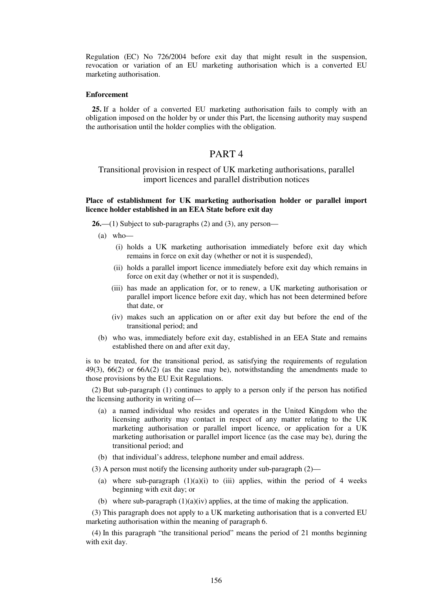Regulation (EC) No 726/2004 before exit day that might result in the suspension, revocation or variation of an EU marketing authorisation which is a converted EU marketing authorisation.

### **Enforcement**

**25.** If a holder of a converted EU marketing authorisation fails to comply with an obligation imposed on the holder by or under this Part, the licensing authority may suspend the authorisation until the holder complies with the obligation.

# PART 4

## Transitional provision in respect of UK marketing authorisations, parallel import licences and parallel distribution notices

## **Place of establishment for UK marketing authorisation holder or parallel import licence holder established in an EEA State before exit day**

**26.**—(1) Subject to sub-paragraphs (2) and (3), any person—

- $(a)$  who—
	- (i) holds a UK marketing authorisation immediately before exit day which remains in force on exit day (whether or not it is suspended),
	- (ii) holds a parallel import licence immediately before exit day which remains in force on exit day (whether or not it is suspended),
	- (iii) has made an application for, or to renew, a UK marketing authorisation or parallel import licence before exit day, which has not been determined before that date, or
	- (iv) makes such an application on or after exit day but before the end of the transitional period; and
- (b) who was, immediately before exit day, established in an EEA State and remains established there on and after exit day,

is to be treated, for the transitional period, as satisfying the requirements of regulation  $49(3)$ ,  $66(2)$  or  $66A(2)$  (as the case may be), notwithstanding the amendments made to those provisions by the EU Exit Regulations.

(2) But sub-paragraph (1) continues to apply to a person only if the person has notified the licensing authority in writing of—

- (a) a named individual who resides and operates in the United Kingdom who the licensing authority may contact in respect of any matter relating to the UK marketing authorisation or parallel import licence, or application for a UK marketing authorisation or parallel import licence (as the case may be), during the transitional period; and
- (b) that individual's address, telephone number and email address.
- (3) A person must notify the licensing authority under sub-paragraph (2)—
	- (a) where sub-paragraph  $(1)(a)(i)$  to (iii) applies, within the period of 4 weeks beginning with exit day; or
	- (b) where sub-paragraph  $(1)(a)(iv)$  applies, at the time of making the application.

(3) This paragraph does not apply to a UK marketing authorisation that is a converted EU marketing authorisation within the meaning of paragraph 6.

(4) In this paragraph "the transitional period" means the period of 21 months beginning with exit day.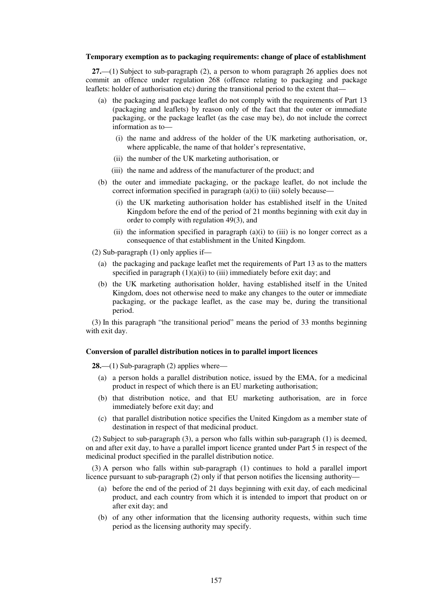#### **Temporary exemption as to packaging requirements: change of place of establishment**

**27.**—(1) Subject to sub-paragraph (2), a person to whom paragraph 26 applies does not commit an offence under regulation 268 (offence relating to packaging and package leaflets: holder of authorisation etc) during the transitional period to the extent that—

- (a) the packaging and package leaflet do not comply with the requirements of Part 13 (packaging and leaflets) by reason only of the fact that the outer or immediate packaging, or the package leaflet (as the case may be), do not include the correct information as to—
	- (i) the name and address of the holder of the UK marketing authorisation, or, where applicable, the name of that holder's representative,
	- (ii) the number of the UK marketing authorisation, or
	- (iii) the name and address of the manufacturer of the product; and
- (b) the outer and immediate packaging, or the package leaflet, do not include the correct information specified in paragraph (a)(i) to (iii) solely because—
	- (i) the UK marketing authorisation holder has established itself in the United Kingdom before the end of the period of 21 months beginning with exit day in order to comply with regulation 49(3), and
	- (ii) the information specified in paragraph  $(a)(i)$  to (iii) is no longer correct as a consequence of that establishment in the United Kingdom.
- (2) Sub-paragraph (1) only applies if—
	- (a) the packaging and package leaflet met the requirements of Part 13 as to the matters specified in paragraph  $(1)(a)(i)$  to  $(iii)$  immediately before exit day; and
	- (b) the UK marketing authorisation holder, having established itself in the United Kingdom, does not otherwise need to make any changes to the outer or immediate packaging, or the package leaflet, as the case may be, during the transitional period.

(3) In this paragraph "the transitional period" means the period of 33 months beginning with exit day.

#### **Conversion of parallel distribution notices in to parallel import licences**

**28.**—(1) Sub-paragraph (2) applies where—

- (a) a person holds a parallel distribution notice, issued by the EMA, for a medicinal product in respect of which there is an EU marketing authorisation;
- (b) that distribution notice, and that EU marketing authorisation, are in force immediately before exit day; and
- (c) that parallel distribution notice specifies the United Kingdom as a member state of destination in respect of that medicinal product.

(2) Subject to sub-paragraph (3), a person who falls within sub-paragraph (1) is deemed, on and after exit day, to have a parallel import licence granted under Part 5 in respect of the medicinal product specified in the parallel distribution notice.

(3) A person who falls within sub-paragraph (1) continues to hold a parallel import licence pursuant to sub-paragraph (2) only if that person notifies the licensing authority—

- (a) before the end of the period of 21 days beginning with exit day, of each medicinal product, and each country from which it is intended to import that product on or after exit day; and
- (b) of any other information that the licensing authority requests, within such time period as the licensing authority may specify.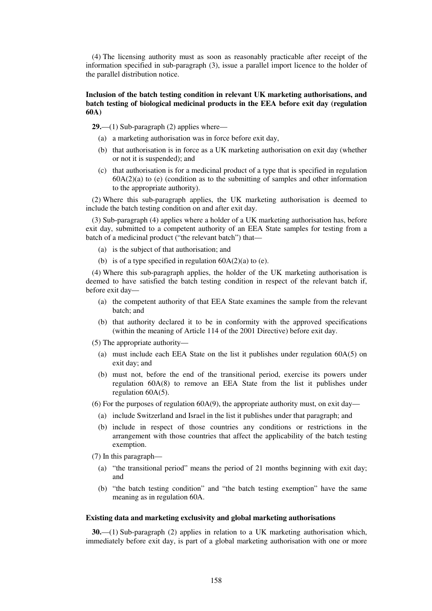(4) The licensing authority must as soon as reasonably practicable after receipt of the information specified in sub-paragraph (3), issue a parallel import licence to the holder of the parallel distribution notice.

## **Inclusion of the batch testing condition in relevant UK marketing authorisations, and batch testing of biological medicinal products in the EEA before exit day (regulation 60A)**

**29.**—(1) Sub-paragraph (2) applies where—

- (a) a marketing authorisation was in force before exit day,
- (b) that authorisation is in force as a UK marketing authorisation on exit day (whether or not it is suspended); and
- (c) that authorisation is for a medicinal product of a type that is specified in regulation  $60A(2)(a)$  to (e) (condition as to the submitting of samples and other information to the appropriate authority).

(2) Where this sub-paragraph applies, the UK marketing authorisation is deemed to include the batch testing condition on and after exit day.

(3) Sub-paragraph (4) applies where a holder of a UK marketing authorisation has, before exit day, submitted to a competent authority of an EEA State samples for testing from a batch of a medicinal product ("the relevant batch") that—

- (a) is the subject of that authorisation; and
- (b) is of a type specified in regulation  $60A(2)(a)$  to (e).

(4) Where this sub-paragraph applies, the holder of the UK marketing authorisation is deemed to have satisfied the batch testing condition in respect of the relevant batch if, before exit day—

- (a) the competent authority of that EEA State examines the sample from the relevant batch; and
- (b) that authority declared it to be in conformity with the approved specifications (within the meaning of Article 114 of the 2001 Directive) before exit day.

(5) The appropriate authority—

- (a) must include each EEA State on the list it publishes under regulation 60A(5) on exit day; and
- (b) must not, before the end of the transitional period, exercise its powers under regulation 60A(8) to remove an EEA State from the list it publishes under regulation 60A(5).
- (6) For the purposes of regulation  $60A(9)$ , the appropriate authority must, on exit day—
	- (a) include Switzerland and Israel in the list it publishes under that paragraph; and
	- (b) include in respect of those countries any conditions or restrictions in the arrangement with those countries that affect the applicability of the batch testing exemption.
- (7) In this paragraph—
	- (a) "the transitional period" means the period of 21 months beginning with exit day; and
	- (b) "the batch testing condition" and "the batch testing exemption" have the same meaning as in regulation 60A.

#### **Existing data and marketing exclusivity and global marketing authorisations**

**30.**—(1) Sub-paragraph (2) applies in relation to a UK marketing authorisation which, immediately before exit day, is part of a global marketing authorisation with one or more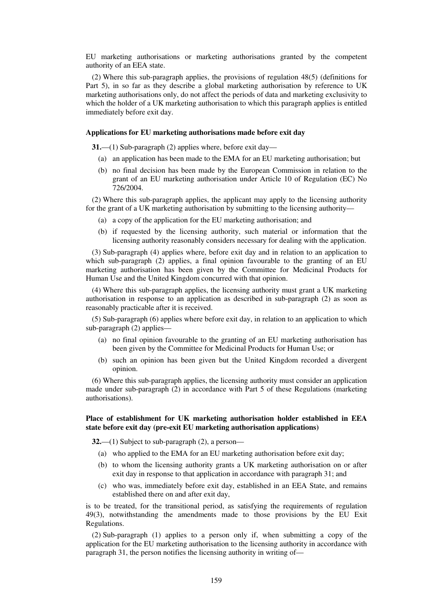EU marketing authorisations or marketing authorisations granted by the competent authority of an EEA state.

(2) Where this sub-paragraph applies, the provisions of regulation 48(5) (definitions for Part 5), in so far as they describe a global marketing authorisation by reference to UK marketing authorisations only, do not affect the periods of data and marketing exclusivity to which the holder of a UK marketing authorisation to which this paragraph applies is entitled immediately before exit day.

#### **Applications for EU marketing authorisations made before exit day**

**31.**—(1) Sub-paragraph (2) applies where, before exit day—

- (a) an application has been made to the EMA for an EU marketing authorisation; but
- (b) no final decision has been made by the European Commission in relation to the grant of an EU marketing authorisation under Article 10 of Regulation (EC) No 726/2004.

(2) Where this sub-paragraph applies, the applicant may apply to the licensing authority for the grant of a UK marketing authorisation by submitting to the licensing authority—

- (a) a copy of the application for the EU marketing authorisation; and
- (b) if requested by the licensing authority, such material or information that the licensing authority reasonably considers necessary for dealing with the application.

(3) Sub-paragraph (4) applies where, before exit day and in relation to an application to which sub-paragraph (2) applies, a final opinion favourable to the granting of an EU marketing authorisation has been given by the Committee for Medicinal Products for Human Use and the United Kingdom concurred with that opinion.

(4) Where this sub-paragraph applies, the licensing authority must grant a UK marketing authorisation in response to an application as described in sub-paragraph (2) as soon as reasonably practicable after it is received.

(5) Sub-paragraph (6) applies where before exit day, in relation to an application to which sub-paragraph (2) applies—

- (a) no final opinion favourable to the granting of an EU marketing authorisation has been given by the Committee for Medicinal Products for Human Use; or
- (b) such an opinion has been given but the United Kingdom recorded a divergent opinion.

(6) Where this sub-paragraph applies, the licensing authority must consider an application made under sub-paragraph (2) in accordance with Part 5 of these Regulations (marketing authorisations).

#### **Place of establishment for UK marketing authorisation holder established in EEA state before exit day (pre-exit EU marketing authorisation applications)**

**32.**—(1) Subject to sub-paragraph (2), a person—

- (a) who applied to the EMA for an EU marketing authorisation before exit day;
- (b) to whom the licensing authority grants a UK marketing authorisation on or after exit day in response to that application in accordance with paragraph 31; and
- (c) who was, immediately before exit day, established in an EEA State, and remains established there on and after exit day,

is to be treated, for the transitional period, as satisfying the requirements of regulation 49(3), notwithstanding the amendments made to those provisions by the EU Exit Regulations.

(2) Sub-paragraph (1) applies to a person only if, when submitting a copy of the application for the EU marketing authorisation to the licensing authority in accordance with paragraph 31, the person notifies the licensing authority in writing of—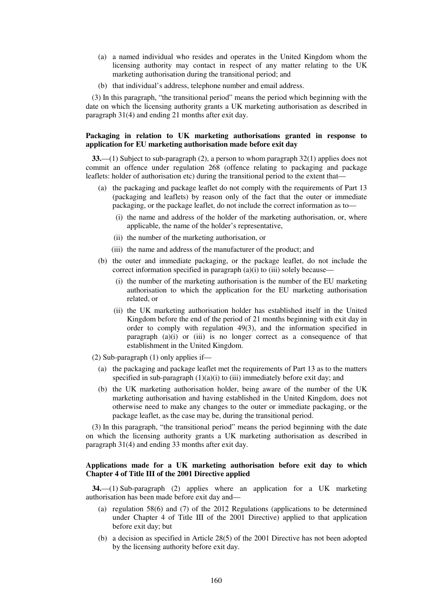- (a) a named individual who resides and operates in the United Kingdom whom the licensing authority may contact in respect of any matter relating to the UK marketing authorisation during the transitional period; and
- (b) that individual's address, telephone number and email address.

(3) In this paragraph, "the transitional period" means the period which beginning with the date on which the licensing authority grants a UK marketing authorisation as described in paragraph 31(4) and ending 21 months after exit day.

## **Packaging in relation to UK marketing authorisations granted in response to application for EU marketing authorisation made before exit day**

**33.**—(1) Subject to sub-paragraph (2), a person to whom paragraph 32(1) applies does not commit an offence under regulation 268 (offence relating to packaging and package leaflets: holder of authorisation etc) during the transitional period to the extent that—

- (a) the packaging and package leaflet do not comply with the requirements of Part 13 (packaging and leaflets) by reason only of the fact that the outer or immediate packaging, or the package leaflet, do not include the correct information as to—
	- (i) the name and address of the holder of the marketing authorisation, or, where applicable, the name of the holder's representative,
	- (ii) the number of the marketing authorisation, or
	- (iii) the name and address of the manufacturer of the product; and
- (b) the outer and immediate packaging, or the package leaflet, do not include the correct information specified in paragraph  $(a)(i)$  to  $(iii)$  solely because—
	- (i) the number of the marketing authorisation is the number of the EU marketing authorisation to which the application for the EU marketing authorisation related, or
	- (ii) the UK marketing authorisation holder has established itself in the United Kingdom before the end of the period of 21 months beginning with exit day in order to comply with regulation 49(3), and the information specified in paragraph (a)(i) or (iii) is no longer correct as a consequence of that establishment in the United Kingdom.

(2) Sub-paragraph (1) only applies if—

- (a) the packaging and package leaflet met the requirements of Part 13 as to the matters specified in sub-paragraph  $(1)(a)(i)$  to  $(iii)$  immediately before exit day; and
- (b) the UK marketing authorisation holder, being aware of the number of the UK marketing authorisation and having established in the United Kingdom, does not otherwise need to make any changes to the outer or immediate packaging, or the package leaflet, as the case may be, during the transitional period.

(3) In this paragraph, "the transitional period" means the period beginning with the date on which the licensing authority grants a UK marketing authorisation as described in paragraph 31(4) and ending 33 months after exit day.

## **Applications made for a UK marketing authorisation before exit day to which Chapter 4 of Title III of the 2001 Directive applied**

**34.**—(1) Sub-paragraph (2) applies where an application for a UK marketing authorisation has been made before exit day and—

- (a) regulation 58(6) and (7) of the 2012 Regulations (applications to be determined under Chapter 4 of Title III of the 2001 Directive) applied to that application before exit day; but
- (b) a decision as specified in Article 28(5) of the 2001 Directive has not been adopted by the licensing authority before exit day.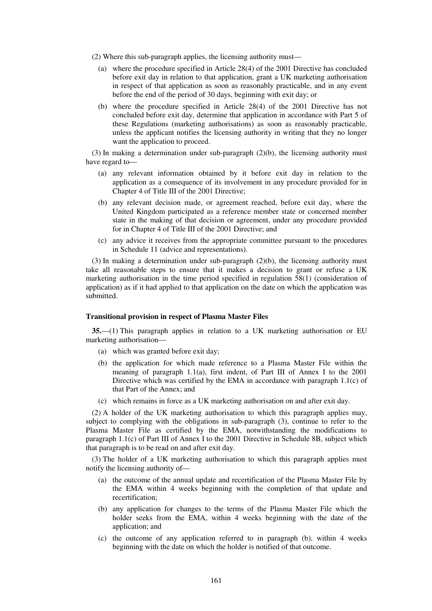- (2) Where this sub-paragraph applies, the licensing authority must—
	- (a) where the procedure specified in Article 28(4) of the 2001 Directive has concluded before exit day in relation to that application, grant a UK marketing authorisation in respect of that application as soon as reasonably practicable, and in any event before the end of the period of 30 days, beginning with exit day; or
	- (b) where the procedure specified in Article 28(4) of the 2001 Directive has not concluded before exit day, determine that application in accordance with Part 5 of these Regulations (marketing authorisations) as soon as reasonably practicable, unless the applicant notifies the licensing authority in writing that they no longer want the application to proceed.

(3) In making a determination under sub-paragraph (2)(b), the licensing authority must have regard to—

- (a) any relevant information obtained by it before exit day in relation to the application as a consequence of its involvement in any procedure provided for in Chapter 4 of Title III of the 2001 Directive;
- (b) any relevant decision made, or agreement reached, before exit day, where the United Kingdom participated as a reference member state or concerned member state in the making of that decision or agreement, under any procedure provided for in Chapter 4 of Title III of the 2001 Directive; and
- (c) any advice it receives from the appropriate committee pursuant to the procedures in Schedule 11 (advice and representations).

(3) In making a determination under sub-paragraph (2)(b), the licensing authority must take all reasonable steps to ensure that it makes a decision to grant or refuse a UK marketing authorisation in the time period specified in regulation  $\overline{58(1)}$  (consideration of application) as if it had applied to that application on the date on which the application was submitted.

#### **Transitional provision in respect of Plasma Master Files**

**35.**—(1) This paragraph applies in relation to a UK marketing authorisation or EU marketing authorisation—

- (a) which was granted before exit day;
- (b) the application for which made reference to a Plasma Master File within the meaning of paragraph 1.1(a), first indent, of Part III of Annex I to the 2001 Directive which was certified by the EMA in accordance with paragraph  $1.1(c)$  of that Part of the Annex; and
- (c) which remains in force as a UK marketing authorisation on and after exit day.

(2) A holder of the UK marketing authorisation to which this paragraph applies may, subject to complying with the obligations in sub-paragraph (3), continue to refer to the Plasma Master File as certified by the EMA, notwithstanding the modifications to paragraph 1.1(c) of Part III of Annex I to the 2001 Directive in Schedule 8B, subject which that paragraph is to be read on and after exit day.

(3) The holder of a UK marketing authorisation to which this paragraph applies must notify the licensing authority of—

- (a) the outcome of the annual update and recertification of the Plasma Master File by the EMA within 4 weeks beginning with the completion of that update and recertification;
- (b) any application for changes to the terms of the Plasma Master File which the holder seeks from the EMA, within 4 weeks beginning with the date of the application; and
- (c) the outcome of any application referred to in paragraph (b), within 4 weeks beginning with the date on which the holder is notified of that outcome.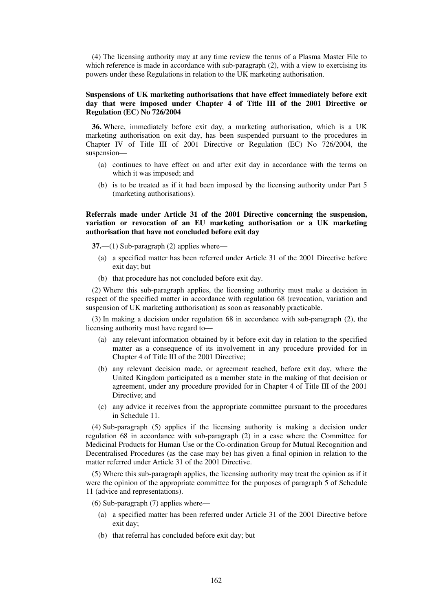(4) The licensing authority may at any time review the terms of a Plasma Master File to which reference is made in accordance with sub-paragraph  $(2)$ , with a view to exercising its powers under these Regulations in relation to the UK marketing authorisation.

## **Suspensions of UK marketing authorisations that have effect immediately before exit day that were imposed under Chapter 4 of Title III of the 2001 Directive or Regulation (EC) No 726/2004**

**36.** Where, immediately before exit day, a marketing authorisation, which is a UK marketing authorisation on exit day, has been suspended pursuant to the procedures in Chapter IV of Title III of 2001 Directive or Regulation (EC) No 726/2004, the suspension—

- (a) continues to have effect on and after exit day in accordance with the terms on which it was imposed; and
- (b) is to be treated as if it had been imposed by the licensing authority under Part 5 (marketing authorisations).

## **Referrals made under Article 31 of the 2001 Directive concerning the suspension, variation or revocation of an EU marketing authorisation or a UK marketing authorisation that have not concluded before exit day**

**37.**—(1) Sub-paragraph (2) applies where—

- (a) a specified matter has been referred under Article 31 of the 2001 Directive before exit day; but
- (b) that procedure has not concluded before exit day.

(2) Where this sub-paragraph applies, the licensing authority must make a decision in respect of the specified matter in accordance with regulation 68 (revocation, variation and suspension of UK marketing authorisation) as soon as reasonably practicable.

(3) In making a decision under regulation 68 in accordance with sub-paragraph (2), the licensing authority must have regard to—

- (a) any relevant information obtained by it before exit day in relation to the specified matter as a consequence of its involvement in any procedure provided for in Chapter 4 of Title III of the 2001 Directive;
- (b) any relevant decision made, or agreement reached, before exit day, where the United Kingdom participated as a member state in the making of that decision or agreement, under any procedure provided for in Chapter 4 of Title III of the 2001 Directive; and
- (c) any advice it receives from the appropriate committee pursuant to the procedures in Schedule 11.

(4) Sub-paragraph (5) applies if the licensing authority is making a decision under regulation 68 in accordance with sub-paragraph (2) in a case where the Committee for Medicinal Products for Human Use or the Co-ordination Group for Mutual Recognition and Decentralised Procedures (as the case may be) has given a final opinion in relation to the matter referred under Article 31 of the 2001 Directive.

(5) Where this sub-paragraph applies, the licensing authority may treat the opinion as if it were the opinion of the appropriate committee for the purposes of paragraph 5 of Schedule 11 (advice and representations).

(6) Sub-paragraph (7) applies where—

- (a) a specified matter has been referred under Article 31 of the 2001 Directive before exit day;
- (b) that referral has concluded before exit day; but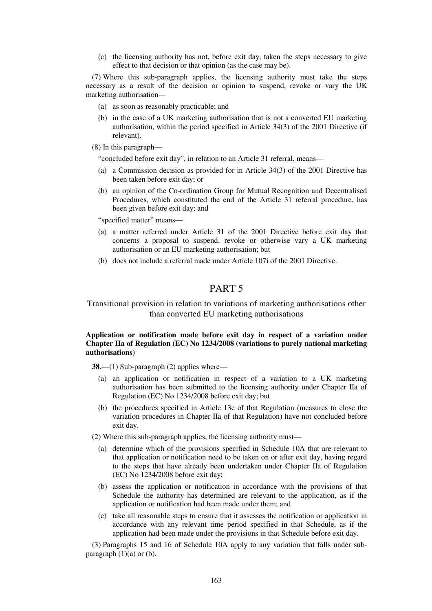(c) the licensing authority has not, before exit day, taken the steps necessary to give effect to that decision or that opinion (as the case may be).

(7) Where this sub-paragraph applies, the licensing authority must take the steps necessary as a result of the decision or opinion to suspend, revoke or vary the UK marketing authorisation—

- (a) as soon as reasonably practicable; and
- (b) in the case of a UK marketing authorisation that is not a converted EU marketing authorisation, within the period specified in Article 34(3) of the 2001 Directive (if relevant).

(8) In this paragraph—

"concluded before exit day", in relation to an Article 31 referral, means—

- (a) a Commission decision as provided for in Article 34(3) of the 2001 Directive has been taken before exit day; or
- (b) an opinion of the Co-ordination Group for Mutual Recognition and Decentralised Procedures, which constituted the end of the Article 31 referral procedure, has been given before exit day; and

"specified matter" means—

- (a) a matter referred under Article 31 of the 2001 Directive before exit day that concerns a proposal to suspend, revoke or otherwise vary a UK marketing authorisation or an EU marketing authorisation; but
- (b) does not include a referral made under Article 107i of the 2001 Directive.

# PART 5

Transitional provision in relation to variations of marketing authorisations other than converted EU marketing authorisations

## **Application or notification made before exit day in respect of a variation under Chapter IIa of Regulation (EC) No 1234/2008 (variations to purely national marketing authorisations)**

**38.**—(1) Sub-paragraph (2) applies where—

- (a) an application or notification in respect of a variation to a UK marketing authorisation has been submitted to the licensing authority under Chapter IIa of Regulation (EC) No 1234/2008 before exit day; but
- (b) the procedures specified in Article 13e of that Regulation (measures to close the variation procedures in Chapter IIa of that Regulation) have not concluded before exit day.

(2) Where this sub-paragraph applies, the licensing authority must—

- (a) determine which of the provisions specified in Schedule 10A that are relevant to that application or notification need to be taken on or after exit day, having regard to the steps that have already been undertaken under Chapter IIa of Regulation (EC) No 1234/2008 before exit day;
- (b) assess the application or notification in accordance with the provisions of that Schedule the authority has determined are relevant to the application, as if the application or notification had been made under them; and
- (c) take all reasonable steps to ensure that it assesses the notification or application in accordance with any relevant time period specified in that Schedule, as if the application had been made under the provisions in that Schedule before exit day.

(3) Paragraphs 15 and 16 of Schedule 10A apply to any variation that falls under subparagraph  $(1)(a)$  or  $(b)$ .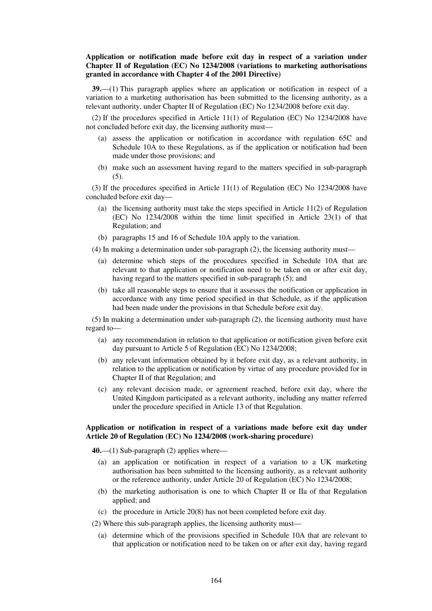## **Application or notification made before exit day in respect of a variation under Chapter II of Regulation (EC) No 1234/2008 (variations to marketing authorisations granted in accordance with Chapter 4 of the 2001 Directive)**

**39.**—(1) This paragraph applies where an application or notification in respect of a variation to a marketing authorisation has been submitted to the licensing authority, as a relevant authority, under Chapter II of Regulation (EC) No 1234/2008 before exit day.

(2) If the procedures specified in Article 11(1) of Regulation (EC) No 1234/2008 have not concluded before exit day, the licensing authority must—

- (a) assess the application or notification in accordance with regulation 65C and Schedule 10A to these Regulations, as if the application or notification had been made under those provisions; and
- (b) make such an assessment having regard to the matters specified in sub-paragraph (5).

(3) If the procedures specified in Article 11(1) of Regulation (EC) No 1234/2008 have concluded before exit day—

- (a) the licensing authority must take the steps specified in Article 11(2) of Regulation (EC) No 1234/2008 within the time limit specified in Article 23(1) of that Regulation; and
- (b) paragraphs 15 and 16 of Schedule 10A apply to the variation.

(4) In making a determination under sub-paragraph (2), the licensing authority must—

- (a) determine which steps of the procedures specified in Schedule 10A that are relevant to that application or notification need to be taken on or after exit day, having regard to the matters specified in sub-paragraph (5); and
- (b) take all reasonable steps to ensure that it assesses the notification or application in accordance with any time period specified in that Schedule, as if the application had been made under the provisions in that Schedule before exit day.

(5) In making a determination under sub-paragraph (2), the licensing authority must have regard to—

- (a) any recommendation in relation to that application or notification given before exit day pursuant to Article 5 of Regulation (EC) No 1234/2008;
- (b) any relevant information obtained by it before exit day, as a relevant authority, in relation to the application or notification by virtue of any procedure provided for in Chapter II of that Regulation; and
- (c) any relevant decision made, or agreement reached, before exit day, where the United Kingdom participated as a relevant authority, including any matter referred under the procedure specified in Article 13 of that Regulation.

### **Application or notification in respect of a variations made before exit day under Article 20 of Regulation (EC) No 1234/2008 (work-sharing procedure)**

**40.**—(1) Sub-paragraph (2) applies where—

- (a) an application or notification in respect of a variation to a UK marketing authorisation has been submitted to the licensing authority, as a relevant authority or the reference authority, under Article 20 of Regulation (EC) No 1234/2008;
- (b) the marketing authorisation is one to which Chapter II or IIa of that Regulation applied; and
- (c) the procedure in Article 20(8) has not been completed before exit day.

(2) Where this sub-paragraph applies, the licensing authority must—

(a) determine which of the provisions specified in Schedule 10A that are relevant to that application or notification need to be taken on or after exit day, having regard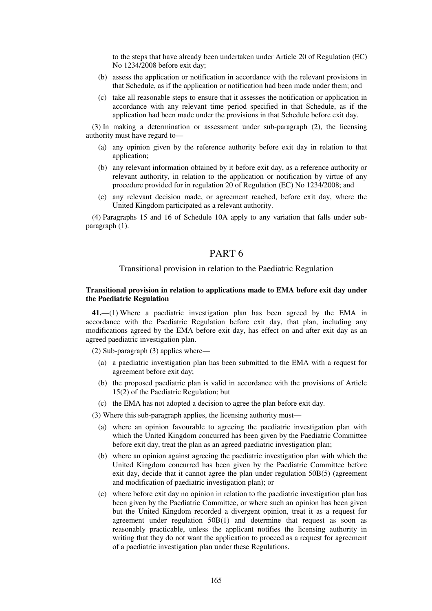to the steps that have already been undertaken under Article 20 of Regulation (EC) No 1234/2008 before exit day;

- (b) assess the application or notification in accordance with the relevant provisions in that Schedule, as if the application or notification had been made under them; and
- (c) take all reasonable steps to ensure that it assesses the notification or application in accordance with any relevant time period specified in that Schedule, as if the application had been made under the provisions in that Schedule before exit day.

(3) In making a determination or assessment under sub-paragraph (2), the licensing authority must have regard to—

- (a) any opinion given by the reference authority before exit day in relation to that application;
- (b) any relevant information obtained by it before exit day, as a reference authority or relevant authority, in relation to the application or notification by virtue of any procedure provided for in regulation 20 of Regulation (EC) No 1234/2008; and
- (c) any relevant decision made, or agreement reached, before exit day, where the United Kingdom participated as a relevant authority.

(4) Paragraphs 15 and 16 of Schedule 10A apply to any variation that falls under subparagraph (1).

# PART 6

## Transitional provision in relation to the Paediatric Regulation

## **Transitional provision in relation to applications made to EMA before exit day under the Paediatric Regulation**

**41.**—(1) Where a paediatric investigation plan has been agreed by the EMA in accordance with the Paediatric Regulation before exit day, that plan, including any modifications agreed by the EMA before exit day, has effect on and after exit day as an agreed paediatric investigation plan.

(2) Sub-paragraph (3) applies where—

- (a) a paediatric investigation plan has been submitted to the EMA with a request for agreement before exit day;
- (b) the proposed paediatric plan is valid in accordance with the provisions of Article 15(2) of the Paediatric Regulation; but
- (c) the EMA has not adopted a decision to agree the plan before exit day.

(3) Where this sub-paragraph applies, the licensing authority must—

- (a) where an opinion favourable to agreeing the paediatric investigation plan with which the United Kingdom concurred has been given by the Paediatric Committee before exit day, treat the plan as an agreed paediatric investigation plan;
- (b) where an opinion against agreeing the paediatric investigation plan with which the United Kingdom concurred has been given by the Paediatric Committee before exit day, decide that it cannot agree the plan under regulation 50B(5) (agreement and modification of paediatric investigation plan); or
- (c) where before exit day no opinion in relation to the paediatric investigation plan has been given by the Paediatric Committee, or where such an opinion has been given but the United Kingdom recorded a divergent opinion, treat it as a request for agreement under regulation 50B(1) and determine that request as soon as reasonably practicable, unless the applicant notifies the licensing authority in writing that they do not want the application to proceed as a request for agreement of a paediatric investigation plan under these Regulations.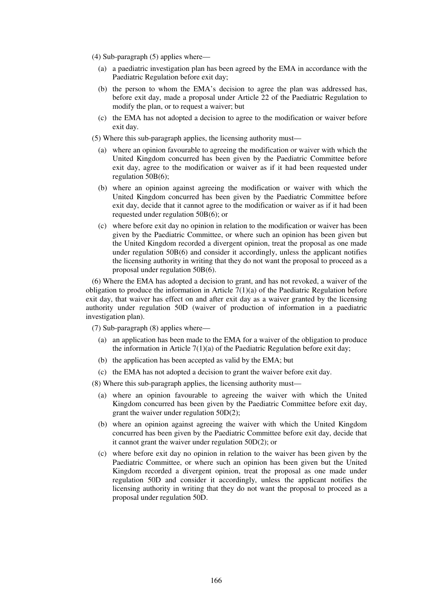- (4) Sub-paragraph (5) applies where—
	- (a) a paediatric investigation plan has been agreed by the EMA in accordance with the Paediatric Regulation before exit day;
	- (b) the person to whom the EMA's decision to agree the plan was addressed has, before exit day, made a proposal under Article 22 of the Paediatric Regulation to modify the plan, or to request a waiver; but
	- (c) the EMA has not adopted a decision to agree to the modification or waiver before exit day.
- (5) Where this sub-paragraph applies, the licensing authority must—
	- (a) where an opinion favourable to agreeing the modification or waiver with which the United Kingdom concurred has been given by the Paediatric Committee before exit day, agree to the modification or waiver as if it had been requested under regulation 50B(6);
	- (b) where an opinion against agreeing the modification or waiver with which the United Kingdom concurred has been given by the Paediatric Committee before exit day, decide that it cannot agree to the modification or waiver as if it had been requested under regulation 50B(6); or
	- (c) where before exit day no opinion in relation to the modification or waiver has been given by the Paediatric Committee, or where such an opinion has been given but the United Kingdom recorded a divergent opinion, treat the proposal as one made under regulation 50B(6) and consider it accordingly, unless the applicant notifies the licensing authority in writing that they do not want the proposal to proceed as a proposal under regulation 50B(6).

(6) Where the EMA has adopted a decision to grant, and has not revoked, a waiver of the obligation to produce the information in Article  $7(1)(a)$  of the Paediatric Regulation before exit day, that waiver has effect on and after exit day as a waiver granted by the licensing authority under regulation 50D (waiver of production of information in a paediatric investigation plan).

- (7) Sub-paragraph (8) applies where—
	- (a) an application has been made to the EMA for a waiver of the obligation to produce the information in Article  $7(1)(a)$  of the Paediatric Regulation before exit day;
	- (b) the application has been accepted as valid by the EMA; but
	- (c) the EMA has not adopted a decision to grant the waiver before exit day.

(8) Where this sub-paragraph applies, the licensing authority must—

- (a) where an opinion favourable to agreeing the waiver with which the United Kingdom concurred has been given by the Paediatric Committee before exit day, grant the waiver under regulation 50D(2);
- (b) where an opinion against agreeing the waiver with which the United Kingdom concurred has been given by the Paediatric Committee before exit day, decide that it cannot grant the waiver under regulation 50D(2); or
- (c) where before exit day no opinion in relation to the waiver has been given by the Paediatric Committee, or where such an opinion has been given but the United Kingdom recorded a divergent opinion, treat the proposal as one made under regulation 50D and consider it accordingly, unless the applicant notifies the licensing authority in writing that they do not want the proposal to proceed as a proposal under regulation 50D.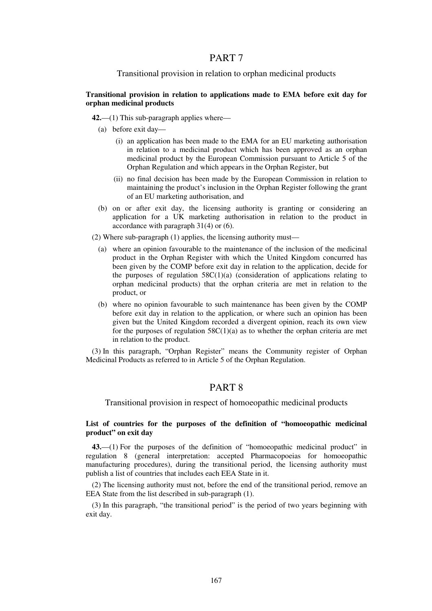# PART 7

## Transitional provision in relation to orphan medicinal products

## **Transitional provision in relation to applications made to EMA before exit day for orphan medicinal products**

**42.**—(1) This sub-paragraph applies where—

- (a) before exit day—
	- (i) an application has been made to the EMA for an EU marketing authorisation in relation to a medicinal product which has been approved as an orphan medicinal product by the European Commission pursuant to Article 5 of the Orphan Regulation and which appears in the Orphan Register, but
	- (ii) no final decision has been made by the European Commission in relation to maintaining the product's inclusion in the Orphan Register following the grant of an EU marketing authorisation, and
- (b) on or after exit day, the licensing authority is granting or considering an application for a UK marketing authorisation in relation to the product in accordance with paragraph 31(4) or (6).

(2) Where sub-paragraph (1) applies, the licensing authority must—

- (a) where an opinion favourable to the maintenance of the inclusion of the medicinal product in the Orphan Register with which the United Kingdom concurred has been given by the COMP before exit day in relation to the application, decide for the purposes of regulation  $58C(1)(a)$  (consideration of applications relating to orphan medicinal products) that the orphan criteria are met in relation to the product, or
- (b) where no opinion favourable to such maintenance has been given by the COMP before exit day in relation to the application, or where such an opinion has been given but the United Kingdom recorded a divergent opinion, reach its own view for the purposes of regulation  $58C(1)(a)$  as to whether the orphan criteria are met in relation to the product.

(3) In this paragraph, "Orphan Register" means the Community register of Orphan Medicinal Products as referred to in Article 5 of the Orphan Regulation.

# PART 8

Transitional provision in respect of homoeopathic medicinal products

## **List of countries for the purposes of the definition of "homoeopathic medicinal product" on exit day**

**43.**—(1) For the purposes of the definition of "homoeopathic medicinal product" in regulation 8 (general interpretation: accepted Pharmacopoeias for homoeopathic manufacturing procedures), during the transitional period, the licensing authority must publish a list of countries that includes each EEA State in it.

(2) The licensing authority must not, before the end of the transitional period, remove an EEA State from the list described in sub-paragraph (1).

(3) In this paragraph, "the transitional period" is the period of two years beginning with exit day.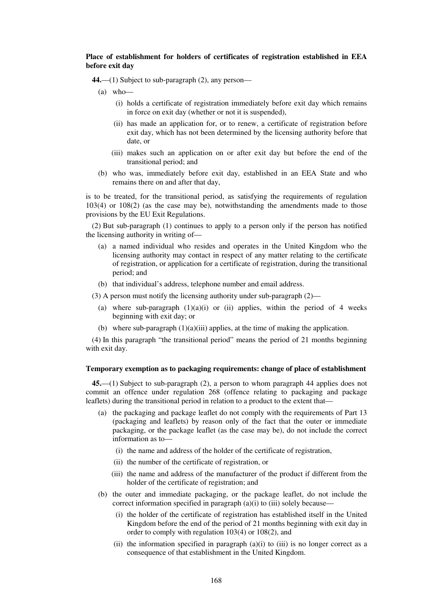## **Place of establishment for holders of certificates of registration established in EEA before exit day**

**44.**—(1) Subject to sub-paragraph (2), any person—

- (a) who—
	- (i) holds a certificate of registration immediately before exit day which remains in force on exit day (whether or not it is suspended),
	- (ii) has made an application for, or to renew, a certificate of registration before exit day, which has not been determined by the licensing authority before that date, or
	- (iii) makes such an application on or after exit day but before the end of the transitional period; and
- (b) who was, immediately before exit day, established in an EEA State and who remains there on and after that day,

is to be treated, for the transitional period, as satisfying the requirements of regulation 103(4) or 108(2) (as the case may be), notwithstanding the amendments made to those provisions by the EU Exit Regulations.

(2) But sub-paragraph (1) continues to apply to a person only if the person has notified the licensing authority in writing of—

- (a) a named individual who resides and operates in the United Kingdom who the licensing authority may contact in respect of any matter relating to the certificate of registration, or application for a certificate of registration, during the transitional period; and
- (b) that individual's address, telephone number and email address.

(3) A person must notify the licensing authority under sub-paragraph (2)—

- (a) where sub-paragraph  $(1)(a)(i)$  or (ii) applies, within the period of 4 weeks beginning with exit day; or
- (b) where sub-paragraph  $(1)(a)(iii)$  applies, at the time of making the application.

(4) In this paragraph "the transitional period" means the period of 21 months beginning with exit day.

## **Temporary exemption as to packaging requirements: change of place of establishment**

**45.**—(1) Subject to sub-paragraph (2), a person to whom paragraph 44 applies does not commit an offence under regulation 268 (offence relating to packaging and package leaflets) during the transitional period in relation to a product to the extent that—

- (a) the packaging and package leaflet do not comply with the requirements of Part 13 (packaging and leaflets) by reason only of the fact that the outer or immediate packaging, or the package leaflet (as the case may be), do not include the correct information as to—
	- (i) the name and address of the holder of the certificate of registration,
	- (ii) the number of the certificate of registration, or
	- (iii) the name and address of the manufacturer of the product if different from the holder of the certificate of registration; and
- (b) the outer and immediate packaging, or the package leaflet, do not include the correct information specified in paragraph (a)(i) to (iii) solely because—
	- (i) the holder of the certificate of registration has established itself in the United Kingdom before the end of the period of 21 months beginning with exit day in order to comply with regulation 103(4) or 108(2), and
	- (ii) the information specified in paragraph  $(a)(i)$  to (iii) is no longer correct as a consequence of that establishment in the United Kingdom.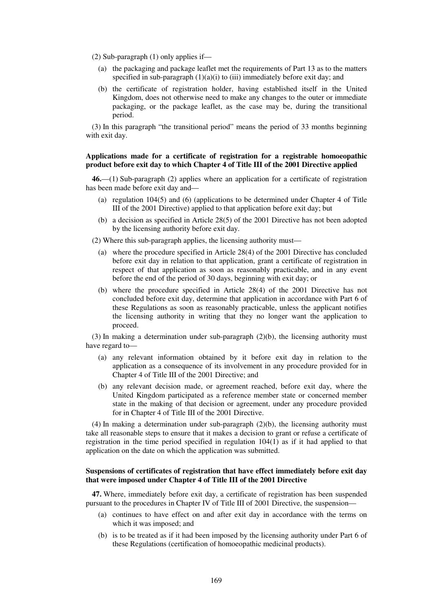(2) Sub-paragraph (1) only applies if—

- (a) the packaging and package leaflet met the requirements of Part 13 as to the matters specified in sub-paragraph (1)(a)(i) to (iii) immediately before exit day; and
- (b) the certificate of registration holder, having established itself in the United Kingdom, does not otherwise need to make any changes to the outer or immediate packaging, or the package leaflet, as the case may be, during the transitional period.

(3) In this paragraph "the transitional period" means the period of 33 months beginning with exit day.

## **Applications made for a certificate of registration for a registrable homoeopathic product before exit day to which Chapter 4 of Title III of the 2001 Directive applied**

**46.**—(1) Sub-paragraph (2) applies where an application for a certificate of registration has been made before exit day and—

- (a) regulation 104(5) and (6) (applications to be determined under Chapter 4 of Title III of the 2001 Directive) applied to that application before exit day; but
- (b) a decision as specified in Article 28(5) of the 2001 Directive has not been adopted by the licensing authority before exit day.

(2) Where this sub-paragraph applies, the licensing authority must—

- (a) where the procedure specified in Article 28(4) of the 2001 Directive has concluded before exit day in relation to that application, grant a certificate of registration in respect of that application as soon as reasonably practicable, and in any event before the end of the period of 30 days, beginning with exit day; or
- (b) where the procedure specified in Article 28(4) of the 2001 Directive has not concluded before exit day, determine that application in accordance with Part 6 of these Regulations as soon as reasonably practicable, unless the applicant notifies the licensing authority in writing that they no longer want the application to proceed.

(3) In making a determination under sub-paragraph (2)(b), the licensing authority must have regard to—

- (a) any relevant information obtained by it before exit day in relation to the application as a consequence of its involvement in any procedure provided for in Chapter 4 of Title III of the 2001 Directive; and
- (b) any relevant decision made, or agreement reached, before exit day, where the United Kingdom participated as a reference member state or concerned member state in the making of that decision or agreement, under any procedure provided for in Chapter 4 of Title III of the 2001 Directive.

(4) In making a determination under sub-paragraph (2)(b), the licensing authority must take all reasonable steps to ensure that it makes a decision to grant or refuse a certificate of registration in the time period specified in regulation 104(1) as if it had applied to that application on the date on which the application was submitted.

## **Suspensions of certificates of registration that have effect immediately before exit day that were imposed under Chapter 4 of Title III of the 2001 Directive**

**47.** Where, immediately before exit day, a certificate of registration has been suspended pursuant to the procedures in Chapter IV of Title III of 2001 Directive, the suspension—

- (a) continues to have effect on and after exit day in accordance with the terms on which it was imposed; and
- (b) is to be treated as if it had been imposed by the licensing authority under Part 6 of these Regulations (certification of homoeopathic medicinal products).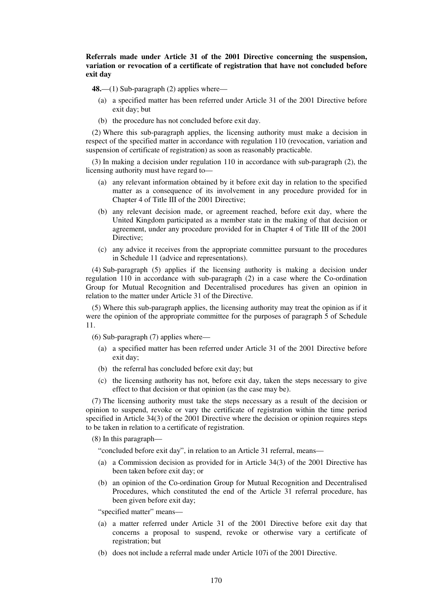## **Referrals made under Article 31 of the 2001 Directive concerning the suspension, variation or revocation of a certificate of registration that have not concluded before exit day**

**48.**—(1) Sub-paragraph (2) applies where—

- (a) a specified matter has been referred under Article 31 of the 2001 Directive before exit day; but
- (b) the procedure has not concluded before exit day.

(2) Where this sub-paragraph applies, the licensing authority must make a decision in respect of the specified matter in accordance with regulation 110 (revocation, variation and suspension of certificate of registration) as soon as reasonably practicable.

(3) In making a decision under regulation 110 in accordance with sub-paragraph (2), the licensing authority must have regard to—

- (a) any relevant information obtained by it before exit day in relation to the specified matter as a consequence of its involvement in any procedure provided for in Chapter 4 of Title III of the 2001 Directive;
- (b) any relevant decision made, or agreement reached, before exit day, where the United Kingdom participated as a member state in the making of that decision or agreement, under any procedure provided for in Chapter 4 of Title III of the 2001 Directive;
- (c) any advice it receives from the appropriate committee pursuant to the procedures in Schedule 11 (advice and representations).

(4) Sub-paragraph (5) applies if the licensing authority is making a decision under regulation 110 in accordance with sub-paragraph (2) in a case where the Co-ordination Group for Mutual Recognition and Decentralised procedures has given an opinion in relation to the matter under Article 31 of the Directive.

(5) Where this sub-paragraph applies, the licensing authority may treat the opinion as if it were the opinion of the appropriate committee for the purposes of paragraph 5 of Schedule 11.

(6) Sub-paragraph (7) applies where—

- (a) a specified matter has been referred under Article 31 of the 2001 Directive before exit day;
- (b) the referral has concluded before exit day; but
- (c) the licensing authority has not, before exit day, taken the steps necessary to give effect to that decision or that opinion (as the case may be).

(7) The licensing authority must take the steps necessary as a result of the decision or opinion to suspend, revoke or vary the certificate of registration within the time period specified in Article 34(3) of the 2001 Directive where the decision or opinion requires steps to be taken in relation to a certificate of registration.

(8) In this paragraph—

"concluded before exit day", in relation to an Article 31 referral, means—

- (a) a Commission decision as provided for in Article 34(3) of the 2001 Directive has been taken before exit day; or
- (b) an opinion of the Co-ordination Group for Mutual Recognition and Decentralised Procedures, which constituted the end of the Article 31 referral procedure, has been given before exit day;

"specified matter" means—

- (a) a matter referred under Article 31 of the 2001 Directive before exit day that concerns a proposal to suspend, revoke or otherwise vary a certificate of registration; but
- (b) does not include a referral made under Article 107i of the 2001 Directive.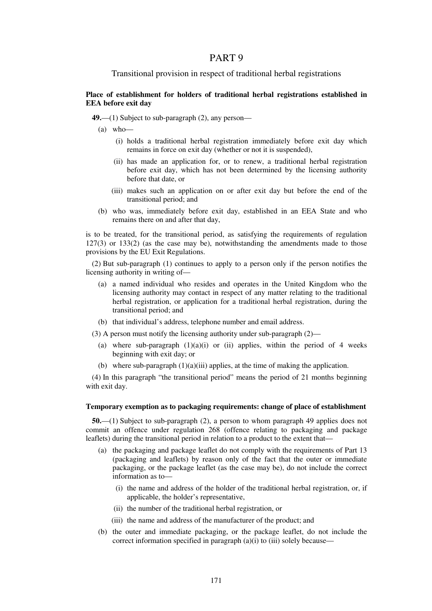# PART 9

## Transitional provision in respect of traditional herbal registrations

## **Place of establishment for holders of traditional herbal registrations established in EEA before exit day**

**49.**—(1) Subject to sub-paragraph (2), any person—

 $(a)$  who—

- (i) holds a traditional herbal registration immediately before exit day which remains in force on exit day (whether or not it is suspended),
- (ii) has made an application for, or to renew, a traditional herbal registration before exit day, which has not been determined by the licensing authority before that date, or
- (iii) makes such an application on or after exit day but before the end of the transitional period; and
- (b) who was, immediately before exit day, established in an EEA State and who remains there on and after that day,

is to be treated, for the transitional period, as satisfying the requirements of regulation 127(3) or 133(2) (as the case may be), notwithstanding the amendments made to those provisions by the EU Exit Regulations.

(2) But sub-paragraph (1) continues to apply to a person only if the person notifies the licensing authority in writing of—

- (a) a named individual who resides and operates in the United Kingdom who the licensing authority may contact in respect of any matter relating to the traditional herbal registration, or application for a traditional herbal registration, during the transitional period; and
- (b) that individual's address, telephone number and email address.

(3) A person must notify the licensing authority under sub-paragraph (2)—

- (a) where sub-paragraph  $(1)(a)(i)$  or (ii) applies, within the period of 4 weeks beginning with exit day; or
- (b) where sub-paragraph  $(1)(a)(iii)$  applies, at the time of making the application.

(4) In this paragraph "the transitional period" means the period of 21 months beginning with exit day.

#### **Temporary exemption as to packaging requirements: change of place of establishment**

**50.**—(1) Subject to sub-paragraph (2), a person to whom paragraph 49 applies does not commit an offence under regulation 268 (offence relating to packaging and package leaflets) during the transitional period in relation to a product to the extent that—

- (a) the packaging and package leaflet do not comply with the requirements of Part 13 (packaging and leaflets) by reason only of the fact that the outer or immediate packaging, or the package leaflet (as the case may be), do not include the correct information as to—
	- (i) the name and address of the holder of the traditional herbal registration, or, if applicable, the holder's representative,
	- (ii) the number of the traditional herbal registration, or
	- (iii) the name and address of the manufacturer of the product; and
- (b) the outer and immediate packaging, or the package leaflet, do not include the correct information specified in paragraph (a)(i) to (iii) solely because—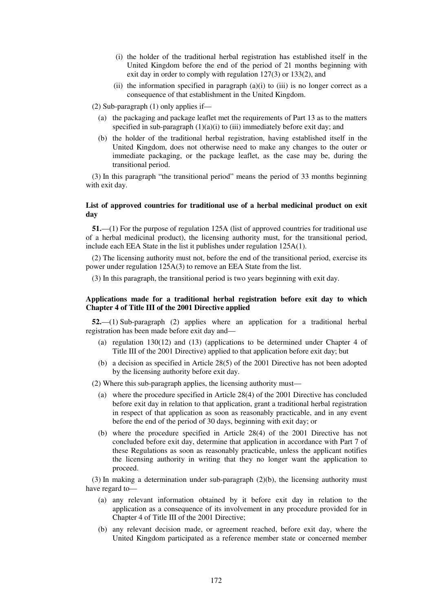- (i) the holder of the traditional herbal registration has established itself in the United Kingdom before the end of the period of 21 months beginning with exit day in order to comply with regulation 127(3) or 133(2), and
- (ii) the information specified in paragraph  $(a)(i)$  to (iii) is no longer correct as a consequence of that establishment in the United Kingdom.

(2) Sub-paragraph (1) only applies if—

- (a) the packaging and package leaflet met the requirements of Part 13 as to the matters specified in sub-paragraph  $(1)(a)(i)$  to  $(iii)$  immediately before exit day; and
- (b) the holder of the traditional herbal registration, having established itself in the United Kingdom, does not otherwise need to make any changes to the outer or immediate packaging, or the package leaflet, as the case may be, during the transitional period.

(3) In this paragraph "the transitional period" means the period of 33 months beginning with exit day.

## **List of approved countries for traditional use of a herbal medicinal product on exit day**

**51.**—(1) For the purpose of regulation 125A (list of approved countries for traditional use of a herbal medicinal product), the licensing authority must, for the transitional period, include each EEA State in the list it publishes under regulation 125A(1).

(2) The licensing authority must not, before the end of the transitional period, exercise its power under regulation 125A(3) to remove an EEA State from the list.

(3) In this paragraph, the transitional period is two years beginning with exit day.

## **Applications made for a traditional herbal registration before exit day to which Chapter 4 of Title III of the 2001 Directive applied**

**52.**—(1) Sub-paragraph (2) applies where an application for a traditional herbal registration has been made before exit day and—

- (a) regulation 130(12) and (13) (applications to be determined under Chapter 4 of Title III of the 2001 Directive) applied to that application before exit day; but
- (b) a decision as specified in Article 28(5) of the 2001 Directive has not been adopted by the licensing authority before exit day.

(2) Where this sub-paragraph applies, the licensing authority must—

- (a) where the procedure specified in Article 28(4) of the 2001 Directive has concluded before exit day in relation to that application, grant a traditional herbal registration in respect of that application as soon as reasonably practicable, and in any event before the end of the period of 30 days, beginning with exit day; or
- (b) where the procedure specified in Article 28(4) of the 2001 Directive has not concluded before exit day, determine that application in accordance with Part 7 of these Regulations as soon as reasonably practicable, unless the applicant notifies the licensing authority in writing that they no longer want the application to proceed.

 $(3)$  In making a determination under sub-paragraph  $(2)(b)$ , the licensing authority must have regard to—

- (a) any relevant information obtained by it before exit day in relation to the application as a consequence of its involvement in any procedure provided for in Chapter 4 of Title III of the 2001 Directive;
- (b) any relevant decision made, or agreement reached, before exit day, where the United Kingdom participated as a reference member state or concerned member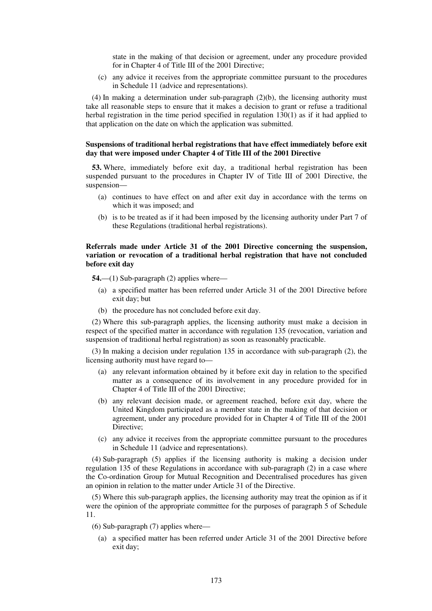state in the making of that decision or agreement, under any procedure provided for in Chapter 4 of Title III of the 2001 Directive;

(c) any advice it receives from the appropriate committee pursuant to the procedures in Schedule 11 (advice and representations).

(4) In making a determination under sub-paragraph (2)(b), the licensing authority must take all reasonable steps to ensure that it makes a decision to grant or refuse a traditional herbal registration in the time period specified in regulation 130(1) as if it had applied to that application on the date on which the application was submitted.

#### **Suspensions of traditional herbal registrations that have effect immediately before exit day that were imposed under Chapter 4 of Title III of the 2001 Directive**

**53.** Where, immediately before exit day, a traditional herbal registration has been suspended pursuant to the procedures in Chapter IV of Title III of 2001 Directive, the suspension—

- (a) continues to have effect on and after exit day in accordance with the terms on which it was imposed; and
- (b) is to be treated as if it had been imposed by the licensing authority under Part 7 of these Regulations (traditional herbal registrations).

## **Referrals made under Article 31 of the 2001 Directive concerning the suspension, variation or revocation of a traditional herbal registration that have not concluded before exit day**

**54.**—(1) Sub-paragraph (2) applies where—

- (a) a specified matter has been referred under Article 31 of the 2001 Directive before exit day; but
- (b) the procedure has not concluded before exit day.

(2) Where this sub-paragraph applies, the licensing authority must make a decision in respect of the specified matter in accordance with regulation 135 (revocation, variation and suspension of traditional herbal registration) as soon as reasonably practicable.

(3) In making a decision under regulation 135 in accordance with sub-paragraph (2), the licensing authority must have regard to—

- (a) any relevant information obtained by it before exit day in relation to the specified matter as a consequence of its involvement in any procedure provided for in Chapter 4 of Title III of the 2001 Directive;
- (b) any relevant decision made, or agreement reached, before exit day, where the United Kingdom participated as a member state in the making of that decision or agreement, under any procedure provided for in Chapter 4 of Title III of the 2001 Directive;
- (c) any advice it receives from the appropriate committee pursuant to the procedures in Schedule 11 (advice and representations).

(4) Sub-paragraph (5) applies if the licensing authority is making a decision under regulation 135 of these Regulations in accordance with sub-paragraph (2) in a case where the Co-ordination Group for Mutual Recognition and Decentralised procedures has given an opinion in relation to the matter under Article 31 of the Directive.

(5) Where this sub-paragraph applies, the licensing authority may treat the opinion as if it were the opinion of the appropriate committee for the purposes of paragraph 5 of Schedule 11.

(6) Sub-paragraph (7) applies where—

(a) a specified matter has been referred under Article 31 of the 2001 Directive before exit day;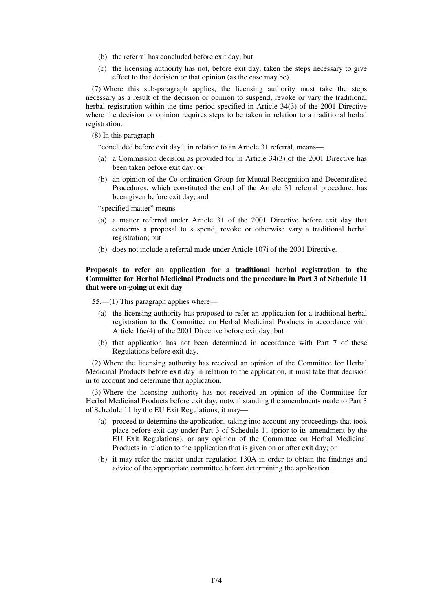- (b) the referral has concluded before exit day; but
- (c) the licensing authority has not, before exit day, taken the steps necessary to give effect to that decision or that opinion (as the case may be).

(7) Where this sub-paragraph applies, the licensing authority must take the steps necessary as a result of the decision or opinion to suspend, revoke or vary the traditional herbal registration within the time period specified in Article 34(3) of the 2001 Directive where the decision or opinion requires steps to be taken in relation to a traditional herbal registration.

(8) In this paragraph—

"concluded before exit day", in relation to an Article 31 referral, means—

- (a) a Commission decision as provided for in Article 34(3) of the 2001 Directive has been taken before exit day; or
- (b) an opinion of the Co-ordination Group for Mutual Recognition and Decentralised Procedures, which constituted the end of the Article 31 referral procedure, has been given before exit day; and

"specified matter" means—

- (a) a matter referred under Article 31 of the 2001 Directive before exit day that concerns a proposal to suspend, revoke or otherwise vary a traditional herbal registration; but
- (b) does not include a referral made under Article 107i of the 2001 Directive.

## **Proposals to refer an application for a traditional herbal registration to the Committee for Herbal Medicinal Products and the procedure in Part 3 of Schedule 11 that were on-going at exit day**

**55.**—(1) This paragraph applies where—

- (a) the licensing authority has proposed to refer an application for a traditional herbal registration to the Committee on Herbal Medicinal Products in accordance with Article 16c(4) of the 2001 Directive before exit day; but
- (b) that application has not been determined in accordance with Part 7 of these Regulations before exit day.

(2) Where the licensing authority has received an opinion of the Committee for Herbal Medicinal Products before exit day in relation to the application, it must take that decision in to account and determine that application.

(3) Where the licensing authority has not received an opinion of the Committee for Herbal Medicinal Products before exit day, notwithstanding the amendments made to Part 3 of Schedule 11 by the EU Exit Regulations, it may—

- (a) proceed to determine the application, taking into account any proceedings that took place before exit day under Part 3 of Schedule 11 (prior to its amendment by the EU Exit Regulations), or any opinion of the Committee on Herbal Medicinal Products in relation to the application that is given on or after exit day; or
- (b) it may refer the matter under regulation 130A in order to obtain the findings and advice of the appropriate committee before determining the application.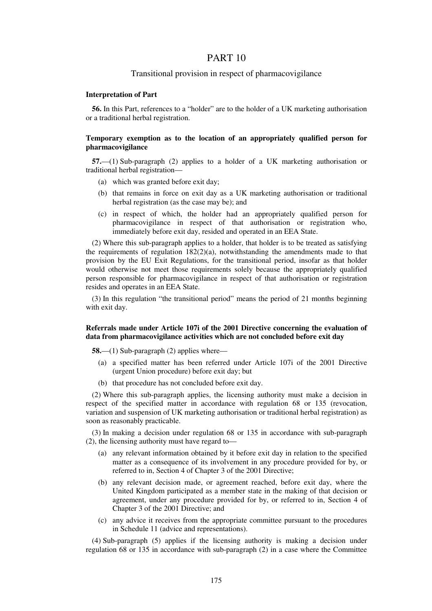## PART 10

## Transitional provision in respect of pharmacovigilance

#### **Interpretation of Part**

**56.** In this Part, references to a "holder" are to the holder of a UK marketing authorisation or a traditional herbal registration.

#### **Temporary exemption as to the location of an appropriately qualified person for pharmacovigilance**

**57.**—(1) Sub-paragraph (2) applies to a holder of a UK marketing authorisation or traditional herbal registration—

- (a) which was granted before exit day;
- (b) that remains in force on exit day as a UK marketing authorisation or traditional herbal registration (as the case may be); and
- (c) in respect of which, the holder had an appropriately qualified person for pharmacovigilance in respect of that authorisation or registration who, immediately before exit day, resided and operated in an EEA State.

(2) Where this sub-paragraph applies to a holder, that holder is to be treated as satisfying the requirements of regulation  $182(2)(a)$ , notwithstanding the amendments made to that provision by the EU Exit Regulations, for the transitional period, insofar as that holder would otherwise not meet those requirements solely because the appropriately qualified person responsible for pharmacovigilance in respect of that authorisation or registration resides and operates in an EEA State.

(3) In this regulation "the transitional period" means the period of 21 months beginning with exit day.

### **Referrals made under Article 107i of the 2001 Directive concerning the evaluation of data from pharmacovigilance activities which are not concluded before exit day**

**58.**—(1) Sub-paragraph (2) applies where—

- (a) a specified matter has been referred under Article 107i of the 2001 Directive (urgent Union procedure) before exit day; but
- (b) that procedure has not concluded before exit day.

(2) Where this sub-paragraph applies, the licensing authority must make a decision in respect of the specified matter in accordance with regulation 68 or 135 (revocation, variation and suspension of UK marketing authorisation or traditional herbal registration) as soon as reasonably practicable.

(3) In making a decision under regulation 68 or 135 in accordance with sub-paragraph (2), the licensing authority must have regard to—

- (a) any relevant information obtained by it before exit day in relation to the specified matter as a consequence of its involvement in any procedure provided for by, or referred to in, Section 4 of Chapter 3 of the 2001 Directive;
- (b) any relevant decision made, or agreement reached, before exit day, where the United Kingdom participated as a member state in the making of that decision or agreement, under any procedure provided for by, or referred to in, Section 4 of Chapter 3 of the 2001 Directive; and
- (c) any advice it receives from the appropriate committee pursuant to the procedures in Schedule 11 (advice and representations).

(4) Sub-paragraph (5) applies if the licensing authority is making a decision under regulation 68 or 135 in accordance with sub-paragraph (2) in a case where the Committee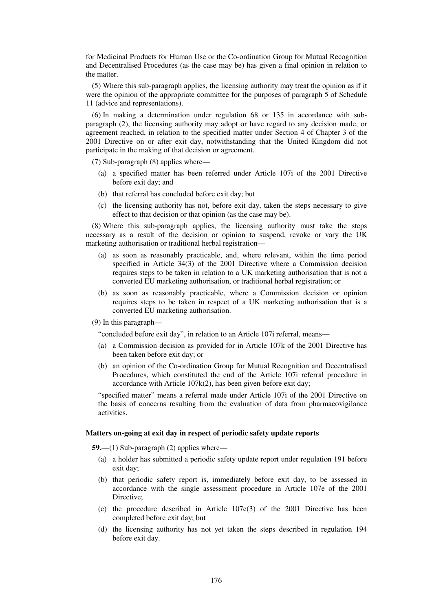for Medicinal Products for Human Use or the Co-ordination Group for Mutual Recognition and Decentralised Procedures (as the case may be) has given a final opinion in relation to the matter.

(5) Where this sub-paragraph applies, the licensing authority may treat the opinion as if it were the opinion of the appropriate committee for the purposes of paragraph 5 of Schedule 11 (advice and representations).

(6) In making a determination under regulation 68 or 135 in accordance with subparagraph (2), the licensing authority may adopt or have regard to any decision made, or agreement reached, in relation to the specified matter under Section 4 of Chapter 3 of the 2001 Directive on or after exit day, notwithstanding that the United Kingdom did not participate in the making of that decision or agreement.

(7) Sub-paragraph (8) applies where—

- (a) a specified matter has been referred under Article 107i of the 2001 Directive before exit day; and
- (b) that referral has concluded before exit day; but
- (c) the licensing authority has not, before exit day, taken the steps necessary to give effect to that decision or that opinion (as the case may be).

(8) Where this sub-paragraph applies, the licensing authority must take the steps necessary as a result of the decision or opinion to suspend, revoke or vary the UK marketing authorisation or traditional herbal registration—

- (a) as soon as reasonably practicable, and, where relevant, within the time period specified in Article 34(3) of the 2001 Directive where a Commission decision requires steps to be taken in relation to a UK marketing authorisation that is not a converted EU marketing authorisation, or traditional herbal registration; or
- (b) as soon as reasonably practicable, where a Commission decision or opinion requires steps to be taken in respect of a UK marketing authorisation that is a converted EU marketing authorisation.
- (9) In this paragraph—

"concluded before exit day", in relation to an Article 107i referral, means—

- (a) a Commission decision as provided for in Article 107k of the 2001 Directive has been taken before exit day; or
- (b) an opinion of the Co-ordination Group for Mutual Recognition and Decentralised Procedures, which constituted the end of the Article 107i referral procedure in accordance with Article 107k(2), has been given before exit day;

"specified matter" means a referral made under Article 107i of the 2001 Directive on the basis of concerns resulting from the evaluation of data from pharmacovigilance activities.

#### **Matters on-going at exit day in respect of periodic safety update reports**

**59.**—(1) Sub-paragraph (2) applies where—

- (a) a holder has submitted a periodic safety update report under regulation 191 before exit day;
- (b) that periodic safety report is, immediately before exit day, to be assessed in accordance with the single assessment procedure in Article 107e of the 2001 Directive;
- (c) the procedure described in Article  $107e(3)$  of the 2001 Directive has been completed before exit day; but
- (d) the licensing authority has not yet taken the steps described in regulation 194 before exit day.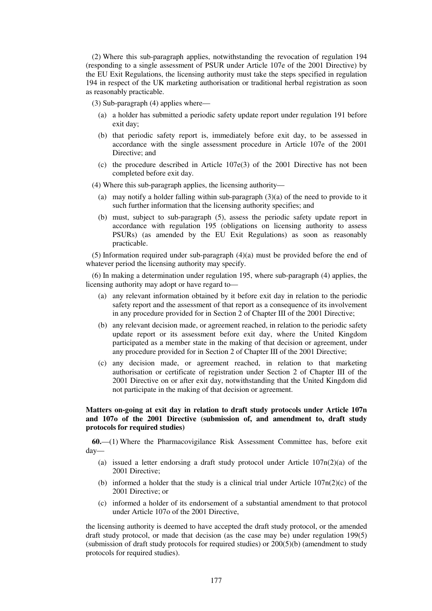(2) Where this sub-paragraph applies, notwithstanding the revocation of regulation 194 (responding to a single assessment of PSUR under Article 107e of the 2001 Directive) by the EU Exit Regulations, the licensing authority must take the steps specified in regulation 194 in respect of the UK marketing authorisation or traditional herbal registration as soon as reasonably practicable.

(3) Sub-paragraph (4) applies where—

- (a) a holder has submitted a periodic safety update report under regulation 191 before exit day;
- (b) that periodic safety report is, immediately before exit day, to be assessed in accordance with the single assessment procedure in Article 107e of the 2001 Directive; and
- (c) the procedure described in Article 107e(3) of the 2001 Directive has not been completed before exit day.

(4) Where this sub-paragraph applies, the licensing authority—

- (a) may notify a holder falling within sub-paragraph  $(3)(a)$  of the need to provide to it such further information that the licensing authority specifies; and
- (b) must, subject to sub-paragraph (5), assess the periodic safety update report in accordance with regulation 195 (obligations on licensing authority to assess PSURs) (as amended by the EU Exit Regulations) as soon as reasonably practicable.

(5) Information required under sub-paragraph (4)(a) must be provided before the end of whatever period the licensing authority may specify.

(6) In making a determination under regulation 195, where sub-paragraph (4) applies, the licensing authority may adopt or have regard to—

- (a) any relevant information obtained by it before exit day in relation to the periodic safety report and the assessment of that report as a consequence of its involvement in any procedure provided for in Section 2 of Chapter III of the 2001 Directive;
- (b) any relevant decision made, or agreement reached, in relation to the periodic safety update report or its assessment before exit day, where the United Kingdom participated as a member state in the making of that decision or agreement, under any procedure provided for in Section 2 of Chapter III of the 2001 Directive;
- (c) any decision made, or agreement reached, in relation to that marketing authorisation or certificate of registration under Section 2 of Chapter III of the 2001 Directive on or after exit day, notwithstanding that the United Kingdom did not participate in the making of that decision or agreement.

## **Matters on-going at exit day in relation to draft study protocols under Article 107n and 107o of the 2001 Directive (submission of, and amendment to, draft study protocols for required studies)**

**60.**—(1) Where the Pharmacovigilance Risk Assessment Committee has, before exit day—

- (a) issued a letter endorsing a draft study protocol under Article 107n(2)(a) of the 2001 Directive:
- (b) informed a holder that the study is a clinical trial under Article  $107n(2)(c)$  of the 2001 Directive; or
- (c) informed a holder of its endorsement of a substantial amendment to that protocol under Article 107o of the 2001 Directive,

the licensing authority is deemed to have accepted the draft study protocol, or the amended draft study protocol, or made that decision (as the case may be) under regulation 199(5) (submission of draft study protocols for required studies) or  $200(5)(b)$  (amendment to study protocols for required studies).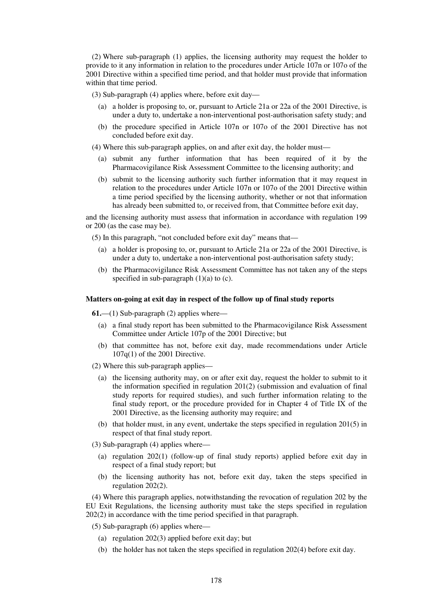(2) Where sub-paragraph (1) applies, the licensing authority may request the holder to provide to it any information in relation to the procedures under Article 107n or 107o of the 2001 Directive within a specified time period, and that holder must provide that information within that time period.

(3) Sub-paragraph (4) applies where, before exit day—

- (a) a holder is proposing to, or, pursuant to Article 21a or 22a of the 2001 Directive, is under a duty to, undertake a non-interventional post-authorisation safety study; and
- (b) the procedure specified in Article 107n or 107o of the 2001 Directive has not concluded before exit day.

(4) Where this sub-paragraph applies, on and after exit day, the holder must—

- (a) submit any further information that has been required of it by the Pharmacovigilance Risk Assessment Committee to the licensing authority; and
- (b) submit to the licensing authority such further information that it may request in relation to the procedures under Article 107n or 107o of the 2001 Directive within a time period specified by the licensing authority, whether or not that information has already been submitted to, or received from, that Committee before exit day,

and the licensing authority must assess that information in accordance with regulation 199 or 200 (as the case may be).

(5) In this paragraph, "not concluded before exit day" means that—

- (a) a holder is proposing to, or, pursuant to Article 21a or 22a of the 2001 Directive, is under a duty to, undertake a non-interventional post-authorisation safety study;
- (b) the Pharmacovigilance Risk Assessment Committee has not taken any of the steps specified in sub-paragraph  $(1)(a)$  to  $(c)$ .

#### **Matters on-going at exit day in respect of the follow up of final study reports**

**61.**—(1) Sub-paragraph (2) applies where—

- (a) a final study report has been submitted to the Pharmacovigilance Risk Assessment Committee under Article 107p of the 2001 Directive; but
- (b) that committee has not, before exit day, made recommendations under Article  $107q(1)$  of the 2001 Directive.
- (2) Where this sub-paragraph applies—
	- (a) the licensing authority may, on or after exit day, request the holder to submit to it the information specified in regulation 201(2) (submission and evaluation of final study reports for required studies), and such further information relating to the final study report, or the procedure provided for in Chapter 4 of Title IX of the 2001 Directive, as the licensing authority may require; and
	- (b) that holder must, in any event, undertake the steps specified in regulation 201(5) in respect of that final study report.
- (3) Sub-paragraph (4) applies where—
	- (a) regulation 202(1) (follow-up of final study reports) applied before exit day in respect of a final study report; but
	- (b) the licensing authority has not, before exit day, taken the steps specified in regulation 202(2).

(4) Where this paragraph applies, notwithstanding the revocation of regulation 202 by the EU Exit Regulations, the licensing authority must take the steps specified in regulation 202(2) in accordance with the time period specified in that paragraph.

(5) Sub-paragraph (6) applies where—

- (a) regulation 202(3) applied before exit day; but
- (b) the holder has not taken the steps specified in regulation 202(4) before exit day.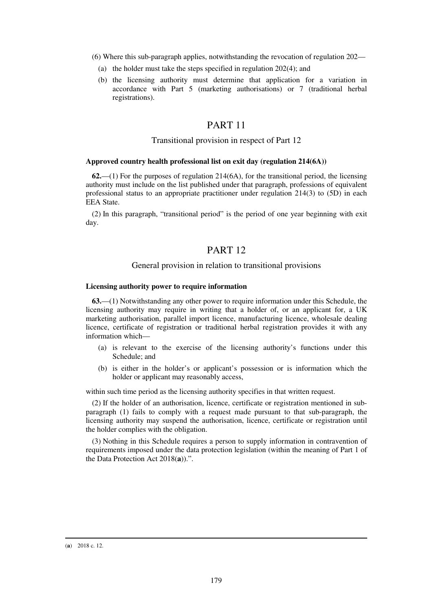(6) Where this sub-paragraph applies, notwithstanding the revocation of regulation 202—

- (a) the holder must take the steps specified in regulation 202(4); and
- (b) the licensing authority must determine that application for a variation in accordance with Part 5 (marketing authorisations) or 7 (traditional herbal registrations).

# PART 11

## Transitional provision in respect of Part 12

#### **Approved country health professional list on exit day (regulation 214(6A))**

**62.**—(1) For the purposes of regulation 214(6A), for the transitional period, the licensing authority must include on the list published under that paragraph, professions of equivalent professional status to an appropriate practitioner under regulation 214(3) to (5D) in each EEA State.

(2) In this paragraph, "transitional period" is the period of one year beginning with exit day.

# PART 12

## General provision in relation to transitional provisions

#### **Licensing authority power to require information**

**63.**—(1) Notwithstanding any other power to require information under this Schedule, the licensing authority may require in writing that a holder of, or an applicant for, a UK marketing authorisation, parallel import licence, manufacturing licence, wholesale dealing licence, certificate of registration or traditional herbal registration provides it with any information which—

- (a) is relevant to the exercise of the licensing authority's functions under this Schedule; and
- (b) is either in the holder's or applicant's possession or is information which the holder or applicant may reasonably access,

within such time period as the licensing authority specifies in that written request.

(2) If the holder of an authorisation, licence, certificate or registration mentioned in subparagraph (1) fails to comply with a request made pursuant to that sub-paragraph, the licensing authority may suspend the authorisation, licence, certificate or registration until the holder complies with the obligation.

(3) Nothing in this Schedule requires a person to supply information in contravention of requirements imposed under the data protection legislation (within the meaning of Part 1 of the Data Protection Act 2018(**a**)).".

-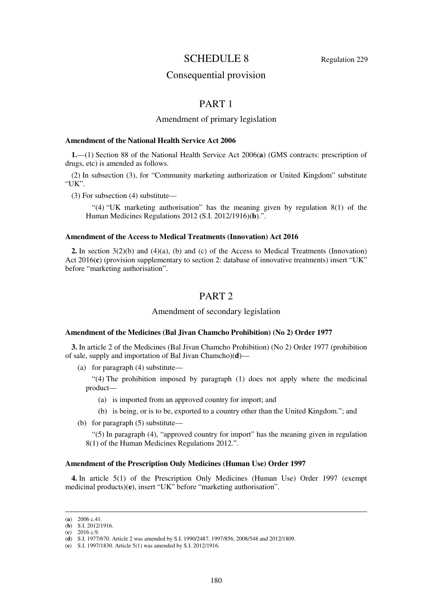# SCHEDULE 8 Regulation 229

# Consequential provision

# PART 1

#### Amendment of primary legislation

#### **Amendment of the National Health Service Act 2006**

**1.**—(1) Section 88 of the National Health Service Act 2006(**a**) (GMS contracts: prescription of drugs, etc) is amended as follows.

(2) In subsection (3), for "Community marketing authorization or United Kingdom" substitute "UK".

(3) For subsection (4) substitute—

"(4) "UK marketing authorisation" has the meaning given by regulation 8(1) of the Human Medicines Regulations 2012 (S.I. 2012/1916)(**b**).".

## **Amendment of the Access to Medical Treatments (Innovation) Act 2016**

**2.** In section 3(2)(b) and (4)(a), (b) and (c) of the Access to Medical Treatments (Innovation) Act 2016(c) (provision supplementary to section 2: database of innovative treatments) insert "UK" before "marketing authorisation".

# PART 2

#### Amendment of secondary legislation

#### **Amendment of the Medicines (Bal Jivan Chamcho Prohibition) (No 2) Order 1977**

**3.** In article 2 of the Medicines (Bal Jivan Chamcho Prohibition) (No 2) Order 1977 (prohibition of sale, supply and importation of Bal Jivan Chamcho)(**d**)—

(a) for paragraph (4) substitute—

"(4) The prohibition imposed by paragraph (1) does not apply where the medicinal product—

- (a) is imported from an approved country for import; and
- (b) is being, or is to be, exported to a country other than the United Kingdom."; and
- (b) for paragraph (5) substitute—

"(5) In paragraph (4), "approved country for import" has the meaning given in regulation 8(1) of the Human Medicines Regulations 2012.".

#### **Amendment of the Prescription Only Medicines (Human Use) Order 1997**

**4.** In article 5(1) of the Prescription Only Medicines (Human Use) Order 1997 (exempt medicinal products)(**e**), insert "UK" before "marketing authorisation".

-

<sup>(</sup>**a**) 2006 c.41.

<sup>(</sup>**b**) S.I. 2012/1916.

<sup>(</sup>**c**) 2016 c.9.

<sup>(</sup>**d**) S.I. 1977/670. Article 2 was amended by S.I. 1990/2487, 1997/856, 2008/548 and 2012/1809.

<sup>(</sup>**e**) S.I. 1997/1830. Article 5(1) was amended by S.I. 2012/1916.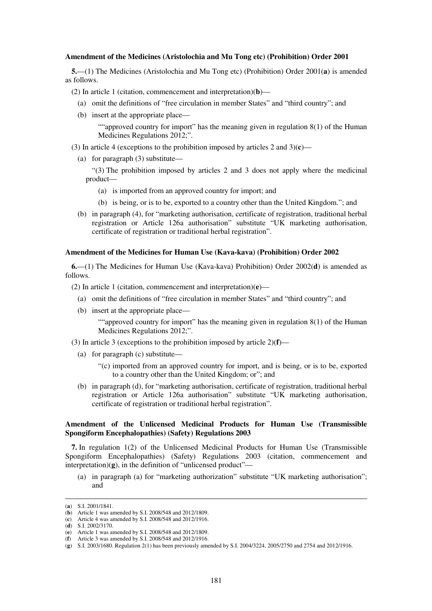#### **Amendment of the Medicines (Aristolochia and Mu Tong etc) (Prohibition) Order 2001**

**5.**—(1) The Medicines (Aristolochia and Mu Tong etc) (Prohibition) Order 2001(**a**) is amended as follows.

(2) In article 1 (citation, commencement and interpretation)(**b**)—

- (a) omit the definitions of "free circulation in member States" and "third country"; and
- (b) insert at the appropriate place—

""approved country for import" has the meaning given in regulation  $8(1)$  of the Human Medicines Regulations 2012;".

(3) In article 4 (exceptions to the prohibition imposed by articles 2 and 3)(**c**)—

(a) for paragraph (3) substitute—

"(3) The prohibition imposed by articles 2 and 3 does not apply where the medicinal product—

- (a) is imported from an approved country for import; and
- (b) is being, or is to be, exported to a country other than the United Kingdom."; and
- (b) in paragraph (4), for "marketing authorisation, certificate of registration, traditional herbal registration or Article 126a authorisation" substitute "UK marketing authorisation, certificate of registration or traditional herbal registration".

#### **Amendment of the Medicines for Human Use (Kava-kava) (Prohibition) Order 2002**

**6.**—(1) The Medicines for Human Use (Kava-kava) Prohibition) Order 2002(**d**) is amended as follows.

(2) In article 1 (citation, commencement and interpretation)(**e**)—

- (a) omit the definitions of "free circulation in member States" and "third country"; and
- (b) insert at the appropriate place—

""approved country for import" has the meaning given in regulation  $8(1)$  of the Human Medicines Regulations 2012;".

- (3) In article 3 (exceptions to the prohibition imposed by article 2)(**f**)—
	- (a) for paragraph (c) substitute—
		- "(c) imported from an approved country for import, and is being, or is to be, exported to a country other than the United Kingdom; or"; and
	- (b) in paragraph (d), for "marketing authorisation, certificate of registration, traditional herbal registration or Article 126a authorisation" substitute "UK marketing authorisation, certificate of registration or traditional herbal registration".

## **Amendment of the Unlicensed Medicinal Products for Human Use (Transmissible Spongiform Encephalopathies) (Safety) Regulations 2003**

**7.** In regulation 1(2) of the Unlicensed Medicinal Products for Human Use (Transmissible Spongiform Encephalopathies) (Safety) Regulations 2003 (citation, commencement and interpretation) $(\mathbf{g})$ , in the definition of "unlicensed product"—

(a) in paragraph (a) for "marketing authorization" substitute "UK marketing authorisation"; and

-

<sup>(</sup>**a**) S.I. 2001/1841.

<sup>(</sup>**b**) Article 1 was amended by S.I. 2008/548 and 2012/1809.

<sup>(</sup>**c**) Article 4 was amended by S.I. 2008/548 and 2012/1916.

<sup>(</sup>**d**) S.I. 2002/3170.

<sup>(</sup>**e**) Article 1 was amended by S.I. 2008/548 and 2012/1809.

<sup>(</sup>**f**) Article 3 was amended by S.I. 2008/548 and 2012/1916.

<sup>(</sup>**g**) S.I. 2003/1680. Regulation 2(1) has been previously amended by S.I. 2004/3224, 2005/2750 and 2754 and 2012/1916.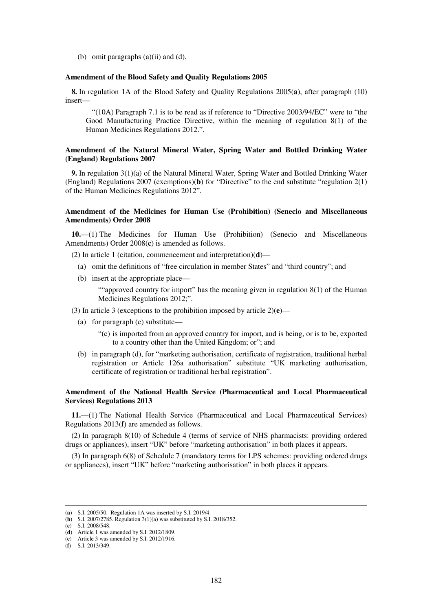(b) omit paragraphs  $(a)(ii)$  and  $(d)$ .

#### **Amendment of the Blood Safety and Quality Regulations 2005**

**8.** In regulation 1A of the Blood Safety and Quality Regulations 2005(**a**), after paragraph (10) insert—

"(10A) Paragraph 7.1 is to be read as if reference to "Directive 2003/94/EC" were to "the Good Manufacturing Practice Directive, within the meaning of regulation 8(1) of the Human Medicines Regulations 2012.".

### **Amendment of the Natural Mineral Water, Spring Water and Bottled Drinking Water (England) Regulations 2007**

**9.** In regulation 3(1)(a) of the Natural Mineral Water, Spring Water and Bottled Drinking Water (England) Regulations 2007 (exemptions)(**b**) for "Directive" to the end substitute "regulation 2(1) of the Human Medicines Regulations 2012".

## **Amendment of the Medicines for Human Use (Prohibition) (Senecio and Miscellaneous Amendments) Order 2008**

**10.**—(1) The Medicines for Human Use (Prohibition) (Senecio and Miscellaneous Amendments) Order 2008(**c**) is amended as follows.

(2) In article 1 (citation, commencement and interpretation)(**d**)—

- (a) omit the definitions of "free circulation in member States" and "third country"; and
- (b) insert at the appropriate place— ""approved country for import" has the meaning given in regulation  $8(1)$  of the Human Medicines Regulations 2012;".

## (3) In article 3 (exceptions to the prohibition imposed by article 2)(**e**)—

- (a) for paragraph (c) substitute—
	- "(c) is imported from an approved country for import, and is being, or is to be, exported to a country other than the United Kingdom; or"; and
- (b) in paragraph (d), for "marketing authorisation, certificate of registration, traditional herbal registration or Article 126a authorisation" substitute "UK marketing authorisation, certificate of registration or traditional herbal registration".

## **Amendment of the National Health Service (Pharmaceutical and Local Pharmaceutical Services) Regulations 2013**

**11.**—(1) The National Health Service (Pharmaceutical and Local Pharmaceutical Services) Regulations 2013(**f**) are amended as follows.

(2) In paragraph 8(10) of Schedule 4 (terms of service of NHS pharmacists: providing ordered drugs or appliances), insert "UK" before "marketing authorisation" in both places it appears.

(3) In paragraph 6(8) of Schedule 7 (mandatory terms for LPS schemes: providing ordered drugs or appliances), insert "UK" before "marketing authorisation" in both places it appears.

-

<sup>(</sup>**a**) S.I. 2005/50. Regulation 1A was inserted by S.I. 2019/4.

<sup>(</sup>**b**) S.I. 2007/2785. Regulation 3(1)(a) was substituted by S.I. 2018/352.

<sup>(</sup>**c**) S.I. 2008/548.

<sup>(</sup>**d**) Article 1 was amended by S.I. 2012/1809.

<sup>(</sup>**e**) Article 3 was amended by S.I. 2012/1916.

<sup>(</sup>**f**) S.I. 2013/349.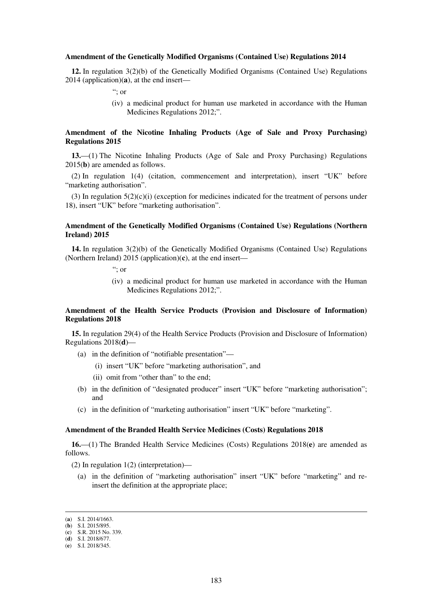#### **Amendment of the Genetically Modified Organisms (Contained Use) Regulations 2014**

**12.** In regulation 3(2)(b) of the Genetically Modified Organisms (Contained Use) Regulations 2014 (application)(**a**), at the end insert—

"; or

 (iv) a medicinal product for human use marketed in accordance with the Human Medicines Regulations 2012;".

## **Amendment of the Nicotine Inhaling Products (Age of Sale and Proxy Purchasing) Regulations 2015**

**13.**—(1) The Nicotine Inhaling Products (Age of Sale and Proxy Purchasing) Regulations 2015(**b**) are amended as follows.

(2) In regulation 1(4) (citation, commencement and interpretation), insert "UK" before "marketing authorisation".

(3) In regulation  $5(2)(c)(i)$  (exception for medicines indicated for the treatment of persons under 18), insert "UK" before "marketing authorisation".

## **Amendment of the Genetically Modified Organisms (Contained Use) Regulations (Northern Ireland) 2015**

**14.** In regulation 3(2)(b) of the Genetically Modified Organisms (Contained Use) Regulations (Northern Ireland) 2015 (application)(**c**), at the end insert—

 $\cdots$  or

 (iv) a medicinal product for human use marketed in accordance with the Human Medicines Regulations 2012;".

## **Amendment of the Health Service Products (Provision and Disclosure of Information) Regulations 2018**

**15.** In regulation 29(4) of the Health Service Products (Provision and Disclosure of Information) Regulations 2018(**d**)—

- (a) in the definition of "notifiable presentation"—
	- (i) insert "UK" before "marketing authorisation", and
	- (ii) omit from "other than" to the end;
- (b) in the definition of "designated producer" insert "UK" before "marketing authorisation"; and
- (c) in the definition of "marketing authorisation" insert "UK" before "marketing".

#### **Amendment of the Branded Health Service Medicines (Costs) Regulations 2018**

**16.**—(1) The Branded Health Service Medicines (Costs) Regulations 2018(**e**) are amended as follows.

(2) In regulation 1(2) (interpretation)—

(a) in the definition of "marketing authorisation" insert "UK" before "marketing" and reinsert the definition at the appropriate place;

-

<sup>(</sup>**a**) S.I. 2014/1663.

<sup>(</sup>**b**) S.I. 2015/895. (**c**) S.R. 2015 No. 339.

<sup>(</sup>**d**) S.I. 2018/677. (**e**) S.I. 2018/345.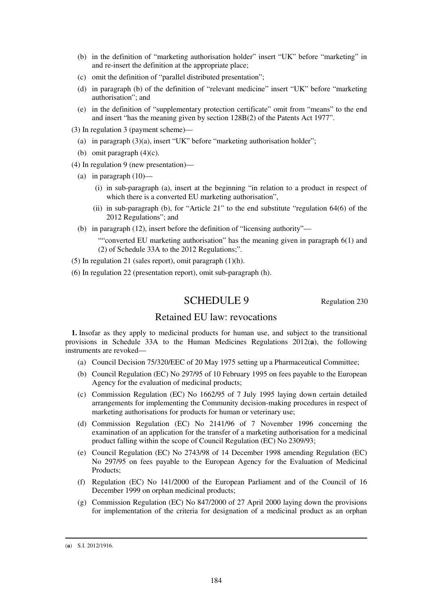- (b) in the definition of "marketing authorisation holder" insert "UK" before "marketing" in and re-insert the definition at the appropriate place;
- (c) omit the definition of "parallel distributed presentation";
- (d) in paragraph (b) of the definition of "relevant medicine" insert "UK" before "marketing authorisation"; and
- (e) in the definition of "supplementary protection certificate" omit from "means" to the end and insert "has the meaning given by section 128B(2) of the Patents Act 1977".
- (3) In regulation 3 (payment scheme)—
	- (a) in paragraph (3)(a), insert "UK" before "marketing authorisation holder";
	- (b) omit paragraph (4)(c).
- (4) In regulation 9 (new presentation)—
	- (a) in paragraph  $(10)$ 
		- (i) in sub-paragraph (a), insert at the beginning "in relation to a product in respect of which there is a converted EU marketing authorisation",
		- (ii) in sub-paragraph (b), for "Article 21" to the end substitute "regulation 64(6) of the 2012 Regulations"; and
	- (b) in paragraph (12), insert before the definition of "licensing authority"—

""converted EU marketing authorisation" has the meaning given in paragraph 6(1) and (2) of Schedule 33A to the 2012 Regulations;".

- (5) In regulation 21 (sales report), omit paragraph (1)(h).
- (6) In regulation 22 (presentation report), omit sub-paragraph (h).

## SCHEDULE 9 Regulation 230

# Retained EU law: revocations

**1.** Insofar as they apply to medicinal products for human use, and subject to the transitional provisions in Schedule 33A to the Human Medicines Regulations 2012(**a**), the following instruments are revoked—

- (a) Council Decision 75/320/EEC of 20 May 1975 setting up a Pharmaceutical Committee;
- (b) Council Regulation (EC) No 297/95 of 10 February 1995 on fees payable to the European Agency for the evaluation of medicinal products;
- (c) Commission Regulation (EC) No 1662/95 of 7 July 1995 laying down certain detailed arrangements for implementing the Community decision-making procedures in respect of marketing authorisations for products for human or veterinary use;
- (d) Commission Regulation (EC) No 2141/96 of 7 November 1996 concerning the examination of an application for the transfer of a marketing authorisation for a medicinal product falling within the scope of Council Regulation (EC) No 2309/93;
- (e) Council Regulation (EC) No 2743/98 of 14 December 1998 amending Regulation (EC) No 297/95 on fees payable to the European Agency for the Evaluation of Medicinal Products;
- (f) Regulation (EC) No 141/2000 of the European Parliament and of the Council of 16 December 1999 on orphan medicinal products;
- (g) Commission Regulation (EC) No 847/2000 of 27 April 2000 laying down the provisions for implementation of the criteria for designation of a medicinal product as an orphan

<sup>-</sup>(**a**) S.I. 2012/1916.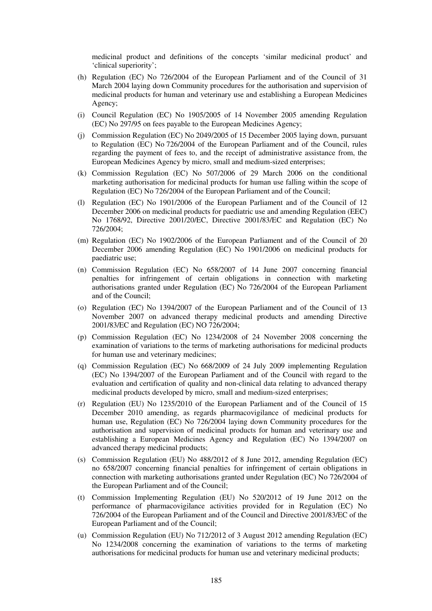medicinal product and definitions of the concepts 'similar medicinal product' and 'clinical superiority';

- (h) Regulation (EC) No 726/2004 of the European Parliament and of the Council of 31 March 2004 laying down Community procedures for the authorisation and supervision of medicinal products for human and veterinary use and establishing a European Medicines Agency;
- (i) Council Regulation (EC) No 1905/2005 of 14 November 2005 amending Regulation (EC) No 297/95 on fees payable to the European Medicines Agency;
- (j) Commission Regulation (EC) No 2049/2005 of 15 December 2005 laying down, pursuant to Regulation (EC) No 726/2004 of the European Parliament and of the Council, rules regarding the payment of fees to, and the receipt of administrative assistance from, the European Medicines Agency by micro, small and medium-sized enterprises;
- (k) Commission Regulation (EC) No 507/2006 of 29 March 2006 on the conditional marketing authorisation for medicinal products for human use falling within the scope of Regulation (EC) No 726/2004 of the European Parliament and of the Council;
- (l) Regulation (EC) No 1901/2006 of the European Parliament and of the Council of 12 December 2006 on medicinal products for paediatric use and amending Regulation (EEC) No 1768/92, Directive 2001/20/EC, Directive 2001/83/EC and Regulation (EC) No 726/2004;
- (m) Regulation (EC) No 1902/2006 of the European Parliament and of the Council of 20 December 2006 amending Regulation (EC) No 1901/2006 on medicinal products for paediatric use;
- (n) Commission Regulation (EC) No 658/2007 of 14 June 2007 concerning financial penalties for infringement of certain obligations in connection with marketing authorisations granted under Regulation (EC) No 726/2004 of the European Parliament and of the Council;
- (o) Regulation (EC) No 1394/2007 of the European Parliament and of the Council of 13 November 2007 on advanced therapy medicinal products and amending Directive 2001/83/EC and Regulation (EC) NO 726/2004;
- (p) Commission Regulation (EC) No 1234/2008 of 24 November 2008 concerning the examination of variations to the terms of marketing authorisations for medicinal products for human use and veterinary medicines;
- (q) Commission Regulation (EC) No 668/2009 of 24 July 2009 implementing Regulation (EC) No 1394/2007 of the European Parliament and of the Council with regard to the evaluation and certification of quality and non-clinical data relating to advanced therapy medicinal products developed by micro, small and medium-sized enterprises;
- (r) Regulation (EU) No 1235/2010 of the European Parliament and of the Council of 15 December 2010 amending, as regards pharmacovigilance of medicinal products for human use, Regulation (EC) No 726/2004 laying down Community procedures for the authorisation and supervision of medicinal products for human and veterinary use and establishing a European Medicines Agency and Regulation (EC) No 1394/2007 on advanced therapy medicinal products;
- (s) Commission Regulation (EU) No 488/2012 of 8 June 2012, amending Regulation (EC) no 658/2007 concerning financial penalties for infringement of certain obligations in connection with marketing authorisations granted under Regulation (EC) No 726/2004 of the European Parliament and of the Council;
- (t) Commission Implementing Regulation (EU) No 520/2012 of 19 June 2012 on the performance of pharmacovigilance activities provided for in Regulation (EC) No 726/2004 of the European Parliament and of the Council and Directive 2001/83/EC of the European Parliament and of the Council;
- (u) Commission Regulation (EU) No 712/2012 of 3 August 2012 amending Regulation (EC) No 1234/2008 concerning the examination of variations to the terms of marketing authorisations for medicinal products for human use and veterinary medicinal products;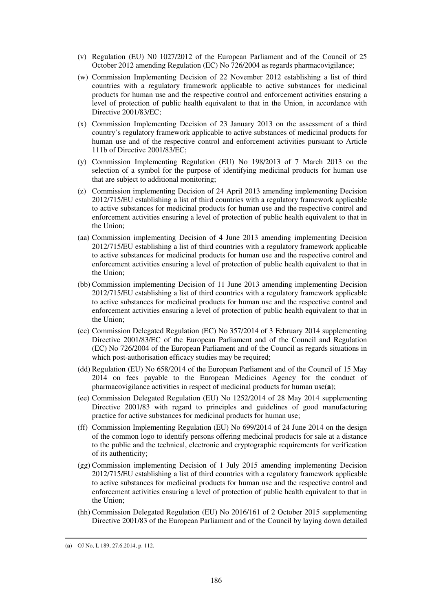- (v) Regulation (EU) N0 1027/2012 of the European Parliament and of the Council of 25 October 2012 amending Regulation (EC) No 726/2004 as regards pharmacovigilance;
- (w) Commission Implementing Decision of 22 November 2012 establishing a list of third countries with a regulatory framework applicable to active substances for medicinal products for human use and the respective control and enforcement activities ensuring a level of protection of public health equivalent to that in the Union, in accordance with Directive 2001/83/EC;
- (x) Commission Implementing Decision of 23 January 2013 on the assessment of a third country's regulatory framework applicable to active substances of medicinal products for human use and of the respective control and enforcement activities pursuant to Article 111b of Directive 2001/83/EC;
- (y) Commission Implementing Regulation (EU) No 198/2013 of 7 March 2013 on the selection of a symbol for the purpose of identifying medicinal products for human use that are subject to additional monitoring;
- (z) Commission implementing Decision of 24 April 2013 amending implementing Decision 2012/715/EU establishing a list of third countries with a regulatory framework applicable to active substances for medicinal products for human use and the respective control and enforcement activities ensuring a level of protection of public health equivalent to that in the Union;
- (aa) Commission implementing Decision of 4 June 2013 amending implementing Decision 2012/715/EU establishing a list of third countries with a regulatory framework applicable to active substances for medicinal products for human use and the respective control and enforcement activities ensuring a level of protection of public health equivalent to that in the Union;
- (bb) Commission implementing Decision of 11 June 2013 amending implementing Decision 2012/715/EU establishing a list of third countries with a regulatory framework applicable to active substances for medicinal products for human use and the respective control and enforcement activities ensuring a level of protection of public health equivalent to that in the Union;
- (cc) Commission Delegated Regulation (EC) No 357/2014 of 3 February 2014 supplementing Directive 2001/83/EC of the European Parliament and of the Council and Regulation (EC) No 726/2004 of the European Parliament and of the Council as regards situations in which post-authorisation efficacy studies may be required;
- (dd) Regulation (EU) No 658/2014 of the European Parliament and of the Council of 15 May 2014 on fees payable to the European Medicines Agency for the conduct of pharmacovigilance activities in respect of medicinal products for human use(**a**);
- (ee) Commission Delegated Regulation (EU) No 1252/2014 of 28 May 2014 supplementing Directive 2001/83 with regard to principles and guidelines of good manufacturing practice for active substances for medicinal products for human use;
- (ff) Commission Implementing Regulation (EU) No 699/2014 of 24 June 2014 on the design of the common logo to identify persons offering medicinal products for sale at a distance to the public and the technical, electronic and cryptographic requirements for verification of its authenticity;
- (gg) Commission implementing Decision of 1 July 2015 amending implementing Decision 2012/715/EU establishing a list of third countries with a regulatory framework applicable to active substances for medicinal products for human use and the respective control and enforcement activities ensuring a level of protection of public health equivalent to that in the Union;
- (hh) Commission Delegated Regulation (EU) No 2016/161 of 2 October 2015 supplementing Directive 2001/83 of the European Parliament and of the Council by laying down detailed

<sup>-</sup>(**a**) OJ No, L 189, 27.6.2014, p. 112.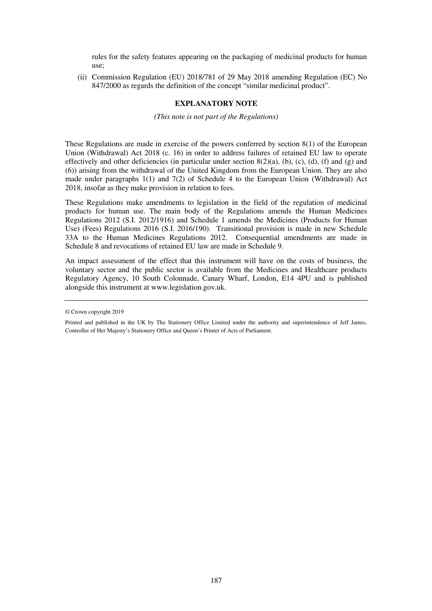rules for the safety features appearing on the packaging of medicinal products for human use;

(ii) Commission Regulation (EU) 2018/781 of 29 May 2018 amending Regulation (EC) No 847/2000 as regards the definition of the concept "similar medicinal product".

## **EXPLANATORY NOTE**

*(This note is not part of the Regulations)* 

These Regulations are made in exercise of the powers conferred by section 8(1) of the European Union (Withdrawal) Act 2018 (c. 16) in order to address failures of retained EU law to operate effectively and other deficiencies (in particular under section  $8(2)(a)$ , (b), (c), (d), (f) and (g) and (6)) arising from the withdrawal of the United Kingdom from the European Union. They are also made under paragraphs 1(1) and 7(2) of Schedule 4 to the European Union (Withdrawal) Act 2018, insofar as they make provision in relation to fees.

These Regulations make amendments to legislation in the field of the regulation of medicinal products for human use. The main body of the Regulations amends the Human Medicines Regulations 2012 (S.I. 2012/1916) and Schedule 1 amends the Medicines (Products for Human Use) (Fees) Regulations 2016 (S.I. 2016/190). Transitional provision is made in new Schedule 33A to the Human Medicines Regulations 2012. Consequential amendments are made in Schedule 8 and revocations of retained EU law are made in Schedule 9.

An impact assessment of the effect that this instrument will have on the costs of business, the voluntary sector and the public sector is available from the Medicines and Healthcare products Regulatory Agency, 10 South Colonnade, Canary Wharf, London, E14 4PU and is published alongside this instrument at www.legislation.gov.uk.

<sup>©</sup> Crown copyright 2019

Printed and published in the UK by The Stationery Office Limited under the authority and superintendence of Jeff James, Controller of Her Majesty's Stationery Office and Queen's Printer of Acts of Parliament.